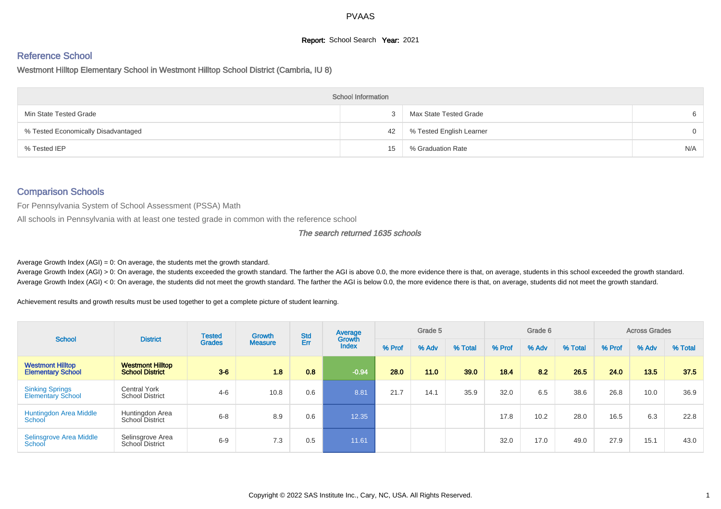# **Report:** School Search **Year:** 2021

# Reference School

Westmont Hilltop Elementary School in Westmont Hilltop School District (Cambria, IU 8)

|                                     | <b>School Information</b> |                          |          |
|-------------------------------------|---------------------------|--------------------------|----------|
| Min State Tested Grade              |                           | Max State Tested Grade   | 6        |
| % Tested Economically Disadvantaged | 42                        | % Tested English Learner | $\Omega$ |
| % Tested IEP                        | 15                        | % Graduation Rate        | N/A      |

# Comparison Schools

For Pennsylvania System of School Assessment (PSSA) Math

All schools in Pennsylvania with at least one tested grade in common with the reference school

#### The search returned 1635 schools

Average Growth Index  $(AGI) = 0$ : On average, the students met the growth standard.

Average Growth Index (AGI) > 0: On average, the students exceeded the growth standard. The farther the AGI is above 0.0, the more evidence there is that, on average, students in this school exceeded the growth standard. Average Growth Index (AGI) < 0: On average, the students did not meet the growth standard. The farther the AGI is below 0.0, the more evidence there is that, on average, students did not meet the growth standard.

Achievement results and growth results must be used together to get a complete picture of student learning.

| <b>School</b>                                       | <b>District</b>                                   | <b>Tested</b> | <b>Growth</b>  | <b>Std</b> | Average                |        | Grade 5 |         |        | Grade 6 |         |        | <b>Across Grades</b> |         |
|-----------------------------------------------------|---------------------------------------------------|---------------|----------------|------------|------------------------|--------|---------|---------|--------|---------|---------|--------|----------------------|---------|
|                                                     |                                                   | <b>Grades</b> | <b>Measure</b> | Err        | Growth<br><b>Index</b> | % Prof | % Adv   | % Total | % Prof | % Adv   | % Total | % Prof | % Adv                | % Total |
| <b>Westmont Hilltop</b><br><b>Elementary School</b> | <b>Westmont Hilltop</b><br><b>School District</b> | $3 - 6$       | 1.8            | 0.8        | $-0.94$                | 28.0   | 11.0    | 39.0    | 18.4   | 82      | 26.5    | 24.0   | 13.5                 | 37.5    |
| <b>Sinking Springs</b><br><b>Elementary School</b>  | Central York<br><b>School District</b>            | $4 - 6$       | 10.8           | 0.6        | 8.81                   | 21.7   | 14.1    | 35.9    | 32.0   | 6.5     | 38.6    | 26.8   | 10.0                 | 36.9    |
| <b>Huntingdon Area Middle</b><br>School             | Huntingdon Area<br>School District                | $6 - 8$       | 8.9            | 0.6        | 12.35                  |        |         |         | 17.8   | 10.2    | 28.0    | 16.5   | 6.3                  | 22.8    |
| Selinsgrove Area Middle<br>School                   | Selinsgrove Area<br>School District               | $6-9$         | 7.3            | 0.5        | 11.61                  |        |         |         | 32.0   | 17.0    | 49.0    | 27.9   | 15.1                 | 43.0    |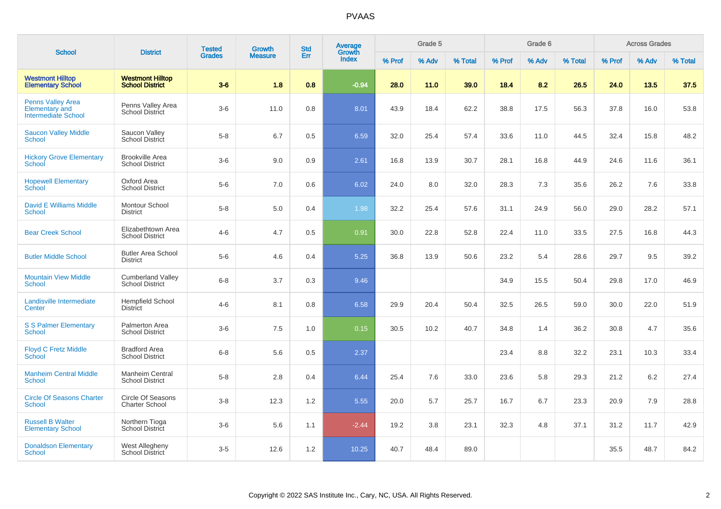| <b>School</b>                                                                   | <b>District</b>                                    | <b>Tested</b> | Growth         | <b>Std</b> | Average<br>Growth |        | Grade 5 |         |        | Grade 6 |         |        | <b>Across Grades</b> |         |
|---------------------------------------------------------------------------------|----------------------------------------------------|---------------|----------------|------------|-------------------|--------|---------|---------|--------|---------|---------|--------|----------------------|---------|
|                                                                                 |                                                    | <b>Grades</b> | <b>Measure</b> | Err        | <b>Index</b>      | % Prof | % Adv   | % Total | % Prof | % Adv   | % Total | % Prof | % Adv                | % Total |
| <b>Westmont Hilltop</b><br><b>Elementary School</b>                             | <b>Westmont Hilltop</b><br><b>School District</b>  | $3-6$         | 1.8            | 0.8        | $-0.94$           | 28.0   | 11.0    | 39.0    | 18.4   | 8.2     | 26.5    | 24.0   | 13.5                 | 37.5    |
| <b>Penns Valley Area</b><br><b>Elementary and</b><br><b>Intermediate School</b> | Penns Valley Area<br>School District               | $3-6$         | 11.0           | 0.8        | 8.01              | 43.9   | 18.4    | 62.2    | 38.8   | 17.5    | 56.3    | 37.8   | 16.0                 | 53.8    |
| <b>Saucon Valley Middle</b><br><b>School</b>                                    | Saucon Valley<br><b>School District</b>            | $5-8$         | 6.7            | 0.5        | 6.59              | 32.0   | 25.4    | 57.4    | 33.6   | 11.0    | 44.5    | 32.4   | 15.8                 | 48.2    |
| <b>Hickory Grove Elementary</b><br>School                                       | <b>Brookville Area</b><br><b>School District</b>   | $3-6$         | 9.0            | 0.9        | 2.61              | 16.8   | 13.9    | 30.7    | 28.1   | 16.8    | 44.9    | 24.6   | 11.6                 | 36.1    |
| <b>Hopewell Elementary</b><br>School                                            | Oxford Area<br><b>School District</b>              | $5-6$         | 7.0            | 0.6        | 6.02              | 24.0   | 8.0     | 32.0    | 28.3   | 7.3     | 35.6    | 26.2   | 7.6                  | 33.8    |
| David E Williams Middle<br>School                                               | Montour School<br><b>District</b>                  | $5-8$         | 5.0            | 0.4        | 1.98              | 32.2   | 25.4    | 57.6    | 31.1   | 24.9    | 56.0    | 29.0   | 28.2                 | 57.1    |
| <b>Bear Creek School</b>                                                        | Elizabethtown Area<br><b>School District</b>       | $4 - 6$       | 4.7            | 0.5        | 0.91              | 30.0   | 22.8    | 52.8    | 22.4   | 11.0    | 33.5    | 27.5   | 16.8                 | 44.3    |
| <b>Butler Middle School</b>                                                     | <b>Butler Area School</b><br><b>District</b>       | $5-6$         | 4.6            | 0.4        | 5.25              | 36.8   | 13.9    | 50.6    | 23.2   | 5.4     | 28.6    | 29.7   | 9.5                  | 39.2    |
| <b>Mountain View Middle</b><br><b>School</b>                                    | <b>Cumberland Valley</b><br><b>School District</b> | $6 - 8$       | 3.7            | 0.3        | 9.46              |        |         |         | 34.9   | 15.5    | 50.4    | 29.8   | 17.0                 | 46.9    |
| Landisville Intermediate<br>Center                                              | <b>Hempfield School</b><br><b>District</b>         | $4-6$         | 8.1            | 0.8        | 6.58              | 29.9   | 20.4    | 50.4    | 32.5   | 26.5    | 59.0    | 30.0   | 22.0                 | 51.9    |
| <b>S S Palmer Elementary</b><br><b>School</b>                                   | Palmerton Area<br><b>School District</b>           | $3-6$         | 7.5            | 1.0        | 0.15              | 30.5   | 10.2    | 40.7    | 34.8   | 1.4     | 36.2    | 30.8   | 4.7                  | 35.6    |
| <b>Floyd C Fretz Middle</b><br><b>School</b>                                    | <b>Bradford Area</b><br><b>School District</b>     | $6 - 8$       | 5.6            | 0.5        | 2.37              |        |         |         | 23.4   | 8.8     | 32.2    | 23.1   | 10.3                 | 33.4    |
| <b>Manheim Central Middle</b><br><b>School</b>                                  | Manheim Central<br><b>School District</b>          | $5-8$         | 2.8            | 0.4        | 6.44              | 25.4   | 7.6     | 33.0    | 23.6   | 5.8     | 29.3    | 21.2   | 6.2                  | 27.4    |
| <b>Circle Of Seasons Charter</b><br>School                                      | Circle Of Seasons<br><b>Charter School</b>         | $3 - 8$       | 12.3           | 1.2        | 5.55              | 20.0   | 5.7     | 25.7    | 16.7   | 6.7     | 23.3    | 20.9   | 7.9                  | 28.8    |
| <b>Russell B Walter</b><br><b>Elementary School</b>                             | Northern Tioga<br><b>School District</b>           | $3-6$         | 5.6            | 1.1        | $-2.44$           | 19.2   | 3.8     | 23.1    | 32.3   | 4.8     | 37.1    | 31.2   | 11.7                 | 42.9    |
| <b>Donaldson Elementary</b><br>School                                           | West Allegheny<br>School District                  | $3-5$         | 12.6           | 1.2        | 10.25             | 40.7   | 48.4    | 89.0    |        |         |         | 35.5   | 48.7                 | 84.2    |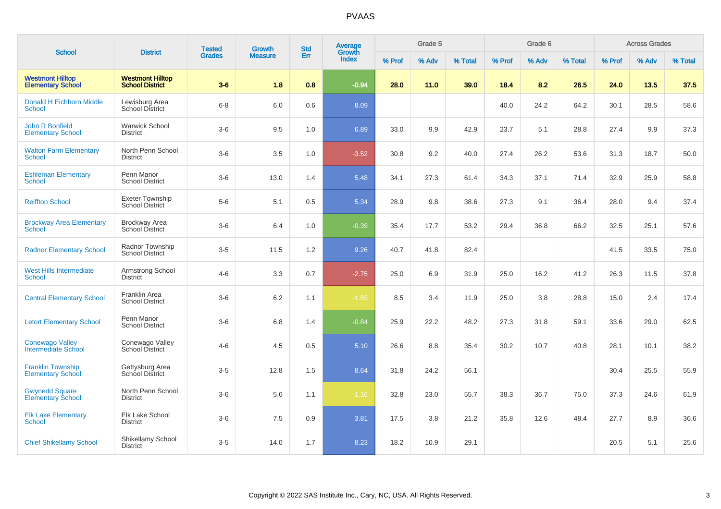|                                                      | <b>District</b>                                   | <b>Tested</b> | <b>Growth</b>  | <b>Std</b> | <b>Average</b><br>Growth |        | Grade 5 |         |        | Grade 6 |         |        | <b>Across Grades</b> |         |
|------------------------------------------------------|---------------------------------------------------|---------------|----------------|------------|--------------------------|--------|---------|---------|--------|---------|---------|--------|----------------------|---------|
| <b>School</b>                                        |                                                   | <b>Grades</b> | <b>Measure</b> | Err        | <b>Index</b>             | % Prof | % Adv   | % Total | % Prof | % Adv   | % Total | % Prof | % Adv                | % Total |
| <b>Westmont Hilltop</b><br><b>Elementary School</b>  | <b>Westmont Hilltop</b><br><b>School District</b> | $3-6$         | 1.8            | 0.8        | $-0.94$                  | 28.0   | 11.0    | 39.0    | 18.4   | 8.2     | 26.5    | 24.0   | 13.5                 | 37.5    |
| <b>Donald H Eichhorn Middle</b><br><b>School</b>     | Lewisburg Area<br><b>School District</b>          | $6 - 8$       | 6.0            | 0.6        | 8.09                     |        |         |         | 40.0   | 24.2    | 64.2    | 30.1   | 28.5                 | 58.6    |
| <b>John R Bonfield</b><br><b>Elementary School</b>   | <b>Warwick School</b><br><b>District</b>          | $3-6$         | 9.5            | 1.0        | 6.89                     | 33.0   | 9.9     | 42.9    | 23.7   | 5.1     | 28.8    | 27.4   | 9.9                  | 37.3    |
| <b>Walton Farm Elementary</b><br>School              | North Penn School<br><b>District</b>              | $3-6$         | 3.5            | 1.0        | $-3.52$                  | 30.8   | 9.2     | 40.0    | 27.4   | 26.2    | 53.6    | 31.3   | 18.7                 | 50.0    |
| <b>Eshleman Elementary</b><br>School                 | Penn Manor<br><b>School District</b>              | $3-6$         | 13.0           | 1.4        | 5.48                     | 34.1   | 27.3    | 61.4    | 34.3   | 37.1    | 71.4    | 32.9   | 25.9                 | 58.8    |
| <b>Reiffton School</b>                               | <b>Exeter Township</b><br><b>School District</b>  | $5-6$         | 5.1            | 0.5        | 5.34                     | 28.9   | 9.8     | 38.6    | 27.3   | 9.1     | 36.4    | 28.0   | 9.4                  | 37.4    |
| <b>Brockway Area Elementary</b><br>School            | <b>Brockway Area</b><br>School District           | $3-6$         | 6.4            | 1.0        | $-0.39$                  | 35.4   | 17.7    | 53.2    | 29.4   | 36.8    | 66.2    | 32.5   | 25.1                 | 57.6    |
| <b>Radnor Elementary School</b>                      | Radnor Township<br><b>School District</b>         | $3-5$         | 11.5           | 1.2        | 9.26                     | 40.7   | 41.8    | 82.4    |        |         |         | 41.5   | 33.5                 | 75.0    |
| <b>West Hills Intermediate</b><br><b>School</b>      | Armstrong School<br><b>District</b>               | $4 - 6$       | 3.3            | 0.7        | $-2.75$                  | 25.0   | 6.9     | 31.9    | 25.0   | 16.2    | 41.2    | 26.3   | 11.5                 | 37.8    |
| <b>Central Elementary School</b>                     | Franklin Area<br><b>School District</b>           | $3-6$         | $6.2\,$        | 1.1        | $-1.59$                  | 8.5    | 3.4     | 11.9    | 25.0   | 3.8     | 28.8    | 15.0   | 2.4                  | 17.4    |
| <b>Letort Elementary School</b>                      | Penn Manor<br><b>School District</b>              | $3-6$         | 6.8            | 1.4        | $-0.84$                  | 25.9   | 22.2    | 48.2    | 27.3   | 31.8    | 59.1    | 33.6   | 29.0                 | 62.5    |
| <b>Conewago Valley</b><br><b>Intermediate School</b> | Conewago Valley<br>School District                | $4-6$         | 4.5            | 0.5        | 5.10                     | 26.6   | 8.8     | 35.4    | 30.2   | 10.7    | 40.8    | 28.1   | 10.1                 | 38.2    |
| <b>Franklin Township</b><br><b>Elementary School</b> | Gettysburg Area<br>School District                | $3-5$         | 12.8           | 1.5        | 8.64                     | 31.8   | 24.2    | 56.1    |        |         |         | 30.4   | 25.5                 | 55.9    |
| <b>Gwynedd Square</b><br><b>Elementary School</b>    | North Penn School<br><b>District</b>              | $3-6$         | 5.6            | 1.1        | $-1.16$                  | 32.8   | 23.0    | 55.7    | 38.3   | 36.7    | 75.0    | 37.3   | 24.6                 | 61.9    |
| <b>Elk Lake Elementary</b><br>School                 | Elk Lake School<br>District                       | $3-6$         | 7.5            | 0.9        | 3.81                     | 17.5   | 3.8     | 21.2    | 35.8   | 12.6    | 48.4    | 27.7   | 8.9                  | 36.6    |
| <b>Chief Shikellamy School</b>                       | Shikellamy School<br><b>District</b>              | $3-5$         | 14.0           | 1.7        | 8.23                     | 18.2   | 10.9    | 29.1    |        |         |         | 20.5   | 5.1                  | 25.6    |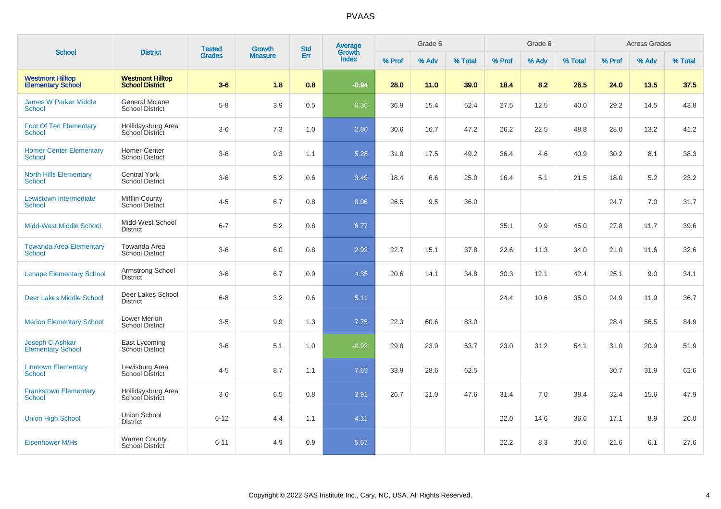|                                                     |                                                   | <b>Tested</b> | <b>Growth</b>  | <b>Std</b> | <b>Average</b>  |        | Grade 5 |         |        | Grade 6 |         |        | <b>Across Grades</b> |         |
|-----------------------------------------------------|---------------------------------------------------|---------------|----------------|------------|-----------------|--------|---------|---------|--------|---------|---------|--------|----------------------|---------|
| <b>School</b>                                       | <b>District</b>                                   | <b>Grades</b> | <b>Measure</b> | Err        | Growth<br>Index | % Prof | % Adv   | % Total | % Prof | % Adv   | % Total | % Prof | % Adv                | % Total |
| <b>Westmont Hilltop</b><br><b>Elementary School</b> | <b>Westmont Hilltop</b><br><b>School District</b> | $3-6$         | 1.8            | 0.8        | $-0.94$         | 28.0   | 11.0    | 39.0    | 18.4   | 8.2     | 26.5    | 24.0   | 13.5                 | 37.5    |
| <b>James W Parker Middle</b><br>School              | General Mclane<br><b>School District</b>          | $5-8$         | 3.9            | 0.5        | $-0.36$         | 36.9   | 15.4    | 52.4    | 27.5   | 12.5    | 40.0    | 29.2   | 14.5                 | 43.8    |
| <b>Foot Of Ten Elementary</b><br><b>School</b>      | Hollidaysburg Area<br>School District             | $3-6$         | 7.3            | 1.0        | 2.80            | 30.6   | 16.7    | 47.2    | 26.2   | 22.5    | 48.8    | 28.0   | 13.2                 | 41.2    |
| <b>Homer-Center Elementary</b><br>School            | Homer-Center<br><b>School District</b>            | $3-6$         | 9.3            | 1.1        | 5.28            | 31.8   | 17.5    | 49.2    | 36.4   | 4.6     | 40.9    | 30.2   | 8.1                  | 38.3    |
| <b>North Hills Elementary</b><br><b>School</b>      | <b>Central York</b><br><b>School District</b>     | $3-6$         | $5.2\,$        | 0.6        | 3.49            | 18.4   | 6.6     | 25.0    | 16.4   | 5.1     | 21.5    | 18.0   | 5.2                  | 23.2    |
| Lewistown Intermediate<br>School                    | Mifflin County<br>School District                 | $4 - 5$       | 6.7            | 0.8        | 8.06            | 26.5   | 9.5     | 36.0    |        |         |         | 24.7   | 7.0                  | 31.7    |
| <b>Midd-West Middle School</b>                      | Midd-West School<br><b>District</b>               | $6 - 7$       | 5.2            | 0.8        | 6.77            |        |         |         | 35.1   | 9.9     | 45.0    | 27.8   | 11.7                 | 39.6    |
| <b>Towanda Area Elementary</b><br>School            | Towanda Area<br><b>School District</b>            | $3-6$         | 6.0            | 0.8        | 2.92            | 22.7   | 15.1    | 37.8    | 22.6   | 11.3    | 34.0    | 21.0   | 11.6                 | 32.6    |
| <b>Lenape Elementary School</b>                     | Armstrong School<br><b>District</b>               | $3-6$         | 6.7            | 0.9        | 4.35            | 20.6   | 14.1    | 34.8    | 30.3   | 12.1    | 42.4    | 25.1   | 9.0                  | 34.1    |
| <b>Deer Lakes Middle School</b>                     | Deer Lakes School<br><b>District</b>              | $6 - 8$       | 3.2            | 0.6        | 5.11            |        |         |         | 24.4   | 10.6    | 35.0    | 24.9   | 11.9                 | 36.7    |
| <b>Merion Elementary School</b>                     | <b>Lower Merion</b><br><b>School District</b>     | $3-5$         | 9.9            | 1.3        | 7.75            | 22.3   | 60.6    | 83.0    |        |         |         | 28.4   | 56.5                 | 84.9    |
| Joseph C Ashkar<br><b>Elementary School</b>         | East Lycoming<br><b>School District</b>           | $3-6$         | 5.1            | 1.0        | $-0.92$         | 29.8   | 23.9    | 53.7    | 23.0   | 31.2    | 54.1    | 31.0   | 20.9                 | 51.9    |
| <b>Linntown Elementary</b><br>School                | Lewisburg Area<br><b>School District</b>          | $4 - 5$       | 8.7            | 1.1        | 7.69            | 33.9   | 28.6    | 62.5    |        |         |         | 30.7   | 31.9                 | 62.6    |
| <b>Frankstown Elementary</b><br>School              | Hollidaysburg Area<br>School District             | $3-6$         | 6.5            | 0.8        | 3.91            | 26.7   | 21.0    | 47.6    | 31.4   | 7.0     | 38.4    | 32.4   | 15.6                 | 47.9    |
| <b>Union High School</b>                            | <b>Union School</b><br><b>District</b>            | $6 - 12$      | 4.4            | 1.1        | 4.11            |        |         |         | 22.0   | 14.6    | 36.6    | 17.1   | 8.9                  | 26.0    |
| <b>Eisenhower M/Hs</b>                              | <b>Warren County</b><br>School District           | $6 - 11$      | 4.9            | 0.9        | 5.57            |        |         |         | 22.2   | 8.3     | 30.6    | 21.6   | 6.1                  | 27.6    |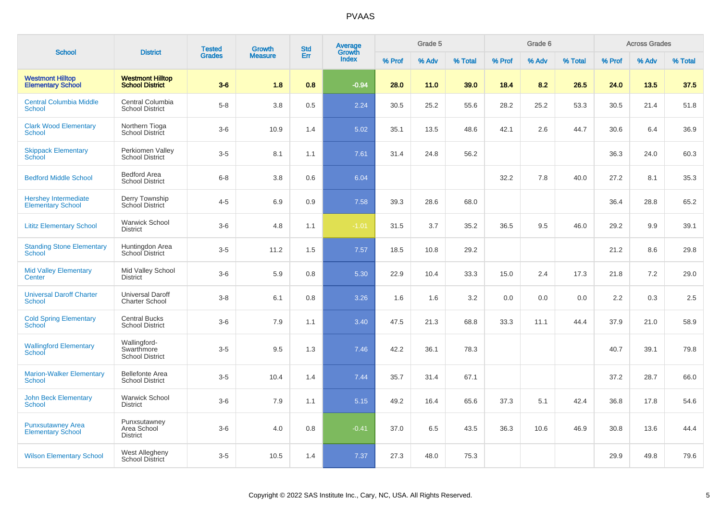| <b>School</b>                                           | <b>District</b>                                      | <b>Tested</b> | <b>Growth</b>  | <b>Std</b> | Average<br>Growth |        | Grade 5 |         |        | Grade 6 |         |        | <b>Across Grades</b> |         |
|---------------------------------------------------------|------------------------------------------------------|---------------|----------------|------------|-------------------|--------|---------|---------|--------|---------|---------|--------|----------------------|---------|
|                                                         |                                                      | <b>Grades</b> | <b>Measure</b> | Err        | <b>Index</b>      | % Prof | % Adv   | % Total | % Prof | % Adv   | % Total | % Prof | % Adv                | % Total |
| <b>Westmont Hilltop</b><br><b>Elementary School</b>     | <b>Westmont Hilltop</b><br><b>School District</b>    | $3-6$         | 1.8            | 0.8        | $-0.94$           | 28.0   | 11.0    | 39.0    | 18.4   | 8.2     | 26.5    | 24.0   | 13.5                 | 37.5    |
| <b>Central Columbia Middle</b><br><b>School</b>         | Central Columbia<br><b>School District</b>           | $5-8$         | 3.8            | 0.5        | 2.24              | 30.5   | 25.2    | 55.6    | 28.2   | 25.2    | 53.3    | 30.5   | 21.4                 | 51.8    |
| <b>Clark Wood Elementary</b><br><b>School</b>           | Northern Tioga<br>School District                    | $3-6$         | 10.9           | 1.4        | 5.02              | 35.1   | 13.5    | 48.6    | 42.1   | 2.6     | 44.7    | 30.6   | 6.4                  | 36.9    |
| <b>Skippack Elementary</b><br><b>School</b>             | Perkiomen Valley<br><b>School District</b>           | $3-5$         | 8.1            | 1.1        | 7.61              | 31.4   | 24.8    | 56.2    |        |         |         | 36.3   | 24.0                 | 60.3    |
| <b>Bedford Middle School</b>                            | <b>Bedford Area</b><br><b>School District</b>        | $6 - 8$       | 3.8            | 0.6        | 6.04              |        |         |         | 32.2   | 7.8     | 40.0    | 27.2   | 8.1                  | 35.3    |
| <b>Hershey Intermediate</b><br><b>Elementary School</b> | Derry Township<br>School District                    | $4 - 5$       | 6.9            | 0.9        | 7.58              | 39.3   | 28.6    | 68.0    |        |         |         | 36.4   | 28.8                 | 65.2    |
| <b>Lititz Elementary School</b>                         | <b>Warwick School</b><br><b>District</b>             | $3-6$         | 4.8            | 1.1        | $-1.01$           | 31.5   | 3.7     | 35.2    | 36.5   | 9.5     | 46.0    | 29.2   | 9.9                  | 39.1    |
| <b>Standing Stone Elementary</b><br><b>School</b>       | Huntingdon Area<br>School District                   | $3-5$         | 11.2           | 1.5        | 7.57              | 18.5   | 10.8    | 29.2    |        |         |         | 21.2   | 8.6                  | 29.8    |
| <b>Mid Valley Elementary</b><br>Center                  | Mid Valley School<br><b>District</b>                 | $3-6$         | 5.9            | 0.8        | 5.30              | 22.9   | 10.4    | 33.3    | 15.0   | 2.4     | 17.3    | 21.8   | 7.2                  | 29.0    |
| <b>Universal Daroff Charter</b><br><b>School</b>        | <b>Universal Daroff</b><br><b>Charter School</b>     | $3 - 8$       | 6.1            | 0.8        | 3.26              | 1.6    | 1.6     | 3.2     | 0.0    | 0.0     | 0.0     | 2.2    | 0.3                  | 2.5     |
| <b>Cold Spring Elementary</b><br>School                 | <b>Central Bucks</b><br><b>School District</b>       | $3-6$         | 7.9            | 1.1        | 3.40              | 47.5   | 21.3    | 68.8    | 33.3   | 11.1    | 44.4    | 37.9   | 21.0                 | 58.9    |
| <b>Wallingford Elementary</b><br>School                 | Wallingford-<br>Swarthmore<br><b>School District</b> | $3-5$         | 9.5            | 1.3        | 7.46              | 42.2   | 36.1    | 78.3    |        |         |         | 40.7   | 39.1                 | 79.8    |
| <b>Marion-Walker Elementary</b><br><b>School</b>        | <b>Bellefonte Area</b><br><b>School District</b>     | $3-5$         | 10.4           | 1.4        | 7.44              | 35.7   | 31.4    | 67.1    |        |         |         | 37.2   | 28.7                 | 66.0    |
| <b>John Beck Elementary</b><br><b>School</b>            | <b>Warwick School</b><br><b>District</b>             | $3-6$         | 7.9            | 1.1        | 5.15              | 49.2   | 16.4    | 65.6    | 37.3   | 5.1     | 42.4    | 36.8   | 17.8                 | 54.6    |
| <b>Punxsutawney Area</b><br><b>Elementary School</b>    | Punxsutawney<br>Area School<br><b>District</b>       | $3-6$         | 4.0            | 0.8        | $-0.41$           | 37.0   | 6.5     | 43.5    | 36.3   | 10.6    | 46.9    | 30.8   | 13.6                 | 44.4    |
| <b>Wilson Elementary School</b>                         | <b>West Allegheny</b><br>School District             | $3-5$         | 10.5           | 1.4        | 7.37              | 27.3   | 48.0    | 75.3    |        |         |         | 29.9   | 49.8                 | 79.6    |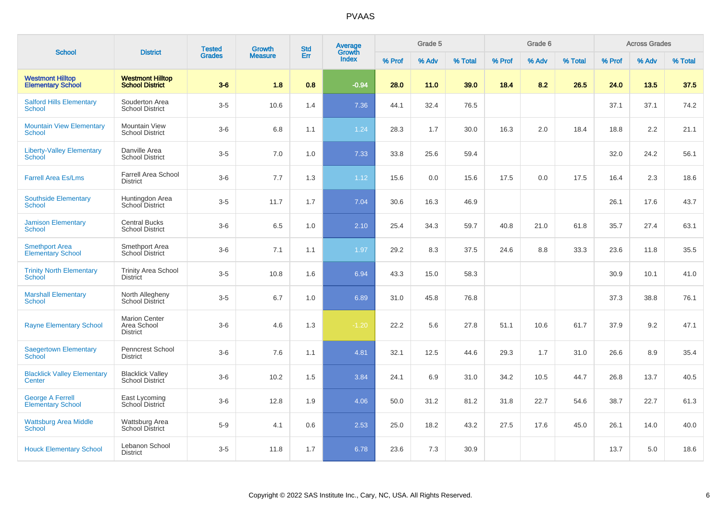| <b>School</b>                                       | <b>District</b>                                        | <b>Tested</b> | <b>Growth</b>  | <b>Std</b> | <b>Average</b><br>Growth |        | Grade 5 |         |        | Grade 6 |         |        | <b>Across Grades</b> |         |
|-----------------------------------------------------|--------------------------------------------------------|---------------|----------------|------------|--------------------------|--------|---------|---------|--------|---------|---------|--------|----------------------|---------|
|                                                     |                                                        | <b>Grades</b> | <b>Measure</b> | Err        | <b>Index</b>             | % Prof | % Adv   | % Total | % Prof | % Adv   | % Total | % Prof | % Adv                | % Total |
| <b>Westmont Hilltop</b><br><b>Elementary School</b> | <b>Westmont Hilltop</b><br><b>School District</b>      | $3-6$         | 1.8            | 0.8        | $-0.94$                  | 28.0   | 11.0    | 39.0    | 18.4   | 8.2     | 26.5    | 24.0   | 13.5                 | 37.5    |
| <b>Salford Hills Elementary</b><br><b>School</b>    | Souderton Area<br><b>School District</b>               | $3-5$         | 10.6           | 1.4        | 7.36                     | 44.1   | 32.4    | 76.5    |        |         |         | 37.1   | 37.1                 | 74.2    |
| <b>Mountain View Elementary</b><br>School           | <b>Mountain View</b><br><b>School District</b>         | $3-6$         | 6.8            | 1.1        | 1.24                     | 28.3   | 1.7     | 30.0    | 16.3   | 2.0     | 18.4    | 18.8   | 2.2                  | 21.1    |
| <b>Liberty-Valley Elementary</b><br>School          | Danville Area<br><b>School District</b>                | $3-5$         | 7.0            | 1.0        | 7.33                     | 33.8   | 25.6    | 59.4    |        |         |         | 32.0   | 24.2                 | 56.1    |
| <b>Farrell Area Es/Lms</b>                          | <b>Farrell Area School</b><br><b>District</b>          | $3-6$         | 7.7            | 1.3        | 1.12                     | 15.6   | 0.0     | 15.6    | 17.5   | 0.0     | 17.5    | 16.4   | 2.3                  | 18.6    |
| <b>Southside Elementary</b><br>School               | Huntingdon Area<br>School District                     | $3-5$         | 11.7           | 1.7        | 7.04                     | 30.6   | 16.3    | 46.9    |        |         |         | 26.1   | 17.6                 | 43.7    |
| <b>Jamison Elementary</b><br><b>School</b>          | <b>Central Bucks</b><br><b>School District</b>         | $3-6$         | 6.5            | 1.0        | 2.10                     | 25.4   | 34.3    | 59.7    | 40.8   | 21.0    | 61.8    | 35.7   | 27.4                 | 63.1    |
| <b>Smethport Area</b><br><b>Elementary School</b>   | Smethport Area<br>School District                      | $3-6$         | 7.1            | 1.1        | 1.97                     | 29.2   | 8.3     | 37.5    | 24.6   | 8.8     | 33.3    | 23.6   | 11.8                 | 35.5    |
| <b>Trinity North Elementary</b><br>School           | <b>Trinity Area School</b><br><b>District</b>          | $3-5$         | 10.8           | 1.6        | 6.94                     | 43.3   | 15.0    | 58.3    |        |         |         | 30.9   | 10.1                 | 41.0    |
| <b>Marshall Elementary</b><br><b>School</b>         | North Allegheny<br><b>School District</b>              | $3-5$         | 6.7            | 1.0        | 6.89                     | 31.0   | 45.8    | 76.8    |        |         |         | 37.3   | 38.8                 | 76.1    |
| <b>Rayne Elementary School</b>                      | <b>Marion Center</b><br>Area School<br><b>District</b> | $3-6$         | 4.6            | 1.3        | $-1.20$                  | 22.2   | 5.6     | 27.8    | 51.1   | 10.6    | 61.7    | 37.9   | 9.2                  | 47.1    |
| <b>Saegertown Elementary</b><br>School              | Penncrest School<br><b>District</b>                    | $3-6$         | 7.6            | 1.1        | 4.81                     | 32.1   | 12.5    | 44.6    | 29.3   | 1.7     | 31.0    | 26.6   | 8.9                  | 35.4    |
| <b>Blacklick Valley Elementary</b><br>Center        | <b>Blacklick Valley</b><br>School District             | $3-6$         | 10.2           | 1.5        | 3.84                     | 24.1   | 6.9     | 31.0    | 34.2   | 10.5    | 44.7    | 26.8   | 13.7                 | 40.5    |
| <b>George A Ferrell</b><br><b>Elementary School</b> | East Lycoming<br>School District                       | $3-6$         | 12.8           | 1.9        | 4.06                     | 50.0   | 31.2    | 81.2    | 31.8   | 22.7    | 54.6    | 38.7   | 22.7                 | 61.3    |
| <b>Wattsburg Area Middle</b><br>School              | Wattsburg Area<br><b>School District</b>               | $5-9$         | 4.1            | 0.6        | 2.53                     | 25.0   | 18.2    | 43.2    | 27.5   | 17.6    | 45.0    | 26.1   | 14.0                 | 40.0    |
| <b>Houck Elementary School</b>                      | Lebanon School<br><b>District</b>                      | $3-5$         | 11.8           | 1.7        | 6.78                     | 23.6   | 7.3     | 30.9    |        |         |         | 13.7   | 5.0                  | 18.6    |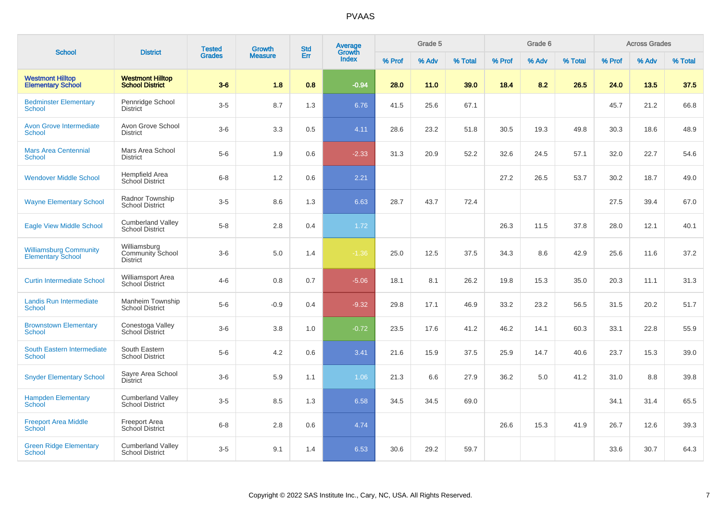|                                                           |                                                            | <b>Tested</b> | Growth         | <b>Std</b> | <b>Average</b>         |        | Grade 5 |         |        | Grade 6 |         |        | <b>Across Grades</b> |         |
|-----------------------------------------------------------|------------------------------------------------------------|---------------|----------------|------------|------------------------|--------|---------|---------|--------|---------|---------|--------|----------------------|---------|
| <b>School</b>                                             | <b>District</b>                                            | <b>Grades</b> | <b>Measure</b> | Err        | Growth<br><b>Index</b> | % Prof | % Adv   | % Total | % Prof | % Adv   | % Total | % Prof | % Adv                | % Total |
| <b>Westmont Hilltop</b><br><b>Elementary School</b>       | <b>Westmont Hilltop</b><br><b>School District</b>          | $3-6$         | 1.8            | 0.8        | $-0.94$                | 28.0   | 11.0    | 39.0    | 18.4   | 8.2     | 26.5    | 24.0   | 13.5                 | 37.5    |
| <b>Bedminster Elementary</b><br>School                    | Pennridge School<br><b>District</b>                        | $3-5$         | 8.7            | 1.3        | 6.76                   | 41.5   | 25.6    | 67.1    |        |         |         | 45.7   | 21.2                 | 66.8    |
| <b>Avon Grove Intermediate</b><br><b>School</b>           | Avon Grove School<br><b>District</b>                       | $3-6$         | 3.3            | 0.5        | 4.11                   | 28.6   | 23.2    | 51.8    | 30.5   | 19.3    | 49.8    | 30.3   | 18.6                 | 48.9    |
| <b>Mars Area Centennial</b><br><b>School</b>              | Mars Area School<br><b>District</b>                        | $5-6$         | 1.9            | 0.6        | $-2.33$                | 31.3   | 20.9    | 52.2    | 32.6   | 24.5    | 57.1    | 32.0   | 22.7                 | 54.6    |
| <b>Wendover Middle School</b>                             | Hempfield Area<br>School District                          | $6 - 8$       | 1.2            | 0.6        | 2.21                   |        |         |         | 27.2   | 26.5    | 53.7    | 30.2   | 18.7                 | 49.0    |
| <b>Wayne Elementary School</b>                            | Radnor Township<br><b>School District</b>                  | $3-5$         | 8.6            | 1.3        | 6.63                   | 28.7   | 43.7    | 72.4    |        |         |         | 27.5   | 39.4                 | 67.0    |
| <b>Eagle View Middle School</b>                           | <b>Cumberland Valley</b><br><b>School District</b>         | $5 - 8$       | 2.8            | 0.4        | 1.72                   |        |         |         | 26.3   | 11.5    | 37.8    | 28.0   | 12.1                 | 40.1    |
| <b>Williamsburg Community</b><br><b>Elementary School</b> | Williamsburg<br><b>Community School</b><br><b>District</b> | $3-6$         | 5.0            | 1.4        | $-1.36$                | 25.0   | 12.5    | 37.5    | 34.3   | 8.6     | 42.9    | 25.6   | 11.6                 | 37.2    |
| <b>Curtin Intermediate School</b>                         | <b>Williamsport Area</b><br><b>School District</b>         | $4 - 6$       | 0.8            | 0.7        | $-5.06$                | 18.1   | 8.1     | 26.2    | 19.8   | 15.3    | 35.0    | 20.3   | 11.1                 | 31.3    |
| <b>Landis Run Intermediate</b><br><b>School</b>           | Manheim Township<br><b>School District</b>                 | $5-6$         | $-0.9$         | 0.4        | $-9.32$                | 29.8   | 17.1    | 46.9    | 33.2   | 23.2    | 56.5    | 31.5   | 20.2                 | 51.7    |
| <b>Brownstown Elementary</b><br><b>School</b>             | Conestoga Valley<br>School District                        | $3-6$         | 3.8            | 1.0        | $-0.72$                | 23.5   | 17.6    | 41.2    | 46.2   | 14.1    | 60.3    | 33.1   | 22.8                 | 55.9    |
| South Eastern Intermediate<br><b>School</b>               | South Eastern<br><b>School District</b>                    | $5-6$         | 4.2            | 0.6        | 3.41                   | 21.6   | 15.9    | 37.5    | 25.9   | 14.7    | 40.6    | 23.7   | 15.3                 | 39.0    |
| <b>Snyder Elementary School</b>                           | Sayre Area School<br><b>District</b>                       | $3-6$         | 5.9            | 1.1        | 1.06                   | 21.3   | 6.6     | 27.9    | 36.2   | 5.0     | 41.2    | 31.0   | 8.8                  | 39.8    |
| <b>Hampden Elementary</b><br>School                       | <b>Cumberland Valley</b><br><b>School District</b>         | $3-5$         | 8.5            | 1.3        | 6.58                   | 34.5   | 34.5    | 69.0    |        |         |         | 34.1   | 31.4                 | 65.5    |
| <b>Freeport Area Middle</b><br><b>School</b>              | <b>Freeport Area</b><br><b>School District</b>             | $6-8$         | $2.8\,$        | 0.6        | 4.74                   |        |         |         | 26.6   | 15.3    | 41.9    | 26.7   | 12.6                 | 39.3    |
| <b>Green Ridge Elementary</b><br>School                   | <b>Cumberland Valley</b><br><b>School District</b>         | $3-5$         | 9.1            | 1.4        | 6.53                   | 30.6   | 29.2    | 59.7    |        |         |         | 33.6   | 30.7                 | 64.3    |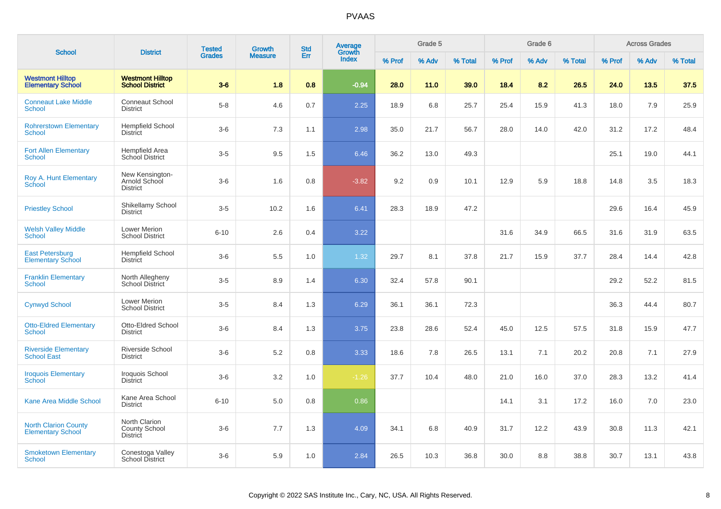|                                                         | <b>District</b>                                          | <b>Tested</b> | <b>Growth</b>  | <b>Std</b> | <b>Average</b><br>Growth |        | Grade 5 |         |        | Grade 6 |         |        | <b>Across Grades</b> |         |
|---------------------------------------------------------|----------------------------------------------------------|---------------|----------------|------------|--------------------------|--------|---------|---------|--------|---------|---------|--------|----------------------|---------|
| <b>School</b>                                           |                                                          | <b>Grades</b> | <b>Measure</b> | Err        | <b>Index</b>             | % Prof | % Adv   | % Total | % Prof | % Adv   | % Total | % Prof | % Adv                | % Total |
| <b>Westmont Hilltop</b><br><b>Elementary School</b>     | <b>Westmont Hilltop</b><br><b>School District</b>        | $3-6$         | 1.8            | 0.8        | $-0.94$                  | 28.0   | 11.0    | 39.0    | 18.4   | 8.2     | 26.5    | 24.0   | 13.5                 | 37.5    |
| <b>Conneaut Lake Middle</b><br>School                   | Conneaut School<br><b>District</b>                       | $5-8$         | 4.6            | 0.7        | 2.25                     | 18.9   | 6.8     | 25.7    | 25.4   | 15.9    | 41.3    | 18.0   | 7.9                  | 25.9    |
| <b>Rohrerstown Elementary</b><br><b>School</b>          | <b>Hempfield School</b><br><b>District</b>               | $3-6$         | 7.3            | 1.1        | 2.98                     | 35.0   | 21.7    | 56.7    | 28.0   | 14.0    | 42.0    | 31.2   | 17.2                 | 48.4    |
| <b>Fort Allen Elementary</b><br>School                  | <b>Hempfield Area</b><br>School District                 | $3-5$         | 9.5            | 1.5        | 6.46                     | 36.2   | 13.0    | 49.3    |        |         |         | 25.1   | 19.0                 | 44.1    |
| Roy A. Hunt Elementary<br><b>School</b>                 | New Kensington-<br>Arnold School<br><b>District</b>      | $3-6$         | 1.6            | 0.8        | $-3.82$                  | 9.2    | 0.9     | 10.1    | 12.9   | 5.9     | 18.8    | 14.8   | 3.5                  | 18.3    |
| <b>Priestley School</b>                                 | Shikellamy School<br>District                            | $3-5$         | 10.2           | 1.6        | 6.41                     | 28.3   | 18.9    | 47.2    |        |         |         | 29.6   | 16.4                 | 45.9    |
| <b>Welsh Valley Middle</b><br><b>School</b>             | Lower Merion<br><b>School District</b>                   | $6 - 10$      | 2.6            | 0.4        | 3.22                     |        |         |         | 31.6   | 34.9    | 66.5    | 31.6   | 31.9                 | 63.5    |
| <b>East Petersburg</b><br><b>Elementary School</b>      | <b>Hempfield School</b><br><b>District</b>               | $3-6$         | 5.5            | 1.0        | 1.32                     | 29.7   | 8.1     | 37.8    | 21.7   | 15.9    | 37.7    | 28.4   | 14.4                 | 42.8    |
| <b>Franklin Elementary</b><br>School                    | North Allegheny<br><b>School District</b>                | $3-5$         | 8.9            | 1.4        | 6.30                     | 32.4   | 57.8    | 90.1    |        |         |         | 29.2   | 52.2                 | 81.5    |
| <b>Cynwyd School</b>                                    | <b>Lower Merion</b><br><b>School District</b>            | $3-5$         | 8.4            | 1.3        | 6.29                     | 36.1   | 36.1    | 72.3    |        |         |         | 36.3   | 44.4                 | 80.7    |
| <b>Otto-Eldred Elementary</b><br>School                 | Otto-Eldred School<br><b>District</b>                    | $3-6$         | 8.4            | 1.3        | 3.75                     | 23.8   | 28.6    | 52.4    | 45.0   | 12.5    | 57.5    | 31.8   | 15.9                 | 47.7    |
| <b>Riverside Elementary</b><br><b>School East</b>       | Riverside School<br><b>District</b>                      | $3-6$         | $5.2\,$        | 0.8        | 3.33                     | 18.6   | 7.8     | 26.5    | 13.1   | 7.1     | 20.2    | 20.8   | 7.1                  | 27.9    |
| <b>Iroquois Elementary</b><br>School                    | Iroquois School<br><b>District</b>                       | $3-6$         | 3.2            | 1.0        | $-1.26$                  | 37.7   | 10.4    | 48.0    | 21.0   | 16.0    | 37.0    | 28.3   | 13.2                 | 41.4    |
| <b>Kane Area Middle School</b>                          | Kane Area School<br><b>District</b>                      | $6 - 10$      | 5.0            | 0.8        | 0.86                     |        |         |         | 14.1   | 3.1     | 17.2    | 16.0   | 7.0                  | 23.0    |
| <b>North Clarion County</b><br><b>Elementary School</b> | North Clarion<br><b>County School</b><br><b>District</b> | $3-6$         | 7.7            | 1.3        | 4.09                     | 34.1   | 6.8     | 40.9    | 31.7   | 12.2    | 43.9    | 30.8   | 11.3                 | 42.1    |
| <b>Smoketown Elementary</b><br>School                   | Conestoga Valley<br>School District                      | $3-6$         | 5.9            | 1.0        | 2.84                     | 26.5   | 10.3    | 36.8    | 30.0   | 8.8     | 38.8    | 30.7   | 13.1                 | 43.8    |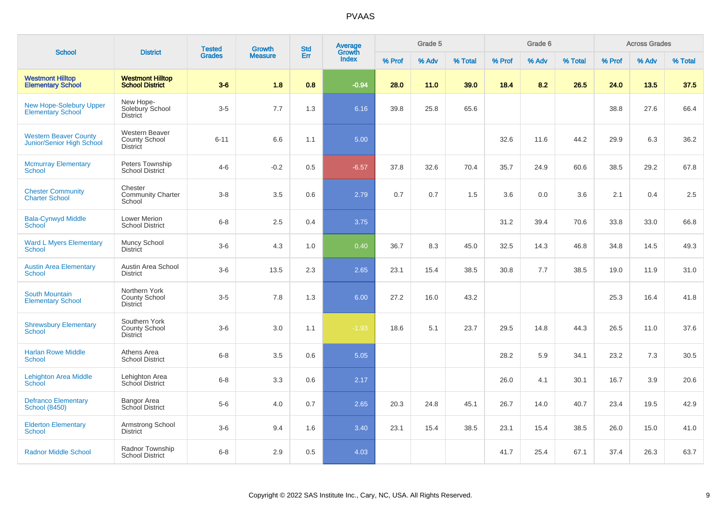|                                                            |                                                           | <b>Tested</b> | Growth         | <b>Std</b> | Average                |        | Grade 5 |         |        | Grade 6 |         |        | <b>Across Grades</b> |         |
|------------------------------------------------------------|-----------------------------------------------------------|---------------|----------------|------------|------------------------|--------|---------|---------|--------|---------|---------|--------|----------------------|---------|
| <b>School</b>                                              | <b>District</b>                                           | <b>Grades</b> | <b>Measure</b> | Err        | Growth<br><b>Index</b> | % Prof | % Adv   | % Total | % Prof | % Adv   | % Total | % Prof | % Adv                | % Total |
| <b>Westmont Hilltop</b><br><b>Elementary School</b>        | <b>Westmont Hilltop</b><br><b>School District</b>         | $3-6$         | 1.8            | 0.8        | $-0.94$                | 28.0   | 11.0    | 39.0    | 18.4   | 8.2     | 26.5    | 24.0   | 13.5                 | 37.5    |
| <b>New Hope-Solebury Upper</b><br><b>Elementary School</b> | New Hope-<br>Solebury School<br><b>District</b>           | $3-5$         | 7.7            | 1.3        | 6.16                   | 39.8   | 25.8    | 65.6    |        |         |         | 38.8   | 27.6                 | 66.4    |
| <b>Western Beaver County</b><br>Junior/Senior High School  | <b>Western Beaver</b><br>County School<br><b>District</b> | $6 - 11$      | 6.6            | 1.1        | 5.00                   |        |         |         | 32.6   | 11.6    | 44.2    | 29.9   | 6.3                  | 36.2    |
| <b>Mcmurray Elementary</b><br><b>School</b>                | Peters Township<br><b>School District</b>                 | $4-6$         | $-0.2$         | 0.5        | $-6.57$                | 37.8   | 32.6    | 70.4    | 35.7   | 24.9    | 60.6    | 38.5   | 29.2                 | 67.8    |
| <b>Chester Community</b><br><b>Charter School</b>          | Chester<br><b>Community Charter</b><br>School             | $3 - 8$       | 3.5            | 0.6        | 2.79                   | 0.7    | 0.7     | 1.5     | 3.6    | 0.0     | 3.6     | 2.1    | 0.4                  | 2.5     |
| <b>Bala-Cynwyd Middle</b><br>School                        | Lower Merion<br><b>School District</b>                    | $6 - 8$       | 2.5            | 0.4        | 3.75                   |        |         |         | 31.2   | 39.4    | 70.6    | 33.8   | 33.0                 | 66.8    |
| <b>Ward L Myers Elementary</b><br><b>School</b>            | Muncy School<br><b>District</b>                           | $3-6$         | 4.3            | 1.0        | 0.40                   | 36.7   | 8.3     | 45.0    | 32.5   | 14.3    | 46.8    | 34.8   | 14.5                 | 49.3    |
| <b>Austin Area Elementary</b><br><b>School</b>             | Austin Area School<br><b>District</b>                     | $3-6$         | 13.5           | 2.3        | 2.65                   | 23.1   | 15.4    | 38.5    | 30.8   | 7.7     | 38.5    | 19.0   | 11.9                 | 31.0    |
| <b>South Mountain</b><br><b>Elementary School</b>          | Northern York<br><b>County School</b><br><b>District</b>  | $3-5$         | 7.8            | 1.3        | 6.00                   | 27.2   | 16.0    | 43.2    |        |         |         | 25.3   | 16.4                 | 41.8    |
| <b>Shrewsbury Elementary</b><br><b>School</b>              | Southern York<br><b>County School</b><br><b>District</b>  | $3-6$         | 3.0            | 1.1        | $-1.93$                | 18.6   | 5.1     | 23.7    | 29.5   | 14.8    | 44.3    | 26.5   | 11.0                 | 37.6    |
| <b>Harlan Rowe Middle</b><br><b>School</b>                 | Athens Area<br><b>School District</b>                     | $6 - 8$       | 3.5            | 0.6        | $5.05$                 |        |         |         | 28.2   | 5.9     | 34.1    | 23.2   | 7.3                  | 30.5    |
| Lehighton Area Middle<br>School                            | Lehighton Area<br>School District                         | $6-8$         | 3.3            | 0.6        | 2.17                   |        |         |         | 26.0   | 4.1     | 30.1    | 16.7   | 3.9                  | 20.6    |
| <b>Defranco Elementary</b><br><b>School (8450)</b>         | Bangor Area<br>School District                            | $5-6$         | 4.0            | 0.7        | 2.65                   | 20.3   | 24.8    | 45.1    | 26.7   | 14.0    | 40.7    | 23.4   | 19.5                 | 42.9    |
| <b>Elderton Elementary</b><br>School                       | Armstrong School<br><b>District</b>                       | $3-6$         | 9.4            | 1.6        | 3.40                   | 23.1   | 15.4    | 38.5    | 23.1   | 15.4    | 38.5    | 26.0   | 15.0                 | 41.0    |
| <b>Radnor Middle School</b>                                | Radnor Township<br><b>School District</b>                 | $6 - 8$       | 2.9            | 0.5        | 4.03                   |        |         |         | 41.7   | 25.4    | 67.1    | 37.4   | 26.3                 | 63.7    |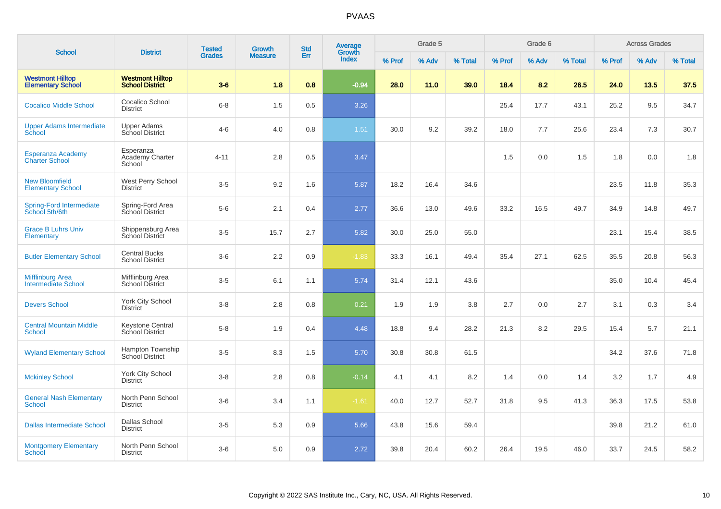| <b>School</b>                                         | <b>District</b>                                   | <b>Tested</b> | Growth         | <b>Std</b> | Average<br>Growth |        | Grade 5 |         |        | Grade 6 |         |        | <b>Across Grades</b> |         |
|-------------------------------------------------------|---------------------------------------------------|---------------|----------------|------------|-------------------|--------|---------|---------|--------|---------|---------|--------|----------------------|---------|
|                                                       |                                                   | <b>Grades</b> | <b>Measure</b> | Err        | <b>Index</b>      | % Prof | % Adv   | % Total | % Prof | % Adv   | % Total | % Prof | % Adv                | % Total |
| <b>Westmont Hilltop</b><br><b>Elementary School</b>   | <b>Westmont Hilltop</b><br><b>School District</b> | $3-6$         | 1.8            | 0.8        | $-0.94$           | 28.0   | 11.0    | 39.0    | 18.4   | 8.2     | 26.5    | 24.0   | 13.5                 | 37.5    |
| <b>Cocalico Middle School</b>                         | Cocalico School<br><b>District</b>                | $6 - 8$       | 1.5            | 0.5        | 3.26              |        |         |         | 25.4   | 17.7    | 43.1    | 25.2   | 9.5                  | 34.7    |
| <b>Upper Adams Intermediate</b><br>School             | <b>Upper Adams</b><br><b>School District</b>      | $4-6$         | 4.0            | 0.8        | 1.51              | 30.0   | 9.2     | 39.2    | 18.0   | 7.7     | 25.6    | 23.4   | 7.3                  | 30.7    |
| <b>Esperanza Academy</b><br><b>Charter School</b>     | Esperanza<br>Academy Charter<br>School            | $4 - 11$      | 2.8            | 0.5        | 3.47              |        |         |         | 1.5    | 0.0     | 1.5     | 1.8    | 0.0                  | 1.8     |
| <b>New Bloomfield</b><br><b>Elementary School</b>     | West Perry School<br><b>District</b>              | $3-5$         | 9.2            | 1.6        | 5.87              | 18.2   | 16.4    | 34.6    |        |         |         | 23.5   | 11.8                 | 35.3    |
| <b>Spring-Ford Intermediate</b><br>School 5th/6th     | Spring-Ford Area<br>School District               | $5-6$         | 2.1            | 0.4        | 2.77              | 36.6   | 13.0    | 49.6    | 33.2   | 16.5    | 49.7    | 34.9   | 14.8                 | 49.7    |
| <b>Grace B Luhrs Univ</b><br>Elementary               | Shippensburg Area<br>School District              | $3-5$         | 15.7           | 2.7        | 5.82              | 30.0   | 25.0    | 55.0    |        |         |         | 23.1   | 15.4                 | 38.5    |
| <b>Butler Elementary School</b>                       | <b>Central Bucks</b><br><b>School District</b>    | $3-6$         | 2.2            | 0.9        | $-1.83$           | 33.3   | 16.1    | 49.4    | 35.4   | 27.1    | 62.5    | 35.5   | 20.8                 | 56.3    |
| <b>Mifflinburg Area</b><br><b>Intermediate School</b> | Mifflinburg Area<br>School District               | $3-5$         | 6.1            | 1.1        | 5.74              | 31.4   | 12.1    | 43.6    |        |         |         | 35.0   | 10.4                 | 45.4    |
| <b>Devers School</b>                                  | <b>York City School</b><br><b>District</b>        | $3 - 8$       | 2.8            | 0.8        | 0.21              | 1.9    | 1.9     | 3.8     | 2.7    | 0.0     | 2.7     | 3.1    | 0.3                  | 3.4     |
| <b>Central Mountain Middle</b><br><b>School</b>       | Keystone Central<br>School District               | $5 - 8$       | 1.9            | 0.4        | 4.48              | 18.8   | 9.4     | 28.2    | 21.3   | 8.2     | 29.5    | 15.4   | 5.7                  | 21.1    |
| <b>Wyland Elementary School</b>                       | Hampton Township<br>School District               | $3-5$         | 8.3            | 1.5        | 5.70              | 30.8   | 30.8    | 61.5    |        |         |         | 34.2   | 37.6                 | 71.8    |
| <b>Mckinley School</b>                                | <b>York City School</b><br><b>District</b>        | $3-8$         | 2.8            | 0.8        | $-0.14$           | 4.1    | 4.1     | 8.2     | 1.4    | 0.0     | 1.4     | 3.2    | 1.7                  | 4.9     |
| <b>General Nash Elementary</b><br><b>School</b>       | North Penn School<br><b>District</b>              | $3-6$         | 3.4            | 1.1        | $-1.61$           | 40.0   | 12.7    | 52.7    | 31.8   | 9.5     | 41.3    | 36.3   | 17.5                 | 53.8    |
| <b>Dallas Intermediate School</b>                     | Dallas School<br><b>District</b>                  | $3-5$         | 5.3            | 0.9        | 5.66              | 43.8   | 15.6    | 59.4    |        |         |         | 39.8   | 21.2                 | 61.0    |
| <b>Montgomery Elementary</b><br>School                | North Penn School<br><b>District</b>              | $3-6$         | 5.0            | 0.9        | 2.72              | 39.8   | 20.4    | 60.2    | 26.4   | 19.5    | 46.0    | 33.7   | 24.5                 | 58.2    |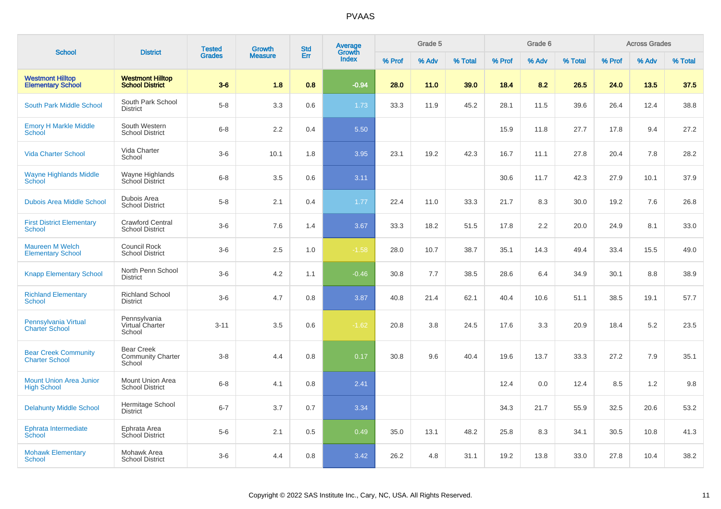|                                                      | <b>District</b>                                         | <b>Tested</b> | <b>Growth</b>  | <b>Std</b> | Average<br>Growth |        | Grade 5 |         |        | Grade 6 |         |        | <b>Across Grades</b> |         |
|------------------------------------------------------|---------------------------------------------------------|---------------|----------------|------------|-------------------|--------|---------|---------|--------|---------|---------|--------|----------------------|---------|
| <b>School</b>                                        |                                                         | <b>Grades</b> | <b>Measure</b> | Err        | Index             | % Prof | % Adv   | % Total | % Prof | % Adv   | % Total | % Prof | % Adv                | % Total |
| <b>Westmont Hilltop</b><br><b>Elementary School</b>  | <b>Westmont Hilltop</b><br><b>School District</b>       | $3-6$         | 1.8            | 0.8        | $-0.94$           | 28.0   | 11.0    | 39.0    | 18.4   | 8.2     | 26.5    | 24.0   | 13.5                 | 37.5    |
| <b>South Park Middle School</b>                      | South Park School<br><b>District</b>                    | $5-8$         | 3.3            | 0.6        | 1.73              | 33.3   | 11.9    | 45.2    | 28.1   | 11.5    | 39.6    | 26.4   | 12.4                 | 38.8    |
| <b>Emory H Markle Middle</b><br><b>School</b>        | South Western<br><b>School District</b>                 | $6 - 8$       | 2.2            | 0.4        | 5.50              |        |         |         | 15.9   | 11.8    | 27.7    | 17.8   | 9.4                  | 27.2    |
| <b>Vida Charter School</b>                           | Vida Charter<br>School                                  | $3-6$         | 10.1           | 1.8        | 3.95              | 23.1   | 19.2    | 42.3    | 16.7   | 11.1    | 27.8    | 20.4   | 7.8                  | 28.2    |
| <b>Wayne Highlands Middle</b><br>School              | Wayne Highlands<br>School District                      | $6 - 8$       | 3.5            | 0.6        | 3.11              |        |         |         | 30.6   | 11.7    | 42.3    | 27.9   | 10.1                 | 37.9    |
| <b>Dubois Area Middle School</b>                     | Dubois Area<br><b>School District</b>                   | $5-8$         | 2.1            | 0.4        | 1.77              | 22.4   | 11.0    | 33.3    | 21.7   | 8.3     | 30.0    | 19.2   | 7.6                  | 26.8    |
| <b>First District Elementary</b><br><b>School</b>    | <b>Crawford Central</b><br><b>School District</b>       | $3-6$         | 7.6            | 1.4        | 3.67              | 33.3   | 18.2    | 51.5    | 17.8   | 2.2     | 20.0    | 24.9   | 8.1                  | 33.0    |
| <b>Maureen M Welch</b><br><b>Elementary School</b>   | Council Rock<br><b>School District</b>                  | $3-6$         | 2.5            | 1.0        | $-1.58$           | 28.0   | 10.7    | 38.7    | 35.1   | 14.3    | 49.4    | 33.4   | 15.5                 | 49.0    |
| <b>Knapp Elementary School</b>                       | North Penn School<br><b>District</b>                    | $3-6$         | 4.2            | 1.1        | $-0.46$           | 30.8   | 7.7     | 38.5    | 28.6   | 6.4     | 34.9    | 30.1   | 8.8                  | 38.9    |
| <b>Richland Elementary</b><br>School                 | <b>Richland School</b><br><b>District</b>               | $3-6$         | 4.7            | 0.8        | 3.87              | 40.8   | 21.4    | 62.1    | 40.4   | 10.6    | 51.1    | 38.5   | 19.1                 | 57.7    |
| Pennsylvania Virtual<br><b>Charter School</b>        | Pennsylvania<br>Virtual Charter<br>School               | $3 - 11$      | 3.5            | 0.6        | $-1.62$           | 20.8   | 3.8     | 24.5    | 17.6   | 3.3     | 20.9    | 18.4   | 5.2                  | 23.5    |
| <b>Bear Creek Community</b><br><b>Charter School</b> | <b>Bear Creek</b><br><b>Community Charter</b><br>School | $3 - 8$       | 4.4            | 0.8        | 0.17              | 30.8   | 9.6     | 40.4    | 19.6   | 13.7    | 33.3    | 27.2   | 7.9                  | 35.1    |
| <b>Mount Union Area Junior</b><br><b>High School</b> | Mount Union Area<br><b>School District</b>              | $6 - 8$       | 4.1            | 0.8        | 2.41              |        |         |         | 12.4   | 0.0     | 12.4    | 8.5    | 1.2                  | 9.8     |
| <b>Delahunty Middle School</b>                       | Hermitage School<br><b>District</b>                     | $6 - 7$       | 3.7            | 0.7        | 3.34              |        |         |         | 34.3   | 21.7    | 55.9    | 32.5   | 20.6                 | 53.2    |
| Ephrata Intermediate<br>School                       | Ephrata Area<br>School District                         | $5-6$         | 2.1            | 0.5        | 0.49              | 35.0   | 13.1    | 48.2    | 25.8   | 8.3     | 34.1    | 30.5   | 10.8                 | 41.3    |
| <b>Mohawk Elementary</b><br><b>School</b>            | Mohawk Area<br><b>School District</b>                   | $3-6$         | 4.4            | 0.8        | 3.42              | 26.2   | 4.8     | 31.1    | 19.2   | 13.8    | 33.0    | 27.8   | 10.4                 | 38.2    |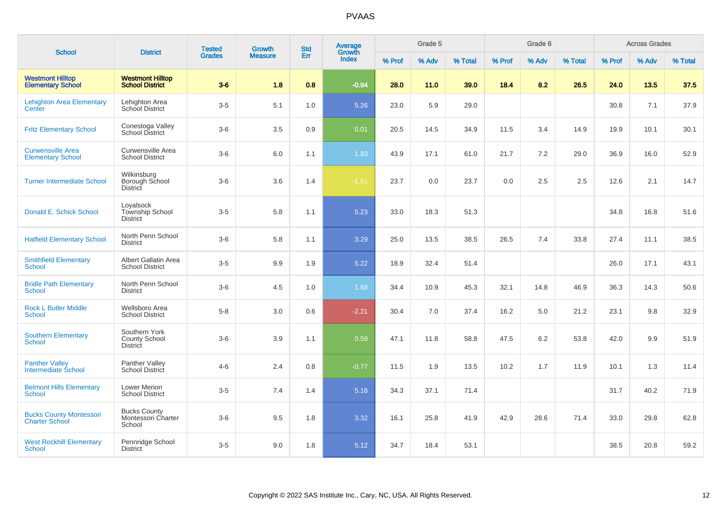|                                                         |                                                          | <b>Tested</b> | Growth         | <b>Std</b> | Average<br>Growth |        | Grade 5 |         |        | Grade 6 |         |        | <b>Across Grades</b> |         |
|---------------------------------------------------------|----------------------------------------------------------|---------------|----------------|------------|-------------------|--------|---------|---------|--------|---------|---------|--------|----------------------|---------|
| <b>School</b>                                           | <b>District</b>                                          | <b>Grades</b> | <b>Measure</b> | Err        | <b>Index</b>      | % Prof | % Adv   | % Total | % Prof | % Adv   | % Total | % Prof | % Adv                | % Total |
| <b>Westmont Hilltop</b><br><b>Elementary School</b>     | <b>Westmont Hilltop</b><br><b>School District</b>        | $3-6$         | 1.8            | 0.8        | $-0.94$           | 28.0   | 11.0    | 39.0    | 18.4   | 8.2     | 26.5    | 24.0   | 13.5                 | 37.5    |
| <b>Lehighton Area Elementary</b><br>Center              | Lehighton Area<br><b>School District</b>                 | $3-5$         | 5.1            | 1.0        | 5.26              | 23.0   | 5.9     | 29.0    |        |         |         | 30.8   | 7.1                  | 37.9    |
| <b>Fritz Elementary School</b>                          | Conestoga Valley<br>School District                      | $3-6$         | 3.5            | 0.9        | 0.01              | 20.5   | 14.5    | 34.9    | 11.5   | 3.4     | 14.9    | 19.9   | 10.1                 | 30.1    |
| <b>Curwensville Area</b><br><b>Elementary School</b>    | Curwensville Area<br><b>School District</b>              | $3-6$         | 6.0            | 1.1        | 1.93              | 43.9   | 17.1    | 61.0    | 21.7   | 7.2     | 29.0    | 36.9   | 16.0                 | 52.9    |
| <b>Turner Intermediate School</b>                       | Wilkinsburg<br>Borough School<br><b>District</b>         | $3-6$         | 3.6            | 1.4        | $-1.51$           | 23.7   | 0.0     | 23.7    | 0.0    | 2.5     | 2.5     | 12.6   | 2.1                  | 14.7    |
| Donald E. Schick School                                 | Loyalsock<br>Township School<br><b>District</b>          | $3-5$         | 5.8            | 1.1        | 5.23              | 33.0   | 18.3    | 51.3    |        |         |         | 34.8   | 16.8                 | 51.6    |
| <b>Hatfield Elementary School</b>                       | North Penn School<br><b>District</b>                     | $3-6$         | 5.8            | 1.1        | 3.29              | 25.0   | 13.5    | 38.5    | 26.5   | 7.4     | 33.8    | 27.4   | 11.1                 | 38.5    |
| <b>Smithfield Elementary</b><br><b>School</b>           | Albert Gallatin Area<br><b>School District</b>           | $3-5$         | 9.9            | 1.9        | 5.22              | 18.9   | 32.4    | 51.4    |        |         |         | 26.0   | 17.1                 | 43.1    |
| <b>Bridle Path Elementary</b><br><b>School</b>          | North Penn School<br><b>District</b>                     | $3-6$         | 4.5            | 1.0        | 1.58              | 34.4   | 10.9    | 45.3    | 32.1   | 14.8    | 46.9    | 36.3   | 14.3                 | 50.6    |
| <b>Rock L Butler Middle</b><br><b>School</b>            | Wellsboro Area<br><b>School District</b>                 | $5 - 8$       | 3.0            | 0.6        | $-2.21$           | 30.4   | 7.0     | 37.4    | 16.2   | 5.0     | 21.2    | 23.1   | 9.8                  | 32.9    |
| <b>Southern Elementary</b><br><b>School</b>             | Southern York<br><b>County School</b><br><b>District</b> | $3-6$         | 3.9            | 1.1        | 0.59              | 47.1   | 11.8    | 58.8    | 47.5   | 6.2     | 53.8    | 42.0   | 9.9                  | 51.9    |
| <b>Panther Valley</b><br><b>Intermediate School</b>     | Panther Valley<br><b>School District</b>                 | $4 - 6$       | 2.4            | 0.8        | $-0.77$           | 11.5   | 1.9     | 13.5    | 10.2   | 1.7     | 11.9    | 10.1   | 1.3                  | 11.4    |
| <b>Belmont Hills Elementary</b><br><b>School</b>        | Lower Merion<br><b>School District</b>                   | $3-5$         | 7.4            | 1.4        | 5.16              | 34.3   | 37.1    | 71.4    |        |         |         | 31.7   | 40.2                 | 71.9    |
| <b>Bucks County Montessori</b><br><b>Charter School</b> | <b>Bucks County</b><br>Montessori Charter<br>School      | $3-6$         | 9.5            | 1.8        | 3.32              | 16.1   | 25.8    | 41.9    | 42.9   | 28.6    | 71.4    | 33.0   | 29.8                 | 62.8    |
| <b>West Rockhill Elementary</b><br><b>School</b>        | Pennridge School<br><b>District</b>                      | $3-5$         | 9.0            | 1.8        | 5.12              | 34.7   | 18.4    | 53.1    |        |         |         | 38.5   | 20.8                 | 59.2    |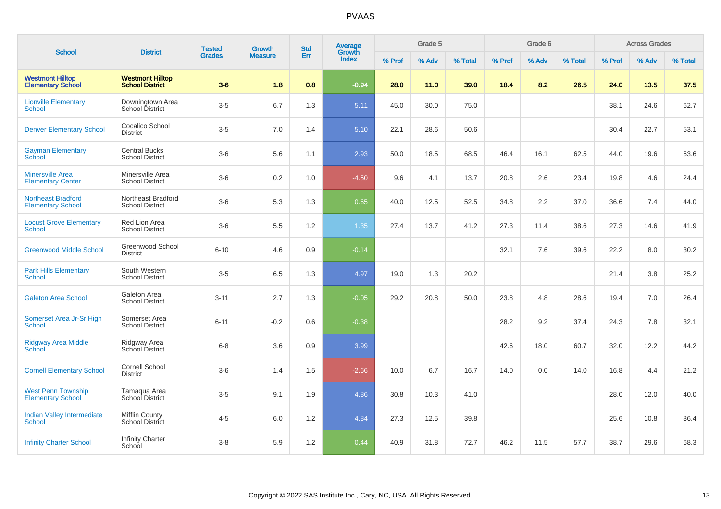| <b>School</b>                                         | <b>District</b>                                   | <b>Tested</b> | <b>Growth</b>  | <b>Std</b> | Average<br>Growth |        | Grade 5 |         |        | Grade 6 |         |        | <b>Across Grades</b> |         |
|-------------------------------------------------------|---------------------------------------------------|---------------|----------------|------------|-------------------|--------|---------|---------|--------|---------|---------|--------|----------------------|---------|
|                                                       |                                                   | <b>Grades</b> | <b>Measure</b> | Err        | <b>Index</b>      | % Prof | % Adv   | % Total | % Prof | % Adv   | % Total | % Prof | % Adv                | % Total |
| <b>Westmont Hilltop</b><br><b>Elementary School</b>   | <b>Westmont Hilltop</b><br><b>School District</b> | $3-6$         | 1.8            | 0.8        | $-0.94$           | 28.0   | 11.0    | 39.0    | 18.4   | 8.2     | 26.5    | 24.0   | 13.5                 | 37.5    |
| <b>Lionville Elementary</b><br>School                 | Downingtown Area<br>School District               | $3-5$         | 6.7            | 1.3        | 5.11              | 45.0   | 30.0    | 75.0    |        |         |         | 38.1   | 24.6                 | 62.7    |
| <b>Denver Elementary School</b>                       | Cocalico School<br><b>District</b>                | $3-5$         | 7.0            | 1.4        | 5.10              | 22.1   | 28.6    | 50.6    |        |         |         | 30.4   | 22.7                 | 53.1    |
| <b>Gayman Elementary</b><br><b>School</b>             | <b>Central Bucks</b><br><b>School District</b>    | $3-6$         | 5.6            | 1.1        | 2.93              | 50.0   | 18.5    | 68.5    | 46.4   | 16.1    | 62.5    | 44.0   | 19.6                 | 63.6    |
| <b>Minersville Area</b><br><b>Elementary Center</b>   | Minersville Area<br><b>School District</b>        | $3-6$         | $0.2\,$        | 1.0        | $-4.50$           | 9.6    | 4.1     | 13.7    | 20.8   | 2.6     | 23.4    | 19.8   | 4.6                  | 24.4    |
| <b>Northeast Bradford</b><br><b>Elementary School</b> | Northeast Bradford<br><b>School District</b>      | $3-6$         | 5.3            | 1.3        | 0.65              | 40.0   | 12.5    | 52.5    | 34.8   | $2.2\,$ | 37.0    | 36.6   | 7.4                  | 44.0    |
| <b>Locust Grove Elementary</b><br><b>School</b>       | Red Lion Area<br><b>School District</b>           | $3-6$         | 5.5            | 1.2        | 1.35              | 27.4   | 13.7    | 41.2    | 27.3   | 11.4    | 38.6    | 27.3   | 14.6                 | 41.9    |
| <b>Greenwood Middle School</b>                        | Greenwood School<br><b>District</b>               | $6 - 10$      | 4.6            | 0.9        | $-0.14$           |        |         |         | 32.1   | 7.6     | 39.6    | 22.2   | 8.0                  | 30.2    |
| <b>Park Hills Elementary</b><br>School                | South Western<br><b>School District</b>           | $3-5$         | 6.5            | 1.3        | 4.97              | 19.0   | 1.3     | 20.2    |        |         |         | 21.4   | 3.8                  | 25.2    |
| <b>Galeton Area School</b>                            | Galeton Area<br><b>School District</b>            | $3 - 11$      | 2.7            | 1.3        | $-0.05$           | 29.2   | 20.8    | 50.0    | 23.8   | 4.8     | 28.6    | 19.4   | 7.0                  | 26.4    |
| Somerset Area Jr-Sr High<br>School                    | Somerset Area<br><b>School District</b>           | $6 - 11$      | $-0.2$         | 0.6        | $-0.38$           |        |         |         | 28.2   | 9.2     | 37.4    | 24.3   | 7.8                  | 32.1    |
| Ridgway Area Middle<br>School                         | Ridgway Area<br>School District                   | $6 - 8$       | 3.6            | $0.9\,$    | 3.99              |        |         |         | 42.6   | 18.0    | 60.7    | 32.0   | 12.2                 | 44.2    |
| <b>Cornell Elementary School</b>                      | <b>Cornell School</b><br><b>District</b>          | $3-6$         | 1.4            | 1.5        | $-2.66$           | 10.0   | 6.7     | 16.7    | 14.0   | 0.0     | 14.0    | 16.8   | 4.4                  | 21.2    |
| <b>West Penn Township</b><br><b>Elementary School</b> | Tamaqua Area<br>School District                   | $3-5$         | 9.1            | 1.9        | 4.86              | 30.8   | 10.3    | 41.0    |        |         |         | 28.0   | 12.0                 | 40.0    |
| <b>Indian Valley Intermediate</b><br>School           | Mifflin County<br>School District                 | $4 - 5$       | 6.0            | 1.2        | 4.84              | 27.3   | 12.5    | 39.8    |        |         |         | 25.6   | 10.8                 | 36.4    |
| <b>Infinity Charter School</b>                        | <b>Infinity Charter</b><br>School                 | $3 - 8$       | 5.9            | 1.2        | 0.44              | 40.9   | 31.8    | 72.7    | 46.2   | 11.5    | 57.7    | 38.7   | 29.6                 | 68.3    |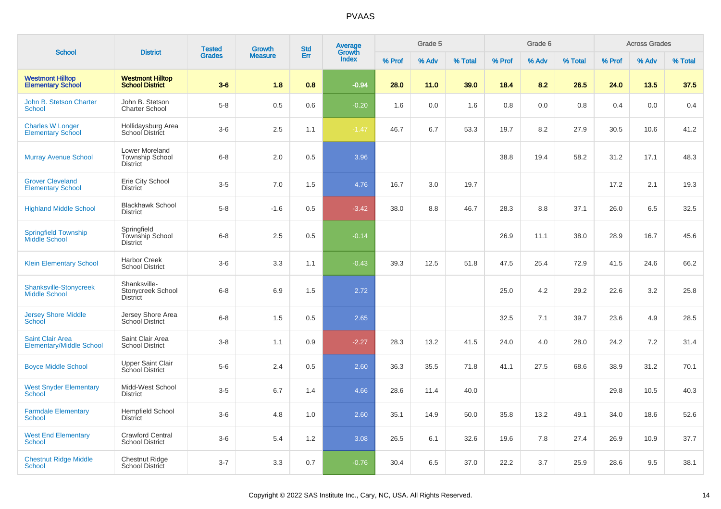| <b>School</b>                                              | <b>District</b>                                                    | <b>Tested</b> | <b>Growth</b>  | <b>Std</b> | <b>Average</b>  |        | Grade 5 |         |        | Grade 6 |         |        | <b>Across Grades</b> |         |
|------------------------------------------------------------|--------------------------------------------------------------------|---------------|----------------|------------|-----------------|--------|---------|---------|--------|---------|---------|--------|----------------------|---------|
|                                                            |                                                                    | <b>Grades</b> | <b>Measure</b> | Err        | Growth<br>Index | % Prof | % Adv   | % Total | % Prof | % Adv   | % Total | % Prof | % Adv                | % Total |
| <b>Westmont Hilltop</b><br><b>Elementary School</b>        | <b>Westmont Hilltop</b><br><b>School District</b>                  | $3-6$         | 1.8            | 0.8        | $-0.94$         | 28.0   | 11.0    | 39.0    | 18.4   | 8.2     | 26.5    | 24.0   | 13.5                 | 37.5    |
| John B. Stetson Charter<br><b>School</b>                   | John B. Stetson<br><b>Charter School</b>                           | $5-8$         | 0.5            | 0.6        | $-0.20$         | 1.6    | 0.0     | 1.6     | 0.8    | 0.0     | 0.8     | 0.4    | 0.0                  | 0.4     |
| <b>Charles W Longer</b><br><b>Elementary School</b>        | Hollidaysburg Area<br>School District                              | $3-6$         | 2.5            | 1.1        | $-1.47$         | 46.7   | 6.7     | 53.3    | 19.7   | 8.2     | 27.9    | 30.5   | 10.6                 | 41.2    |
| <b>Murray Avenue School</b>                                | <b>Lower Moreland</b><br><b>Township School</b><br><b>District</b> | $6 - 8$       | 2.0            | 0.5        | 3.96            |        |         |         | 38.8   | 19.4    | 58.2    | 31.2   | 17.1                 | 48.3    |
| <b>Grover Cleveland</b><br><b>Elementary School</b>        | Erie City School<br><b>District</b>                                | $3-5$         | 7.0            | 1.5        | 4.76            | 16.7   | 3.0     | 19.7    |        |         |         | 17.2   | 2.1                  | 19.3    |
| <b>Highland Middle School</b>                              | <b>Blackhawk School</b><br><b>District</b>                         | $5-8$         | $-1.6$         | 0.5        | $-3.42$         | 38.0   | 8.8     | 46.7    | 28.3   | 8.8     | 37.1    | 26.0   | 6.5                  | 32.5    |
| <b>Springfield Township</b><br>Middle School               | Springfield<br>Township School<br><b>District</b>                  | $6 - 8$       | 2.5            | 0.5        | $-0.14$         |        |         |         | 26.9   | 11.1    | 38.0    | 28.9   | 16.7                 | 45.6    |
| <b>Klein Elementary School</b>                             | <b>Harbor Creek</b><br><b>School District</b>                      | $3-6$         | 3.3            | 1.1        | $-0.43$         | 39.3   | 12.5    | 51.8    | 47.5   | 25.4    | 72.9    | 41.5   | 24.6                 | 66.2    |
| <b>Shanksville-Stonycreek</b><br><b>Middle School</b>      | Shanksville-<br>Stonycreek School<br><b>District</b>               | $6 - 8$       | 6.9            | 1.5        | 2.72            |        |         |         | 25.0   | 4.2     | 29.2    | 22.6   | 3.2                  | 25.8    |
| <b>Jersey Shore Middle</b><br>School                       | Jersey Shore Area<br>School District                               | $6 - 8$       | 1.5            | 0.5        | 2.65            |        |         |         | 32.5   | 7.1     | 39.7    | 23.6   | 4.9                  | 28.5    |
| <b>Saint Clair Area</b><br><b>Elementary/Middle School</b> | Saint Clair Area<br><b>School District</b>                         | $3-8$         | 1.1            | 0.9        | $-2.27$         | 28.3   | 13.2    | 41.5    | 24.0   | 4.0     | 28.0    | 24.2   | 7.2                  | 31.4    |
| <b>Boyce Middle School</b>                                 | <b>Upper Saint Clair</b><br>School District                        | $5-6$         | 2.4            | 0.5        | 2.60            | 36.3   | 35.5    | 71.8    | 41.1   | 27.5    | 68.6    | 38.9   | 31.2                 | 70.1    |
| <b>West Snyder Elementary</b><br><b>School</b>             | Midd-West School<br><b>District</b>                                | $3-5$         | 6.7            | 1.4        | 4.66            | 28.6   | 11.4    | 40.0    |        |         |         | 29.8   | 10.5                 | 40.3    |
| <b>Farmdale Elementary</b><br><b>School</b>                | <b>Hempfield School</b><br>District                                | $3-6$         | 4.8            | 1.0        | 2.60            | 35.1   | 14.9    | 50.0    | 35.8   | 13.2    | 49.1    | 34.0   | 18.6                 | 52.6    |
| <b>West End Elementary</b><br><b>School</b>                | <b>Crawford Central</b><br><b>School District</b>                  | $3-6$         | 5.4            | 1.2        | 3.08            | 26.5   | 6.1     | 32.6    | 19.6   | 7.8     | 27.4    | 26.9   | 10.9                 | 37.7    |
| <b>Chestnut Ridge Middle</b><br>School                     | <b>Chestnut Ridge</b><br><b>School District</b>                    | $3 - 7$       | 3.3            | 0.7        | $-0.76$         | 30.4   | 6.5     | 37.0    | 22.2   | 3.7     | 25.9    | 28.6   | 9.5                  | 38.1    |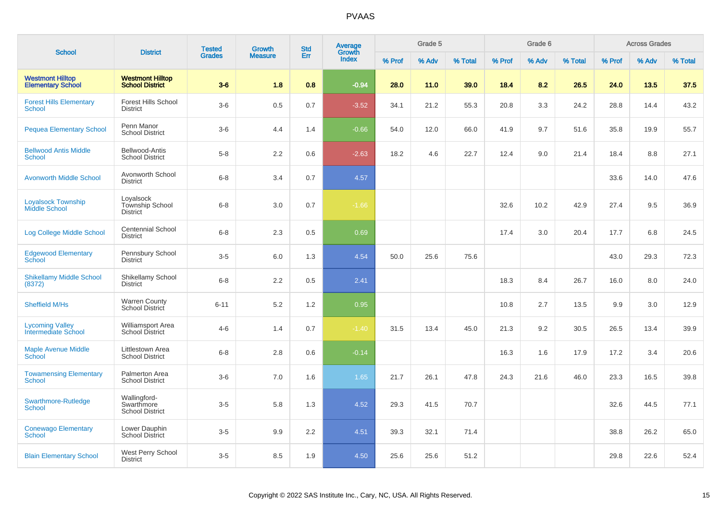| <b>School</b>                                       | <b>District</b>                                      | <b>Tested</b> | <b>Growth</b>  | <b>Std</b> | <b>Average</b><br>Growth |        | Grade 5 |         |        | Grade 6 |         |        | <b>Across Grades</b> |         |
|-----------------------------------------------------|------------------------------------------------------|---------------|----------------|------------|--------------------------|--------|---------|---------|--------|---------|---------|--------|----------------------|---------|
|                                                     |                                                      | <b>Grades</b> | <b>Measure</b> | Err        | <b>Index</b>             | % Prof | % Adv   | % Total | % Prof | % Adv   | % Total | % Prof | % Adv                | % Total |
| <b>Westmont Hilltop</b><br><b>Elementary School</b> | <b>Westmont Hilltop</b><br><b>School District</b>    | $3-6$         | 1.8            | 0.8        | $-0.94$                  | 28.0   | 11.0    | 39.0    | 18.4   | 8.2     | 26.5    | 24.0   | 13.5                 | 37.5    |
| <b>Forest Hills Elementary</b><br><b>School</b>     | <b>Forest Hills School</b><br><b>District</b>        | $3-6$         | 0.5            | 0.7        | $-3.52$                  | 34.1   | 21.2    | 55.3    | 20.8   | 3.3     | 24.2    | 28.8   | 14.4                 | 43.2    |
| <b>Pequea Elementary School</b>                     | Penn Manor<br><b>School District</b>                 | $3-6$         | 4.4            | 1.4        | $-0.66$                  | 54.0   | 12.0    | 66.0    | 41.9   | 9.7     | 51.6    | 35.8   | 19.9                 | 55.7    |
| <b>Bellwood Antis Middle</b><br><b>School</b>       | Bellwood-Antis<br><b>School District</b>             | $5-8$         | 2.2            | 0.6        | $-2.63$                  | 18.2   | 4.6     | 22.7    | 12.4   | 9.0     | 21.4    | 18.4   | 8.8                  | 27.1    |
| <b>Avonworth Middle School</b>                      | Avonworth School<br><b>District</b>                  | $6 - 8$       | 3.4            | 0.7        | 4.57                     |        |         |         |        |         |         | 33.6   | 14.0                 | 47.6    |
| <b>Loyalsock Township</b><br><b>Middle School</b>   | Loyalsock<br>Township School<br><b>District</b>      | $6 - 8$       | 3.0            | 0.7        | $-1.66$                  |        |         |         | 32.6   | 10.2    | 42.9    | 27.4   | 9.5                  | 36.9    |
| Log College Middle School                           | <b>Centennial School</b><br><b>District</b>          | $6 - 8$       | 2.3            | 0.5        | 0.69                     |        |         |         | 17.4   | 3.0     | 20.4    | 17.7   | 6.8                  | 24.5    |
| <b>Edgewood Elementary</b><br><b>School</b>         | Pennsbury School<br><b>District</b>                  | $3-5$         | 6.0            | 1.3        | 4.54                     | 50.0   | 25.6    | 75.6    |        |         |         | 43.0   | 29.3                 | 72.3    |
| <b>Shikellamy Middle School</b><br>(8372)           | Shikellamy School<br><b>District</b>                 | $6 - 8$       | 2.2            | 0.5        | 2.41                     |        |         |         | 18.3   | 8.4     | 26.7    | 16.0   | 8.0                  | 24.0    |
| Sheffield M/Hs                                      | <b>Warren County</b><br>School District              | $6 - 11$      | 5.2            | 1.2        | 0.95                     |        |         |         | 10.8   | 2.7     | 13.5    | 9.9    | 3.0                  | 12.9    |
| <b>Lycoming Valley</b><br>Intermediate School       | Williamsport Area<br>School District                 | $4 - 6$       | 1.4            | 0.7        | $-1.40$                  | 31.5   | 13.4    | 45.0    | 21.3   | 9.2     | 30.5    | 26.5   | 13.4                 | 39.9    |
| <b>Maple Avenue Middle</b><br>School                | Littlestown Area<br><b>School District</b>           | $6 - 8$       | 2.8            | 0.6        | $-0.14$                  |        |         |         | 16.3   | 1.6     | 17.9    | 17.2   | 3.4                  | 20.6    |
| <b>Towamensing Elementary</b><br><b>School</b>      | Palmerton Area<br><b>School District</b>             | $3-6$         | 7.0            | 1.6        | 1.65                     | 21.7   | 26.1    | 47.8    | 24.3   | 21.6    | 46.0    | 23.3   | 16.5                 | 39.8    |
| Swarthmore-Rutledge<br><b>School</b>                | Wallingford-<br>Swarthmore<br><b>School District</b> | $3-5$         | 5.8            | 1.3        | 4.52                     | 29.3   | 41.5    | 70.7    |        |         |         | 32.6   | 44.5                 | 77.1    |
| <b>Conewago Elementary</b><br><b>School</b>         | Lower Dauphin<br><b>School District</b>              | $3-5$         | 9.9            | 2.2        | 4.51                     | 39.3   | 32.1    | 71.4    |        |         |         | 38.8   | 26.2                 | 65.0    |
| <b>Blain Elementary School</b>                      | West Perry School<br><b>District</b>                 | $3-5$         | 8.5            | 1.9        | 4.50                     | 25.6   | 25.6    | 51.2    |        |         |         | 29.8   | 22.6                 | 52.4    |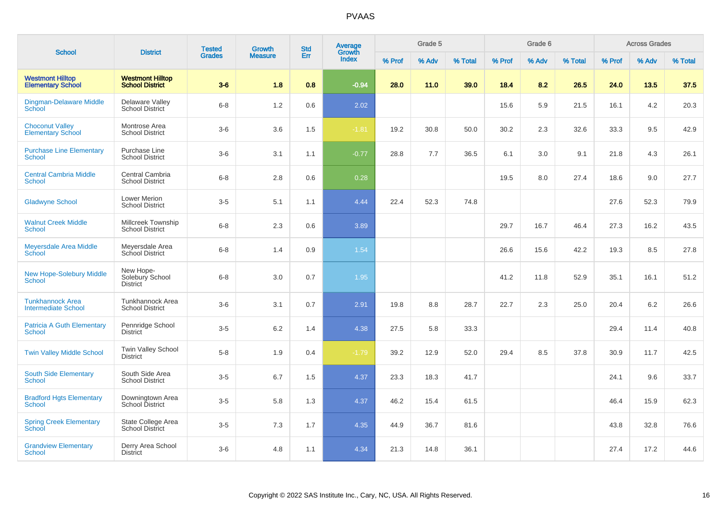| <b>School</b>                                         | <b>District</b>                                   | <b>Tested</b> | Growth         | <b>Std</b> | <b>Average</b><br>Growth |        | Grade 5 |         |        | Grade 6 |         |        | <b>Across Grades</b> |         |
|-------------------------------------------------------|---------------------------------------------------|---------------|----------------|------------|--------------------------|--------|---------|---------|--------|---------|---------|--------|----------------------|---------|
|                                                       |                                                   | <b>Grades</b> | <b>Measure</b> | Err        | <b>Index</b>             | % Prof | % Adv   | % Total | % Prof | % Adv   | % Total | % Prof | % Adv                | % Total |
| <b>Westmont Hilltop</b><br><b>Elementary School</b>   | <b>Westmont Hilltop</b><br><b>School District</b> | $3-6$         | 1.8            | 0.8        | $-0.94$                  | 28.0   | 11.0    | 39.0    | 18.4   | 8.2     | 26.5    | 24.0   | 13.5                 | 37.5    |
| <b>Dingman-Delaware Middle</b><br><b>School</b>       | Delaware Valley<br><b>School District</b>         | $6 - 8$       | 1.2            | 0.6        | 2.02                     |        |         |         | 15.6   | 5.9     | 21.5    | 16.1   | 4.2                  | 20.3    |
| <b>Choconut Valley</b><br><b>Elementary School</b>    | Montrose Area<br><b>School District</b>           | $3-6$         | 3.6            | 1.5        | $-1.81$                  | 19.2   | 30.8    | 50.0    | 30.2   | 2.3     | 32.6    | 33.3   | 9.5                  | 42.9    |
| <b>Purchase Line Elementary</b><br>School             | Purchase Line<br><b>School District</b>           | $3-6$         | 3.1            | 1.1        | $-0.77$                  | 28.8   | 7.7     | 36.5    | 6.1    | 3.0     | 9.1     | 21.8   | 4.3                  | 26.1    |
| <b>Central Cambria Middle</b><br><b>School</b>        | Central Cambria<br><b>School District</b>         | $6 - 8$       | 2.8            | 0.6        | 0.28                     |        |         |         | 19.5   | 8.0     | 27.4    | 18.6   | 9.0                  | 27.7    |
| <b>Gladwyne School</b>                                | <b>Lower Merion</b><br><b>School District</b>     | $3-5$         | 5.1            | 1.1        | 4.44                     | 22.4   | 52.3    | 74.8    |        |         |         | 27.6   | 52.3                 | 79.9    |
| <b>Walnut Creek Middle</b><br>School                  | Millcreek Township<br><b>School District</b>      | $6 - 8$       | 2.3            | 0.6        | 3.89                     |        |         |         | 29.7   | 16.7    | 46.4    | 27.3   | 16.2                 | 43.5    |
| <b>Meyersdale Area Middle</b><br>School               | Meyersdale Area<br><b>School District</b>         | $6 - 8$       | 1.4            | 0.9        | 1.54                     |        |         |         | 26.6   | 15.6    | 42.2    | 19.3   | 8.5                  | 27.8    |
| <b>New Hope-Solebury Middle</b><br><b>School</b>      | New Hope-<br>Solebury School<br><b>District</b>   | $6 - 8$       | $3.0\,$        | 0.7        | 1.95                     |        |         |         | 41.2   | 11.8    | 52.9    | 35.1   | 16.1                 | 51.2    |
| <b>Tunkhannock Area</b><br><b>Intermediate School</b> | Tunkhannock Area<br><b>School District</b>        | $3-6$         | 3.1            | 0.7        | 2.91                     | 19.8   | 8.8     | 28.7    | 22.7   | 2.3     | 25.0    | 20.4   | 6.2                  | 26.6    |
| <b>Patricia A Guth Elementary</b><br>School           | Pennridge School<br><b>District</b>               | $3-5$         | 6.2            | 1.4        | 4.38                     | 27.5   | 5.8     | 33.3    |        |         |         | 29.4   | 11.4                 | 40.8    |
| <b>Twin Valley Middle School</b>                      | <b>Twin Valley School</b><br><b>District</b>      | $5-8$         | 1.9            | 0.4        | $-1.79$                  | 39.2   | 12.9    | 52.0    | 29.4   | 8.5     | 37.8    | 30.9   | 11.7                 | 42.5    |
| <b>South Side Elementary</b><br><b>School</b>         | South Side Area<br><b>School District</b>         | $3-5$         | 6.7            | 1.5        | 4.37                     | 23.3   | 18.3    | 41.7    |        |         |         | 24.1   | 9.6                  | 33.7    |
| <b>Bradford Hgts Elementary</b><br><b>School</b>      | Downingtown Area<br>School District               | $3-5$         | 5.8            | 1.3        | 4.37                     | 46.2   | 15.4    | 61.5    |        |         |         | 46.4   | 15.9                 | 62.3    |
| <b>Spring Creek Elementary</b><br><b>School</b>       | State College Area<br><b>School District</b>      | $3-5$         | $7.3$          | 1.7        | 4.35                     | 44.9   | 36.7    | 81.6    |        |         |         | 43.8   | 32.8                 | 76.6    |
| <b>Grandview Elementary</b><br>School                 | Derry Area School<br><b>District</b>              | $3-6$         | 4.8            | 1.1        | 4.34                     | 21.3   | 14.8    | 36.1    |        |         |         | 27.4   | 17.2                 | 44.6    |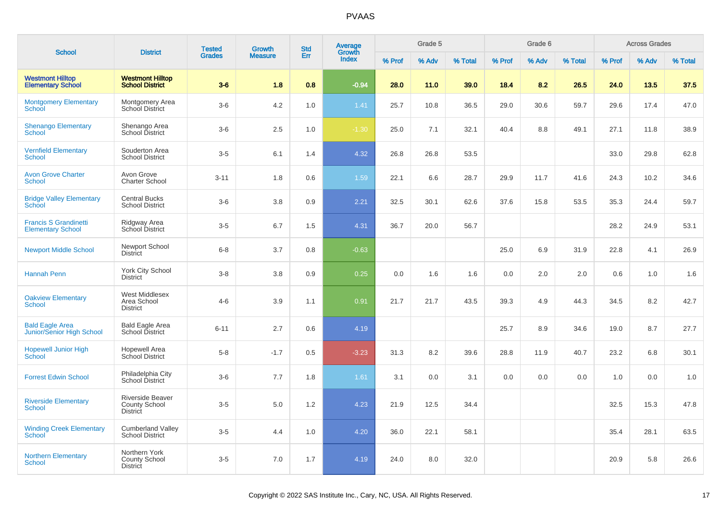| <b>School</b>                                            | <b>District</b>                                             | <b>Tested</b> | <b>Growth</b>  | <b>Std</b> | <b>Average</b><br>Growth |        | Grade 5 |         |        | Grade 6 |         |        | <b>Across Grades</b> |         |
|----------------------------------------------------------|-------------------------------------------------------------|---------------|----------------|------------|--------------------------|--------|---------|---------|--------|---------|---------|--------|----------------------|---------|
|                                                          |                                                             | <b>Grades</b> | <b>Measure</b> | Err        | <b>Index</b>             | % Prof | % Adv   | % Total | % Prof | % Adv   | % Total | % Prof | % Adv                | % Total |
| <b>Westmont Hilltop</b><br><b>Elementary School</b>      | <b>Westmont Hilltop</b><br><b>School District</b>           | $3-6$         | 1.8            | 0.8        | $-0.94$                  | 28.0   | 11.0    | 39.0    | 18.4   | 8.2     | 26.5    | 24.0   | 13.5                 | 37.5    |
| <b>Montgomery Elementary</b><br>School                   | Montgomery Area<br>School District                          | $3-6$         | 4.2            | 1.0        | 1.41                     | 25.7   | 10.8    | 36.5    | 29.0   | 30.6    | 59.7    | 29.6   | 17.4                 | 47.0    |
| <b>Shenango Elementary</b><br><b>School</b>              | Shenango Area<br>School District                            | $3-6$         | 2.5            | 1.0        | $-1.30$                  | 25.0   | 7.1     | 32.1    | 40.4   | 8.8     | 49.1    | 27.1   | 11.8                 | 38.9    |
| <b>Vernfield Elementary</b><br><b>School</b>             | Souderton Area<br><b>School District</b>                    | $3-5$         | 6.1            | 1.4        | 4.32                     | 26.8   | 26.8    | 53.5    |        |         |         | 33.0   | 29.8                 | 62.8    |
| <b>Avon Grove Charter</b><br>School                      | Avon Grove<br><b>Charter School</b>                         | $3 - 11$      | 1.8            | 0.6        | 1.59                     | 22.1   | 6.6     | 28.7    | 29.9   | 11.7    | 41.6    | 24.3   | 10.2                 | 34.6    |
| <b>Bridge Valley Elementary</b><br><b>School</b>         | <b>Central Bucks</b><br><b>School District</b>              | $3-6$         | 3.8            | 0.9        | 2.21                     | 32.5   | 30.1    | 62.6    | 37.6   | 15.8    | 53.5    | 35.3   | 24.4                 | 59.7    |
| <b>Francis S Grandinetti</b><br><b>Elementary School</b> | Ridgway Area<br>School District                             | $3-5$         | 6.7            | 1.5        | 4.31                     | 36.7   | 20.0    | 56.7    |        |         |         | 28.2   | 24.9                 | 53.1    |
| <b>Newport Middle School</b>                             | Newport School<br><b>District</b>                           | $6 - 8$       | 3.7            | 0.8        | $-0.63$                  |        |         |         | 25.0   | 6.9     | 31.9    | 22.8   | 4.1                  | 26.9    |
| <b>Hannah Penn</b>                                       | York City School<br><b>District</b>                         | $3 - 8$       | 3.8            | 0.9        | 0.25                     | 0.0    | 1.6     | 1.6     | 0.0    | 2.0     | 2.0     | 0.6    | 1.0                  | 1.6     |
| <b>Oakview Elementary</b><br><b>School</b>               | West Middlesex<br>Area School<br><b>District</b>            | $4 - 6$       | 3.9            | 1.1        | 0.91                     | 21.7   | 21.7    | 43.5    | 39.3   | 4.9     | 44.3    | 34.5   | 8.2                  | 42.7    |
| <b>Bald Eagle Area</b><br>Junior/Senior High School      | <b>Bald Eagle Area</b><br>School District                   | $6 - 11$      | 2.7            | 0.6        | 4.19                     |        |         |         | 25.7   | 8.9     | 34.6    | 19.0   | 8.7                  | 27.7    |
| <b>Hopewell Junior High</b><br>School                    | <b>Hopewell Area</b><br><b>School District</b>              | $5-8$         | $-1.7$         | 0.5        | $-3.23$                  | 31.3   | 8.2     | 39.6    | 28.8   | 11.9    | 40.7    | 23.2   | 6.8                  | 30.1    |
| <b>Forrest Edwin School</b>                              | Philadelphia City<br>School District                        | $3-6$         | 7.7            | 1.8        | 1.61                     | 3.1    | 0.0     | 3.1     | 0.0    | 0.0     | 0.0     | 1.0    | 0.0                  | 1.0     |
| <b>Riverside Elementary</b><br>School                    | <b>Riverside Beaver</b><br>County School<br><b>District</b> | $3-5$         | 5.0            | 1.2        | 4.23                     | 21.9   | 12.5    | 34.4    |        |         |         | 32.5   | 15.3                 | 47.8    |
| <b>Winding Creek Elementary</b><br>School <sup>-</sup>   | <b>Cumberland Valley</b><br><b>School District</b>          | $3-5$         | 4.4            | 1.0        | 4.20                     | 36.0   | 22.1    | 58.1    |        |         |         | 35.4   | 28.1                 | 63.5    |
| <b>Northern Elementary</b><br>School                     | Northern York<br><b>County School</b><br><b>District</b>    | $3-5$         | 7.0            | 1.7        | 4.19                     | 24.0   | 8.0     | 32.0    |        |         |         | 20.9   | 5.8                  | 26.6    |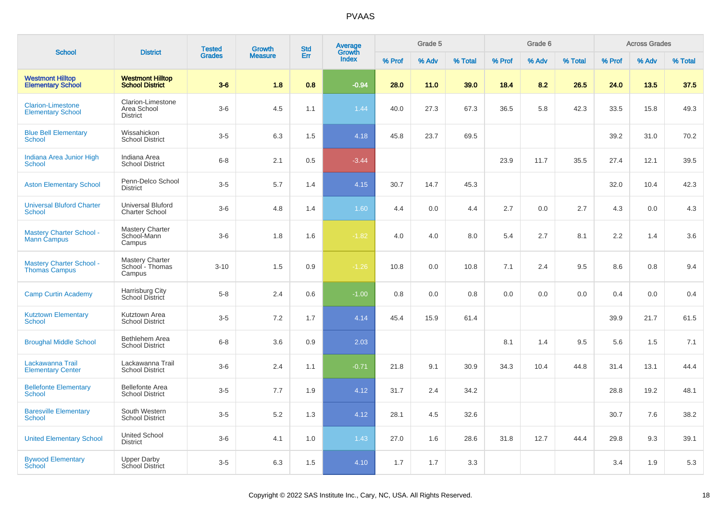| <b>School</b>                                           | <b>District</b>                                     | <b>Tested</b> | <b>Growth</b>  | <b>Std</b> | Average<br>Growth |        | Grade 5 |         |        | Grade 6 |         |        | <b>Across Grades</b> |         |
|---------------------------------------------------------|-----------------------------------------------------|---------------|----------------|------------|-------------------|--------|---------|---------|--------|---------|---------|--------|----------------------|---------|
|                                                         |                                                     | <b>Grades</b> | <b>Measure</b> | Err        | Index             | % Prof | % Adv   | % Total | % Prof | % Adv   | % Total | % Prof | % Adv                | % Total |
| <b>Westmont Hilltop</b><br><b>Elementary School</b>     | <b>Westmont Hilltop</b><br><b>School District</b>   | $3-6$         | 1.8            | 0.8        | $-0.94$           | 28.0   | 11.0    | 39.0    | 18.4   | 8.2     | 26.5    | 24.0   | 13.5                 | 37.5    |
| <b>Clarion-Limestone</b><br><b>Elementary School</b>    | Clarion-Limestone<br>Area School<br><b>District</b> | $3-6$         | 4.5            | 1.1        | 1.44              | 40.0   | 27.3    | 67.3    | 36.5   | 5.8     | 42.3    | 33.5   | 15.8                 | 49.3    |
| <b>Blue Bell Elementary</b><br>School                   | Wissahickon<br><b>School District</b>               | $3-5$         | 6.3            | 1.5        | 4.18              | 45.8   | 23.7    | 69.5    |        |         |         | 39.2   | 31.0                 | 70.2    |
| Indiana Area Junior High<br><b>School</b>               | Indiana Area<br><b>School District</b>              | $6 - 8$       | 2.1            | 0.5        | $-3.44$           |        |         |         | 23.9   | 11.7    | 35.5    | 27.4   | 12.1                 | 39.5    |
| <b>Aston Elementary School</b>                          | Penn-Delco School<br><b>District</b>                | $3-5$         | 5.7            | 1.4        | 4.15              | 30.7   | 14.7    | 45.3    |        |         |         | 32.0   | 10.4                 | 42.3    |
| <b>Universal Bluford Charter</b><br>School              | <b>Universal Bluford</b><br>Charter School          | $3-6$         | 4.8            | 1.4        | 1.60              | 4.4    | 0.0     | 4.4     | 2.7    | 0.0     | 2.7     | 4.3    | 0.0                  | 4.3     |
| <b>Mastery Charter School -</b><br><b>Mann Campus</b>   | <b>Mastery Charter</b><br>School-Mann<br>Campus     | $3-6$         | 1.8            | 1.6        | $-1.82$           | 4.0    | 4.0     | 8.0     | 5.4    | 2.7     | 8.1     | 2.2    | 1.4                  | 3.6     |
| <b>Mastery Charter School -</b><br><b>Thomas Campus</b> | <b>Mastery Charter</b><br>School - Thomas<br>Campus | $3 - 10$      | 1.5            | 0.9        | $-1.26$           | 10.8   | 0.0     | 10.8    | 7.1    | 2.4     | 9.5     | 8.6    | 0.8                  | 9.4     |
| <b>Camp Curtin Academy</b>                              | <b>Harrisburg City</b><br>School District           | $5-8$         | 2.4            | 0.6        | $-1.00$           | 0.8    | 0.0     | 0.8     | 0.0    | 0.0     | 0.0     | 0.4    | 0.0                  | 0.4     |
| <b>Kutztown Elementary</b><br><b>School</b>             | Kutztown Area<br><b>School District</b>             | $3-5$         | 7.2            | 1.7        | 4.14              | 45.4   | 15.9    | 61.4    |        |         |         | 39.9   | 21.7                 | 61.5    |
| <b>Broughal Middle School</b>                           | Bethlehem Area<br><b>School District</b>            | $6 - 8$       | 3.6            | 0.9        | 2.03              |        |         |         | 8.1    | 1.4     | 9.5     | 5.6    | 1.5                  | 7.1     |
| Lackawanna Trail<br><b>Elementary Center</b>            | Lackawanna Trail<br><b>School District</b>          | $3-6$         | 2.4            | 1.1        | $-0.71$           | 21.8   | 9.1     | 30.9    | 34.3   | 10.4    | 44.8    | 31.4   | 13.1                 | 44.4    |
| <b>Bellefonte Elementary</b><br><b>School</b>           | <b>Bellefonte Area</b><br><b>School District</b>    | $3-5$         | 7.7            | 1.9        | 4.12              | 31.7   | 2.4     | 34.2    |        |         |         | 28.8   | 19.2                 | 48.1    |
| <b>Baresville Elementary</b><br>School                  | South Western<br><b>School District</b>             | $3-5$         | 5.2            | 1.3        | 4.12              | 28.1   | 4.5     | 32.6    |        |         |         | 30.7   | 7.6                  | 38.2    |
| <b>United Elementary School</b>                         | <b>United School</b><br><b>District</b>             | $3-6$         | 4.1            | 1.0        | 1.43              | 27.0   | 1.6     | 28.6    | 31.8   | 12.7    | 44.4    | 29.8   | 9.3                  | 39.1    |
| <b>Bywood Elementary</b><br>School                      | <b>Upper Darby</b><br>School District               | $3-5$         | 6.3            | 1.5        | 4.10              | 1.7    | 1.7     | 3.3     |        |         |         | 3.4    | 1.9                  | 5.3     |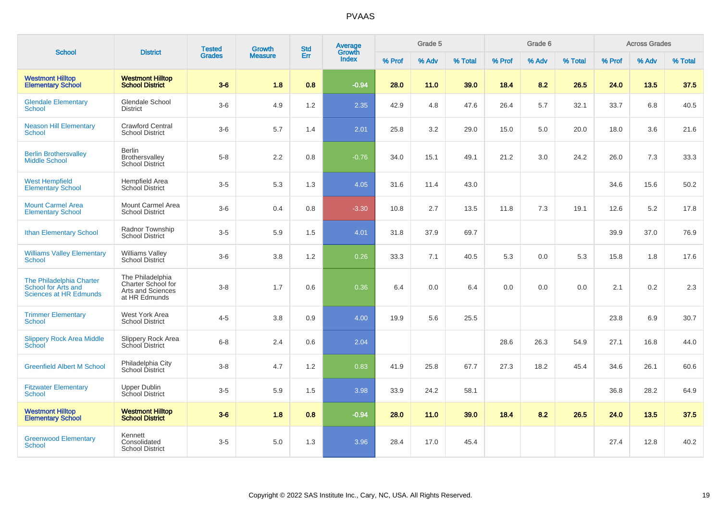| <b>School</b>                                                                    | <b>District</b>                                                              | <b>Tested</b> | <b>Growth</b>  | <b>Std</b> | Average<br>Growth |        | Grade 5 |         |        | Grade 6 |         |        | <b>Across Grades</b> |         |
|----------------------------------------------------------------------------------|------------------------------------------------------------------------------|---------------|----------------|------------|-------------------|--------|---------|---------|--------|---------|---------|--------|----------------------|---------|
|                                                                                  |                                                                              | <b>Grades</b> | <b>Measure</b> | Err        | <b>Index</b>      | % Prof | % Adv   | % Total | % Prof | % Adv   | % Total | % Prof | % Adv                | % Total |
| <b>Westmont Hilltop</b><br><b>Elementary School</b>                              | <b>Westmont Hilltop</b><br><b>School District</b>                            | $3-6$         | 1.8            | 0.8        | $-0.94$           | 28.0   | 11.0    | 39.0    | 18.4   | 8.2     | 26.5    | 24.0   | 13.5                 | 37.5    |
| <b>Glendale Elementary</b><br>School                                             | Glendale School<br><b>District</b>                                           | $3-6$         | 4.9            | 1.2        | 2.35              | 42.9   | 4.8     | 47.6    | 26.4   | 5.7     | 32.1    | 33.7   | 6.8                  | 40.5    |
| <b>Neason Hill Elementary</b><br>School                                          | <b>Crawford Central</b><br><b>School District</b>                            | $3-6$         | 5.7            | 1.4        | 2.01              | 25.8   | 3.2     | 29.0    | 15.0   | 5.0     | 20.0    | 18.0   | 3.6                  | 21.6    |
| <b>Berlin Brothersvalley</b><br><b>Middle School</b>                             | <b>Berlin</b><br>Brothersvalley<br><b>School District</b>                    | $5-8$         | 2.2            | 0.8        | $-0.76$           | 34.0   | 15.1    | 49.1    | 21.2   | 3.0     | 24.2    | 26.0   | 7.3                  | 33.3    |
| <b>West Hempfield</b><br><b>Elementary School</b>                                | Hempfield Area<br><b>School District</b>                                     | $3-5$         | 5.3            | 1.3        | 4.05              | 31.6   | 11.4    | 43.0    |        |         |         | 34.6   | 15.6                 | 50.2    |
| <b>Mount Carmel Area</b><br><b>Elementary School</b>                             | Mount Carmel Area<br><b>School District</b>                                  | $3-6$         | 0.4            | 0.8        | $-3.30$           | 10.8   | 2.7     | 13.5    | 11.8   | 7.3     | 19.1    | 12.6   | 5.2                  | 17.8    |
| <b>Ithan Elementary School</b>                                                   | Radnor Township<br><b>School District</b>                                    | $3-5$         | 5.9            | 1.5        | 4.01              | 31.8   | 37.9    | 69.7    |        |         |         | 39.9   | 37.0                 | 76.9    |
| <b>Williams Valley Elementary</b><br>School                                      | <b>Williams Valley</b><br>School District                                    | $3-6$         | $3.8\,$        | $1.2$      | 0.26              | 33.3   | 7.1     | 40.5    | 5.3    | 0.0     | 5.3     | 15.8   | 1.8                  | 17.6    |
| The Philadelphia Charter<br>School for Arts and<br><b>Sciences at HR Edmunds</b> | The Philadelphia<br>Charter School for<br>Arts and Sciences<br>at HR Edmunds | $3 - 8$       | 1.7            | 0.6        | 0.36              | 6.4    | 0.0     | 6.4     | 0.0    | 0.0     | 0.0     | 2.1    | 0.2                  | 2.3     |
| <b>Trimmer Elementary</b><br>School                                              | West York Area<br><b>School District</b>                                     | $4 - 5$       | 3.8            | 0.9        | 4.00              | 19.9   | 5.6     | 25.5    |        |         |         | 23.8   | 6.9                  | 30.7    |
| <b>Slippery Rock Area Middle</b><br>School                                       | Slippery Rock Area<br>School District                                        | $6 - 8$       | 2.4            | 0.6        | 2.04              |        |         |         | 28.6   | 26.3    | 54.9    | 27.1   | 16.8                 | 44.0    |
| <b>Greenfield Albert M School</b>                                                | Philadelphia City<br>School District                                         | $3 - 8$       | 4.7            | 1.2        | 0.83              | 41.9   | 25.8    | 67.7    | 27.3   | 18.2    | 45.4    | 34.6   | 26.1                 | 60.6    |
| <b>Fitzwater Elementary</b><br><b>School</b>                                     | <b>Upper Dublin</b><br>School District                                       | $3-5$         | 5.9            | 1.5        | 3.98              | 33.9   | 24.2    | 58.1    |        |         |         | 36.8   | 28.2                 | 64.9    |
| <b>Westmont Hilltop</b><br><b>Elementary School</b>                              | <b>Westmont Hilltop</b><br><b>School District</b>                            | $3-6$         | 1.8            | 0.8        | $-0.94$           | 28.0   | 11.0    | 39.0    | 18.4   | 8.2     | 26.5    | 24.0   | 13.5                 | 37.5    |
| <b>Greenwood Elementary</b><br><b>School</b>                                     | Kennett<br>Consolidated<br><b>School District</b>                            | $3-5$         | 5.0            | 1.3        | 3.96              | 28.4   | 17.0    | 45.4    |        |         |         | 27.4   | 12.8                 | 40.2    |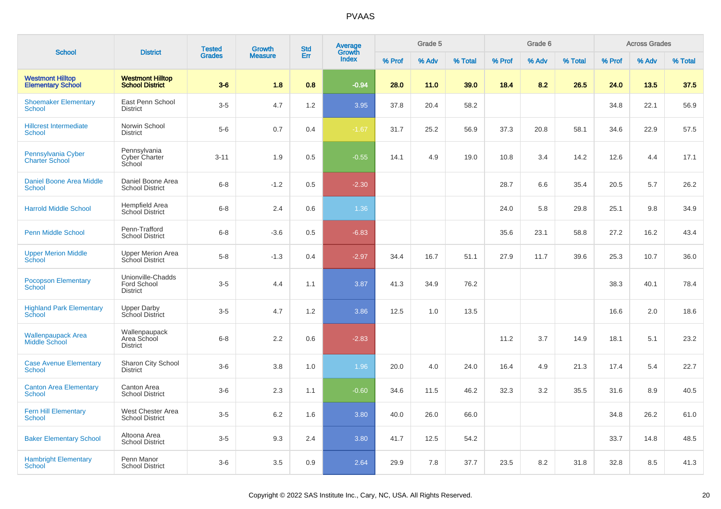|                                                     |                                                     | <b>Tested</b> | <b>Growth</b>  | <b>Std</b> | <b>Average</b><br>Growth |        | Grade 5 |         |        | Grade 6 |         |        | <b>Across Grades</b> |         |
|-----------------------------------------------------|-----------------------------------------------------|---------------|----------------|------------|--------------------------|--------|---------|---------|--------|---------|---------|--------|----------------------|---------|
| <b>School</b>                                       | <b>District</b>                                     | <b>Grades</b> | <b>Measure</b> | Err        | Index                    | % Prof | % Adv   | % Total | % Prof | % Adv   | % Total | % Prof | % Adv                | % Total |
| <b>Westmont Hilltop</b><br><b>Elementary School</b> | <b>Westmont Hilltop</b><br><b>School District</b>   | $3-6$         | 1.8            | 0.8        | $-0.94$                  | 28.0   | 11.0    | 39.0    | 18.4   | 8.2     | 26.5    | 24.0   | 13.5                 | 37.5    |
| <b>Shoemaker Elementary</b><br><b>School</b>        | East Penn School<br><b>District</b>                 | $3-5$         | 4.7            | 1.2        | 3.95                     | 37.8   | 20.4    | 58.2    |        |         |         | 34.8   | 22.1                 | 56.9    |
| <b>Hillcrest Intermediate</b><br><b>School</b>      | Norwin School<br><b>District</b>                    | $5-6$         | 0.7            | 0.4        | $-1.67$                  | 31.7   | 25.2    | 56.9    | 37.3   | 20.8    | 58.1    | 34.6   | 22.9                 | 57.5    |
| Pennsylvania Cyber<br><b>Charter School</b>         | Pennsylvania<br>Cyber Charter<br>School             | $3 - 11$      | 1.9            | 0.5        | $-0.55$                  | 14.1   | 4.9     | 19.0    | 10.8   | 3.4     | 14.2    | 12.6   | 4.4                  | 17.1    |
| <b>Daniel Boone Area Middle</b><br>School           | Daniel Boone Area<br><b>School District</b>         | $6 - 8$       | $-1.2$         | 0.5        | $-2.30$                  |        |         |         | 28.7   | 6.6     | 35.4    | 20.5   | 5.7                  | 26.2    |
| <b>Harrold Middle School</b>                        | Hempfield Area<br>School District                   | $6 - 8$       | 2.4            | 0.6        | 1.36                     |        |         |         | 24.0   | 5.8     | 29.8    | 25.1   | 9.8                  | 34.9    |
| <b>Penn Middle School</b>                           | Penn-Trafford<br><b>School District</b>             | $6 - 8$       | $-3.6$         | 0.5        | $-6.83$                  |        |         |         | 35.6   | 23.1    | 58.8    | 27.2   | 16.2                 | 43.4    |
| <b>Upper Merion Middle</b><br>School                | <b>Upper Merion Area</b><br>School District         | $5 - 8$       | $-1.3$         | 0.4        | $-2.97$                  | 34.4   | 16.7    | 51.1    | 27.9   | 11.7    | 39.6    | 25.3   | 10.7                 | 36.0    |
| <b>Pocopson Elementary</b><br>School                | Unionville-Chadds<br>Ford School<br><b>District</b> | $3-5$         | 4.4            | 1.1        | 3.87                     | 41.3   | 34.9    | 76.2    |        |         |         | 38.3   | 40.1                 | 78.4    |
| <b>Highland Park Elementary</b><br><b>School</b>    | <b>Upper Darby</b><br>School District               | $3-5$         | 4.7            | 1.2        | 3.86                     | 12.5   | 1.0     | 13.5    |        |         |         | 16.6   | 2.0                  | 18.6    |
| <b>Wallenpaupack Area</b><br>Middle School          | Wallenpaupack<br>Area School<br><b>District</b>     | $6 - 8$       | 2.2            | 0.6        | $-2.83$                  |        |         |         | 11.2   | 3.7     | 14.9    | 18.1   | 5.1                  | 23.2    |
| <b>Case Avenue Elementary</b><br>School             | Sharon City School<br><b>District</b>               | $3-6$         | 3.8            | 1.0        | 1.96                     | 20.0   | 4.0     | 24.0    | 16.4   | 4.9     | 21.3    | 17.4   | 5.4                  | 22.7    |
| <b>Canton Area Elementary</b><br><b>School</b>      | Canton Area<br><b>School District</b>               | $3-6$         | 2.3            | 1.1        | $-0.60$                  | 34.6   | 11.5    | 46.2    | 32.3   | 3.2     | 35.5    | 31.6   | 8.9                  | 40.5    |
| <b>Fern Hill Elementary</b><br><b>School</b>        | West Chester Area<br><b>School District</b>         | $3-5$         | 6.2            | 1.6        | 3.80                     | 40.0   | 26.0    | 66.0    |        |         |         | 34.8   | 26.2                 | 61.0    |
| <b>Baker Elementary School</b>                      | Altoona Area<br><b>School District</b>              | $3-5$         | 9.3            | 2.4        | 3.80                     | 41.7   | 12.5    | 54.2    |        |         |         | 33.7   | 14.8                 | 48.5    |
| <b>Hambright Elementary</b><br>School               | Penn Manor<br><b>School District</b>                | $3-6$         | 3.5            | 0.9        | 2.64                     | 29.9   | 7.8     | 37.7    | 23.5   | 8.2     | 31.8    | 32.8   | 8.5                  | 41.3    |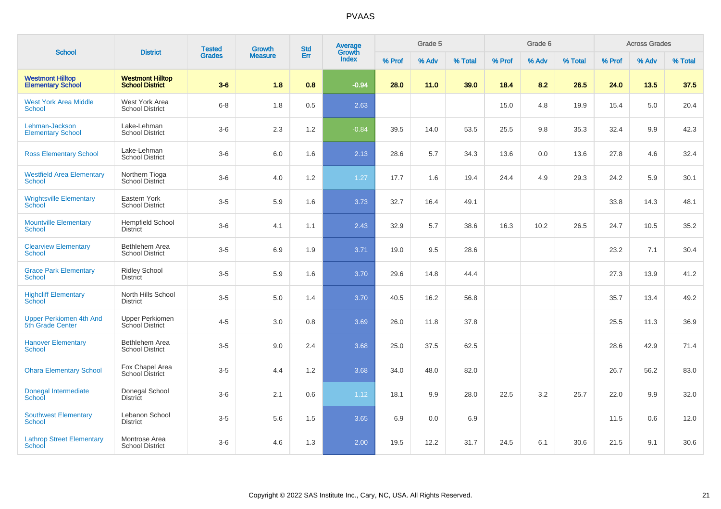| <b>School</b>                                       | <b>District</b>                                   | <b>Tested</b> | Growth         | <b>Std</b> | Average<br>Growth |        | Grade 5 |         |        | Grade 6 |         |        | <b>Across Grades</b> |         |
|-----------------------------------------------------|---------------------------------------------------|---------------|----------------|------------|-------------------|--------|---------|---------|--------|---------|---------|--------|----------------------|---------|
|                                                     |                                                   | <b>Grades</b> | <b>Measure</b> | Err        | <b>Index</b>      | % Prof | % Adv   | % Total | % Prof | % Adv   | % Total | % Prof | % Adv                | % Total |
| <b>Westmont Hilltop</b><br><b>Elementary School</b> | <b>Westmont Hilltop</b><br><b>School District</b> | $3-6$         | 1.8            | 0.8        | $-0.94$           | 28.0   | 11.0    | 39.0    | 18.4   | 8.2     | 26.5    | 24.0   | 13.5                 | 37.5    |
| <b>West York Area Middle</b><br>School              | West York Area<br><b>School District</b>          | $6-8$         | 1.8            | 0.5        | 2.63              |        |         |         | 15.0   | 4.8     | 19.9    | 15.4   | 5.0                  | 20.4    |
| Lehman-Jackson<br><b>Elementary School</b>          | Lake-Lehman<br><b>School District</b>             | $3-6$         | 2.3            | 1.2        | $-0.84$           | 39.5   | 14.0    | 53.5    | 25.5   | 9.8     | 35.3    | 32.4   | 9.9                  | 42.3    |
| <b>Ross Elementary School</b>                       | Lake-Lehman<br><b>School District</b>             | $3-6$         | 6.0            | 1.6        | 2.13              | 28.6   | 5.7     | 34.3    | 13.6   | 0.0     | 13.6    | 27.8   | 4.6                  | 32.4    |
| <b>Westfield Area Elementary</b><br>School          | Northern Tioga<br>School District                 | $3-6$         | 4.0            | 1.2        | 1.27              | 17.7   | 1.6     | 19.4    | 24.4   | 4.9     | 29.3    | 24.2   | 5.9                  | 30.1    |
| <b>Wrightsville Elementary</b><br><b>School</b>     | Eastern York<br><b>School District</b>            | $3-5$         | 5.9            | 1.6        | 3.73              | 32.7   | 16.4    | 49.1    |        |         |         | 33.8   | 14.3                 | 48.1    |
| <b>Mountville Elementary</b><br><b>School</b>       | <b>Hempfield School</b><br><b>District</b>        | $3-6$         | 4.1            | 1.1        | 2.43              | 32.9   | 5.7     | 38.6    | 16.3   | 10.2    | 26.5    | 24.7   | 10.5                 | 35.2    |
| <b>Clearview Elementary</b><br>School               | Bethlehem Area<br><b>School District</b>          | $3-5$         | 6.9            | 1.9        | 3.71              | 19.0   | 9.5     | 28.6    |        |         |         | 23.2   | 7.1                  | 30.4    |
| <b>Grace Park Elementary</b><br><b>School</b>       | <b>Ridley School</b><br><b>District</b>           | $3-5$         | 5.9            | 1.6        | 3.70              | 29.6   | 14.8    | 44.4    |        |         |         | 27.3   | 13.9                 | 41.2    |
| <b>Highcliff Elementary</b><br>School               | North Hills School<br><b>District</b>             | $3-5$         | 5.0            | 1.4        | 3.70              | 40.5   | 16.2    | 56.8    |        |         |         | 35.7   | 13.4                 | 49.2    |
| <b>Upper Perkiomen 4th And</b><br>5th Grade Center  | <b>Upper Perkiomen</b><br>School District         | $4 - 5$       | 3.0            | 0.8        | 3.69              | 26.0   | 11.8    | 37.8    |        |         |         | 25.5   | 11.3                 | 36.9    |
| <b>Hanover Elementary</b><br>School                 | Bethlehem Area<br><b>School District</b>          | $3-5$         | 9.0            | 2.4        | 3.68              | 25.0   | 37.5    | 62.5    |        |         |         | 28.6   | 42.9                 | 71.4    |
| <b>Ohara Elementary School</b>                      | Fox Chapel Area<br>School District                | $3-5$         | 4.4            | 1.2        | 3.68              | 34.0   | 48.0    | 82.0    |        |         |         | 26.7   | 56.2                 | 83.0    |
| Donegal Intermediate<br>School                      | Donegal School<br><b>District</b>                 | $3-6$         | 2.1            | 0.6        | 1.12              | 18.1   | 9.9     | 28.0    | 22.5   | 3.2     | 25.7    | 22.0   | 9.9                  | 32.0    |
| <b>Southwest Elementary</b><br>School               | Lebanon School<br><b>District</b>                 | $3-5$         | 5.6            | 1.5        | 3.65              | 6.9    | 0.0     | 6.9     |        |         |         | 11.5   | 0.6                  | 12.0    |
| <b>Lathrop Street Elementary</b><br>School          | Montrose Area<br><b>School District</b>           | $3-6$         | 4.6            | 1.3        | 2.00              | 19.5   | 12.2    | 31.7    | 24.5   | 6.1     | 30.6    | 21.5   | 9.1                  | 30.6    |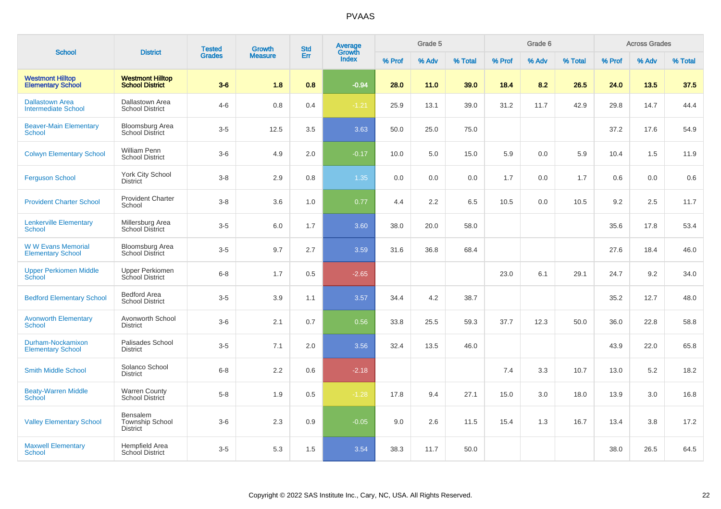|                                                      |                                                       | <b>Tested</b> | Growth         | <b>Std</b> | Average<br>Growth |        | Grade 5 |         |        | Grade 6 |         |        | <b>Across Grades</b> |         |
|------------------------------------------------------|-------------------------------------------------------|---------------|----------------|------------|-------------------|--------|---------|---------|--------|---------|---------|--------|----------------------|---------|
| <b>School</b>                                        | <b>District</b>                                       | <b>Grades</b> | <b>Measure</b> | Err        | <b>Index</b>      | % Prof | % Adv   | % Total | % Prof | % Adv   | % Total | % Prof | % Adv                | % Total |
| <b>Westmont Hilltop</b><br><b>Elementary School</b>  | <b>Westmont Hilltop</b><br><b>School District</b>     | $3-6$         | 1.8            | 0.8        | $-0.94$           | 28.0   | 11.0    | 39.0    | 18.4   | 8.2     | 26.5    | 24.0   | 13.5                 | 37.5    |
| <b>Dallastown Area</b><br><b>Intermediate School</b> | Dallastown Area<br><b>School District</b>             | $4 - 6$       | 0.8            | 0.4        | $-1.21$           | 25.9   | 13.1    | 39.0    | 31.2   | 11.7    | 42.9    | 29.8   | 14.7                 | 44.4    |
| <b>Beaver-Main Elementary</b><br>School              | Bloomsburg Area<br><b>School District</b>             | $3-5$         | 12.5           | 3.5        | 3.63              | 50.0   | 25.0    | 75.0    |        |         |         | 37.2   | 17.6                 | 54.9    |
| <b>Colwyn Elementary School</b>                      | <b>William Penn</b><br><b>School District</b>         | $3-6$         | 4.9            | 2.0        | $-0.17$           | 10.0   | 5.0     | 15.0    | 5.9    | 0.0     | 5.9     | 10.4   | 1.5                  | 11.9    |
| <b>Ferguson School</b>                               | York City School<br><b>District</b>                   | $3 - 8$       | 2.9            | 0.8        | 1.35              | 0.0    | 0.0     | 0.0     | 1.7    | 0.0     | 1.7     | 0.6    | 0.0                  | 0.6     |
| <b>Provident Charter School</b>                      | <b>Provident Charter</b><br>School                    | $3-8$         | 3.6            | 1.0        | 0.77              | 4.4    | 2.2     | 6.5     | 10.5   | 0.0     | 10.5    | 9.2    | 2.5                  | 11.7    |
| <b>Lenkerville Elementary</b><br>School              | Millersburg Area<br><b>School District</b>            | $3-5$         | 6.0            | 1.7        | 3.60              | 38.0   | 20.0    | 58.0    |        |         |         | 35.6   | 17.8                 | 53.4    |
| <b>WW Evans Memorial</b><br><b>Elementary School</b> | Bloomsburg Area<br><b>School District</b>             | $3-5$         | 9.7            | 2.7        | 3.59              | 31.6   | 36.8    | 68.4    |        |         |         | 27.6   | 18.4                 | 46.0    |
| <b>Upper Perkiomen Middle</b><br>School              | Upper Perkiomen<br>School District                    | $6-8$         | 1.7            | 0.5        | $-2.65$           |        |         |         | 23.0   | 6.1     | 29.1    | 24.7   | 9.2                  | 34.0    |
| <b>Bedford Elementary School</b>                     | <b>Bedford Area</b><br><b>School District</b>         | $3-5$         | 3.9            | 1.1        | 3.57              | 34.4   | 4.2     | 38.7    |        |         |         | 35.2   | 12.7                 | 48.0    |
| <b>Avonworth Elementary</b><br><b>School</b>         | Avonworth School<br><b>District</b>                   | $3-6$         | 2.1            | 0.7        | 0.56              | 33.8   | 25.5    | 59.3    | 37.7   | 12.3    | 50.0    | 36.0   | 22.8                 | 58.8    |
| Durham-Nockamixon<br><b>Elementary School</b>        | Palisades School<br><b>District</b>                   | $3-5$         | 7.1            | 2.0        | 3.56              | 32.4   | 13.5    | 46.0    |        |         |         | 43.9   | 22.0                 | 65.8    |
| <b>Smith Middle School</b>                           | Solanco School<br><b>District</b>                     | $6-8$         | 2.2            | 0.6        | $-2.18$           |        |         |         | 7.4    | 3.3     | 10.7    | 13.0   | 5.2                  | 18.2    |
| <b>Beaty-Warren Middle</b><br>School                 | <b>Warren County</b><br>School District               | $5-8$         | 1.9            | 0.5        | $-1.28$           | 17.8   | 9.4     | 27.1    | 15.0   | 3.0     | 18.0    | 13.9   | 3.0                  | 16.8    |
| <b>Valley Elementary School</b>                      | Bensalem<br><b>Township School</b><br><b>District</b> | $3-6$         | 2.3            | 0.9        | $-0.05$           | 9.0    | 2.6     | 11.5    | 15.4   | 1.3     | 16.7    | 13.4   | 3.8                  | 17.2    |
| <b>Maxwell Elementary</b><br>School                  | <b>Hempfield Area</b><br><b>School District</b>       | $3-5$         | 5.3            | 1.5        | 3.54              | 38.3   | 11.7    | 50.0    |        |         |         | 38.0   | 26.5                 | 64.5    |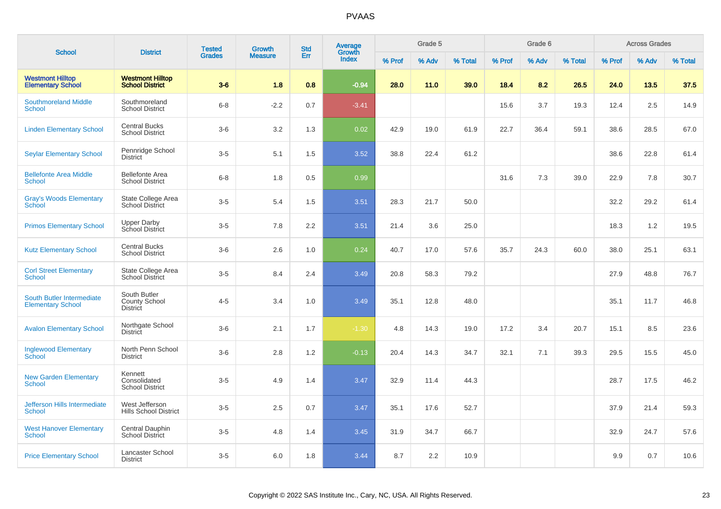| <b>School</b>                                         | <b>District</b>                                         | <b>Tested</b> | <b>Growth</b>  | <b>Std</b> | Average<br>Growth |        | Grade 5 |         |        | Grade 6 |         |        | <b>Across Grades</b> |         |
|-------------------------------------------------------|---------------------------------------------------------|---------------|----------------|------------|-------------------|--------|---------|---------|--------|---------|---------|--------|----------------------|---------|
|                                                       |                                                         | <b>Grades</b> | <b>Measure</b> | Err        | <b>Index</b>      | % Prof | % Adv   | % Total | % Prof | % Adv   | % Total | % Prof | % Adv                | % Total |
| <b>Westmont Hilltop</b><br><b>Elementary School</b>   | <b>Westmont Hilltop</b><br><b>School District</b>       | $3-6$         | 1.8            | 0.8        | $-0.94$           | 28.0   | 11.0    | 39.0    | 18.4   | 8.2     | 26.5    | 24.0   | 13.5                 | 37.5    |
| <b>Southmoreland Middle</b><br><b>School</b>          | Southmoreland<br><b>School District</b>                 | $6 - 8$       | $-2.2$         | 0.7        | $-3.41$           |        |         |         | 15.6   | 3.7     | 19.3    | 12.4   | 2.5                  | 14.9    |
| <b>Linden Elementary School</b>                       | <b>Central Bucks</b><br><b>School District</b>          | $3-6$         | 3.2            | 1.3        | 0.02              | 42.9   | 19.0    | 61.9    | 22.7   | 36.4    | 59.1    | 38.6   | 28.5                 | 67.0    |
| <b>Seylar Elementary School</b>                       | Pennridge School<br><b>District</b>                     | $3-5$         | 5.1            | 1.5        | 3.52              | 38.8   | 22.4    | 61.2    |        |         |         | 38.6   | 22.8                 | 61.4    |
| <b>Bellefonte Area Middle</b><br><b>School</b>        | <b>Bellefonte Area</b><br><b>School District</b>        | $6 - 8$       | 1.8            | 0.5        | 0.99              |        |         |         | 31.6   | 7.3     | 39.0    | 22.9   | 7.8                  | 30.7    |
| <b>Gray's Woods Elementary</b><br>School              | State College Area<br><b>School District</b>            | $3-5$         | 5.4            | 1.5        | 3.51              | 28.3   | 21.7    | 50.0    |        |         |         | 32.2   | 29.2                 | 61.4    |
| <b>Primos Elementary School</b>                       | Upper Darby<br>School District                          | $3 - 5$       | 7.8            | 2.2        | 3.51              | 21.4   | 3.6     | 25.0    |        |         |         | 18.3   | 1.2                  | 19.5    |
| <b>Kutz Elementary School</b>                         | <b>Central Bucks</b><br><b>School District</b>          | $3-6$         | 2.6            | 1.0        | 0.24              | 40.7   | 17.0    | 57.6    | 35.7   | 24.3    | 60.0    | 38.0   | 25.1                 | 63.1    |
| <b>Corl Street Elementary</b><br><b>School</b>        | State College Area<br><b>School District</b>            | $3-5$         | 8.4            | 2.4        | 3.49              | 20.8   | 58.3    | 79.2    |        |         |         | 27.9   | 48.8                 | 76.7    |
| South Butler Intermediate<br><b>Elementary School</b> | South Butler<br><b>County School</b><br><b>District</b> | $4 - 5$       | 3.4            | 1.0        | 3.49              | 35.1   | 12.8    | 48.0    |        |         |         | 35.1   | 11.7                 | 46.8    |
| <b>Avalon Elementary School</b>                       | Northgate School<br><b>District</b>                     | $3-6$         | 2.1            | 1.7        | $-1.30$           | 4.8    | 14.3    | 19.0    | 17.2   | 3.4     | 20.7    | 15.1   | 8.5                  | 23.6    |
| <b>Inglewood Elementary</b><br>School                 | North Penn School<br><b>District</b>                    | $3-6$         | 2.8            | 1.2        | $-0.13$           | 20.4   | 14.3    | 34.7    | 32.1   | 7.1     | 39.3    | 29.5   | 15.5                 | 45.0    |
| <b>New Garden Elementary</b><br><b>School</b>         | Kennett<br>Consolidated<br><b>School District</b>       | $3-5$         | 4.9            | 1.4        | 3.47              | 32.9   | 11.4    | 44.3    |        |         |         | 28.7   | 17.5                 | 46.2    |
| <b>Jefferson Hills Intermediate</b><br><b>School</b>  | West Jefferson<br><b>Hills School District</b>          | $3-5$         | 2.5            | 0.7        | 3.47              | 35.1   | 17.6    | 52.7    |        |         |         | 37.9   | 21.4                 | 59.3    |
| <b>West Hanover Elementary</b><br><b>School</b>       | Central Dauphin<br>School District                      | $3-5$         | 4.8            | 1.4        | 3.45              | 31.9   | 34.7    | 66.7    |        |         |         | 32.9   | 24.7                 | 57.6    |
| <b>Price Elementary School</b>                        | Lancaster School<br><b>District</b>                     | $3-5$         | 6.0            | 1.8        | 3.44              | 8.7    | 2.2     | 10.9    |        |         |         | 9.9    | 0.7                  | 10.6    |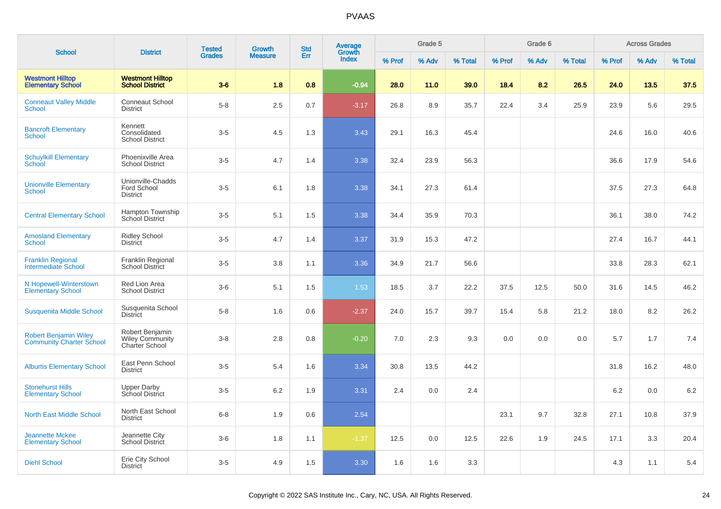| <b>School</b>                                                   | <b>District</b>                                                    | <b>Tested</b> | Growth         | <b>Std</b> | <b>Average</b>  |        | Grade 5 |         |        | Grade 6 |         |        | <b>Across Grades</b> |         |
|-----------------------------------------------------------------|--------------------------------------------------------------------|---------------|----------------|------------|-----------------|--------|---------|---------|--------|---------|---------|--------|----------------------|---------|
|                                                                 |                                                                    | <b>Grades</b> | <b>Measure</b> | Err        | Growth<br>Index | % Prof | % Adv   | % Total | % Prof | % Adv   | % Total | % Prof | % Adv                | % Total |
| <b>Westmont Hilltop</b><br><b>Elementary School</b>             | <b>Westmont Hilltop</b><br><b>School District</b>                  | $3-6$         | 1.8            | 0.8        | $-0.94$         | 28.0   | 11.0    | 39.0    | 18.4   | 8.2     | 26.5    | 24.0   | 13.5                 | 37.5    |
| <b>Conneaut Valley Middle</b><br><b>School</b>                  | <b>Conneaut School</b><br><b>District</b>                          | $5-8$         | 2.5            | 0.7        | $-3.17$         | 26.8   | 8.9     | 35.7    | 22.4   | 3.4     | 25.9    | 23.9   | 5.6                  | 29.5    |
| <b>Bancroft Elementary</b><br><b>School</b>                     | Kennett<br>Consolidated<br><b>School District</b>                  | $3-5$         | 4.5            | 1.3        | 3.43            | 29.1   | 16.3    | 45.4    |        |         |         | 24.6   | 16.0                 | 40.6    |
| <b>Schuylkill Elementary</b><br>School                          | Phoenixville Area<br><b>School District</b>                        | $3-5$         | 4.7            | 1.4        | 3.38            | 32.4   | 23.9    | 56.3    |        |         |         | 36.6   | 17.9                 | 54.6    |
| <b>Unionville Elementary</b><br><b>School</b>                   | Unionville-Chadds<br>Ford School<br><b>District</b>                | $3-5$         | 6.1            | 1.8        | 3.38            | 34.1   | 27.3    | 61.4    |        |         |         | 37.5   | 27.3                 | 64.8    |
| <b>Central Elementary School</b>                                | Hampton Township<br>School District                                | $3-5$         | 5.1            | 1.5        | 3.38            | 34.4   | 35.9    | 70.3    |        |         |         | 36.1   | 38.0                 | 74.2    |
| <b>Amosland Elementary</b><br><b>School</b>                     | <b>Ridley School</b><br><b>District</b>                            | $3-5$         | 4.7            | 1.4        | 3.37            | 31.9   | 15.3    | 47.2    |        |         |         | 27.4   | 16.7                 | 44.1    |
| <b>Franklin Regional</b><br><b>Intermediate School</b>          | <b>Franklin Regional</b><br>School District                        | $3-5$         | 3.8            | 1.1        | 3.36            | 34.9   | 21.7    | 56.6    |        |         |         | 33.8   | 28.3                 | 62.1    |
| N Hopewell-Winterstown<br><b>Elementary School</b>              | Red Lion Area<br><b>School District</b>                            | $3-6$         | 5.1            | 1.5        | 1.53            | 18.5   | 3.7     | 22.2    | 37.5   | 12.5    | 50.0    | 31.6   | 14.5                 | 46.2    |
| Susquenita Middle School                                        | Susquenita School<br><b>District</b>                               | $5-8$         | 1.6            | 0.6        | $-2.37$         | 24.0   | 15.7    | 39.7    | 15.4   | 5.8     | 21.2    | 18.0   | 8.2                  | 26.2    |
| <b>Robert Benjamin Wiley</b><br><b>Community Charter School</b> | Robert Benjamin<br><b>Wiley Community</b><br><b>Charter School</b> | $3-8$         | 2.8            | 0.8        | $-0.20$         | 7.0    | 2.3     | 9.3     | 0.0    | 0.0     | 0.0     | 5.7    | 1.7                  | 7.4     |
| <b>Alburtis Elementary School</b>                               | East Penn School<br><b>District</b>                                | $3-5$         | 5.4            | 1.6        | 3.34            | 30.8   | 13.5    | 44.2    |        |         |         | 31.8   | 16.2                 | 48.0    |
| <b>Stonehurst Hills</b><br><b>Elementary School</b>             | Upper Darby<br>School District                                     | $3-5$         | $6.2\,$        | 1.9        | 3.31            | 2.4    | 0.0     | 2.4     |        |         |         | 6.2    | 0.0                  | 6.2     |
| <b>North East Middle School</b>                                 | North East School<br><b>District</b>                               | $6 - 8$       | 1.9            | 0.6        | 2.54            |        |         |         | 23.1   | 9.7     | 32.8    | 27.1   | 10.8                 | 37.9    |
| <b>Jeannette Mckee</b><br><b>Elementary School</b>              | Jeannette City<br><b>School District</b>                           | $3-6$         | 1.8            | 1.1        | $-1.37$         | 12.5   | 0.0     | 12.5    | 22.6   | 1.9     | 24.5    | 17.1   | 3.3                  | 20.4    |
| <b>Diehl School</b>                                             | Erie City School<br><b>District</b>                                | $3-5$         | 4.9            | 1.5        | 3.30            | 1.6    | 1.6     | 3.3     |        |         |         | 4.3    | 1.1                  | 5.4     |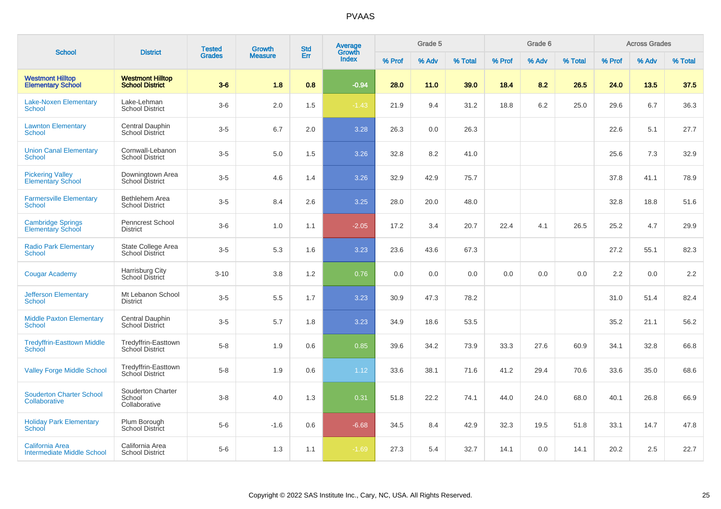| <b>School</b>                                        | <b>District</b>                                   | <b>Tested</b> | Growth         | <b>Std</b> | Average<br>Growth |        | Grade 5 |         |        | Grade 6 |         |        | <b>Across Grades</b> |         |
|------------------------------------------------------|---------------------------------------------------|---------------|----------------|------------|-------------------|--------|---------|---------|--------|---------|---------|--------|----------------------|---------|
|                                                      |                                                   | <b>Grades</b> | <b>Measure</b> | Err        | <b>Index</b>      | % Prof | % Adv   | % Total | % Prof | % Adv   | % Total | % Prof | % Adv                | % Total |
| <b>Westmont Hilltop</b><br><b>Elementary School</b>  | <b>Westmont Hilltop</b><br><b>School District</b> | $3-6$         | 1.8            | 0.8        | $-0.94$           | 28.0   | 11.0    | 39.0    | 18.4   | 8.2     | 26.5    | 24.0   | 13.5                 | 37.5    |
| <b>Lake-Noxen Elementary</b><br>School               | Lake-Lehman<br><b>School District</b>             | $3-6$         | 2.0            | 1.5        | $-1.43$           | 21.9   | 9.4     | 31.2    | 18.8   | 6.2     | 25.0    | 29.6   | 6.7                  | 36.3    |
| <b>Lawnton Elementary</b><br>School                  | Central Dauphin<br><b>School District</b>         | $3-5$         | 6.7            | 2.0        | 3.28              | 26.3   | 0.0     | 26.3    |        |         |         | 22.6   | 5.1                  | 27.7    |
| <b>Union Canal Elementary</b><br><b>School</b>       | Cornwall-Lebanon<br><b>School District</b>        | $3-5$         | 5.0            | 1.5        | 3.26              | 32.8   | 8.2     | 41.0    |        |         |         | 25.6   | 7.3                  | 32.9    |
| <b>Pickering Valley</b><br><b>Elementary School</b>  | Downingtown Area<br>School District               | $3-5$         | 4.6            | 1.4        | 3.26              | 32.9   | 42.9    | 75.7    |        |         |         | 37.8   | 41.1                 | 78.9    |
| <b>Farmersville Elementary</b><br>School             | <b>Bethlehem Area</b><br><b>School District</b>   | $3-5$         | 8.4            | 2.6        | 3.25              | 28.0   | 20.0    | 48.0    |        |         |         | 32.8   | 18.8                 | 51.6    |
| <b>Cambridge Springs</b><br><b>Elementary School</b> | Penncrest School<br><b>District</b>               | $3-6$         | 1.0            | 1.1        | $-2.05$           | 17.2   | 3.4     | 20.7    | 22.4   | 4.1     | 26.5    | 25.2   | 4.7                  | 29.9    |
| <b>Radio Park Elementary</b><br>School               | State College Area<br>School District             | $3-5$         | 5.3            | 1.6        | 3.23              | 23.6   | 43.6    | 67.3    |        |         |         | 27.2   | 55.1                 | 82.3    |
| <b>Cougar Academy</b>                                | Harrisburg City<br>School District                | $3 - 10$      | 3.8            | 1.2        | 0.76              | 0.0    | 0.0     | 0.0     | 0.0    | 0.0     | 0.0     | 2.2    | 0.0                  | 2.2     |
| <b>Jefferson Elementary</b><br>School                | Mt Lebanon School<br><b>District</b>              | $3-5$         | 5.5            | 1.7        | 3.23              | 30.9   | 47.3    | 78.2    |        |         |         | 31.0   | 51.4                 | 82.4    |
| <b>Middle Paxton Elementary</b><br><b>School</b>     | Central Dauphin<br><b>School District</b>         | $3-5$         | 5.7            | 1.8        | 3.23              | 34.9   | 18.6    | 53.5    |        |         |         | 35.2   | 21.1                 | 56.2    |
| <b>Tredyffrin-Easttown Middle</b><br>School          | Tredyffrin-Easttown<br>School District            | $5-8$         | 1.9            | 0.6        | 0.85              | 39.6   | 34.2    | 73.9    | 33.3   | 27.6    | 60.9    | 34.1   | 32.8                 | 66.8    |
| <b>Valley Forge Middle School</b>                    | Tredyffrin-Easttown<br>School District            | $5-8$         | 1.9            | 0.6        | 1.12              | 33.6   | 38.1    | 71.6    | 41.2   | 29.4    | 70.6    | 33.6   | 35.0                 | 68.6    |
| <b>Souderton Charter School</b><br>Collaborative     | Souderton Charter<br>School<br>Collaborative      | $3 - 8$       | 4.0            | 1.3        | 0.31              | 51.8   | 22.2    | 74.1    | 44.0   | 24.0    | 68.0    | 40.1   | 26.8                 | 66.9    |
| <b>Holiday Park Elementary</b><br><b>School</b>      | Plum Borough<br><b>School District</b>            | $5-6$         | $-1.6$         | 0.6        | $-6.68$           | 34.5   | 8.4     | 42.9    | 32.3   | 19.5    | 51.8    | 33.1   | 14.7                 | 47.8    |
| California Area<br><b>Intermediate Middle School</b> | California Area<br><b>School District</b>         | $5-6$         | 1.3            | 1.1        | $-1.69$           | 27.3   | 5.4     | 32.7    | 14.1   | 0.0     | 14.1    | 20.2   | 2.5                  | 22.7    |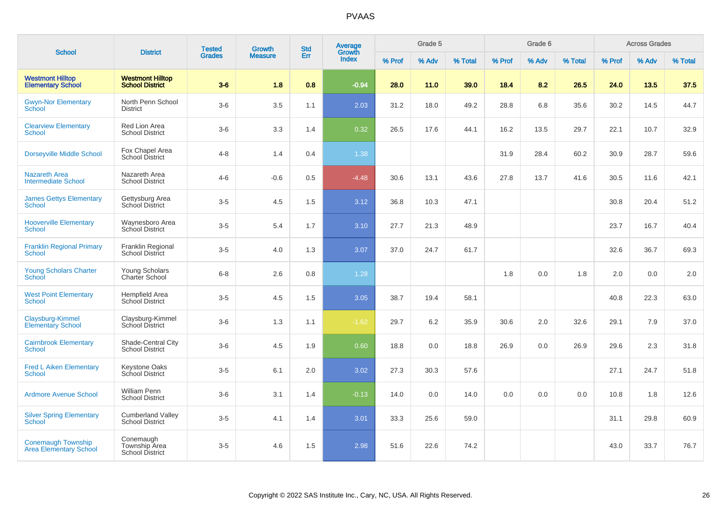| <b>School</b>                                              | <b>District</b>                                             | <b>Tested</b> | Growth         | <b>Std</b> | Average<br>Growth |        | Grade 5 |         |        | Grade 6 |         |        | <b>Across Grades</b> |         |
|------------------------------------------------------------|-------------------------------------------------------------|---------------|----------------|------------|-------------------|--------|---------|---------|--------|---------|---------|--------|----------------------|---------|
|                                                            |                                                             | <b>Grades</b> | <b>Measure</b> | Err        | <b>Index</b>      | % Prof | % Adv   | % Total | % Prof | % Adv   | % Total | % Prof | % Adv                | % Total |
| <b>Westmont Hilltop</b><br><b>Elementary School</b>        | <b>Westmont Hilltop</b><br><b>School District</b>           | $3-6$         | 1.8            | 0.8        | $-0.94$           | 28.0   | 11.0    | 39.0    | 18.4   | 8.2     | 26.5    | 24.0   | 13.5                 | 37.5    |
| <b>Gwyn-Nor Elementary</b><br><b>School</b>                | North Penn School<br><b>District</b>                        | $3-6$         | 3.5            | 1.1        | 2.03              | 31.2   | 18.0    | 49.2    | 28.8   | 6.8     | 35.6    | 30.2   | 14.5                 | 44.7    |
| <b>Clearview Elementary</b><br>School                      | Red Lion Area<br><b>School District</b>                     | $3-6$         | 3.3            | 1.4        | 0.32              | 26.5   | 17.6    | 44.1    | 16.2   | 13.5    | 29.7    | 22.1   | 10.7                 | 32.9    |
| <b>Dorseyville Middle School</b>                           | Fox Chapel Area<br><b>School District</b>                   | $4 - 8$       | 1.4            | 0.4        | 1.38              |        |         |         | 31.9   | 28.4    | 60.2    | 30.9   | 28.7                 | 59.6    |
| <b>Nazareth Area</b><br><b>Intermediate School</b>         | Nazareth Area<br><b>School District</b>                     | $4 - 6$       | $-0.6$         | 0.5        | $-4.48$           | 30.6   | 13.1    | 43.6    | 27.8   | 13.7    | 41.6    | 30.5   | 11.6                 | 42.1    |
| <b>James Gettys Elementary</b><br>School                   | Gettysburg Area<br><b>School District</b>                   | $3 - 5$       | 4.5            | 1.5        | 3.12              | 36.8   | 10.3    | 47.1    |        |         |         | 30.8   | 20.4                 | 51.2    |
| <b>Hooverville Elementary</b><br><b>School</b>             | Waynesboro Area<br>School District                          | $3-5$         | 5.4            | 1.7        | 3.10              | 27.7   | 21.3    | 48.9    |        |         |         | 23.7   | 16.7                 | 40.4    |
| <b>Franklin Regional Primary</b><br>School                 | Franklin Regional<br><b>School District</b>                 | $3-5$         | 4.0            | 1.3        | 3.07              | 37.0   | 24.7    | 61.7    |        |         |         | 32.6   | 36.7                 | 69.3    |
| <b>Young Scholars Charter</b><br>School                    | Young Scholars<br>Charter School                            | $6 - 8$       | 2.6            | 0.8        | 1.28              |        |         |         | 1.8    | 0.0     | 1.8     | 2.0    | 0.0                  | 2.0     |
| <b>West Point Elementary</b><br><b>School</b>              | Hempfield Area<br>School District                           | $3-5$         | 4.5            | 1.5        | 3.05              | 38.7   | 19.4    | 58.1    |        |         |         | 40.8   | 22.3                 | 63.0    |
| Claysburg-Kimmel<br>Elementary School                      | Claysburg-Kimmel<br>School District                         | $3-6$         | 1.3            | 1.1        | $-1.62$           | 29.7   | 6.2     | 35.9    | 30.6   | 2.0     | 32.6    | 29.1   | 7.9                  | 37.0    |
| <b>Cairnbrook Elementary</b><br>School                     | Shade-Central City<br><b>School District</b>                | $3-6$         | 4.5            | 1.9        | 0.60              | 18.8   | 0.0     | 18.8    | 26.9   | 0.0     | 26.9    | 29.6   | 2.3                  | 31.8    |
| <b>Fred L Aiken Elementary</b><br><b>School</b>            | Keystone Oaks<br>School District                            | $3-5$         | 6.1            | 2.0        | 3.02              | 27.3   | 30.3    | 57.6    |        |         |         | 27.1   | 24.7                 | 51.8    |
| <b>Ardmore Avenue School</b>                               | <b>William Penn</b><br><b>School District</b>               | $3-6$         | 3.1            | 1.4        | $-0.13$           | 14.0   | 0.0     | 14.0    | 0.0    | 0.0     | 0.0     | 10.8   | 1.8                  | 12.6    |
| <b>Silver Spring Elementary</b><br><b>School</b>           | <b>Cumberland Valley</b><br><b>School District</b>          | $3-5$         | 4.1            | 1.4        | 3.01              | 33.3   | 25.6    | 59.0    |        |         |         | 31.1   | 29.8                 | 60.9    |
| <b>Conemaugh Township</b><br><b>Area Elementary School</b> | Conemaugh<br><b>Township Area</b><br><b>School District</b> | $3-5$         | 4.6            | 1.5        | 2.98              | 51.6   | 22.6    | 74.2    |        |         |         | 43.0   | 33.7                 | 76.7    |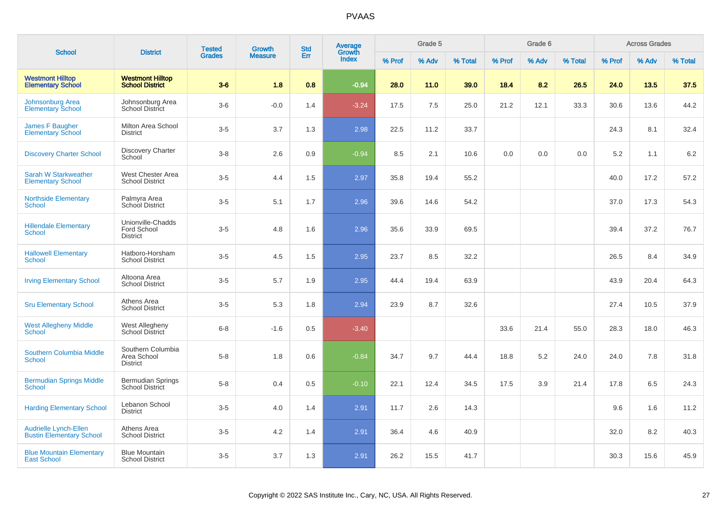| <b>School</b>                                                   | <b>District</b>                                     | <b>Tested</b> | Growth         | <b>Std</b> | <b>Average</b><br>Growth |        | Grade 5 |         |        | Grade 6 |         |        | <b>Across Grades</b> |         |
|-----------------------------------------------------------------|-----------------------------------------------------|---------------|----------------|------------|--------------------------|--------|---------|---------|--------|---------|---------|--------|----------------------|---------|
|                                                                 |                                                     | <b>Grades</b> | <b>Measure</b> | Err        | <b>Index</b>             | % Prof | % Adv   | % Total | % Prof | % Adv   | % Total | % Prof | % Adv                | % Total |
| <b>Westmont Hilltop</b><br><b>Elementary School</b>             | <b>Westmont Hilltop</b><br><b>School District</b>   | $3-6$         | 1.8            | 0.8        | $-0.94$                  | 28.0   | 11.0    | 39.0    | 18.4   | 8.2     | 26.5    | 24.0   | 13.5                 | 37.5    |
| Johnsonburg Area<br><b>Elementary School</b>                    | Johnsonburg Area<br><b>School District</b>          | $3-6$         | $-0.0$         | 1.4        | $-3.24$                  | 17.5   | 7.5     | 25.0    | 21.2   | 12.1    | 33.3    | 30.6   | 13.6                 | 44.2    |
| James F Baugher<br><b>Elementary School</b>                     | Milton Area School<br><b>District</b>               | $3-5$         | 3.7            | 1.3        | 2.98                     | 22.5   | 11.2    | 33.7    |        |         |         | 24.3   | 8.1                  | 32.4    |
| <b>Discovery Charter School</b>                                 | <b>Discovery Charter</b><br>School                  | $3 - 8$       | 2.6            | 0.9        | $-0.94$                  | 8.5    | 2.1     | 10.6    | 0.0    | 0.0     | 0.0     | 5.2    | 1.1                  | $6.2\,$ |
| <b>Sarah W Starkweather</b><br><b>Elementary School</b>         | West Chester Area<br><b>School District</b>         | $3-5$         | 4.4            | 1.5        | 2.97                     | 35.8   | 19.4    | 55.2    |        |         |         | 40.0   | 17.2                 | 57.2    |
| <b>Northside Elementary</b><br>School                           | Palmyra Area<br>School District                     | $3-5$         | 5.1            | 1.7        | 2.96                     | 39.6   | 14.6    | 54.2    |        |         |         | 37.0   | 17.3                 | 54.3    |
| <b>Hillendale Elementary</b><br><b>School</b>                   | Unionville-Chadds<br>Ford School<br><b>District</b> | $3-5$         | 4.8            | 1.6        | 2.96                     | 35.6   | 33.9    | 69.5    |        |         |         | 39.4   | 37.2                 | 76.7    |
| <b>Hallowell Elementary</b><br><b>School</b>                    | Hatboro-Horsham<br><b>School District</b>           | $3-5$         | 4.5            | 1.5        | 2.95                     | 23.7   | 8.5     | 32.2    |        |         |         | 26.5   | 8.4                  | 34.9    |
| <b>Irving Elementary School</b>                                 | Altoona Area<br><b>School District</b>              | $3-5$         | 5.7            | 1.9        | 2.95                     | 44.4   | 19.4    | 63.9    |        |         |         | 43.9   | 20.4                 | 64.3    |
| <b>Sru Elementary School</b>                                    | Athens Area<br><b>School District</b>               | $3-5$         | 5.3            | 1.8        | 2.94                     | 23.9   | 8.7     | 32.6    |        |         |         | 27.4   | 10.5                 | 37.9    |
| <b>West Allegheny Middle</b><br><b>School</b>                   | West Allegheny<br>School District                   | $6 - 8$       | $-1.6$         | 0.5        | $-3.40$                  |        |         |         | 33.6   | 21.4    | 55.0    | 28.3   | 18.0                 | 46.3    |
| <b>Southern Columbia Middle</b><br>School                       | Southern Columbia<br>Area School<br><b>District</b> | $5-8$         | 1.8            | 0.6        | $-0.84$                  | 34.7   | 9.7     | 44.4    | 18.8   | 5.2     | 24.0    | 24.0   | 7.8                  | 31.8    |
| <b>Bermudian Springs Middle</b><br><b>School</b>                | <b>Bermudian Springs</b><br><b>School District</b>  | $5-8$         | 0.4            | 0.5        | $-0.10$                  | 22.1   | 12.4    | 34.5    | 17.5   | 3.9     | 21.4    | 17.8   | 6.5                  | 24.3    |
| <b>Harding Elementary School</b>                                | Lebanon School<br><b>District</b>                   | $3-5$         | 4.0            | 1.4        | 2.91                     | 11.7   | 2.6     | 14.3    |        |         |         | 9.6    | 1.6                  | 11.2    |
| <b>Audrielle Lynch-Ellen</b><br><b>Bustin Elementary School</b> | Athens Area<br><b>School District</b>               | $3-5$         | 4.2            | 1.4        | 2.91                     | 36.4   | 4.6     | 40.9    |        |         |         | 32.0   | 8.2                  | 40.3    |
| <b>Blue Mountain Elementary</b><br><b>East School</b>           | <b>Blue Mountain</b><br><b>School District</b>      | $3-5$         | 3.7            | 1.3        | 2.91                     | 26.2   | 15.5    | 41.7    |        |         |         | 30.3   | 15.6                 | 45.9    |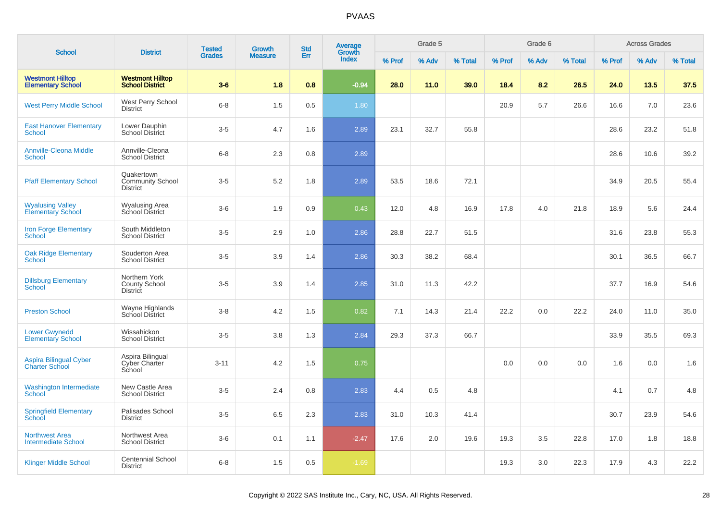|                                                        |                                                          | <b>Tested</b> | Growth         | <b>Std</b> | Average<br>Growth |        | Grade 5 |         |        | Grade 6 |         |        | <b>Across Grades</b> |         |
|--------------------------------------------------------|----------------------------------------------------------|---------------|----------------|------------|-------------------|--------|---------|---------|--------|---------|---------|--------|----------------------|---------|
| <b>School</b>                                          | <b>District</b>                                          | <b>Grades</b> | <b>Measure</b> | Err        | Index             | % Prof | % Adv   | % Total | % Prof | % Adv   | % Total | % Prof | % Adv                | % Total |
| <b>Westmont Hilltop</b><br><b>Elementary School</b>    | <b>Westmont Hilltop</b><br><b>School District</b>        | $3-6$         | 1.8            | 0.8        | $-0.94$           | 28.0   | 11.0    | 39.0    | 18.4   | 8.2     | 26.5    | 24.0   | 13.5                 | 37.5    |
| <b>West Perry Middle School</b>                        | West Perry School<br><b>District</b>                     | $6 - 8$       | 1.5            | 0.5        | 1.80              |        |         |         | 20.9   | 5.7     | 26.6    | 16.6   | 7.0                  | 23.6    |
| <b>East Hanover Elementary</b><br><b>School</b>        | Lower Dauphin<br><b>School District</b>                  | $3-5$         | 4.7            | 1.6        | 2.89              | 23.1   | 32.7    | 55.8    |        |         |         | 28.6   | 23.2                 | 51.8    |
| <b>Annville-Cleona Middle</b><br><b>School</b>         | Annville-Cleona<br><b>School District</b>                | $6 - 8$       | 2.3            | 0.8        | 2.89              |        |         |         |        |         |         | 28.6   | 10.6                 | 39.2    |
| <b>Pfaff Elementary School</b>                         | Quakertown<br><b>Community School</b><br><b>District</b> | $3-5$         | 5.2            | 1.8        | 2.89              | 53.5   | 18.6    | 72.1    |        |         |         | 34.9   | 20.5                 | 55.4    |
| <b>Wyalusing Valley</b><br>Elementary School           | <b>Wyalusing Area</b><br>School District                 | $3-6$         | 1.9            | 0.9        | 0.43              | 12.0   | 4.8     | 16.9    | 17.8   | 4.0     | 21.8    | 18.9   | 5.6                  | 24.4    |
| <b>Iron Forge Elementary</b><br><b>School</b>          | South Middleton<br><b>School District</b>                | $3-5$         | 2.9            | 1.0        | 2.86              | 28.8   | 22.7    | 51.5    |        |         |         | 31.6   | 23.8                 | 55.3    |
| <b>Oak Ridge Elementary</b><br>School                  | Souderton Area<br><b>School District</b>                 | $3-5$         | 3.9            | 1.4        | 2.86              | 30.3   | 38.2    | 68.4    |        |         |         | 30.1   | 36.5                 | 66.7    |
| <b>Dillsburg Elementary</b><br><b>School</b>           | Northern York<br><b>County School</b><br><b>District</b> | $3-5$         | 3.9            | 1.4        | 2.85              | 31.0   | 11.3    | 42.2    |        |         |         | 37.7   | 16.9                 | 54.6    |
| <b>Preston School</b>                                  | Wayne Highlands<br>School District                       | $3 - 8$       | 4.2            | 1.5        | 0.82              | 7.1    | 14.3    | 21.4    | 22.2   | 0.0     | 22.2    | 24.0   | 11.0                 | 35.0    |
| <b>Lower Gwynedd</b><br>Elementary School              | Wissahickon<br><b>School District</b>                    | $3-5$         | 3.8            | 1.3        | 2.84              | 29.3   | 37.3    | 66.7    |        |         |         | 33.9   | 35.5                 | 69.3    |
| <b>Aspira Bilingual Cyber</b><br><b>Charter School</b> | Aspira Bilingual<br><b>Cyber Charter</b><br>School       | $3 - 11$      | 4.2            | 1.5        | 0.75              |        |         |         | 0.0    | 0.0     | 0.0     | 1.6    | 0.0                  | 1.6     |
| <b>Washington Intermediate</b><br><b>School</b>        | New Castle Area<br><b>School District</b>                | $3-5$         | 2.4            | 0.8        | 2.83              | 4.4    | 0.5     | 4.8     |        |         |         | 4.1    | 0.7                  | 4.8     |
| <b>Springfield Elementary</b><br>School                | Palisades School<br><b>District</b>                      | $3-5$         | 6.5            | 2.3        | 2.83              | 31.0   | 10.3    | 41.4    |        |         |         | 30.7   | 23.9                 | 54.6    |
| <b>Northwest Area</b><br><b>Intermediate School</b>    | Northwest Area<br><b>School District</b>                 | $3-6$         | 0.1            | 1.1        | $-2.47$           | 17.6   | 2.0     | 19.6    | 19.3   | 3.5     | 22.8    | 17.0   | 1.8                  | 18.8    |
| <b>Klinger Middle School</b>                           | <b>Centennial School</b><br><b>District</b>              | $6 - 8$       | 1.5            | 0.5        | $-1.69$           |        |         |         | 19.3   | 3.0     | 22.3    | 17.9   | 4.3                  | 22.2    |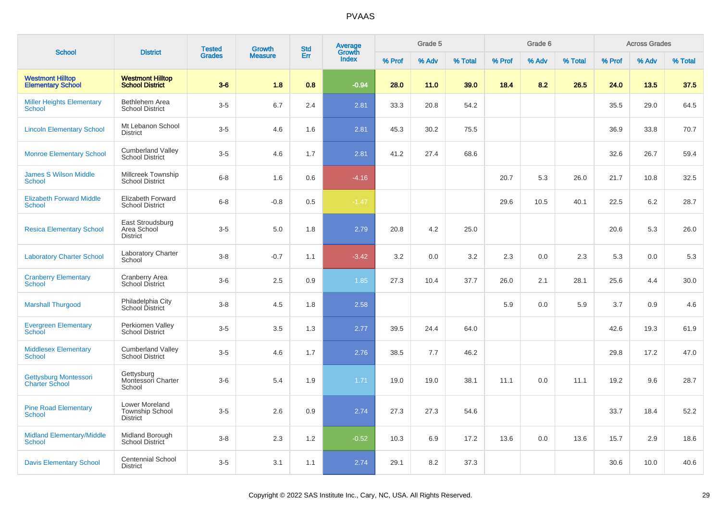|                                                     |                                                      | <b>Tested</b> | Growth         | <b>Std</b> | <b>Average</b>  |        | Grade 5 |         |        | Grade 6 |         |        | <b>Across Grades</b> |         |
|-----------------------------------------------------|------------------------------------------------------|---------------|----------------|------------|-----------------|--------|---------|---------|--------|---------|---------|--------|----------------------|---------|
| <b>School</b>                                       | <b>District</b>                                      | <b>Grades</b> | <b>Measure</b> | Err        | Growth<br>Index | % Prof | % Adv   | % Total | % Prof | % Adv   | % Total | % Prof | % Adv                | % Total |
| <b>Westmont Hilltop</b><br><b>Elementary School</b> | <b>Westmont Hilltop</b><br><b>School District</b>    | $3-6$         | 1.8            | 0.8        | $-0.94$         | 28.0   | 11.0    | 39.0    | 18.4   | 8.2     | 26.5    | 24.0   | 13.5                 | 37.5    |
| <b>Miller Heights Elementary</b><br>School          | Bethlehem Area<br><b>School District</b>             | $3-5$         | 6.7            | 2.4        | 2.81            | 33.3   | 20.8    | 54.2    |        |         |         | 35.5   | 29.0                 | 64.5    |
| <b>Lincoln Elementary School</b>                    | Mt Lebanon School<br><b>District</b>                 | $3-5$         | 4.6            | 1.6        | 2.81            | 45.3   | 30.2    | 75.5    |        |         |         | 36.9   | 33.8                 | 70.7    |
| <b>Monroe Elementary School</b>                     | <b>Cumberland Valley</b><br><b>School District</b>   | $3-5$         | 4.6            | 1.7        | 2.81            | 41.2   | 27.4    | 68.6    |        |         |         | 32.6   | 26.7                 | 59.4    |
| <b>James S Wilson Middle</b><br><b>School</b>       | Millcreek Township<br><b>School District</b>         | $6 - 8$       | 1.6            | 0.6        | $-4.16$         |        |         |         | 20.7   | 5.3     | 26.0    | 21.7   | 10.8                 | 32.5    |
| <b>Elizabeth Forward Middle</b><br><b>School</b>    | Elizabeth Forward<br><b>School District</b>          | $6 - 8$       | $-0.8$         | 0.5        | $-1.47$         |        |         |         | 29.6   | 10.5    | 40.1    | 22.5   | 6.2                  | 28.7    |
| <b>Resica Elementary School</b>                     | East Stroudsburg<br>Area School<br><b>District</b>   | $3-5$         | 5.0            | 1.8        | 2.79            | 20.8   | 4.2     | 25.0    |        |         |         | 20.6   | 5.3                  | 26.0    |
| <b>Laboratory Charter School</b>                    | Laboratory Charter<br>School                         | $3-8$         | $-0.7$         | 1.1        | $-3.42$         | 3.2    | 0.0     | 3.2     | 2.3    | 0.0     | 2.3     | 5.3    | 0.0                  | 5.3     |
| <b>Cranberry Elementary</b><br>School               | Cranberry Area<br><b>School District</b>             | $3-6$         | 2.5            | 0.9        | 1.85            | 27.3   | 10.4    | 37.7    | 26.0   | 2.1     | 28.1    | 25.6   | 4.4                  | 30.0    |
| <b>Marshall Thurgood</b>                            | Philadelphia City<br>School District                 | $3 - 8$       | 4.5            | 1.8        | 2.58            |        |         |         | 5.9    | 0.0     | 5.9     | 3.7    | 0.9                  | 4.6     |
| <b>Evergreen Elementary</b><br><b>School</b>        | Perkiomen Valley<br><b>School District</b>           | $3-5$         | 3.5            | 1.3        | 2.77            | 39.5   | 24.4    | 64.0    |        |         |         | 42.6   | 19.3                 | 61.9    |
| <b>Middlesex Elementary</b><br><b>School</b>        | <b>Cumberland Valley</b><br><b>School District</b>   | $3-5$         | 4.6            | 1.7        | 2.76            | 38.5   | 7.7     | 46.2    |        |         |         | 29.8   | 17.2                 | 47.0    |
| Gettysburg Montessori<br><b>Charter School</b>      | Gettysburg<br>Montessori Charter<br>School           | $3-6$         | 5.4            | 1.9        | 1.71            | 19.0   | 19.0    | 38.1    | 11.1   | 0.0     | 11.1    | 19.2   | 9.6                  | 28.7    |
| <b>Pine Road Elementary</b><br><b>School</b>        | Lower Moreland<br>Township School<br><b>District</b> | $3-5$         | 2.6            | 0.9        | 2.74            | 27.3   | 27.3    | 54.6    |        |         |         | 33.7   | 18.4                 | 52.2    |
| <b>Midland Elementary/Middle</b><br><b>School</b>   | Midland Borough<br><b>School District</b>            | $3 - 8$       | 2.3            | 1.2        | $-0.52$         | 10.3   | 6.9     | 17.2    | 13.6   | 0.0     | 13.6    | 15.7   | 2.9                  | 18.6    |
| <b>Davis Elementary School</b>                      | <b>Centennial School</b><br><b>District</b>          | $3-5$         | 3.1            | 1.1        | 2.74            | 29.1   | 8.2     | 37.3    |        |         |         | 30.6   | 10.0                 | 40.6    |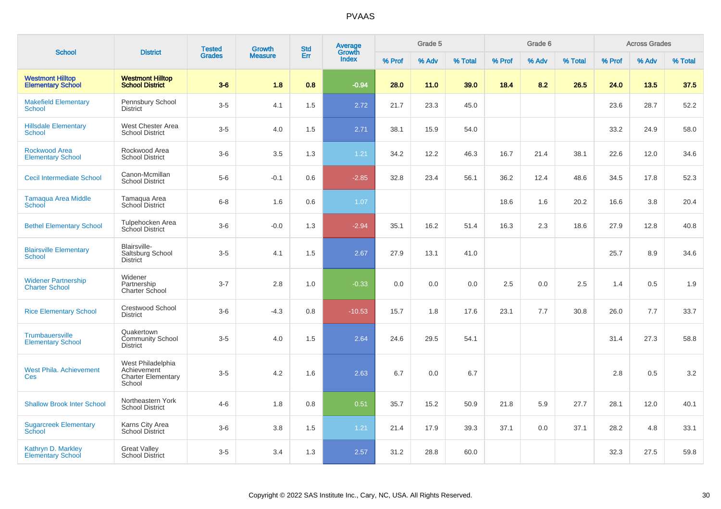| <b>School</b>                                       | <b>District</b>                                                         | <b>Tested</b> | Growth         | <b>Std</b> | <b>Average</b><br>Growth |        | Grade 5 |         |        | Grade 6 |         |        | <b>Across Grades</b> |         |
|-----------------------------------------------------|-------------------------------------------------------------------------|---------------|----------------|------------|--------------------------|--------|---------|---------|--------|---------|---------|--------|----------------------|---------|
|                                                     |                                                                         | <b>Grades</b> | <b>Measure</b> | Err        | <b>Index</b>             | % Prof | % Adv   | % Total | % Prof | % Adv   | % Total | % Prof | % Adv                | % Total |
| <b>Westmont Hilltop</b><br><b>Elementary School</b> | <b>Westmont Hilltop</b><br><b>School District</b>                       | $3-6$         | 1.8            | 0.8        | $-0.94$                  | 28.0   | 11.0    | 39.0    | 18.4   | 8.2     | 26.5    | 24.0   | 13.5                 | 37.5    |
| <b>Makefield Elementary</b><br>School               | Pennsbury School<br><b>District</b>                                     | $3-5$         | 4.1            | 1.5        | 2.72                     | 21.7   | 23.3    | 45.0    |        |         |         | 23.6   | 28.7                 | 52.2    |
| <b>Hillsdale Elementary</b><br>School               | West Chester Area<br><b>School District</b>                             | $3-5$         | 4.0            | 1.5        | 2.71                     | 38.1   | 15.9    | 54.0    |        |         |         | 33.2   | 24.9                 | 58.0    |
| Rockwood Area<br><b>Elementary School</b>           | Rockwood Area<br><b>School District</b>                                 | $3-6$         | 3.5            | 1.3        | 1.21                     | 34.2   | 12.2    | 46.3    | 16.7   | 21.4    | 38.1    | 22.6   | 12.0                 | 34.6    |
| <b>Cecil Intermediate School</b>                    | Canon-Mcmillan<br><b>School District</b>                                | $5-6$         | $-0.1$         | 0.6        | $-2.85$                  | 32.8   | 23.4    | 56.1    | 36.2   | 12.4    | 48.6    | 34.5   | 17.8                 | 52.3    |
| Tamaqua Area Middle<br>School                       | Tamaqua Area<br>School District                                         | $6 - 8$       | 1.6            | 0.6        | 1.07                     |        |         |         | 18.6   | 1.6     | 20.2    | 16.6   | 3.8                  | 20.4    |
| <b>Bethel Elementary School</b>                     | Tulpehocken Area<br><b>School District</b>                              | $3-6$         | $-0.0$         | 1.3        | $-2.94$                  | 35.1   | 16.2    | 51.4    | 16.3   | 2.3     | 18.6    | 27.9   | 12.8                 | 40.8    |
| <b>Blairsville Elementary</b><br><b>School</b>      | <b>Blairsville-</b><br>Saltsburg School<br><b>District</b>              | $3-5$         | 4.1            | 1.5        | 2.67                     | 27.9   | 13.1    | 41.0    |        |         |         | 25.7   | 8.9                  | 34.6    |
| <b>Widener Partnership</b><br><b>Charter School</b> | Widener<br>Partnership<br>Charter School                                | $3 - 7$       | 2.8            | 1.0        | $-0.33$                  | 0.0    | 0.0     | 0.0     | 2.5    | 0.0     | 2.5     | 1.4    | 0.5                  | 1.9     |
| <b>Rice Elementary School</b>                       | Crestwood School<br><b>District</b>                                     | $3-6$         | $-4.3$         | 0.8        | $-10.53$                 | 15.7   | 1.8     | 17.6    | 23.1   | 7.7     | 30.8    | 26.0   | 7.7                  | 33.7    |
| Trumbauersville<br><b>Elementary School</b>         | Quakertown<br><b>Community School</b><br><b>District</b>                | $3-5$         | 4.0            | 1.5        | 2.64                     | 24.6   | 29.5    | 54.1    |        |         |         | 31.4   | 27.3                 | 58.8    |
| <b>West Phila. Achievement</b><br>Ces               | West Philadelphia<br>Achievement<br><b>Charter Elementary</b><br>School | $3-5$         | 4.2            | 1.6        | 2.63                     | 6.7    | 0.0     | 6.7     |        |         |         | 2.8    | 0.5                  | 3.2     |
| <b>Shallow Brook Inter School</b>                   | Northeastern York<br><b>School District</b>                             | $4 - 6$       | 1.8            | 0.8        | 0.51                     | 35.7   | 15.2    | 50.9    | 21.8   | 5.9     | 27.7    | 28.1   | 12.0                 | 40.1    |
| <b>Sugarcreek Elementary</b><br>School              | Karns City Area<br>School District                                      | $3-6$         | 3.8            | 1.5        | 1.21                     | 21.4   | 17.9    | 39.3    | 37.1   | 0.0     | 37.1    | 28.2   | 4.8                  | 33.1    |
| Kathryn D. Markley<br><b>Elementary School</b>      | <b>Great Valley</b><br><b>School District</b>                           | $3 - 5$       | 3.4            | 1.3        | 2.57                     | 31.2   | 28.8    | 60.0    |        |         |         | 32.3   | 27.5                 | 59.8    |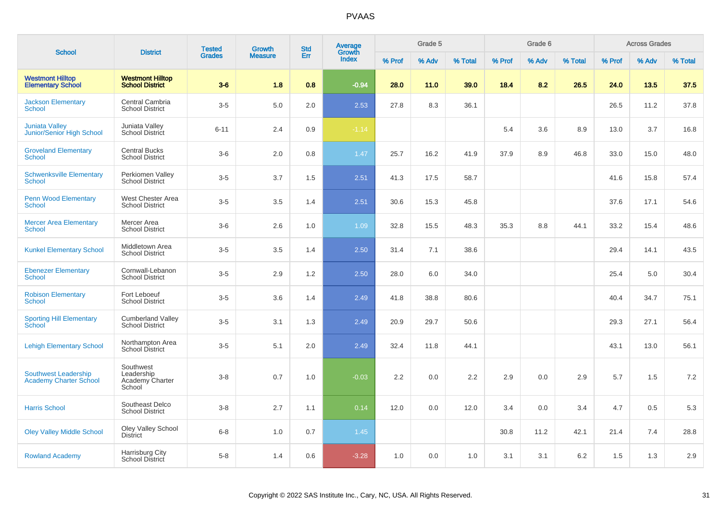| <b>School</b>                                                | <b>District</b>                                      | <b>Tested</b> | Growth         | <b>Std</b> | Average                |        | Grade 5 |         |        | Grade 6 |         |        | <b>Across Grades</b> |         |
|--------------------------------------------------------------|------------------------------------------------------|---------------|----------------|------------|------------------------|--------|---------|---------|--------|---------|---------|--------|----------------------|---------|
|                                                              |                                                      | <b>Grades</b> | <b>Measure</b> | Err        | Growth<br><b>Index</b> | % Prof | % Adv   | % Total | % Prof | % Adv   | % Total | % Prof | % Adv                | % Total |
| <b>Westmont Hilltop</b><br><b>Elementary School</b>          | <b>Westmont Hilltop</b><br><b>School District</b>    | $3-6$         | 1.8            | 0.8        | $-0.94$                | 28.0   | 11.0    | 39.0    | 18.4   | 8.2     | 26.5    | 24.0   | 13.5                 | 37.5    |
| <b>Jackson Elementary</b><br><b>School</b>                   | Central Cambria<br><b>School District</b>            | $3-5$         | 5.0            | 2.0        | 2.53                   | 27.8   | 8.3     | 36.1    |        |         |         | 26.5   | 11.2                 | 37.8    |
| <b>Juniata Valley</b><br>Junior/Senior High School           | Juniata Valley<br>School District                    | $6 - 11$      | 2.4            | 0.9        | $-1.14$                |        |         |         | 5.4    | 3.6     | 8.9     | 13.0   | 3.7                  | 16.8    |
| <b>Groveland Elementary</b><br>School                        | <b>Central Bucks</b><br><b>School District</b>       | $3-6$         | 2.0            | 0.8        | 1.47                   | 25.7   | 16.2    | 41.9    | 37.9   | 8.9     | 46.8    | 33.0   | 15.0                 | 48.0    |
| <b>Schwenksville Elementary</b><br>School                    | Perkiomen Valley<br><b>School District</b>           | $3-5$         | 3.7            | 1.5        | 2.51                   | 41.3   | 17.5    | 58.7    |        |         |         | 41.6   | 15.8                 | 57.4    |
| <b>Penn Wood Elementary</b><br><b>School</b>                 | West Chester Area<br><b>School District</b>          | $3-5$         | 3.5            | 1.4        | 2.51                   | 30.6   | 15.3    | 45.8    |        |         |         | 37.6   | 17.1                 | 54.6    |
| <b>Mercer Area Elementary</b><br><b>School</b>               | Mercer Area<br><b>School District</b>                | $3-6$         | 2.6            | 1.0        | 1.09                   | 32.8   | 15.5    | 48.3    | 35.3   | 8.8     | 44.1    | 33.2   | 15.4                 | 48.6    |
| <b>Kunkel Elementary School</b>                              | <b>Middletown Area</b><br><b>School District</b>     | $3-5$         | 3.5            | 1.4        | 2.50                   | 31.4   | 7.1     | 38.6    |        |         |         | 29.4   | 14.1                 | 43.5    |
| <b>Ebenezer Elementary</b><br><b>School</b>                  | Cornwall-Lebanon<br><b>School District</b>           | $3-5$         | 2.9            | 1.2        | 2.50                   | 28.0   | 6.0     | 34.0    |        |         |         | 25.4   | 5.0                  | 30.4    |
| <b>Robison Elementary</b><br><b>School</b>                   | Fort Leboeuf<br><b>School District</b>               | $3-5$         | 3.6            | 1.4        | 2.49                   | 41.8   | 38.8    | 80.6    |        |         |         | 40.4   | 34.7                 | 75.1    |
| <b>Sporting Hill Elementary</b><br>School                    | <b>Cumberland Valley</b><br><b>School District</b>   | $3-5$         | 3.1            | 1.3        | 2.49                   | 20.9   | 29.7    | 50.6    |        |         |         | 29.3   | 27.1                 | 56.4    |
| <b>Lehigh Elementary School</b>                              | Northampton Area<br>School District                  | $3-5$         | 5.1            | 2.0        | 2.49                   | 32.4   | 11.8    | 44.1    |        |         |         | 43.1   | 13.0                 | 56.1    |
| <b>Southwest Leadership</b><br><b>Academy Charter School</b> | Southwest<br>Leadership<br>Academy Charter<br>School | $3 - 8$       | 0.7            | 1.0        | $-0.03$                | 2.2    | 0.0     | 2.2     | 2.9    | 0.0     | 2.9     | 5.7    | 1.5                  | 7.2     |
| <b>Harris School</b>                                         | Southeast Delco<br><b>School District</b>            | $3 - 8$       | 2.7            | 1.1        | 0.14                   | 12.0   | 0.0     | 12.0    | 3.4    | 0.0     | 3.4     | 4.7    | 0.5                  | 5.3     |
| <b>Oley Valley Middle School</b>                             | Oley Valley School<br>District                       | $6 - 8$       | 1.0            | 0.7        | 1.45                   |        |         |         | 30.8   | 11.2    | 42.1    | 21.4   | 7.4                  | 28.8    |
| <b>Rowland Academy</b>                                       | Harrisburg City<br><b>School District</b>            | $5-8$         | 1.4            | 0.6        | $-3.28$                | 1.0    | 0.0     | 1.0     | 3.1    | 3.1     | 6.2     | 1.5    | 1.3                  | 2.9     |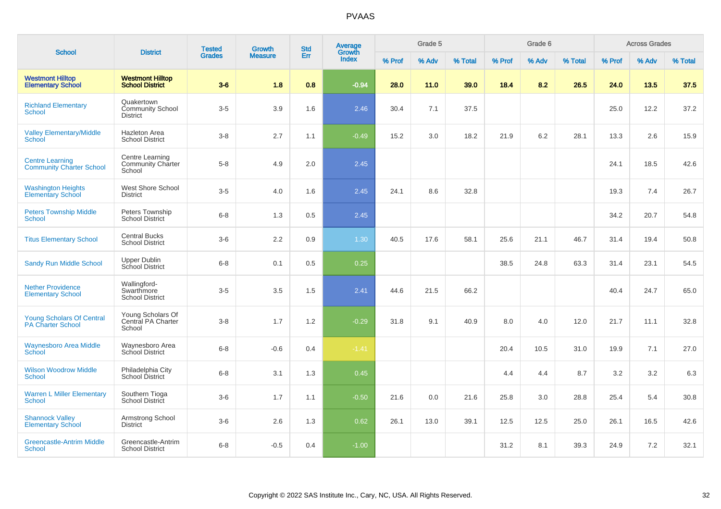| <b>School</b>                                                | <b>District</b>                                       | <b>Tested</b> | Growth         | <b>Std</b> | Average<br>Growth |        | Grade 5 |         |        | Grade 6 |         |        | <b>Across Grades</b> |         |
|--------------------------------------------------------------|-------------------------------------------------------|---------------|----------------|------------|-------------------|--------|---------|---------|--------|---------|---------|--------|----------------------|---------|
|                                                              |                                                       | <b>Grades</b> | <b>Measure</b> | Err        | <b>Index</b>      | % Prof | % Adv   | % Total | % Prof | % Adv   | % Total | % Prof | % Adv                | % Total |
| <b>Westmont Hilltop</b><br><b>Elementary School</b>          | <b>Westmont Hilltop</b><br><b>School District</b>     | $3-6$         | 1.8            | 0.8        | $-0.94$           | 28.0   | 11.0    | 39.0    | 18.4   | 8.2     | 26.5    | 24.0   | 13.5                 | 37.5    |
| <b>Richland Elementary</b><br><b>School</b>                  | Quakertown<br>Community School<br><b>District</b>     | $3-5$         | 3.9            | 1.6        | 2.46              | 30.4   | 7.1     | 37.5    |        |         |         | 25.0   | 12.2                 | 37.2    |
| <b>Valley Elementary/Middle</b><br>School                    | Hazleton Area<br><b>School District</b>               | $3-8$         | 2.7            | 1.1        | $-0.49$           | 15.2   | 3.0     | 18.2    | 21.9   | 6.2     | 28.1    | 13.3   | 2.6                  | 15.9    |
| <b>Centre Learning</b><br><b>Community Charter School</b>    | Centre Learning<br><b>Community Charter</b><br>School | $5-8$         | 4.9            | 2.0        | 2.45              |        |         |         |        |         |         | 24.1   | 18.5                 | 42.6    |
| <b>Washington Heights</b><br><b>Elementary School</b>        | West Shore School<br><b>District</b>                  | $3-5$         | 4.0            | 1.6        | 2.45              | 24.1   | 8.6     | 32.8    |        |         |         | 19.3   | 7.4                  | 26.7    |
| <b>Peters Township Middle</b><br>School                      | Peters Township<br><b>School District</b>             | $6 - 8$       | 1.3            | 0.5        | 2.45              |        |         |         |        |         |         | 34.2   | 20.7                 | 54.8    |
| <b>Titus Elementary School</b>                               | <b>Central Bucks</b><br><b>School District</b>        | $3-6$         | 2.2            | 0.9        | 1.30              | 40.5   | 17.6    | 58.1    | 25.6   | 21.1    | 46.7    | 31.4   | 19.4                 | 50.8    |
| <b>Sandy Run Middle School</b>                               | <b>Upper Dublin</b><br>School District                | $6 - 8$       | 0.1            | 0.5        | 0.25              |        |         |         | 38.5   | 24.8    | 63.3    | 31.4   | 23.1                 | 54.5    |
| <b>Nether Providence</b><br><b>Elementary School</b>         | Wallingford-<br>Swarthmore<br><b>School District</b>  | $3-5$         | 3.5            | 1.5        | 2.41              | 44.6   | 21.5    | 66.2    |        |         |         | 40.4   | 24.7                 | 65.0    |
| <b>Young Scholars Of Central</b><br><b>PA Charter School</b> | Young Scholars Of<br>Central PA Charter<br>School     | $3 - 8$       | 1.7            | 1.2        | $-0.29$           | 31.8   | 9.1     | 40.9    | 8.0    | 4.0     | 12.0    | 21.7   | 11.1                 | 32.8    |
| <b>Waynesboro Area Middle</b><br>School                      | Waynesboro Area<br>School District                    | $6 - 8$       | $-0.6$         | 0.4        | $-1.41$           |        |         |         | 20.4   | 10.5    | 31.0    | 19.9   | 7.1                  | 27.0    |
| <b>Wilson Woodrow Middle</b><br>School                       | Philadelphia City<br>School District                  | $6 - 8$       | 3.1            | 1.3        | 0.45              |        |         |         | 4.4    | 4.4     | 8.7     | 3.2    | 3.2                  | 6.3     |
| <b>Warren L Miller Elementary</b><br><b>School</b>           | Southern Tioga<br>School District                     | $3-6$         | 1.7            | 1.1        | $-0.50$           | 21.6   | 0.0     | 21.6    | 25.8   | 3.0     | 28.8    | 25.4   | 5.4                  | 30.8    |
| <b>Shannock Valley</b><br><b>Elementary School</b>           | Armstrong School<br><b>District</b>                   | $3-6$         | 2.6            | 1.3        | 0.62              | 26.1   | 13.0    | 39.1    | 12.5   | 12.5    | 25.0    | 26.1   | 16.5                 | 42.6    |
| <b>Greencastle-Antrim Middle</b><br>School                   | Greencastle-Antrim<br><b>School District</b>          | $6 - 8$       | $-0.5$         | 0.4        | $-1.00$           |        |         |         | 31.2   | 8.1     | 39.3    | 24.9   | 7.2                  | 32.1    |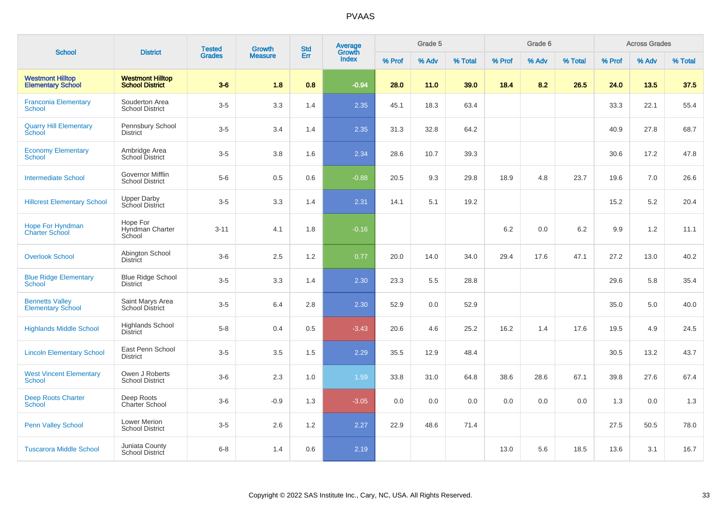| <b>School</b>                                       | <b>District</b>                                   | <b>Tested</b> | <b>Growth</b>  | <b>Std</b> | <b>Average</b><br>Growth |        | Grade 5 |         |        | Grade 6 |         |        | <b>Across Grades</b> |         |
|-----------------------------------------------------|---------------------------------------------------|---------------|----------------|------------|--------------------------|--------|---------|---------|--------|---------|---------|--------|----------------------|---------|
|                                                     |                                                   | <b>Grades</b> | <b>Measure</b> | Err        | <b>Index</b>             | % Prof | % Adv   | % Total | % Prof | % Adv   | % Total | % Prof | % Adv                | % Total |
| <b>Westmont Hilltop</b><br><b>Elementary School</b> | <b>Westmont Hilltop</b><br><b>School District</b> | $3-6$         | 1.8            | 0.8        | $-0.94$                  | 28.0   | 11.0    | 39.0    | 18.4   | 8.2     | 26.5    | 24.0   | 13.5                 | 37.5    |
| <b>Franconia Elementary</b><br><b>School</b>        | Souderton Area<br><b>School District</b>          | $3-5$         | 3.3            | 1.4        | 2.35                     | 45.1   | 18.3    | 63.4    |        |         |         | 33.3   | 22.1                 | 55.4    |
| <b>Quarry Hill Elementary</b><br>School             | Pennsbury School<br><b>District</b>               | $3-5$         | 3.4            | 1.4        | 2.35                     | 31.3   | 32.8    | 64.2    |        |         |         | 40.9   | 27.8                 | 68.7    |
| <b>Economy Elementary</b><br><b>School</b>          | Ambridge Area<br>School District                  | $3-5$         | 3.8            | 1.6        | 2.34                     | 28.6   | 10.7    | 39.3    |        |         |         | 30.6   | 17.2                 | 47.8    |
| <b>Intermediate School</b>                          | Governor Mifflin<br><b>School District</b>        | $5-6$         | 0.5            | 0.6        | $-0.88$                  | 20.5   | 9.3     | 29.8    | 18.9   | 4.8     | 23.7    | 19.6   | 7.0                  | 26.6    |
| <b>Hillcrest Elementary School</b>                  | <b>Upper Darby</b><br>School District             | $3-5$         | 3.3            | 1.4        | 2.31                     | 14.1   | 5.1     | 19.2    |        |         |         | 15.2   | 5.2                  | 20.4    |
| Hope For Hyndman<br><b>Charter School</b>           | Hope For<br>Hyndman Charter<br>School             | $3 - 11$      | 4.1            | 1.8        | $-0.16$                  |        |         |         | 6.2    | 0.0     | 6.2     | 9.9    | 1.2                  | 11.1    |
| <b>Overlook School</b>                              | Abington School<br><b>District</b>                | $3-6$         | 2.5            | 1.2        | 0.77                     | 20.0   | 14.0    | 34.0    | 29.4   | 17.6    | 47.1    | 27.2   | 13.0                 | 40.2    |
| <b>Blue Ridge Elementary</b><br>School              | <b>Blue Ridge School</b><br><b>District</b>       | $3-5$         | 3.3            | 1.4        | 2.30                     | 23.3   | 5.5     | 28.8    |        |         |         | 29.6   | 5.8                  | 35.4    |
| <b>Bennetts Valley</b><br><b>Elementary School</b>  | Saint Marys Area<br><b>School District</b>        | $3-5$         | 6.4            | 2.8        | 2.30                     | 52.9   | 0.0     | 52.9    |        |         |         | 35.0   | 5.0                  | 40.0    |
| <b>Highlands Middle School</b>                      | <b>Highlands School</b><br><b>District</b>        | $5-8$         | 0.4            | 0.5        | $-3.43$                  | 20.6   | 4.6     | 25.2    | 16.2   | 1.4     | 17.6    | 19.5   | 4.9                  | 24.5    |
| <b>Lincoln Elementary School</b>                    | East Penn School<br><b>District</b>               | $3-5$         | 3.5            | 1.5        | 2.29                     | 35.5   | 12.9    | 48.4    |        |         |         | 30.5   | 13.2                 | 43.7    |
| <b>West Vincent Elementary</b><br><b>School</b>     | Owen J Roberts<br><b>School District</b>          | $3-6$         | 2.3            | 1.0        | 1.59                     | 33.8   | 31.0    | 64.8    | 38.6   | 28.6    | 67.1    | 39.8   | 27.6                 | 67.4    |
| <b>Deep Roots Charter</b><br><b>School</b>          | Deep Roots<br>Charter School                      | $3-6$         | $-0.9$         | 1.3        | $-3.05$                  | 0.0    | 0.0     | 0.0     | 0.0    | 0.0     | 0.0     | 1.3    | 0.0                  | 1.3     |
| <b>Penn Valley School</b>                           | <b>Lower Merion</b><br><b>School District</b>     | $3-5$         | 2.6            | $1.2$      | 2.27                     | 22.9   | 48.6    | 71.4    |        |         |         | 27.5   | 50.5                 | 78.0    |
| <b>Tuscarora Middle School</b>                      | Juniata County<br><b>School District</b>          | $6 - 8$       | 1.4            | 0.6        | 2.19                     |        |         |         | 13.0   | 5.6     | 18.5    | 13.6   | 3.1                  | 16.7    |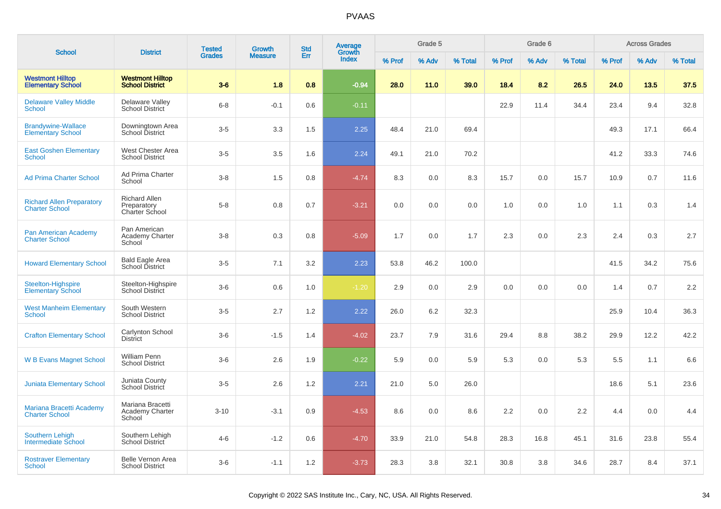|                                                           |                                                       | <b>Tested</b> | Growth         | <b>Std</b> | Average<br>Growth |        | Grade 5 |         |        | Grade 6 |         |        | <b>Across Grades</b> |         |
|-----------------------------------------------------------|-------------------------------------------------------|---------------|----------------|------------|-------------------|--------|---------|---------|--------|---------|---------|--------|----------------------|---------|
| <b>School</b>                                             | <b>District</b>                                       | <b>Grades</b> | <b>Measure</b> | Err        | <b>Index</b>      | % Prof | % Adv   | % Total | % Prof | % Adv   | % Total | % Prof | % Adv                | % Total |
| <b>Westmont Hilltop</b><br><b>Elementary School</b>       | <b>Westmont Hilltop</b><br><b>School District</b>     | $3-6$         | 1.8            | 0.8        | $-0.94$           | 28.0   | 11.0    | 39.0    | 18.4   | 8.2     | 26.5    | 24.0   | 13.5                 | 37.5    |
| <b>Delaware Valley Middle</b><br><b>School</b>            | Delaware Valley<br><b>School District</b>             | $6 - 8$       | $-0.1$         | 0.6        | $-0.11$           |        |         |         | 22.9   | 11.4    | 34.4    | 23.4   | 9.4                  | 32.8    |
| <b>Brandywine-Wallace</b><br><b>Elementary School</b>     | Downingtown Area<br>School District                   | $3-5$         | 3.3            | 1.5        | 2.25              | 48.4   | 21.0    | 69.4    |        |         |         | 49.3   | 17.1                 | 66.4    |
| <b>East Goshen Elementary</b><br><b>School</b>            | West Chester Area<br><b>School District</b>           | $3-5$         | 3.5            | 1.6        | 2.24              | 49.1   | 21.0    | 70.2    |        |         |         | 41.2   | 33.3                 | 74.6    |
| <b>Ad Prima Charter School</b>                            | Ad Prima Charter<br>School                            | $3-8$         | 1.5            | 0.8        | $-4.74$           | 8.3    | 0.0     | 8.3     | 15.7   | 0.0     | 15.7    | 10.9   | 0.7                  | 11.6    |
| <b>Richard Allen Preparatory</b><br><b>Charter School</b> | <b>Richard Allen</b><br>Preparatory<br>Charter School | $5-8$         | 0.8            | 0.7        | $-3.21$           | 0.0    | 0.0     | 0.0     | 1.0    | 0.0     | 1.0     | 1.1    | 0.3                  | 1.4     |
| Pan American Academy<br><b>Charter School</b>             | Pan American<br>Academy Charter<br>School             | $3-8$         | 0.3            | 0.8        | $-5.09$           | 1.7    | 0.0     | 1.7     | 2.3    | 0.0     | 2.3     | 2.4    | 0.3                  | 2.7     |
| <b>Howard Elementary School</b>                           | <b>Bald Eagle Area</b><br>School District             | $3-5$         | 7.1            | 3.2        | 2.23              | 53.8   | 46.2    | 100.0   |        |         |         | 41.5   | 34.2                 | 75.6    |
| Steelton-Highspire<br><b>Elementary School</b>            | Steelton-Highspire<br>School District                 | $3-6$         | 0.6            | 1.0        | $-1.20$           | 2.9    | 0.0     | 2.9     | 0.0    | 0.0     | 0.0     | 1.4    | 0.7                  | 2.2     |
| <b>West Manheim Elementary</b><br>School                  | South Western<br><b>School District</b>               | $3-5$         | 2.7            | 1.2        | 2.22              | 26.0   | 6.2     | 32.3    |        |         |         | 25.9   | 10.4                 | 36.3    |
| <b>Crafton Elementary School</b>                          | <b>Carlynton School</b><br><b>District</b>            | $3-6$         | $-1.5$         | 1.4        | $-4.02$           | 23.7   | 7.9     | 31.6    | 29.4   | 8.8     | 38.2    | 29.9   | 12.2                 | 42.2    |
| <b>W B Evans Magnet School</b>                            | <b>William Penn</b><br><b>School District</b>         | $3-6$         | 2.6            | 1.9        | $-0.22$           | 5.9    | 0.0     | 5.9     | 5.3    | 0.0     | 5.3     | 5.5    | 1.1                  | 6.6     |
| <b>Juniata Elementary School</b>                          | Juniata County<br>School District                     | $3-5$         | 2.6            | 1.2        | 2.21              | 21.0   | 5.0     | 26.0    |        |         |         | 18.6   | 5.1                  | 23.6    |
| Mariana Bracetti Academy<br><b>Charter School</b>         | Mariana Bracetti<br>Academy Charter<br>School         | $3 - 10$      | $-3.1$         | 0.9        | $-4.53$           | 8.6    | 0.0     | 8.6     | 2.2    | 0.0     | 2.2     | 4.4    | 0.0                  | 4.4     |
| <b>Southern Lehigh</b><br>Intermediate School             | Southern Lehigh<br>School District                    | $4 - 6$       | $-1.2$         | 0.6        | $-4.70$           | 33.9   | 21.0    | 54.8    | 28.3   | 16.8    | 45.1    | 31.6   | 23.8                 | 55.4    |
| <b>Rostraver Elementary</b><br><b>School</b>              | Belle Vernon Area<br><b>School District</b>           | $3-6$         | $-1.1$         | 1.2        | $-3.73$           | 28.3   | 3.8     | 32.1    | 30.8   | 3.8     | 34.6    | 28.7   | 8.4                  | 37.1    |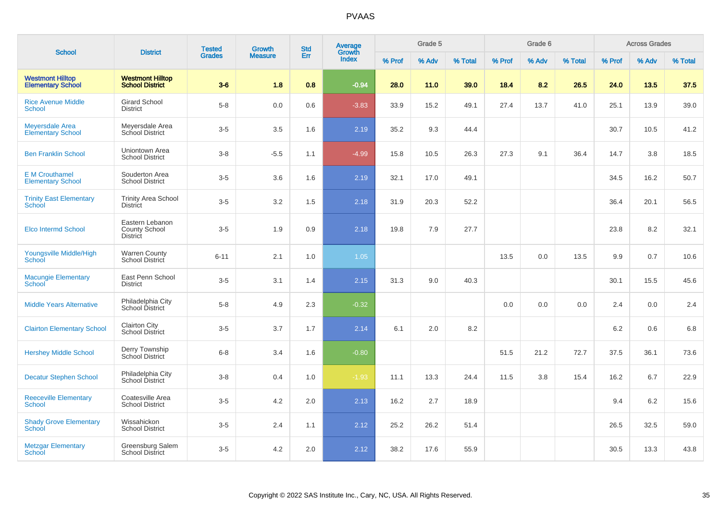| <b>School</b>                                       | <b>District</b>                                     | <b>Tested</b> | <b>Growth</b>  | <b>Std</b> | <b>Average</b><br>Growth |        | Grade 5 |         |        | Grade 6 |         |        | <b>Across Grades</b> |         |
|-----------------------------------------------------|-----------------------------------------------------|---------------|----------------|------------|--------------------------|--------|---------|---------|--------|---------|---------|--------|----------------------|---------|
|                                                     |                                                     | <b>Grades</b> | <b>Measure</b> | Err        | <b>Index</b>             | % Prof | % Adv   | % Total | % Prof | % Adv   | % Total | % Prof | % Adv                | % Total |
| <b>Westmont Hilltop</b><br><b>Elementary School</b> | <b>Westmont Hilltop</b><br><b>School District</b>   | $3-6$         | 1.8            | 0.8        | $-0.94$                  | 28.0   | 11.0    | 39.0    | 18.4   | 8.2     | 26.5    | 24.0   | 13.5                 | 37.5    |
| <b>Rice Avenue Middle</b><br>School                 | <b>Girard School</b><br><b>District</b>             | $5-8$         | 0.0            | 0.6        | $-3.83$                  | 33.9   | 15.2    | 49.1    | 27.4   | 13.7    | 41.0    | 25.1   | 13.9                 | 39.0    |
| Meyersdale Area<br><b>Elementary School</b>         | Meyersdale Area<br>School District                  | $3-5$         | 3.5            | 1.6        | 2.19                     | 35.2   | 9.3     | 44.4    |        |         |         | 30.7   | 10.5                 | 41.2    |
| <b>Ben Franklin School</b>                          | Uniontown Area<br><b>School District</b>            | $3 - 8$       | $-5.5$         | 1.1        | $-4.99$                  | 15.8   | 10.5    | 26.3    | 27.3   | 9.1     | 36.4    | 14.7   | 3.8                  | 18.5    |
| <b>E</b> M Crouthamel<br><b>Elementary School</b>   | Souderton Area<br><b>School District</b>            | $3-5$         | 3.6            | 1.6        | 2.19                     | 32.1   | 17.0    | 49.1    |        |         |         | 34.5   | 16.2                 | 50.7    |
| <b>Trinity East Elementary</b><br><b>School</b>     | <b>Trinity Area School</b><br><b>District</b>       | $3-5$         | 3.2            | 1.5        | 2.18                     | 31.9   | 20.3    | 52.2    |        |         |         | 36.4   | 20.1                 | 56.5    |
| Elco Intermd School                                 | Eastern Lebanon<br>County School<br><b>District</b> | $3-5$         | 1.9            | 0.9        | 2.18                     | 19.8   | 7.9     | 27.7    |        |         |         | 23.8   | 8.2                  | 32.1    |
| Youngsville Middle/High<br>School                   | <b>Warren County</b><br>School District             | $6 - 11$      | 2.1            | 1.0        | 1.05                     |        |         |         | 13.5   | 0.0     | 13.5    | 9.9    | 0.7                  | 10.6    |
| <b>Macungie Elementary</b><br>School                | East Penn School<br><b>District</b>                 | $3-5$         | 3.1            | 1.4        | 2.15                     | 31.3   | 9.0     | 40.3    |        |         |         | 30.1   | 15.5                 | 45.6    |
| <b>Middle Years Alternative</b>                     | Philadelphia City<br>School District                | $5-8$         | 4.9            | 2.3        | $-0.32$                  |        |         |         | 0.0    | 0.0     | 0.0     | 2.4    | 0.0                  | 2.4     |
| <b>Clairton Elementary School</b>                   | <b>Clairton City</b><br><b>School District</b>      | $3-5$         | 3.7            | 1.7        | 2.14                     | 6.1    | 2.0     | 8.2     |        |         |         | 6.2    | 0.6                  | 6.8     |
| <b>Hershey Middle School</b>                        | Derry Township<br>School District                   | $6 - 8$       | 3.4            | 1.6        | $-0.80$                  |        |         |         | 51.5   | 21.2    | 72.7    | 37.5   | 36.1                 | 73.6    |
| <b>Decatur Stephen School</b>                       | Philadelphia City<br>School District                | $3-8$         | 0.4            | 1.0        | $-1.93$                  | 11.1   | 13.3    | 24.4    | 11.5   | 3.8     | 15.4    | 16.2   | 6.7                  | 22.9    |
| <b>Reeceville Elementary</b><br><b>School</b>       | Coatesville Area<br><b>School District</b>          | $3-5$         | 4.2            | 2.0        | 2.13                     | 16.2   | 2.7     | 18.9    |        |         |         | 9.4    | 6.2                  | 15.6    |
| <b>Shady Grove Elementary</b><br><b>School</b>      | Wissahickon<br><b>School District</b>               | $3-5$         | 2.4            | 1.1        | 2.12                     | 25.2   | 26.2    | 51.4    |        |         |         | 26.5   | 32.5                 | 59.0    |
| <b>Metzgar Elementary</b><br>School                 | Greensburg Salem<br><b>School District</b>          | $3-5$         | 4.2            | 2.0        | 2.12                     | 38.2   | 17.6    | 55.9    |        |         |         | 30.5   | 13.3                 | 43.8    |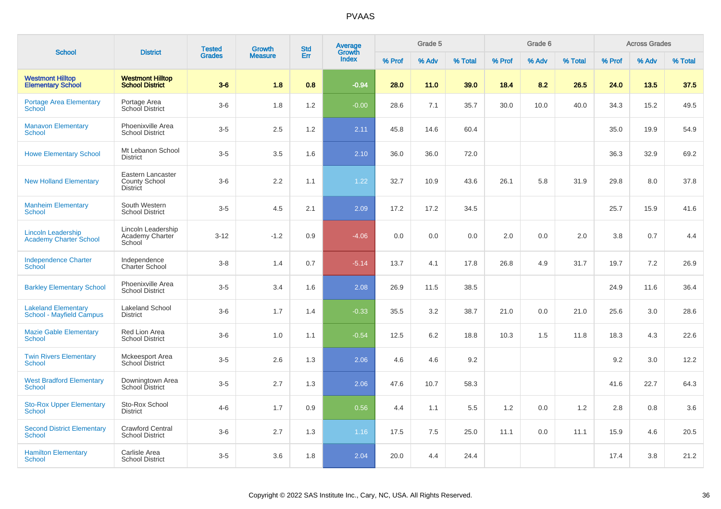| <b>School</b>                                                 | <b>District</b>                                              | <b>Tested</b><br><b>Grades</b> | Growth<br><b>Measure</b> | <b>Std</b><br>Err | <b>Average</b><br>Growth<br>Index | Grade 5 |       |         | Grade 6 |       |         | <b>Across Grades</b> |       |         |
|---------------------------------------------------------------|--------------------------------------------------------------|--------------------------------|--------------------------|-------------------|-----------------------------------|---------|-------|---------|---------|-------|---------|----------------------|-------|---------|
|                                                               |                                                              |                                |                          |                   |                                   | % Prof  | % Adv | % Total | % Prof  | % Adv | % Total | % Prof               | % Adv | % Total |
| <b>Westmont Hilltop</b><br><b>Elementary School</b>           | <b>Westmont Hilltop</b><br><b>School District</b>            | $3-6$                          | 1.8                      | 0.8               | $-0.94$                           | 28.0    | 11.0  | 39.0    | 18.4    | 8.2   | 26.5    | 24.0                 | 13.5  | 37.5    |
| <b>Portage Area Elementary</b><br><b>School</b>               | Portage Area<br>School District                              | $3-6$                          | 1.8                      | 1.2               | $-0.00$                           | 28.6    | 7.1   | 35.7    | 30.0    | 10.0  | 40.0    | 34.3                 | 15.2  | 49.5    |
| <b>Manavon Elementary</b><br>School                           | Phoenixville Area<br><b>School District</b>                  | $3-5$                          | 2.5                      | 1.2               | 2.11                              | 45.8    | 14.6  | 60.4    |         |       |         | 35.0                 | 19.9  | 54.9    |
| <b>Howe Elementary School</b>                                 | Mt Lebanon School<br><b>District</b>                         | $3-5$                          | 3.5                      | 1.6               | 2.10                              | 36.0    | 36.0  | 72.0    |         |       |         | 36.3                 | 32.9  | 69.2    |
| <b>New Holland Elementary</b>                                 | Eastern Lancaster<br><b>County School</b><br><b>District</b> | $3-6$                          | 2.2                      | 1.1               | 1.22                              | 32.7    | 10.9  | 43.6    | 26.1    | 5.8   | 31.9    | 29.8                 | 8.0   | 37.8    |
| <b>Manheim Elementary</b><br><b>School</b>                    | South Western<br><b>School District</b>                      | $3 - 5$                        | 4.5                      | 2.1               | 2.09                              | 17.2    | 17.2  | 34.5    |         |       |         | 25.7                 | 15.9  | 41.6    |
| <b>Lincoln Leadership</b><br><b>Academy Charter School</b>    | Lincoln Leadership<br>Academy Charter<br>School              | $3 - 12$                       | $-1.2$                   | 0.9               | $-4.06$                           | 0.0     | 0.0   | 0.0     | 2.0     | 0.0   | 2.0     | 3.8                  | 0.7   | 4.4     |
| <b>Independence Charter</b><br>School                         | Independence<br><b>Charter School</b>                        | $3 - 8$                        | 1.4                      | 0.7               | $-5.14$                           | 13.7    | 4.1   | 17.8    | 26.8    | 4.9   | 31.7    | 19.7                 | 7.2   | 26.9    |
| <b>Barkley Elementary School</b>                              | Phoenixville Area<br><b>School District</b>                  | $3-5$                          | 3.4                      | 1.6               | 2.08                              | 26.9    | 11.5  | 38.5    |         |       |         | 24.9                 | 11.6  | 36.4    |
| <b>Lakeland Elementary</b><br><b>School - Mayfield Campus</b> | <b>Lakeland School</b><br><b>District</b>                    | $3-6$                          | 1.7                      | 1.4               | $-0.33$                           | 35.5    | 3.2   | 38.7    | 21.0    | 0.0   | 21.0    | 25.6                 | 3.0   | 28.6    |
| <b>Mazie Gable Elementary</b><br><b>School</b>                | Red Lion Area<br><b>School District</b>                      | $3-6$                          | 1.0                      | 1.1               | $-0.54$                           | 12.5    | 6.2   | 18.8    | 10.3    | 1.5   | 11.8    | 18.3                 | 4.3   | 22.6    |
| <b>Twin Rivers Elementary</b><br><b>School</b>                | Mckeesport Area<br><b>School District</b>                    | $3-5$                          | 2.6                      | 1.3               | 2.06                              | 4.6     | 4.6   | 9.2     |         |       |         | 9.2                  | 3.0   | 12.2    |
| <b>West Bradford Elementary</b><br><b>School</b>              | Downingtown Area<br>School District                          | $3-5$                          | 2.7                      | 1.3               | 2.06                              | 47.6    | 10.7  | 58.3    |         |       |         | 41.6                 | 22.7  | 64.3    |
| <b>Sto-Rox Upper Elementary</b><br>School                     | Sto-Rox School<br><b>District</b>                            | $4 - 6$                        | 1.7                      | 0.9               | 0.56                              | 4.4     | 1.1   | 5.5     | 1.2     | 0.0   | 1.2     | 2.8                  | 0.8   | 3.6     |
| <b>Second District Elementary</b><br><b>School</b>            | Crawford Central<br><b>School District</b>                   | $3-6$                          | 2.7                      | 1.3               | 1.16                              | 17.5    | 7.5   | 25.0    | 11.1    | 0.0   | 11.1    | 15.9                 | 4.6   | 20.5    |
| <b>Hamilton Elementary</b><br><b>School</b>                   | Carlisle Area<br><b>School District</b>                      | $3-5$                          | 3.6                      | 1.8               | 2.04                              | 20.0    | 4.4   | 24.4    |         |       |         | 17.4                 | 3.8   | 21.2    |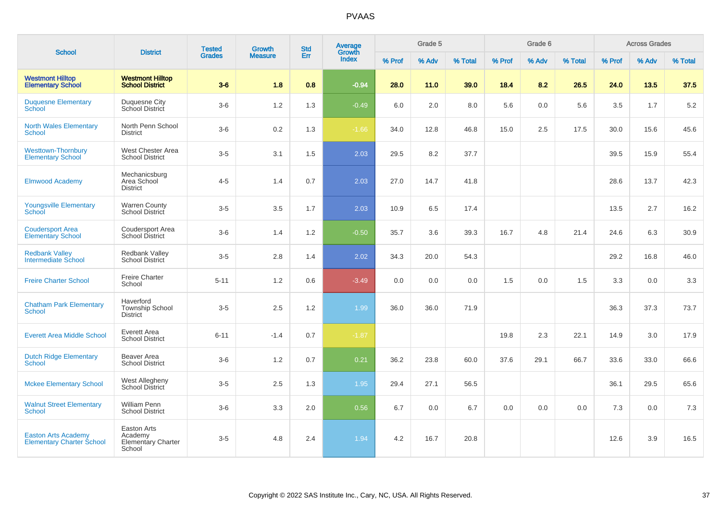| <b>School</b>                                                  | <b>District</b>                                               | <b>Tested</b> | <b>Growth</b>  | <b>Std</b> | Average<br>Growth |        | Grade 5 |         |        | Grade 6 |         |        | <b>Across Grades</b> |         |
|----------------------------------------------------------------|---------------------------------------------------------------|---------------|----------------|------------|-------------------|--------|---------|---------|--------|---------|---------|--------|----------------------|---------|
|                                                                |                                                               | <b>Grades</b> | <b>Measure</b> | Err        | Index             | % Prof | % Adv   | % Total | % Prof | % Adv   | % Total | % Prof | % Adv                | % Total |
| <b>Westmont Hilltop</b><br><b>Elementary School</b>            | <b>Westmont Hilltop</b><br><b>School District</b>             | $3-6$         | 1.8            | 0.8        | $-0.94$           | 28.0   | 11.0    | 39.0    | 18.4   | 8.2     | 26.5    | 24.0   | 13.5                 | 37.5    |
| <b>Duquesne Elementary</b><br>School                           | Duquesne City<br>School District                              | $3-6$         | $1.2$          | 1.3        | $-0.49$           | 6.0    | 2.0     | 8.0     | 5.6    | 0.0     | 5.6     | 3.5    | 1.7                  | 5.2     |
| <b>North Wales Elementary</b><br>School                        | North Penn School<br><b>District</b>                          | $3-6$         | $0.2\,$        | 1.3        | $-1.66$           | 34.0   | 12.8    | 46.8    | 15.0   | $2.5\,$ | 17.5    | 30.0   | 15.6                 | 45.6    |
| <b>Westtown-Thornbury</b><br><b>Elementary School</b>          | West Chester Area<br><b>School District</b>                   | $3-5$         | 3.1            | 1.5        | 2.03              | 29.5   | 8.2     | 37.7    |        |         |         | 39.5   | 15.9                 | 55.4    |
| <b>Elmwood Academy</b>                                         | Mechanicsburg<br>Area School<br><b>District</b>               | $4 - 5$       | 1.4            | 0.7        | 2.03              | 27.0   | 14.7    | 41.8    |        |         |         | 28.6   | 13.7                 | 42.3    |
| <b>Youngsville Elementary</b><br>School                        | <b>Warren County</b><br>School District                       | $3-5$         | 3.5            | 1.7        | 2.03              | 10.9   | 6.5     | 17.4    |        |         |         | 13.5   | 2.7                  | 16.2    |
| <b>Coudersport Area</b><br><b>Elementary School</b>            | Coudersport Area<br><b>School District</b>                    | $3-6$         | 1.4            | $1.2$      | $-0.50$           | 35.7   | 3.6     | 39.3    | 16.7   | 4.8     | 21.4    | 24.6   | 6.3                  | 30.9    |
| <b>Redbank Valley</b><br><b>Intermediate School</b>            | Redbank Valley<br><b>School District</b>                      | $3-5$         | $2.8\,$        | 1.4        | 2.02              | 34.3   | 20.0    | 54.3    |        |         |         | 29.2   | 16.8                 | 46.0    |
| <b>Freire Charter School</b>                                   | <b>Freire Charter</b><br>School                               | $5 - 11$      | 1.2            | 0.6        | $-3.49$           | 0.0    | 0.0     | 0.0     | 1.5    | 0.0     | 1.5     | 3.3    | 0.0                  | 3.3     |
| <b>Chatham Park Elementary</b><br>School                       | Haverford<br><b>Township School</b><br><b>District</b>        | $3-5$         | 2.5            | 1.2        | 1.99              | 36.0   | 36.0    | 71.9    |        |         |         | 36.3   | 37.3                 | 73.7    |
| <b>Everett Area Middle School</b>                              | <b>Everett Area</b><br><b>School District</b>                 | $6 - 11$      | $-1.4$         | 0.7        | $-1.87$           |        |         |         | 19.8   | 2.3     | 22.1    | 14.9   | 3.0                  | 17.9    |
| <b>Dutch Ridge Elementary</b><br>School                        | Beaver Area<br><b>School District</b>                         | $3-6$         | 1.2            | 0.7        | 0.21              | 36.2   | 23.8    | 60.0    | 37.6   | 29.1    | 66.7    | 33.6   | 33.0                 | 66.6    |
| <b>Mckee Elementary School</b>                                 | West Allegheny<br>School District                             | $3-5$         | 2.5            | 1.3        | 1.95              | 29.4   | 27.1    | 56.5    |        |         |         | 36.1   | 29.5                 | 65.6    |
| <b>Walnut Street Elementary</b><br>School                      | William Penn<br><b>School District</b>                        | $3-6$         | 3.3            | 2.0        | 0.56              | 6.7    | 0.0     | 6.7     | 0.0    | 0.0     | 0.0     | 7.3    | 0.0                  | 7.3     |
| <b>Easton Arts Academy</b><br><b>Elementary Charter School</b> | Easton Arts<br>Academy<br><b>Elementary Charter</b><br>School | $3-5$         | 4.8            | 2.4        | 1.94              | 4.2    | 16.7    | 20.8    |        |         |         | 12.6   | 3.9                  | 16.5    |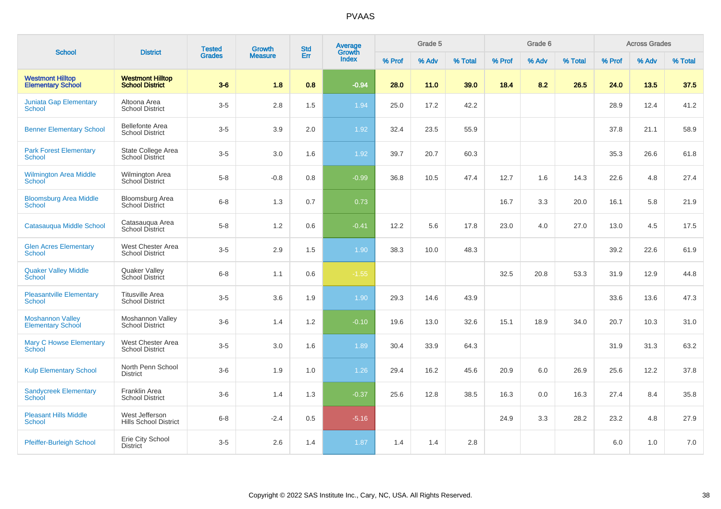| <b>School</b>                                       |                                                   | <b>Tested</b> | <b>Growth</b>  | <b>Std</b> | Average         |        | Grade 5 |         |        | Grade 6 |         |        | <b>Across Grades</b> |         |
|-----------------------------------------------------|---------------------------------------------------|---------------|----------------|------------|-----------------|--------|---------|---------|--------|---------|---------|--------|----------------------|---------|
|                                                     | <b>District</b>                                   | <b>Grades</b> | <b>Measure</b> | Err        | Growth<br>Index | % Prof | % Adv   | % Total | % Prof | % Adv   | % Total | % Prof | % Adv                | % Total |
| <b>Westmont Hilltop</b><br><b>Elementary School</b> | <b>Westmont Hilltop</b><br><b>School District</b> | $3-6$         | 1.8            | 0.8        | $-0.94$         | 28.0   | 11.0    | 39.0    | 18.4   | 8.2     | 26.5    | 24.0   | 13.5                 | 37.5    |
| <b>Juniata Gap Elementary</b><br>School             | Altoona Area<br><b>School District</b>            | $3-5$         | $2.8\,$        | 1.5        | 1.94            | 25.0   | 17.2    | 42.2    |        |         |         | 28.9   | 12.4                 | 41.2    |
| <b>Benner Elementary School</b>                     | <b>Bellefonte Area</b><br><b>School District</b>  | $3-5$         | 3.9            | 2.0        | 1.92            | 32.4   | 23.5    | 55.9    |        |         |         | 37.8   | 21.1                 | 58.9    |
| <b>Park Forest Elementary</b><br><b>School</b>      | State College Area<br><b>School District</b>      | $3-5$         | 3.0            | 1.6        | 1.92            | 39.7   | 20.7    | 60.3    |        |         |         | 35.3   | 26.6                 | 61.8    |
| <b>Wilmington Area Middle</b><br>School             | <b>Wilmington Area</b><br>School District         | $5-8$         | $-0.8$         | 0.8        | $-0.99$         | 36.8   | 10.5    | 47.4    | 12.7   | 1.6     | 14.3    | 22.6   | 4.8                  | 27.4    |
| <b>Bloomsburg Area Middle</b><br>School             | <b>Bloomsburg Area</b><br><b>School District</b>  | $6 - 8$       | 1.3            | 0.7        | 0.73            |        |         |         | 16.7   | 3.3     | 20.0    | 16.1   | 5.8                  | 21.9    |
| Catasauqua Middle School                            | Catasauqua Area<br><b>School District</b>         | $5-8$         | 1.2            | 0.6        | $-0.41$         | 12.2   | 5.6     | 17.8    | 23.0   | 4.0     | 27.0    | 13.0   | 4.5                  | 17.5    |
| <b>Glen Acres Elementary</b><br><b>School</b>       | West Chester Area<br><b>School District</b>       | $3-5$         | 2.9            | 1.5        | 1.90            | 38.3   | 10.0    | 48.3    |        |         |         | 39.2   | 22.6                 | 61.9    |
| <b>Quaker Valley Middle</b><br>School               | Quaker Valley<br>School District                  | $6 - 8$       | 1.1            | 0.6        | $-1.55$         |        |         |         | 32.5   | 20.8    | 53.3    | 31.9   | 12.9                 | 44.8    |
| <b>Pleasantville Elementary</b><br><b>School</b>    | <b>Titusville Area</b><br><b>School District</b>  | $3-5$         | 3.6            | 1.9        | 1.90            | 29.3   | 14.6    | 43.9    |        |         |         | 33.6   | 13.6                 | 47.3    |
| <b>Moshannon Valley</b><br><b>Elementary School</b> | Moshannon Valley<br><b>School District</b>        | $3-6$         | 1.4            | 1.2        | $-0.10$         | 19.6   | 13.0    | 32.6    | 15.1   | 18.9    | 34.0    | 20.7   | 10.3                 | 31.0    |
| <b>Mary C Howse Elementary</b><br>School            | West Chester Area<br><b>School District</b>       | $3-5$         | 3.0            | 1.6        | 1.89            | 30.4   | 33.9    | 64.3    |        |         |         | 31.9   | 31.3                 | 63.2    |
| <b>Kulp Elementary School</b>                       | North Penn School<br><b>District</b>              | $3-6$         | 1.9            | 1.0        | 1.26            | 29.4   | 16.2    | 45.6    | 20.9   | 6.0     | 26.9    | 25.6   | 12.2                 | 37.8    |
| <b>Sandycreek Elementary</b><br>School              | Franklin Area<br><b>School District</b>           | $3-6$         | 1.4            | 1.3        | $-0.37$         | 25.6   | 12.8    | 38.5    | 16.3   | 0.0     | 16.3    | 27.4   | 8.4                  | 35.8    |
| <b>Pleasant Hills Middle</b><br><b>School</b>       | West Jefferson<br><b>Hills School District</b>    | $6 - 8$       | $-2.4$         | 0.5        | $-5.16$         |        |         |         | 24.9   | 3.3     | 28.2    | 23.2   | 4.8                  | 27.9    |
| Pfeiffer-Burleigh School                            | Erie City School<br>District                      | $3-5$         | 2.6            | 1.4        | 1.87            | 1.4    | 1.4     | 2.8     |        |         |         | 6.0    | 1.0                  | 7.0     |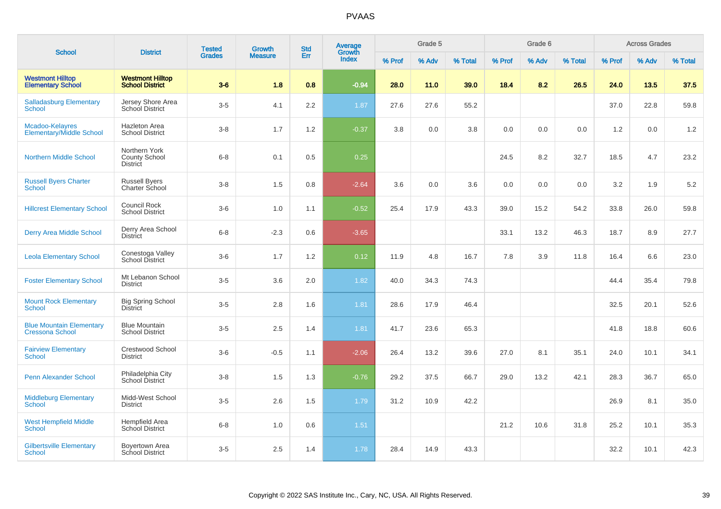| <b>School</b>                                             | <b>District</b>                                   | <b>Tested</b> | Growth         | <b>Std</b> | Average<br>Growth |        | Grade 5 |         |        | Grade 6 |         |        | <b>Across Grades</b> |         |
|-----------------------------------------------------------|---------------------------------------------------|---------------|----------------|------------|-------------------|--------|---------|---------|--------|---------|---------|--------|----------------------|---------|
|                                                           |                                                   | <b>Grades</b> | <b>Measure</b> | Err        | <b>Index</b>      | % Prof | % Adv   | % Total | % Prof | % Adv   | % Total | % Prof | % Adv                | % Total |
| <b>Westmont Hilltop</b><br><b>Elementary School</b>       | <b>Westmont Hilltop</b><br><b>School District</b> | $3-6$         | 1.8            | 0.8        | $-0.94$           | 28.0   | 11.0    | 39.0    | 18.4   | 8.2     | 26.5    | 24.0   | 13.5                 | 37.5    |
| <b>Salladasburg Elementary</b><br>School                  | Jersey Shore Area<br>School District              | $3-5$         | 4.1            | 2.2        | 1.87              | 27.6   | 27.6    | 55.2    |        |         |         | 37.0   | 22.8                 | 59.8    |
| Mcadoo-Kelayres<br><b>Elementary/Middle School</b>        | <b>Hazleton Area</b><br><b>School District</b>    | $3-8$         | 1.7            | 1.2        | $-0.37$           | 3.8    | 0.0     | 3.8     | 0.0    | 0.0     | 0.0     | 1.2    | 0.0                  | 1.2     |
| <b>Northern Middle School</b>                             | Northern York<br>County School<br><b>District</b> | $6-8$         | 0.1            | 0.5        | 0.25              |        |         |         | 24.5   | 8.2     | 32.7    | 18.5   | 4.7                  | 23.2    |
| <b>Russell Byers Charter</b><br>School                    | <b>Russell Byers</b><br>Charter School            | $3-8$         | 1.5            | 0.8        | $-2.64$           | 3.6    | 0.0     | 3.6     | 0.0    | 0.0     | 0.0     | 3.2    | 1.9                  | $5.2\,$ |
| <b>Hillcrest Elementary School</b>                        | Council Rock<br><b>School District</b>            | $3-6$         | 1.0            | 1.1        | $-0.52$           | 25.4   | 17.9    | 43.3    | 39.0   | 15.2    | 54.2    | 33.8   | 26.0                 | 59.8    |
| <b>Derry Area Middle School</b>                           | Derry Area School<br><b>District</b>              | $6-8$         | $-2.3$         | 0.6        | $-3.65$           |        |         |         | 33.1   | 13.2    | 46.3    | 18.7   | 8.9                  | 27.7    |
| <b>Leola Elementary School</b>                            | Conestoga Valley<br>School District               | $3-6$         | 1.7            | 1.2        | 0.12              | 11.9   | 4.8     | 16.7    | 7.8    | 3.9     | 11.8    | 16.4   | 6.6                  | 23.0    |
| <b>Foster Elementary School</b>                           | Mt Lebanon School<br><b>District</b>              | $3-5$         | 3.6            | 2.0        | 1.82              | 40.0   | 34.3    | 74.3    |        |         |         | 44.4   | 35.4                 | 79.8    |
| <b>Mount Rock Elementary</b><br>School                    | <b>Big Spring School</b><br><b>District</b>       | $3-5$         | 2.8            | 1.6        | 1.81              | 28.6   | 17.9    | 46.4    |        |         |         | 32.5   | 20.1                 | 52.6    |
| <b>Blue Mountain Elementary</b><br><b>Cressona School</b> | <b>Blue Mountain</b><br><b>School District</b>    | $3-5$         | 2.5            | 1.4        | 1.81              | 41.7   | 23.6    | 65.3    |        |         |         | 41.8   | 18.8                 | 60.6    |
| <b>Fairview Elementary</b><br><b>School</b>               | Crestwood School<br><b>District</b>               | $3-6$         | $-0.5$         | 1.1        | $-2.06$           | 26.4   | 13.2    | 39.6    | 27.0   | 8.1     | 35.1    | 24.0   | 10.1                 | 34.1    |
| <b>Penn Alexander School</b>                              | Philadelphia City<br><b>School District</b>       | $3-8$         | 1.5            | 1.3        | $-0.76$           | 29.2   | 37.5    | 66.7    | 29.0   | 13.2    | 42.1    | 28.3   | 36.7                 | 65.0    |
| <b>Middleburg Elementary</b><br>School                    | Midd-West School<br><b>District</b>               | $3 - 5$       | 2.6            | 1.5        | 1.79              | 31.2   | 10.9    | 42.2    |        |         |         | 26.9   | 8.1                  | 35.0    |
| <b>West Hempfield Middle</b><br><b>School</b>             | Hempfield Area<br><b>School District</b>          | $6-8$         | 1.0            | 0.6        | 1.51              |        |         |         | 21.2   | 10.6    | 31.8    | 25.2   | 10.1                 | 35.3    |
| <b>Gilbertsville Elementary</b><br><b>School</b>          | Boyertown Area<br><b>School District</b>          | $3-5$         | 2.5            | 1.4        | 1.78              | 28.4   | 14.9    | 43.3    |        |         |         | 32.2   | 10.1                 | 42.3    |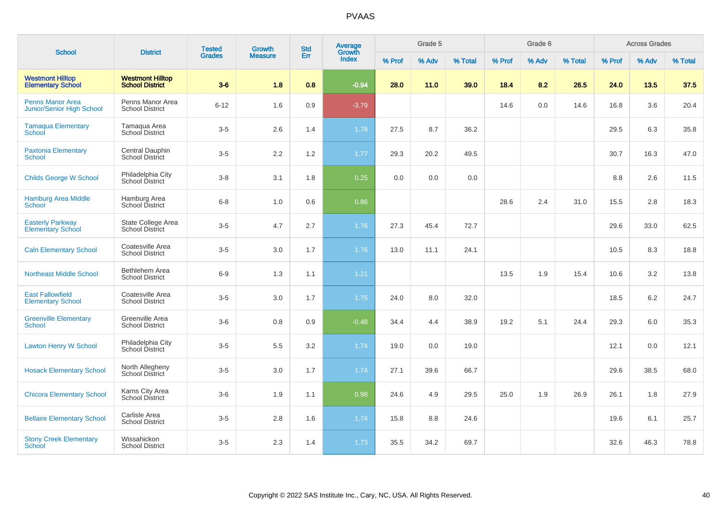| <b>School</b>                                        | <b>District</b>                                   | <b>Tested</b> | <b>Growth</b>  | <b>Std</b> | Average<br>Growth |        | Grade 5 |         |        | Grade 6 |         |        | <b>Across Grades</b> |         |
|------------------------------------------------------|---------------------------------------------------|---------------|----------------|------------|-------------------|--------|---------|---------|--------|---------|---------|--------|----------------------|---------|
|                                                      |                                                   | <b>Grades</b> | <b>Measure</b> | Err        | <b>Index</b>      | % Prof | % Adv   | % Total | % Prof | % Adv   | % Total | % Prof | % Adv                | % Total |
| <b>Westmont Hilltop</b><br><b>Elementary School</b>  | <b>Westmont Hilltop</b><br><b>School District</b> | $3-6$         | 1.8            | 0.8        | $-0.94$           | 28.0   | 11.0    | 39.0    | 18.4   | 8.2     | 26.5    | 24.0   | 13.5                 | 37.5    |
| <b>Penns Manor Area</b><br>Junior/Senior High School | Penns Manor Area<br><b>School District</b>        | $6 - 12$      | 1.6            | 0.9        | $-3.79$           |        |         |         | 14.6   | 0.0     | 14.6    | 16.8   | 3.6                  | 20.4    |
| <b>Tamaqua Elementary</b><br>School                  | Tamaqua Area<br>School District                   | $3-5$         | 2.6            | 1.4        | 1.78              | 27.5   | 8.7     | 36.2    |        |         |         | 29.5   | 6.3                  | 35.8    |
| <b>Paxtonia Elementary</b><br>School                 | Central Dauphin<br><b>School District</b>         | $3-5$         | 2.2            | 1.2        | 1.77              | 29.3   | 20.2    | 49.5    |        |         |         | 30.7   | 16.3                 | 47.0    |
| <b>Childs George W School</b>                        | Philadelphia City<br>School District              | $3 - 8$       | 3.1            | 1.8        | 0.25              | 0.0    | 0.0     | 0.0     |        |         |         | 8.8    | 2.6                  | 11.5    |
| <b>Hamburg Area Middle</b><br><b>School</b>          | Hamburg Area<br>School District                   | $6 - 8$       | 1.0            | 0.6        | 0.86              |        |         |         | 28.6   | 2.4     | 31.0    | 15.5   | 2.8                  | 18.3    |
| <b>Easterly Parkway</b><br><b>Elementary School</b>  | State College Area<br><b>School District</b>      | $3-5$         | 4.7            | 2.7        | 1.76              | 27.3   | 45.4    | 72.7    |        |         |         | 29.6   | 33.0                 | 62.5    |
| <b>Caln Elementary School</b>                        | Coatesville Area<br><b>School District</b>        | $3-5$         | 3.0            | 1.7        | 1.76              | 13.0   | 11.1    | 24.1    |        |         |         | 10.5   | 8.3                  | 18.8    |
| <b>Northeast Middle School</b>                       | Bethlehem Area<br><b>School District</b>          | $6-9$         | 1.3            | 1.1        | 1.21              |        |         |         | 13.5   | 1.9     | 15.4    | 10.6   | 3.2                  | 13.8    |
| <b>East Fallowfield</b><br><b>Elementary School</b>  | Coatesville Area<br><b>School District</b>        | $3-5$         | 3.0            | 1.7        | 1.75              | 24.0   | 8.0     | 32.0    |        |         |         | 18.5   | 6.2                  | 24.7    |
| <b>Greenville Elementary</b><br>School               | Greenville Area<br><b>School District</b>         | $3-6$         | 0.8            | 0.9        | $-0.48$           | 34.4   | 4.4     | 38.9    | 19.2   | 5.1     | 24.4    | 29.3   | 6.0                  | 35.3    |
| Lawton Henry W School                                | Philadelphia City<br>School District              | $3-5$         | 5.5            | $3.2\,$    | 1.74              | 19.0   | 0.0     | 19.0    |        |         |         | 12.1   | 0.0                  | 12.1    |
| <b>Hosack Elementary School</b>                      | North Allegheny<br><b>School District</b>         | $3-5$         | 3.0            | 1.7        | 1.74              | 27.1   | 39.6    | 66.7    |        |         |         | 29.6   | 38.5                 | 68.0    |
| <b>Chicora Elementary School</b>                     | Karns City Area<br>School District                | $3-6$         | 1.9            | 1.1        | 0.98              | 24.6   | 4.9     | 29.5    | 25.0   | 1.9     | 26.9    | 26.1   | 1.8                  | 27.9    |
| <b>Bellaire Elementary School</b>                    | Carlisle Area<br><b>School District</b>           | $3-5$         | 2.8            | 1.6        | 1.74              | 15.8   | 8.8     | 24.6    |        |         |         | 19.6   | 6.1                  | 25.7    |
| <b>Stony Creek Elementary</b><br><b>School</b>       | Wissahickon<br><b>School District</b>             | $3-5$         | 2.3            | 1.4        | 1.73              | 35.5   | 34.2    | 69.7    |        |         |         | 32.6   | 46.3                 | 78.8    |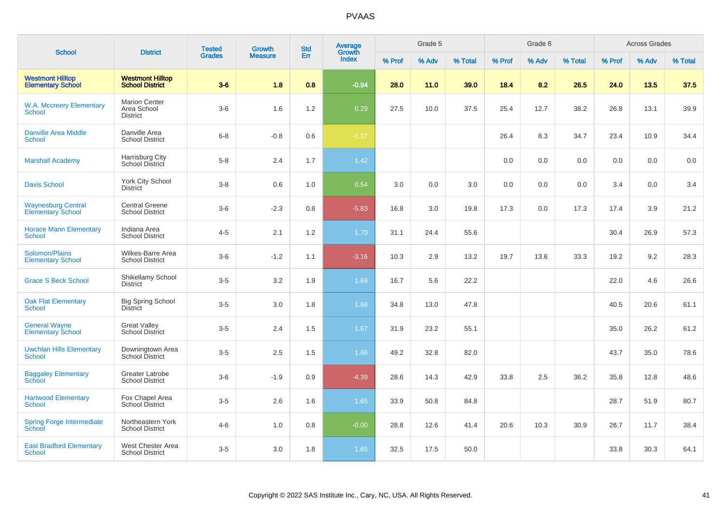| <b>School</b>                                         | <b>District</b>                                        | <b>Tested</b> | Growth         | <b>Std</b> | <b>Average</b><br>Growth |        | Grade 5 |         |        | Grade 6 |         |        | <b>Across Grades</b> |         |
|-------------------------------------------------------|--------------------------------------------------------|---------------|----------------|------------|--------------------------|--------|---------|---------|--------|---------|---------|--------|----------------------|---------|
|                                                       |                                                        | <b>Grades</b> | <b>Measure</b> | Err        | <b>Index</b>             | % Prof | % Adv   | % Total | % Prof | % Adv   | % Total | % Prof | % Adv                | % Total |
| <b>Westmont Hilltop</b><br><b>Elementary School</b>   | <b>Westmont Hilltop</b><br><b>School District</b>      | $3-6$         | 1.8            | 0.8        | $-0.94$                  | 28.0   | 11.0    | 39.0    | 18.4   | 8.2     | 26.5    | 24.0   | 13.5                 | 37.5    |
| <b>W.A. Mccreery Elementary</b><br><b>School</b>      | <b>Marion Center</b><br>Area School<br><b>District</b> | $3-6$         | 1.6            | 1.2        | 0.29                     | 27.5   | 10.0    | 37.5    | 25.4   | 12.7    | 38.2    | 26.8   | 13.1                 | 39.9    |
| Danville Area Middle<br><b>School</b>                 | Danville Area<br><b>School District</b>                | $6 - 8$       | $-0.8$         | 0.6        | $-1.37$                  |        |         |         | 26.4   | 8.3     | 34.7    | 23.4   | 10.9                 | 34.4    |
| <b>Marshall Academy</b>                               | Harrisburg City<br>School District                     | $5-8$         | 2.4            | 1.7        | 1.42                     |        |         |         | 0.0    | 0.0     | 0.0     | 0.0    | 0.0                  | 0.0     |
| <b>Davis School</b>                                   | <b>York City School</b><br><b>District</b>             | $3-8$         | 0.6            | 1.0        | 0.54                     | 3.0    | 0.0     | 3.0     | 0.0    | 0.0     | 0.0     | 3.4    | 0.0                  | 3.4     |
| <b>Waynesburg Central</b><br><b>Elementary School</b> | <b>Central Greene</b><br><b>School District</b>        | $3-6$         | $-2.3$         | 0.8        | $-5.83$                  | 16.8   | 3.0     | 19.8    | 17.3   | 0.0     | 17.3    | 17.4   | 3.9                  | 21.2    |
| <b>Horace Mann Elementary</b><br><b>School</b>        | Indiana Area<br><b>School District</b>                 | $4 - 5$       | 2.1            | 1.2        | 1.70                     | 31.1   | 24.4    | 55.6    |        |         |         | 30.4   | 26.9                 | 57.3    |
| Solomon/Plains<br><b>Elementary School</b>            | Wilkes-Barre Area<br><b>School District</b>            | $3-6$         | $-1.2$         | 1.1        | $-3.16$                  | 10.3   | 2.9     | 13.2    | 19.7   | 13.6    | 33.3    | 19.2   | 9.2                  | 28.3    |
| <b>Grace S Beck School</b>                            | Shikellamy School<br><b>District</b>                   | $3-5$         | 3.2            | 1.9        | 1.69                     | 16.7   | 5.6     | 22.2    |        |         |         | 22.0   | 4.6                  | 26.6    |
| <b>Oak Flat Elementary</b><br>School                  | <b>Big Spring School</b><br><b>District</b>            | $3-5$         | 3.0            | 1.8        | 1.68                     | 34.8   | 13.0    | 47.8    |        |         |         | 40.5   | 20.6                 | 61.1    |
| <b>General Wayne</b><br><b>Elementary School</b>      | <b>Great Valley</b><br><b>School District</b>          | $3-5$         | 2.4            | 1.5        | 1.67                     | 31.9   | 23.2    | 55.1    |        |         |         | 35.0   | 26.2                 | 61.2    |
| <b>Uwchlan Hills Elementary</b><br><b>School</b>      | Downingtown Area<br>School District                    | $3-5$         | 2.5            | 1.5        | 1.66                     | 49.2   | 32.8    | 82.0    |        |         |         | 43.7   | 35.0                 | 78.6    |
| <b>Baggaley Elementary</b><br><b>School</b>           | Greater Latrobe<br><b>School District</b>              | $3-6$         | $-1.9$         | 0.9        | $-4.39$                  | 28.6   | 14.3    | 42.9    | 33.8   | 2.5     | 36.2    | 35.8   | 12.8                 | 48.6    |
| <b>Hartwood Elementary</b><br><b>School</b>           | Fox Chapel Area<br><b>School District</b>              | $3-5$         | 2.6            | 1.6        | 1.65                     | 33.9   | 50.8    | 84.8    |        |         |         | 28.7   | 51.9                 | 80.7    |
| <b>Spring Forge Intermediate</b><br><b>School</b>     | Northeastern York<br><b>School District</b>            | $4 - 6$       | 1.0            | 0.8        | $-0.00$                  | 28.8   | 12.6    | 41.4    | 20.6   | 10.3    | 30.9    | 26.7   | 11.7                 | 38.4    |
| <b>East Bradford Elementary</b><br><b>School</b>      | West Chester Area<br><b>School District</b>            | $3-5$         | 3.0            | 1.8        | 1.65                     | 32.5   | 17.5    | 50.0    |        |         |         | 33.8   | 30.3                 | 64.1    |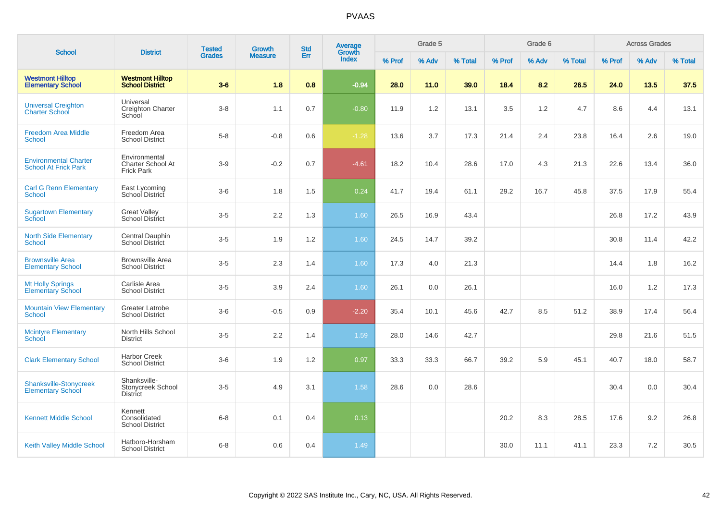| <b>School</b>                                               | <b>District</b>                                         | <b>Tested</b> | Growth         | <b>Std</b> | Average<br>Growth |        | Grade 5 |         |        | Grade 6 |         |        | <b>Across Grades</b> |         |
|-------------------------------------------------------------|---------------------------------------------------------|---------------|----------------|------------|-------------------|--------|---------|---------|--------|---------|---------|--------|----------------------|---------|
|                                                             |                                                         | <b>Grades</b> | <b>Measure</b> | Err        | <b>Index</b>      | % Prof | % Adv   | % Total | % Prof | % Adv   | % Total | % Prof | % Adv                | % Total |
| <b>Westmont Hilltop</b><br><b>Elementary School</b>         | <b>Westmont Hilltop</b><br><b>School District</b>       | $3-6$         | 1.8            | 0.8        | $-0.94$           | 28.0   | 11.0    | 39.0    | 18.4   | 8.2     | 26.5    | 24.0   | 13.5                 | 37.5    |
| <b>Universal Creighton</b><br><b>Charter School</b>         | Universal<br>Creighton Charter<br>School                | $3-8$         | 1.1            | 0.7        | $-0.80$           | 11.9   | 1.2     | 13.1    | 3.5    | 1.2     | 4.7     | 8.6    | 4.4                  | 13.1    |
| <b>Freedom Area Middle</b><br><b>School</b>                 | Freedom Area<br><b>School District</b>                  | $5-8$         | $-0.8$         | 0.6        | $-1.28$           | 13.6   | 3.7     | 17.3    | 21.4   | 2.4     | 23.8    | 16.4   | 2.6                  | 19.0    |
| <b>Environmental Charter</b><br><b>School At Frick Park</b> | Environmental<br>Charter School At<br><b>Frick Park</b> | $3-9$         | $-0.2$         | 0.7        | $-4.61$           | 18.2   | 10.4    | 28.6    | 17.0   | 4.3     | 21.3    | 22.6   | 13.4                 | 36.0    |
| <b>Carl G Renn Elementary</b><br>School                     | East Lycoming<br>School District                        | $3-6$         | 1.8            | 1.5        | 0.24              | 41.7   | 19.4    | 61.1    | 29.2   | 16.7    | 45.8    | 37.5   | 17.9                 | 55.4    |
| <b>Sugartown Elementary</b><br>School                       | <b>Great Valley</b><br>School District                  | $3-5$         | 2.2            | 1.3        | 1.60              | 26.5   | 16.9    | 43.4    |        |         |         | 26.8   | 17.2                 | 43.9    |
| <b>North Side Elementary</b><br><b>School</b>               | Central Dauphin<br><b>School District</b>               | $3-5$         | 1.9            | 1.2        | 1.60              | 24.5   | 14.7    | 39.2    |        |         |         | 30.8   | 11.4                 | 42.2    |
| <b>Brownsville Area</b><br><b>Elementary School</b>         | <b>Brownsville Area</b><br><b>School District</b>       | $3-5$         | 2.3            | 1.4        | 1.60              | 17.3   | 4.0     | 21.3    |        |         |         | 14.4   | 1.8                  | 16.2    |
| <b>Mt Holly Springs</b><br><b>Elementary School</b>         | Carlisle Area<br><b>School District</b>                 | $3-5$         | 3.9            | 2.4        | 1.60              | 26.1   | 0.0     | 26.1    |        |         |         | 16.0   | 1.2                  | 17.3    |
| <b>Mountain View Elementary</b><br><b>School</b>            | Greater Latrobe<br><b>School District</b>               | $3-6$         | $-0.5$         | 0.9        | $-2.20$           | 35.4   | 10.1    | 45.6    | 42.7   | 8.5     | 51.2    | 38.9   | 17.4                 | 56.4    |
| <b>Mcintyre Elementary</b><br><b>School</b>                 | North Hills School<br><b>District</b>                   | $3-5$         | 2.2            | 1.4        | 1.59              | 28.0   | 14.6    | 42.7    |        |         |         | 29.8   | 21.6                 | 51.5    |
| <b>Clark Elementary School</b>                              | <b>Harbor Creek</b><br><b>School District</b>           | $3-6$         | 1.9            | 1.2        | 0.97              | 33.3   | 33.3    | 66.7    | 39.2   | 5.9     | 45.1    | 40.7   | 18.0                 | 58.7    |
| Shanksville-Stonycreek<br><b>Elementary School</b>          | Shanksville-<br>Stonycreek School<br>District           | $3-5$         | 4.9            | 3.1        | 1.58              | 28.6   | 0.0     | 28.6    |        |         |         | 30.4   | 0.0                  | 30.4    |
| <b>Kennett Middle School</b>                                | Kennett<br>Consolidated<br><b>School District</b>       | $6-8$         | 0.1            | 0.4        | 0.13              |        |         |         | 20.2   | 8.3     | 28.5    | 17.6   | 9.2                  | 26.8    |
| <b>Keith Valley Middle School</b>                           | Hatboro-Horsham<br><b>School District</b>               | $6 - 8$       | 0.6            | 0.4        | 1.49              |        |         |         | 30.0   | 11.1    | 41.1    | 23.3   | 7.2                  | 30.5    |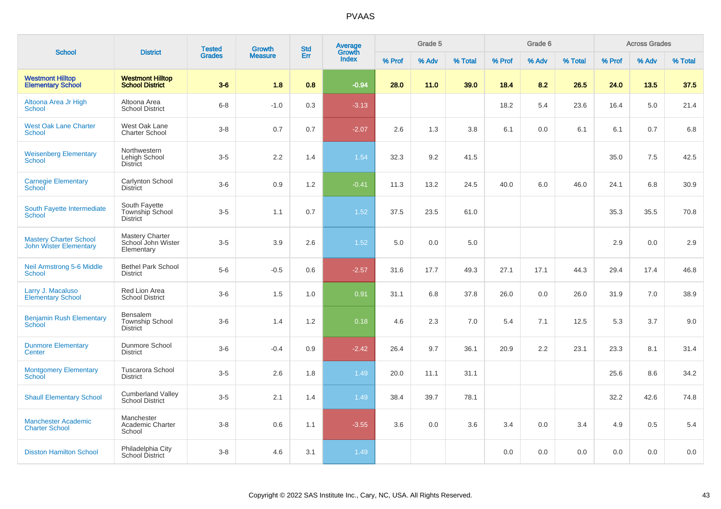| <b>School</b>                                                  | <b>District</b>                                            | <b>Tested</b> | <b>Growth</b>  | <b>Std</b> | <b>Average</b><br>Growth |        | Grade 5 |         |        | Grade 6 |         |        | <b>Across Grades</b> |         |
|----------------------------------------------------------------|------------------------------------------------------------|---------------|----------------|------------|--------------------------|--------|---------|---------|--------|---------|---------|--------|----------------------|---------|
|                                                                |                                                            | <b>Grades</b> | <b>Measure</b> | Err        | Index                    | % Prof | % Adv   | % Total | % Prof | % Adv   | % Total | % Prof | % Adv                | % Total |
| <b>Westmont Hilltop</b><br><b>Elementary School</b>            | <b>Westmont Hilltop</b><br><b>School District</b>          | $3-6$         | 1.8            | 0.8        | $-0.94$                  | 28.0   | 11.0    | 39.0    | 18.4   | 8.2     | 26.5    | 24.0   | 13.5                 | 37.5    |
| Altoona Area Jr High<br><b>School</b>                          | Altoona Area<br><b>School District</b>                     | $6 - 8$       | $-1.0$         | 0.3        | $-3.13$                  |        |         |         | 18.2   | 5.4     | 23.6    | 16.4   | 5.0                  | 21.4    |
| <b>West Oak Lane Charter</b><br>School                         | West Oak Lane<br><b>Charter School</b>                     | $3 - 8$       | 0.7            | 0.7        | $-2.07$                  | 2.6    | 1.3     | 3.8     | 6.1    | 0.0     | 6.1     | 6.1    | 0.7                  | 6.8     |
| <b>Weisenberg Elementary</b><br>School                         | Northwestern<br>Lehigh School<br><b>District</b>           | $3-5$         | 2.2            | 1.4        | 1.54                     | 32.3   | 9.2     | 41.5    |        |         |         | 35.0   | 7.5                  | 42.5    |
| <b>Carnegie Elementary</b><br>School                           | Carlynton School<br><b>District</b>                        | $3-6$         | 0.9            | 1.2        | $-0.41$                  | 11.3   | 13.2    | 24.5    | 40.0   | 6.0     | 46.0    | 24.1   | 6.8                  | 30.9    |
| South Fayette Intermediate<br><b>School</b>                    | South Fayette<br><b>Township School</b><br><b>District</b> | $3-5$         | 1.1            | 0.7        | 1.52                     | 37.5   | 23.5    | 61.0    |        |         |         | 35.3   | 35.5                 | 70.8    |
| <b>Mastery Charter School</b><br><b>John Wister Elementary</b> | Mastery Charter<br>School John Wister<br>Elementary        | $3-5$         | 3.9            | 2.6        | 1.52                     | 5.0    | 0.0     | 5.0     |        |         |         | 2.9    | 0.0                  | 2.9     |
| <b>Neil Armstrong 5-6 Middle</b><br>School                     | <b>Bethel Park School</b><br><b>District</b>               | $5-6$         | $-0.5$         | 0.6        | $-2.57$                  | 31.6   | 17.7    | 49.3    | 27.1   | 17.1    | 44.3    | 29.4   | 17.4                 | 46.8    |
| Larry J. Macaluso<br><b>Elementary School</b>                  | Red Lion Area<br><b>School District</b>                    | $3-6$         | 1.5            | 1.0        | 0.91                     | 31.1   | 6.8     | 37.8    | 26.0   | 0.0     | 26.0    | 31.9   | 7.0                  | 38.9    |
| <b>Benjamin Rush Elementary</b><br><b>School</b>               | Bensalem<br><b>Township School</b><br><b>District</b>      | $3-6$         | 1.4            | 1.2        | 0.18                     | 4.6    | 2.3     | 7.0     | 5.4    | 7.1     | 12.5    | 5.3    | 3.7                  | 9.0     |
| <b>Dunmore Elementary</b><br>Center                            | Dunmore School<br><b>District</b>                          | $3-6$         | $-0.4$         | 0.9        | $-2.42$                  | 26.4   | 9.7     | 36.1    | 20.9   | 2.2     | 23.1    | 23.3   | 8.1                  | 31.4    |
| <b>Montgomery Elementary</b><br>School                         | <b>Tuscarora School</b><br><b>District</b>                 | $3-5$         | 2.6            | 1.8        | 1.49                     | 20.0   | 11.1    | 31.1    |        |         |         | 25.6   | 8.6                  | 34.2    |
| <b>Shaull Elementary School</b>                                | <b>Cumberland Valley</b><br><b>School District</b>         | $3-5$         | 2.1            | 1.4        | 1.49                     | 38.4   | 39.7    | 78.1    |        |         |         | 32.2   | 42.6                 | 74.8    |
| <b>Manchester Academic</b><br><b>Charter School</b>            | Manchester<br>Academic Charter<br>School                   | $3 - 8$       | $0.6\,$        | 1.1        | $-3.55$                  | 3.6    | 0.0     | 3.6     | 3.4    | 0.0     | 3.4     | 4.9    | 0.5                  | 5.4     |
| <b>Disston Hamilton School</b>                                 | Philadelphia City<br>School District                       | $3-8$         | 4.6            | 3.1        | 1.49                     |        |         |         | 0.0    | 0.0     | 0.0     | 0.0    | 0.0                  | 0.0     |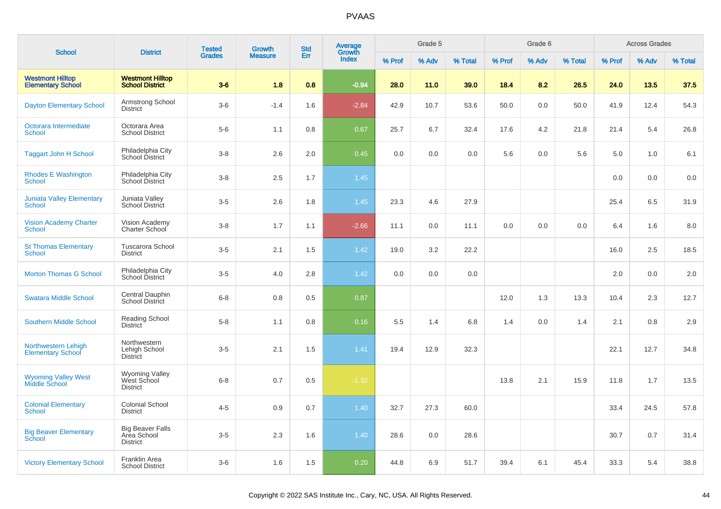|                                                     |                                                           | <b>Tested</b> | <b>Growth</b>  | <b>Std</b> | Average         |        | Grade 5 |         |        | Grade 6 |         |        | <b>Across Grades</b> |         |
|-----------------------------------------------------|-----------------------------------------------------------|---------------|----------------|------------|-----------------|--------|---------|---------|--------|---------|---------|--------|----------------------|---------|
| <b>School</b>                                       | <b>District</b>                                           | <b>Grades</b> | <b>Measure</b> | Err        | Growth<br>Index | % Prof | % Adv   | % Total | % Prof | % Adv   | % Total | % Prof | % Adv                | % Total |
| <b>Westmont Hilltop</b><br><b>Elementary School</b> | <b>Westmont Hilltop</b><br><b>School District</b>         | $3-6$         | 1.8            | 0.8        | $-0.94$         | 28.0   | 11.0    | 39.0    | 18.4   | 8.2     | 26.5    | 24.0   | 13.5                 | 37.5    |
| <b>Dayton Elementary School</b>                     | Armstrong School<br><b>District</b>                       | $3-6$         | $-1.4$         | 1.6        | $-2.84$         | 42.9   | 10.7    | 53.6    | 50.0   | 0.0     | 50.0    | 41.9   | 12.4                 | 54.3    |
| Octorara Intermediate<br>School                     | Octorara Area<br><b>School District</b>                   | $5-6$         | 1.1            | 0.8        | 0.67            | 25.7   | 6.7     | 32.4    | 17.6   | 4.2     | 21.8    | 21.4   | 5.4                  | 26.8    |
| <b>Taggart John H School</b>                        | Philadelphia City<br><b>School District</b>               | $3 - 8$       | 2.6            | 2.0        | 0.45            | 0.0    | 0.0     | 0.0     | 5.6    | 0.0     | 5.6     | 5.0    | 1.0                  | 6.1     |
| <b>Rhodes E Washington</b><br><b>School</b>         | Philadelphia City<br>School District                      | $3-8$         | 2.5            | 1.7        | 1.45            |        |         |         |        |         |         | 0.0    | 0.0                  | 0.0     |
| <b>Juniata Valley Elementary</b><br><b>School</b>   | Juniata Valley<br>School District                         | $3-5$         | 2.6            | 1.8        | 1.45            | 23.3   | 4.6     | 27.9    |        |         |         | 25.4   | 6.5                  | 31.9    |
| <b>Vision Academy Charter</b><br><b>School</b>      | Vision Academy<br>Charter School                          | $3-8$         | 1.7            | 1.1        | $-2.66$         | 11.1   | 0.0     | 11.1    | 0.0    | 0.0     | 0.0     | 6.4    | 1.6                  | 8.0     |
| <b>St Thomas Elementary</b><br>School               | <b>Tuscarora School</b><br><b>District</b>                | $3-5$         | 2.1            | 1.5        | 1.42            | 19.0   | 3.2     | 22.2    |        |         |         | 16.0   | 2.5                  | 18.5    |
| <b>Morton Thomas G School</b>                       | Philadelphia City<br>School District                      | $3 - 5$       | 4.0            | 2.8        | 1.42            | 0.0    | 0.0     | 0.0     |        |         |         | 2.0    | 0.0                  | 2.0     |
| <b>Swatara Middle School</b>                        | Central Dauphin<br><b>School District</b>                 | $6-8$         | 0.8            | 0.5        | 0.87            |        |         |         | 12.0   | 1.3     | 13.3    | 10.4   | 2.3                  | 12.7    |
| <b>Southern Middle School</b>                       | Reading School<br><b>District</b>                         | $5-8$         | 1.1            | 0.8        | 0.16            | 5.5    | 1.4     | 6.8     | 1.4    | 0.0     | 1.4     | 2.1    | 0.8                  | 2.9     |
| Northwestern Lehigh<br><b>Elementary School</b>     | Northwestern<br>Lehigh School<br><b>District</b>          | $3-5$         | 2.1            | 1.5        | 1.41            | 19.4   | 12.9    | 32.3    |        |         |         | 22.1   | 12.7                 | 34.8    |
| <b>Wyoming Valley West</b><br><b>Middle School</b>  | <b>Wyoming Valley</b><br>West School<br><b>District</b>   | $6-8$         | 0.7            | 0.5        | $-1.32$         |        |         |         | 13.8   | 2.1     | 15.9    | 11.8   | 1.7                  | 13.5    |
| <b>Colonial Elementary</b><br>School                | <b>Colonial School</b><br><b>District</b>                 | $4 - 5$       | 0.9            | 0.7        | 1.40            | 32.7   | 27.3    | 60.0    |        |         |         | 33.4   | 24.5                 | 57.8    |
| <b>Big Beaver Elementary</b><br>School              | <b>Big Beaver Falls</b><br>Area School<br><b>District</b> | $3-5$         | 2.3            | 1.6        | 1.40            | 28.6   | 0.0     | 28.6    |        |         |         | 30.7   | 0.7                  | 31.4    |
| <b>Victory Elementary School</b>                    | Franklin Area<br><b>School District</b>                   | $3-6$         | 1.6            | 1.5        | 0.20            | 44.8   | 6.9     | 51.7    | 39.4   | 6.1     | 45.4    | 33.3   | 5.4                  | 38.8    |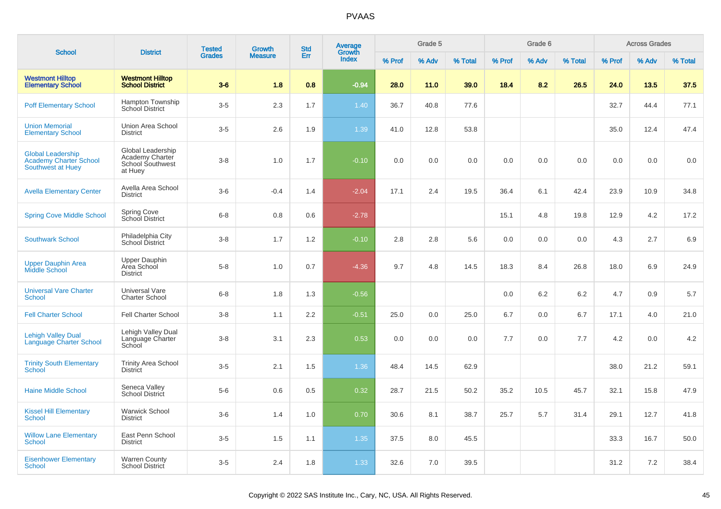|                                                                         |                                                                     | <b>Tested</b> | <b>Growth</b>  | <b>Std</b> | <b>Average</b><br>Growth |        | Grade 5 |         |        | Grade 6 |         |        | <b>Across Grades</b> |         |
|-------------------------------------------------------------------------|---------------------------------------------------------------------|---------------|----------------|------------|--------------------------|--------|---------|---------|--------|---------|---------|--------|----------------------|---------|
| <b>School</b>                                                           | <b>District</b>                                                     | <b>Grades</b> | <b>Measure</b> | Err        | Index                    | % Prof | % Adv   | % Total | % Prof | % Adv   | % Total | % Prof | % Adv                | % Total |
| <b>Westmont Hilltop</b><br><b>Elementary School</b>                     | <b>Westmont Hilltop</b><br><b>School District</b>                   | $3-6$         | 1.8            | 0.8        | $-0.94$                  | 28.0   | 11.0    | 39.0    | 18.4   | 8.2     | 26.5    | 24.0   | 13.5                 | 37.5    |
| <b>Poff Elementary School</b>                                           | Hampton Township<br>School District                                 | $3-5$         | 2.3            | 1.7        | 1.40                     | 36.7   | 40.8    | 77.6    |        |         |         | 32.7   | 44.4                 | 77.1    |
| <b>Union Memorial</b><br><b>Elementary School</b>                       | Union Area School<br><b>District</b>                                | $3-5$         | 2.6            | 1.9        | 1.39                     | 41.0   | 12.8    | 53.8    |        |         |         | 35.0   | 12.4                 | 47.4    |
| <b>Global Leadership</b><br>Academy Charter School<br>Southwest at Huey | Global Leadership<br>Academy Charter<br>School Southwest<br>at Huey | $3-8$         | 1.0            | 1.7        | $-0.10$                  | 0.0    | 0.0     | 0.0     | 0.0    | 0.0     | 0.0     | 0.0    | 0.0                  | 0.0     |
| <b>Avella Elementary Center</b>                                         | Avella Area School<br><b>District</b>                               | $3-6$         | $-0.4$         | 1.4        | $-2.04$                  | 17.1   | 2.4     | 19.5    | 36.4   | 6.1     | 42.4    | 23.9   | 10.9                 | 34.8    |
| <b>Spring Cove Middle School</b>                                        | Spring Cove<br>School District                                      | $6 - 8$       | 0.8            | 0.6        | $-2.78$                  |        |         |         | 15.1   | 4.8     | 19.8    | 12.9   | 4.2                  | 17.2    |
| <b>Southwark School</b>                                                 | Philadelphia City<br>School District                                | $3 - 8$       | 1.7            | 1.2        | $-0.10$                  | 2.8    | 2.8     | 5.6     | 0.0    | 0.0     | 0.0     | 4.3    | 2.7                  | 6.9     |
| <b>Upper Dauphin Area</b><br>Middle School                              | Upper Dauphin<br>Area School<br><b>District</b>                     | $5-8$         | 1.0            | 0.7        | $-4.36$                  | 9.7    | 4.8     | 14.5    | 18.3   | 8.4     | 26.8    | 18.0   | 6.9                  | 24.9    |
| <b>Universal Vare Charter</b><br><b>School</b>                          | <b>Universal Vare</b><br><b>Charter School</b>                      | $6 - 8$       | 1.8            | 1.3        | $-0.56$                  |        |         |         | 0.0    | 6.2     | 6.2     | 4.7    | 0.9                  | 5.7     |
| <b>Fell Charter School</b>                                              | <b>Fell Charter School</b>                                          | $3-8$         | 1.1            | 2.2        | $-0.51$                  | 25.0   | 0.0     | 25.0    | 6.7    | 0.0     | 6.7     | 17.1   | 4.0                  | 21.0    |
| <b>Lehigh Valley Dual</b><br><b>Language Charter School</b>             | Lehigh Valley Dual<br>Language Charter<br>School                    | $3 - 8$       | 3.1            | 2.3        | 0.53                     | 0.0    | 0.0     | 0.0     | 7.7    | 0.0     | 7.7     | 4.2    | 0.0                  | 4.2     |
| <b>Trinity South Elementary</b><br>School                               | <b>Trinity Area School</b><br><b>District</b>                       | $3-5$         | 2.1            | 1.5        | 1.36                     | 48.4   | 14.5    | 62.9    |        |         |         | 38.0   | 21.2                 | 59.1    |
| <b>Haine Middle School</b>                                              | Seneca Valley<br>School District                                    | $5-6$         | 0.6            | 0.5        | 0.32                     | 28.7   | 21.5    | 50.2    | 35.2   | 10.5    | 45.7    | 32.1   | 15.8                 | 47.9    |
| <b>Kissel Hill Elementary</b><br><b>School</b>                          | Warwick School<br><b>District</b>                                   | $3-6$         | 1.4            | 1.0        | 0.70                     | 30.6   | 8.1     | 38.7    | 25.7   | 5.7     | 31.4    | 29.1   | 12.7                 | 41.8    |
| <b>Willow Lane Elementary</b><br><b>School</b>                          | East Penn School<br><b>District</b>                                 | $3-5$         | 1.5            | 1.1        | 1.35                     | 37.5   | 8.0     | 45.5    |        |         |         | 33.3   | 16.7                 | 50.0    |
| <b>Eisenhower Elementary</b><br><b>School</b>                           | <b>Warren County</b><br><b>School District</b>                      | $3-5$         | 2.4            | 1.8        | 1.33                     | 32.6   | 7.0     | 39.5    |        |         |         | 31.2   | 7.2                  | 38.4    |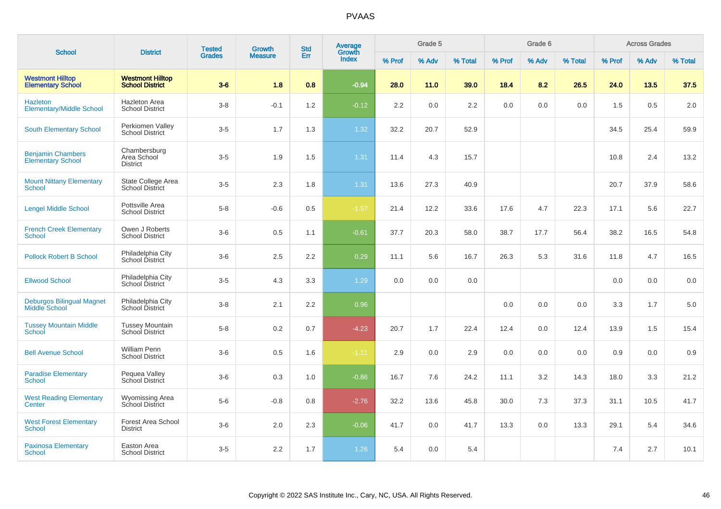| <b>School</b>                                            | <b>District</b>                                   | <b>Tested</b> | Growth         | <b>Std</b> | Average<br>Growth |                  | Grade 5 |         |        | Grade 6 |         |        | <b>Across Grades</b> |         |
|----------------------------------------------------------|---------------------------------------------------|---------------|----------------|------------|-------------------|------------------|---------|---------|--------|---------|---------|--------|----------------------|---------|
|                                                          |                                                   | <b>Grades</b> | <b>Measure</b> | Err        | <b>Index</b>      | % Prof           | % Adv   | % Total | % Prof | % Adv   | % Total | % Prof | % Adv                | % Total |
| <b>Westmont Hilltop</b><br><b>Elementary School</b>      | <b>Westmont Hilltop</b><br><b>School District</b> | $3-6$         | 1.8            | 0.8        | $-0.94$           | 28.0             | 11.0    | 39.0    | 18.4   | 8.2     | 26.5    | 24.0   | 13.5                 | 37.5    |
| <b>Hazleton</b><br><b>Elementary/Middle School</b>       | <b>Hazleton Area</b><br><b>School District</b>    | $3-8$         | $-0.1$         | 1.2        | $-0.12$           | $2.2\phantom{0}$ | 0.0     | 2.2     | 0.0    | 0.0     | 0.0     | 1.5    | 0.5                  | 2.0     |
| <b>South Elementary School</b>                           | Perkiomen Valley<br><b>School District</b>        | $3-5$         | 1.7            | 1.3        | 1.32              | 32.2             | 20.7    | 52.9    |        |         |         | 34.5   | 25.4                 | 59.9    |
| <b>Benjamin Chambers</b><br>Elementary School            | Chambersburg<br>Area School<br><b>District</b>    | $3-5$         | 1.9            | 1.5        | 1.31              | 11.4             | 4.3     | 15.7    |        |         |         | 10.8   | 2.4                  | 13.2    |
| <b>Mount Nittany Elementary</b><br>School                | State College Area<br><b>School District</b>      | $3-5$         | 2.3            | 1.8        | 1.31              | 13.6             | 27.3    | 40.9    |        |         |         | 20.7   | 37.9                 | 58.6    |
| <b>Lengel Middle School</b>                              | Pottsville Area<br><b>School District</b>         | $5-8$         | $-0.6$         | 0.5        | $-1.57$           | 21.4             | 12.2    | 33.6    | 17.6   | 4.7     | 22.3    | 17.1   | 5.6                  | 22.7    |
| <b>French Creek Elementary</b><br><b>School</b>          | Owen J Roberts<br><b>School District</b>          | $3-6$         | 0.5            | 1.1        | $-0.61$           | 37.7             | 20.3    | 58.0    | 38.7   | 17.7    | 56.4    | 38.2   | 16.5                 | 54.8    |
| <b>Pollock Robert B School</b>                           | Philadelphia City<br>School District              | $3-6$         | 2.5            | 2.2        | 0.29              | 11.1             | 5.6     | 16.7    | 26.3   | 5.3     | 31.6    | 11.8   | 4.7                  | 16.5    |
| <b>Ellwood School</b>                                    | Philadelphia City<br>School District              | $3-5$         | 4.3            | 3.3        | 1.29              | 0.0              | 0.0     | 0.0     |        |         |         | 0.0    | 0.0                  | 0.0     |
| <b>Deburgos Bilingual Magnet</b><br><b>Middle School</b> | Philadelphia City<br><b>School District</b>       | $3-8$         | 2.1            | 2.2        | 0.96              |                  |         |         | 0.0    | 0.0     | 0.0     | 3.3    | 1.7                  | 5.0     |
| <b>Tussey Mountain Middle</b><br>School                  | <b>Tussey Mountain</b><br>School District         | $5-8$         | $0.2\,$        | 0.7        | $-4.23$           | 20.7             | 1.7     | 22.4    | 12.4   | 0.0     | 12.4    | 13.9   | 1.5                  | 15.4    |
| <b>Bell Avenue School</b>                                | <b>William Penn</b><br><b>School District</b>     | $3-6$         | 0.5            | 1.6        | $-1.11$           | 2.9              | 0.0     | 2.9     | 0.0    | 0.0     | 0.0     | 0.9    | 0.0                  | 0.9     |
| <b>Paradise Elementary</b><br><b>School</b>              | Pequea Valley<br>School District                  | $3-6$         | 0.3            | 1.0        | $-0.86$           | 16.7             | 7.6     | 24.2    | 11.1   | 3.2     | 14.3    | 18.0   | 3.3                  | 21.2    |
| <b>West Reading Elementary</b><br>Center                 | Wyomissing Area<br>School District                | $5-6$         | $-0.8$         | 0.8        | $-2.76$           | 32.2             | 13.6    | 45.8    | 30.0   | 7.3     | 37.3    | 31.1   | 10.5                 | 41.7    |
| <b>West Forest Elementary</b><br><b>School</b>           | Forest Area School<br><b>District</b>             | $3-6$         | 2.0            | 2.3        | $-0.06$           | 41.7             | 0.0     | 41.7    | 13.3   | 0.0     | 13.3    | 29.1   | 5.4                  | 34.6    |
| <b>Paxinosa Elementary</b><br>School                     | Easton Area<br><b>School District</b>             | $3-5$         | 2.2            | 1.7        | 1.26              | 5.4              | 0.0     | 5.4     |        |         |         | 7.4    | 2.7                  | 10.1    |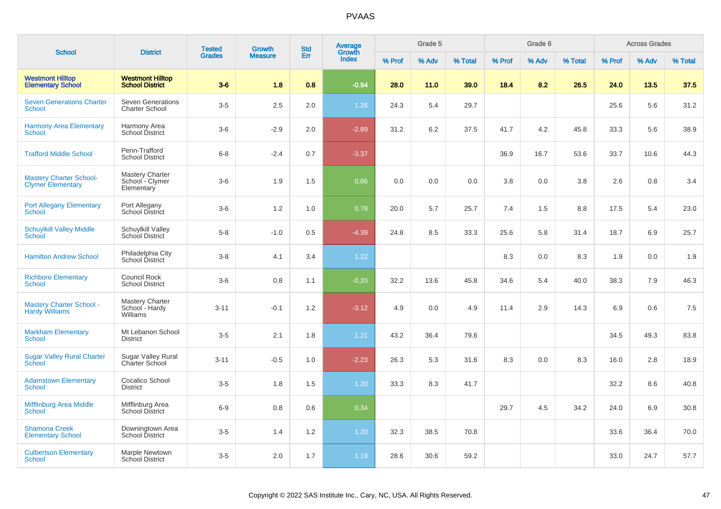| <b>School</b>                                              | <b>District</b>                                         | <b>Tested</b> | <b>Growth</b>  | <b>Std</b> | <b>Average</b><br>Growth |        | Grade 5 |         |        | Grade 6 |         |        | <b>Across Grades</b> |         |
|------------------------------------------------------------|---------------------------------------------------------|---------------|----------------|------------|--------------------------|--------|---------|---------|--------|---------|---------|--------|----------------------|---------|
|                                                            |                                                         | <b>Grades</b> | <b>Measure</b> | Err        | Index                    | % Prof | % Adv   | % Total | % Prof | % Adv   | % Total | % Prof | % Adv                | % Total |
| <b>Westmont Hilltop</b><br><b>Elementary School</b>        | <b>Westmont Hilltop</b><br><b>School District</b>       | $3-6$         | 1.8            | 0.8        | $-0.94$                  | 28.0   | 11.0    | 39.0    | 18.4   | 8.2     | 26.5    | 24.0   | 13.5                 | 37.5    |
| <b>Seven Generations Charter</b><br><b>School</b>          | <b>Seven Generations</b><br><b>Charter School</b>       | $3-5$         | 2.5            | 2.0        | 1.26                     | 24.3   | 5.4     | 29.7    |        |         |         | 25.6   | 5.6                  | 31.2    |
| <b>Harmony Area Elementary</b><br><b>School</b>            | Harmony Area<br>School District                         | $3-6$         | $-2.9$         | 2.0        | $-2.89$                  | 31.2   | 6.2     | 37.5    | 41.7   | 4.2     | 45.8    | 33.3   | 5.6                  | 38.9    |
| <b>Trafford Middle School</b>                              | Penn-Trafford<br><b>School District</b>                 | $6 - 8$       | $-2.4$         | 0.7        | $-3.37$                  |        |         |         | 36.9   | 16.7    | 53.6    | 33.7   | 10.6                 | 44.3    |
| <b>Mastery Charter School-</b><br><b>Clymer Elementary</b> | <b>Mastery Charter</b><br>School - Clymer<br>Elementary | $3-6$         | 1.9            | 1.5        | 0.86                     | 0.0    | 0.0     | 0.0     | 3.8    | 0.0     | 3.8     | 2.6    | 0.8                  | 3.4     |
| <b>Port Allegany Elementary</b><br>School                  | Port Allegany<br>School District                        | $3-6$         | 1.2            | 1.0        | 0.78                     | 20.0   | 5.7     | 25.7    | 7.4    | 1.5     | 8.8     | 17.5   | 5.4                  | 23.0    |
| <b>Schuylkill Valley Middle</b><br>School                  | Schuylkill Valley<br>School District                    | $5-8$         | $-1.0$         | 0.5        | $-4.39$                  | 24.8   | 8.5     | 33.3    | 25.6   | 5.8     | 31.4    | 18.7   | 6.9                  | 25.7    |
| <b>Hamilton Andrew School</b>                              | Philadelphia City<br>School District                    | $3 - 8$       | 4.1            | 3.4        | 1.22                     |        |         |         | 8.3    | 0.0     | 8.3     | 1.9    | 0.0                  | 1.9     |
| <b>Richboro Elementary</b><br>School                       | Council Rock<br><b>School District</b>                  | $3-6$         | 0.8            | 1.1        | $-0.20$                  | 32.2   | 13.6    | 45.8    | 34.6   | 5.4     | 40.0    | 38.3   | 7.9                  | 46.3    |
| <b>Mastery Charter School -</b><br><b>Hardy Williams</b>   | <b>Mastery Charter</b><br>School - Hardy<br>Williams    | $3 - 11$      | $-0.1$         | 1.2        | $-3.12$                  | 4.9    | 0.0     | 4.9     | 11.4   | 2.9     | 14.3    | 6.9    | 0.6                  | 7.5     |
| <b>Markham Elementary</b><br><b>School</b>                 | Mt Lebanon School<br><b>District</b>                    | $3-5$         | 2.1            | 1.8        | 1.21                     | 43.2   | 36.4    | 79.6    |        |         |         | 34.5   | 49.3                 | 83.8    |
| <b>Sugar Valley Rural Charter</b><br><b>School</b>         | Sugar Valley Rural<br><b>Charter School</b>             | $3 - 11$      | $-0.5$         | 1.0        | $-2.23$                  | 26.3   | 5.3     | 31.6    | 8.3    | 0.0     | 8.3     | 16.0   | 2.8                  | 18.9    |
| <b>Adamstown Elementary</b><br>School                      | Cocalico School<br><b>District</b>                      | $3-5$         | 1.8            | 1.5        | 1.20                     | 33.3   | 8.3     | 41.7    |        |         |         | 32.2   | 8.6                  | 40.8    |
| <b>Mifflinburg Area Middle</b><br>School                   | Mifflinburg Area<br><b>School District</b>              | $6-9$         | 0.8            | 0.6        | 0.34                     |        |         |         | 29.7   | 4.5     | 34.2    | 24.0   | 6.9                  | 30.8    |
| <b>Shamona Creek</b><br><b>Elementary School</b>           | Downingtown Area<br>School District                     | $3-5$         | 1.4            | 1.2        | 1.20                     | 32.3   | 38.5    | 70.8    |        |         |         | 33.6   | 36.4                 | 70.0    |
| <b>Culbertson Elementary</b><br>School                     | Marple Newtown<br><b>School District</b>                | $3-5$         | 2.0            | 1.7        | 1.19                     | 28.6   | 30.6    | 59.2    |        |         |         | 33.0   | 24.7                 | 57.7    |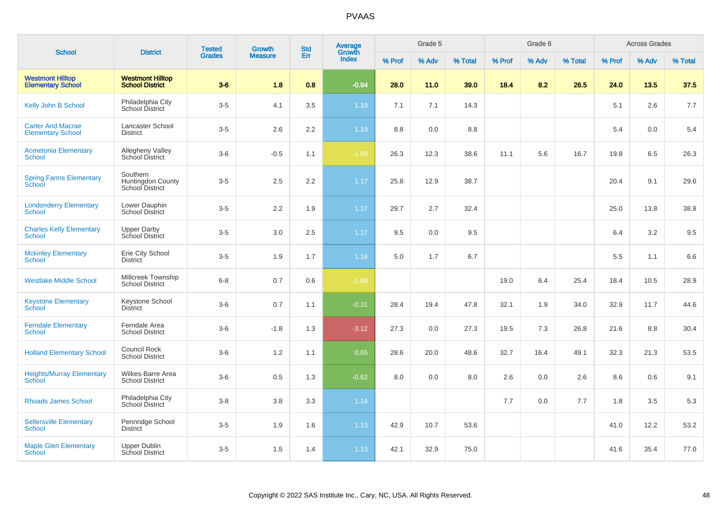| <b>School</b>                                        | <b>District</b>                                         | <b>Tested</b> | <b>Growth</b>  | <b>Std</b> | Average<br>Growth |        | Grade 5 |         |        | Grade 6 |         |        | <b>Across Grades</b> |         |
|------------------------------------------------------|---------------------------------------------------------|---------------|----------------|------------|-------------------|--------|---------|---------|--------|---------|---------|--------|----------------------|---------|
|                                                      |                                                         | <b>Grades</b> | <b>Measure</b> | Err        | <b>Index</b>      | % Prof | % Adv   | % Total | % Prof | % Adv   | % Total | % Prof | % Adv                | % Total |
| <b>Westmont Hilltop</b><br><b>Elementary School</b>  | <b>Westmont Hilltop</b><br><b>School District</b>       | $3-6$         | 1.8            | 0.8        | $-0.94$           | 28.0   | 11.0    | 39.0    | 18.4   | 8.2     | 26.5    | 24.0   | 13.5                 | 37.5    |
| Kelly John B School                                  | Philadelphia City<br>School District                    | $3-5$         | 4.1            | 3.5        | 1.19              | 7.1    | 7.1     | 14.3    |        |         |         | 5.1    | 2.6                  | 7.7     |
| <b>Carter And Macrae</b><br><b>Elementary School</b> | Lancaster School<br><b>District</b>                     | $3-5$         | 2.6            | 2.2        | 1.19              | 8.8    | 0.0     | 8.8     |        |         |         | 5.4    | 0.0                  | 5.4     |
| <b>Acmetonia Elementary</b><br>School                | Allegheny Valley<br>School District                     | $3-6$         | $-0.5$         | 1.1        | $-1.89$           | 26.3   | 12.3    | 38.6    | 11.1   | 5.6     | 16.7    | 19.8   | 6.5                  | 26.3    |
| <b>Spring Farms Elementary</b><br>School             | Southern<br><b>Huntingdon County</b><br>School District | $3-5$         | 2.5            | 2.2        | 1.17              | 25.8   | 12.9    | 38.7    |        |         |         | 20.4   | 9.1                  | 29.6    |
| <b>Londonderry Elementary</b><br>School              | Lower Dauphin<br><b>School District</b>                 | $3-5$         | $2.2\,$        | 1.9        | 1.17              | 29.7   | 2.7     | 32.4    |        |         |         | 25.0   | 13.8                 | 38.8    |
| <b>Charles Kelly Elementary</b><br><b>School</b>     | <b>Upper Darby</b><br>School District                   | $3-5$         | $3.0\,$        | 2.5        | 1.17              | 9.5    | 0.0     | 9.5     |        |         |         | 6.4    | 3.2                  | 9.5     |
| <b>Mckinley Elementary</b><br><b>School</b>          | Erie City School<br><b>District</b>                     | $3-5$         | 1.9            | 1.7        | 1.16              | 5.0    | 1.7     | 6.7     |        |         |         | 5.5    | 1.1                  | 6.6     |
| <b>Westlake Middle School</b>                        | Millcreek Township<br><b>School District</b>            | $6 - 8$       | 0.7            | 0.6        | $-1.88$           |        |         |         | 19.0   | 6.4     | 25.4    | 18.4   | 10.5                 | 28.9    |
| <b>Keystone Elementary</b><br>School                 | Keystone School<br><b>District</b>                      | $3-6$         | 0.7            | 1.1        | $-0.31$           | 28.4   | 19.4    | 47.8    | 32.1   | 1.9     | 34.0    | 32.9   | 11.7                 | 44.6    |
| <b>Ferndale Elementary</b><br><b>School</b>          | Ferndale Area<br><b>School District</b>                 | $3-6$         | $-1.8$         | 1.3        | $-3.12$           | 27.3   | 0.0     | 27.3    | 19.5   | 7.3     | 26.8    | 21.6   | 8.8                  | 30.4    |
| <b>Holland Elementary School</b>                     | <b>Council Rock</b><br><b>School District</b>           | $3-6$         | 1.2            | 1.1        | 0.65              | 28.6   | 20.0    | 48.6    | 32.7   | 16.4    | 49.1    | 32.3   | 21.3                 | 53.5    |
| <b>Heights/Murray Elementary</b><br><b>School</b>    | Wilkes-Barre Area<br><b>School District</b>             | $3-6$         | 0.5            | 1.3        | $-0.62$           | 8.0    | 0.0     | 8.0     | 2.6    | 0.0     | 2.6     | 8.6    | 0.6                  | 9.1     |
| <b>Rhoads James School</b>                           | Philadelphia City<br>School District                    | $3-8$         | 3.8            | 3.3        | 1.14              |        |         |         | 7.7    | 0.0     | 7.7     | 1.8    | 3.5                  | 5.3     |
| <b>Sellersville Elementary</b><br><b>School</b>      | Pennridge School<br><b>District</b>                     | $3-5$         | 1.9            | 1.6        | 1.13              | 42.9   | 10.7    | 53.6    |        |         |         | 41.0   | 12.2                 | 53.2    |
| <b>Maple Glen Elementary</b><br>School               | Upper Dublin<br><b>School District</b>                  | $3-5$         | 1.5            | 1.4        | 1.13              | 42.1   | 32.9    | 75.0    |        |         |         | 41.6   | 35.4                 | 77.0    |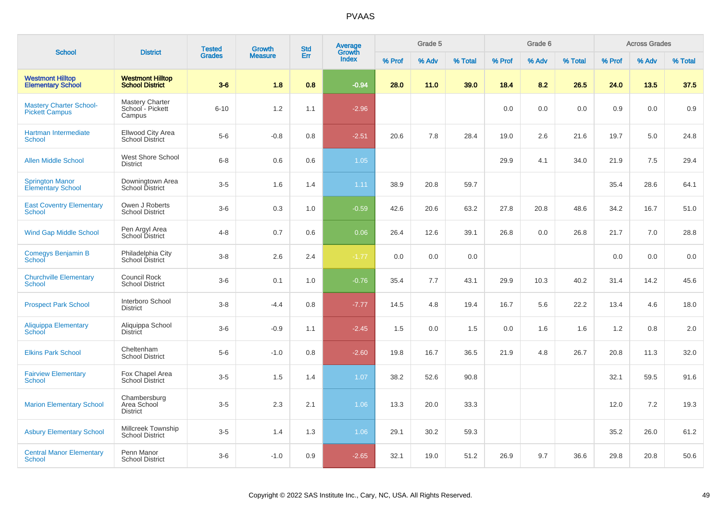| <b>School</b>                                           | <b>District</b>                                      | <b>Tested</b> | <b>Growth</b>  | <b>Std</b> | <b>Average</b><br>Growth |        | Grade 5 |         |        | Grade 6 |         |        | <b>Across Grades</b> |         |
|---------------------------------------------------------|------------------------------------------------------|---------------|----------------|------------|--------------------------|--------|---------|---------|--------|---------|---------|--------|----------------------|---------|
|                                                         |                                                      | <b>Grades</b> | <b>Measure</b> | Err        | Index                    | % Prof | % Adv   | % Total | % Prof | % Adv   | % Total | % Prof | % Adv                | % Total |
| <b>Westmont Hilltop</b><br><b>Elementary School</b>     | <b>Westmont Hilltop</b><br><b>School District</b>    | $3-6$         | 1.8            | 0.8        | $-0.94$                  | 28.0   | 11.0    | 39.0    | 18.4   | 8.2     | 26.5    | 24.0   | 13.5                 | 37.5    |
| <b>Mastery Charter School-</b><br><b>Pickett Campus</b> | <b>Mastery Charter</b><br>School - Pickett<br>Campus | $6 - 10$      | 1.2            | 1.1        | $-2.96$                  |        |         |         | 0.0    | 0.0     | 0.0     | 0.9    | 0.0                  | 0.9     |
| <b>Hartman Intermediate</b><br>School                   | Ellwood City Area<br><b>School District</b>          | $5-6$         | $-0.8$         | 0.8        | $-2.51$                  | 20.6   | 7.8     | 28.4    | 19.0   | 2.6     | 21.6    | 19.7   | 5.0                  | 24.8    |
| <b>Allen Middle School</b>                              | <b>West Shore School</b><br><b>District</b>          | $6 - 8$       | 0.6            | 0.6        | 1.05                     |        |         |         | 29.9   | 4.1     | 34.0    | 21.9   | 7.5                  | 29.4    |
| <b>Springton Manor</b><br><b>Elementary School</b>      | Downingtown Area<br>School District                  | $3-5$         | 1.6            | 1.4        | 1.11                     | 38.9   | 20.8    | 59.7    |        |         |         | 35.4   | 28.6                 | 64.1    |
| <b>East Coventry Elementary</b><br>School               | Owen J Roberts<br><b>School District</b>             | $3-6$         | 0.3            | 1.0        | $-0.59$                  | 42.6   | 20.6    | 63.2    | 27.8   | 20.8    | 48.6    | 34.2   | 16.7                 | 51.0    |
| <b>Wind Gap Middle School</b>                           | Pen Argyl Area<br>School District                    | $4 - 8$       | 0.7            | 0.6        | 0.06                     | 26.4   | 12.6    | 39.1    | 26.8   | 0.0     | 26.8    | 21.7   | 7.0                  | 28.8    |
| <b>Comegys Benjamin B</b><br>School                     | Philadelphia City<br>School District                 | $3 - 8$       | 2.6            | 2.4        | $-1.77$                  | 0.0    | 0.0     | 0.0     |        |         |         | 0.0    | 0.0                  | 0.0     |
| <b>Churchville Elementary</b><br>School                 | Council Rock<br><b>School District</b>               | $3-6$         | 0.1            | 1.0        | $-0.76$                  | 35.4   | 7.7     | 43.1    | 29.9   | 10.3    | 40.2    | 31.4   | 14.2                 | 45.6    |
| <b>Prospect Park School</b>                             | Interboro School<br><b>District</b>                  | $3 - 8$       | $-4.4$         | 0.8        | $-7.77$                  | 14.5   | 4.8     | 19.4    | 16.7   | 5.6     | 22.2    | 13.4   | 4.6                  | 18.0    |
| Aliquippa Elementary<br>School                          | Aliquippa School<br><b>District</b>                  | $3-6$         | $-0.9$         | 1.1        | $-2.45$                  | 1.5    | 0.0     | 1.5     | 0.0    | 1.6     | 1.6     | 1.2    | 0.8                  | 2.0     |
| <b>Elkins Park School</b>                               | Cheltenham<br><b>School District</b>                 | $5-6$         | $-1.0$         | 0.8        | $-2.60$                  | 19.8   | 16.7    | 36.5    | 21.9   | 4.8     | 26.7    | 20.8   | 11.3                 | 32.0    |
| <b>Fairview Elementary</b><br><b>School</b>             | Fox Chapel Area<br><b>School District</b>            | $3-5$         | 1.5            | 1.4        | 1.07                     | 38.2   | 52.6    | 90.8    |        |         |         | 32.1   | 59.5                 | 91.6    |
| <b>Marion Elementary School</b>                         | Chambersburg<br>Area School<br><b>District</b>       | $3-5$         | 2.3            | 2.1        | 1.06                     | 13.3   | 20.0    | 33.3    |        |         |         | 12.0   | 7.2                  | 19.3    |
| <b>Asbury Elementary School</b>                         | Millcreek Township<br><b>School District</b>         | $3-5$         | 1.4            | 1.3        | 1.06                     | 29.1   | 30.2    | 59.3    |        |         |         | 35.2   | 26.0                 | 61.2    |
| <b>Central Manor Elementary</b><br>School               | Penn Manor<br><b>School District</b>                 | $3-6$         | $-1.0$         | 0.9        | $-2.65$                  | 32.1   | 19.0    | 51.2    | 26.9   | 9.7     | 36.6    | 29.8   | 20.8                 | 50.6    |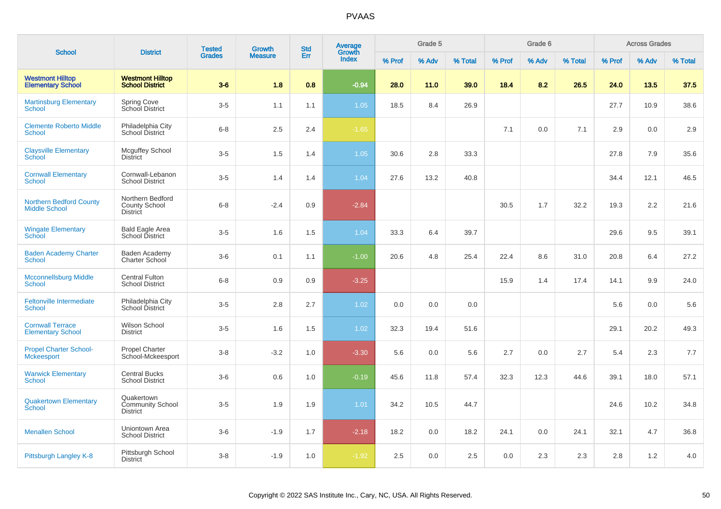|                                                        | <b>District</b>                                          | <b>Tested</b> | <b>Growth</b>  | <b>Std</b> | Average<br>Growth |        | Grade 5 |         |        | Grade 6 |         |        | <b>Across Grades</b> |         |
|--------------------------------------------------------|----------------------------------------------------------|---------------|----------------|------------|-------------------|--------|---------|---------|--------|---------|---------|--------|----------------------|---------|
| <b>School</b>                                          |                                                          | <b>Grades</b> | <b>Measure</b> | Err        | <b>Index</b>      | % Prof | % Adv   | % Total | % Prof | % Adv   | % Total | % Prof | % Adv                | % Total |
| <b>Westmont Hilltop</b><br><b>Elementary School</b>    | <b>Westmont Hilltop</b><br><b>School District</b>        | $3-6$         | 1.8            | 0.8        | $-0.94$           | 28.0   | 11.0    | 39.0    | 18.4   | 8.2     | 26.5    | 24.0   | 13.5                 | 37.5    |
| <b>Martinsburg Elementary</b><br><b>School</b>         | <b>Spring Cove</b><br>School District                    | $3-5$         | 1.1            | 1.1        | 1.05              | 18.5   | 8.4     | 26.9    |        |         |         | 27.7   | 10.9                 | 38.6    |
| <b>Clemente Roberto Middle</b><br>School               | Philadelphia City<br>School District                     | $6 - 8$       | 2.5            | 2.4        | $-1.65$           |        |         |         | 7.1    | 0.0     | 7.1     | 2.9    | 0.0                  | 2.9     |
| <b>Claysville Elementary</b><br><b>School</b>          | Mcguffey School<br><b>District</b>                       | $3-5$         | 1.5            | 1.4        | 1.05              | 30.6   | 2.8     | 33.3    |        |         |         | 27.8   | 7.9                  | 35.6    |
| <b>Cornwall Elementary</b><br>School                   | Cornwall-Lebanon<br><b>School District</b>               | $3-5$         | 1.4            | 1.4        | 1.04              | 27.6   | 13.2    | 40.8    |        |         |         | 34.4   | 12.1                 | 46.5    |
| <b>Northern Bedford County</b><br><b>Middle School</b> | Northern Bedford<br>County School<br><b>District</b>     | $6 - 8$       | $-2.4$         | 0.9        | $-2.84$           |        |         |         | 30.5   | 1.7     | 32.2    | 19.3   | 2.2                  | 21.6    |
| <b>Wingate Elementary</b><br><b>School</b>             | <b>Bald Eagle Area</b><br>School District                | $3-5$         | 1.6            | 1.5        | 1.04              | 33.3   | 6.4     | 39.7    |        |         |         | 29.6   | 9.5                  | 39.1    |
| <b>Baden Academy Charter</b><br><b>School</b>          | Baden Academy<br><b>Charter School</b>                   | $3-6$         | 0.1            | 1.1        | $-1.00$           | 20.6   | 4.8     | 25.4    | 22.4   | 8.6     | 31.0    | 20.8   | 6.4                  | 27.2    |
| <b>Mcconnellsburg Middle</b><br><b>School</b>          | <b>Central Fulton</b><br><b>School District</b>          | $6 - 8$       | 0.9            | 0.9        | $-3.25$           |        |         |         | 15.9   | 1.4     | 17.4    | 14.1   | 9.9                  | 24.0    |
| <b>Feltonville Intermediate</b><br>School              | Philadelphia City<br>School District                     | $3-5$         | 2.8            | 2.7        | 1.02              | 0.0    | 0.0     | 0.0     |        |         |         | 5.6    | 0.0                  | 5.6     |
| <b>Cornwall Terrace</b><br><b>Elementary School</b>    | Wilson School<br><b>District</b>                         | $3-5$         | 1.6            | 1.5        | 1.02              | 32.3   | 19.4    | 51.6    |        |         |         | 29.1   | 20.2                 | 49.3    |
| <b>Propel Charter School-</b><br><b>Mckeesport</b>     | <b>Propel Charter</b><br>School-Mckeesport               | $3 - 8$       | $-3.2$         | 1.0        | $-3.30$           | 5.6    | 0.0     | 5.6     | 2.7    | 0.0     | 2.7     | 5.4    | 2.3                  | 7.7     |
| <b>Warwick Elementary</b><br><b>School</b>             | <b>Central Bucks</b><br><b>School District</b>           | $3-6$         | 0.6            | 1.0        | $-0.19$           | 45.6   | 11.8    | 57.4    | 32.3   | 12.3    | 44.6    | 39.1   | 18.0                 | 57.1    |
| <b>Quakertown Elementary</b><br><b>School</b>          | Quakertown<br><b>Community School</b><br><b>District</b> | $3-5$         | 1.9            | 1.9        | 1.01              | 34.2   | 10.5    | 44.7    |        |         |         | 24.6   | 10.2                 | 34.8    |
| <b>Menallen School</b>                                 | Uniontown Area<br><b>School District</b>                 | $3-6$         | $-1.9$         | 1.7        | $-2.18$           | 18.2   | 0.0     | 18.2    | 24.1   | 0.0     | 24.1    | 32.1   | 4.7                  | 36.8    |
| Pittsburgh Langley K-8                                 | Pittsburgh School<br><b>District</b>                     | $3 - 8$       | $-1.9$         | 1.0        | $-1.92$           | 2.5    | 0.0     | 2.5     | 0.0    | 2.3     | 2.3     | 2.8    | 1.2                  | 4.0     |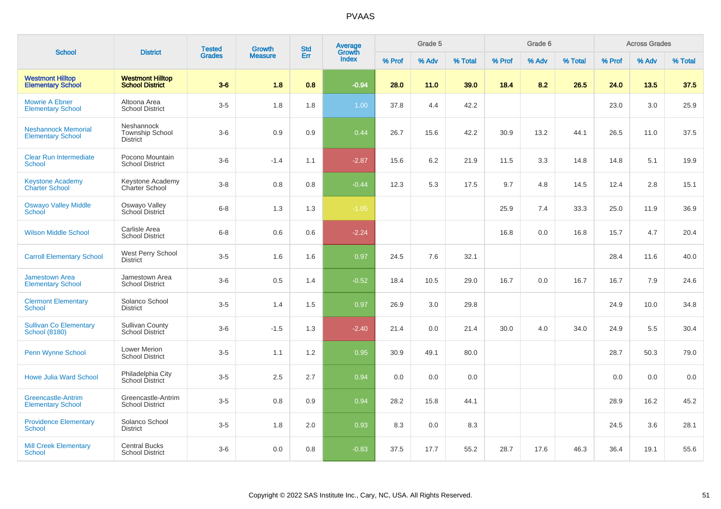| <b>School</b>                                          | <b>District</b>                                   | <b>Tested</b> | Growth         | <b>Std</b> | <b>Average</b><br>Growth |        | Grade 5 |         |        | Grade 6 |         |        | <b>Across Grades</b> |         |
|--------------------------------------------------------|---------------------------------------------------|---------------|----------------|------------|--------------------------|--------|---------|---------|--------|---------|---------|--------|----------------------|---------|
|                                                        |                                                   | <b>Grades</b> | <b>Measure</b> | Err        | <b>Index</b>             | % Prof | % Adv   | % Total | % Prof | % Adv   | % Total | % Prof | % Adv                | % Total |
| <b>Westmont Hilltop</b><br><b>Elementary School</b>    | <b>Westmont Hilltop</b><br><b>School District</b> | $3-6$         | 1.8            | 0.8        | $-0.94$                  | 28.0   | 11.0    | 39.0    | 18.4   | 8.2     | 26.5    | 24.0   | 13.5                 | 37.5    |
| <b>Mowrie A Ebner</b><br><b>Elementary School</b>      | Altoona Area<br><b>School District</b>            | $3-5$         | 1.8            | 1.8        | 1.00                     | 37.8   | 4.4     | 42.2    |        |         |         | 23.0   | 3.0                  | 25.9    |
| <b>Neshannock Memorial</b><br><b>Elementary School</b> | Neshannock<br><b>Township School</b><br>District  | $3-6$         | 0.9            | 0.9        | 0.44                     | 26.7   | 15.6    | 42.2    | 30.9   | 13.2    | 44.1    | 26.5   | 11.0                 | 37.5    |
| <b>Clear Run Intermediate</b><br><b>School</b>         | Pocono Mountain<br><b>School District</b>         | $3-6$         | $-1.4$         | 1.1        | $-2.87$                  | 15.6   | 6.2     | 21.9    | 11.5   | 3.3     | 14.8    | 14.8   | 5.1                  | 19.9    |
| <b>Keystone Academy</b><br><b>Charter School</b>       | Keystone Academy<br>Charter School                | $3-8$         | 0.8            | 0.8        | $-0.44$                  | 12.3   | 5.3     | 17.5    | 9.7    | 4.8     | 14.5    | 12.4   | 2.8                  | 15.1    |
| <b>Oswayo Valley Middle</b><br>School                  | Oswayo Valley<br>School District                  | $6 - 8$       | 1.3            | 1.3        | $-1.05$                  |        |         |         | 25.9   | 7.4     | 33.3    | 25.0   | 11.9                 | 36.9    |
| <b>Wilson Middle School</b>                            | Carlisle Area<br><b>School District</b>           | $6 - 8$       | 0.6            | 0.6        | $-2.24$                  |        |         |         | 16.8   | 0.0     | 16.8    | 15.7   | 4.7                  | 20.4    |
| <b>Carroll Elementary School</b>                       | West Perry School<br><b>District</b>              | $3-5$         | 1.6            | 1.6        | 0.97                     | 24.5   | 7.6     | 32.1    |        |         |         | 28.4   | 11.6                 | 40.0    |
| Jamestown Area<br><b>Elementary School</b>             | Jamestown Area<br><b>School District</b>          | $3-6$         | 0.5            | 1.4        | $-0.52$                  | 18.4   | 10.5    | 29.0    | 16.7   | 0.0     | 16.7    | 16.7   | 7.9                  | 24.6    |
| <b>Clermont Elementary</b><br><b>School</b>            | Solanco School<br>District                        | $3-5$         | 1.4            | 1.5        | 0.97                     | 26.9   | 3.0     | 29.8    |        |         |         | 24.9   | 10.0                 | 34.8    |
| <b>Sullivan Co Elementary</b><br><b>School (8180)</b>  | <b>Sullivan County</b><br>School District         | $3-6$         | $-1.5$         | 1.3        | $-2.40$                  | 21.4   | 0.0     | 21.4    | 30.0   | 4.0     | 34.0    | 24.9   | 5.5                  | 30.4    |
| <b>Penn Wynne School</b>                               | <b>Lower Merion</b><br><b>School District</b>     | $3-5$         | 1.1            | 1.2        | 0.95                     | 30.9   | 49.1    | 80.0    |        |         |         | 28.7   | 50.3                 | 79.0    |
| <b>Howe Julia Ward School</b>                          | Philadelphia City<br><b>School District</b>       | $3-5$         | 2.5            | 2.7        | 0.94                     | 0.0    | 0.0     | 0.0     |        |         |         | 0.0    | 0.0                  | 0.0     |
| <b>Greencastle-Antrim</b><br><b>Elementary School</b>  | Greencastle-Antrim<br><b>School District</b>      | $3-5$         | 0.8            | 0.9        | 0.94                     | 28.2   | 15.8    | 44.1    |        |         |         | 28.9   | 16.2                 | 45.2    |
| <b>Providence Elementary</b><br>School                 | Solanco School<br>District                        | $3-5$         | 1.8            | 2.0        | 0.93                     | 8.3    | 0.0     | 8.3     |        |         |         | 24.5   | 3.6                  | 28.1    |
| <b>Mill Creek Elementary</b><br>School                 | <b>Central Bucks</b><br><b>School District</b>    | $3-6$         | 0.0            | 0.8        | $-0.83$                  | 37.5   | 17.7    | 55.2    | 28.7   | 17.6    | 46.3    | 36.4   | 19.1                 | 55.6    |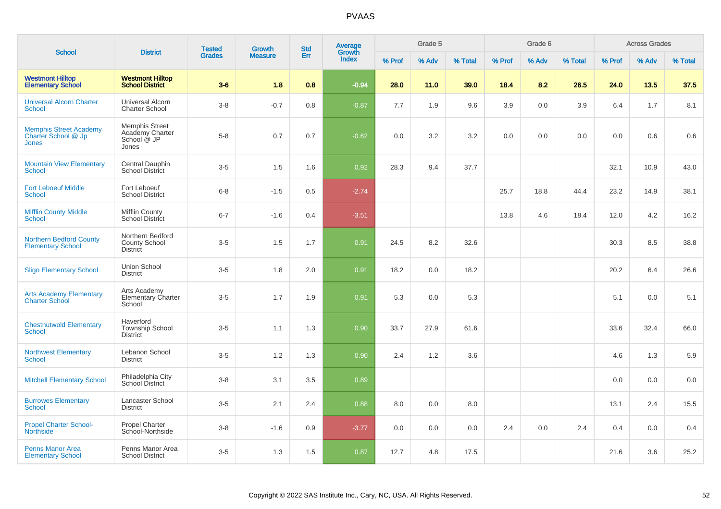|                                                                      |                                                                  | <b>Tested</b> | Growth         | <b>Std</b> | Average<br>Growth |        | Grade 5 |         |        | Grade 6 |         |        | <b>Across Grades</b> |         |
|----------------------------------------------------------------------|------------------------------------------------------------------|---------------|----------------|------------|-------------------|--------|---------|---------|--------|---------|---------|--------|----------------------|---------|
| <b>School</b>                                                        | <b>District</b>                                                  | <b>Grades</b> | <b>Measure</b> | Err        | <b>Index</b>      | % Prof | % Adv   | % Total | % Prof | % Adv   | % Total | % Prof | % Adv                | % Total |
| <b>Westmont Hilltop</b><br><b>Elementary School</b>                  | <b>Westmont Hilltop</b><br><b>School District</b>                | $3-6$         | 1.8            | 0.8        | $-0.94$           | 28.0   | 11.0    | 39.0    | 18.4   | 8.2     | 26.5    | 24.0   | 13.5                 | 37.5    |
| <b>Universal Alcorn Charter</b><br>School                            | Universal Alcorn<br><b>Charter School</b>                        | $3-8$         | $-0.7$         | 0.8        | $-0.87$           | 7.7    | 1.9     | 9.6     | 3.9    | 0.0     | 3.9     | 6.4    | 1.7                  | 8.1     |
| <b>Memphis Street Academy</b><br>Charter School @ Jp<br><b>Jones</b> | <b>Memphis Street</b><br>Academy Charter<br>School @ JP<br>Jones | $5-8$         | 0.7            | 0.7        | $-0.62$           | 0.0    | 3.2     | 3.2     | 0.0    | 0.0     | 0.0     | 0.0    | 0.6                  | $0.6\,$ |
| <b>Mountain View Elementary</b><br><b>School</b>                     | Central Dauphin<br>School District                               | $3-5$         | 1.5            | 1.6        | 0.92              | 28.3   | 9.4     | 37.7    |        |         |         | 32.1   | 10.9                 | 43.0    |
| <b>Fort Leboeuf Middle</b><br>School                                 | Fort Leboeuf<br><b>School District</b>                           | $6 - 8$       | $-1.5$         | 0.5        | $-2.74$           |        |         |         | 25.7   | 18.8    | 44.4    | 23.2   | 14.9                 | 38.1    |
| <b>Mifflin County Middle</b><br>School                               | Mifflin County<br><b>School District</b>                         | $6 - 7$       | $-1.6$         | 0.4        | $-3.51$           |        |         |         | 13.8   | 4.6     | 18.4    | 12.0   | 4.2                  | 16.2    |
| <b>Northern Bedford County</b><br><b>Elementary School</b>           | Northern Bedford<br><b>County School</b><br><b>District</b>      | $3-5$         | 1.5            | 1.7        | 0.91              | 24.5   | 8.2     | 32.6    |        |         |         | 30.3   | 8.5                  | 38.8    |
| <b>Sligo Elementary School</b>                                       | Union School<br><b>District</b>                                  | $3-5$         | 1.8            | 2.0        | 0.91              | 18.2   | 0.0     | 18.2    |        |         |         | 20.2   | 6.4                  | 26.6    |
| <b>Arts Academy Elementary</b><br><b>Charter School</b>              | Arts Academy<br>Elementary Charter<br>School                     | $3-5$         | 1.7            | 1.9        | 0.91              | 5.3    | 0.0     | 5.3     |        |         |         | 5.1    | 0.0                  | 5.1     |
| <b>Chestnutwold Elementary</b><br>School                             | Haverford<br><b>Township School</b><br><b>District</b>           | $3-5$         | 1.1            | 1.3        | 0.90              | 33.7   | 27.9    | 61.6    |        |         |         | 33.6   | 32.4                 | 66.0    |
| <b>Northwest Elementary</b><br>School                                | Lebanon School<br><b>District</b>                                | $3-5$         | 1.2            | 1.3        | 0.90              | 2.4    | 1.2     | 3.6     |        |         |         | 4.6    | 1.3                  | 5.9     |
| <b>Mitchell Elementary School</b>                                    | Philadelphia City<br>School District                             | $3 - 8$       | 3.1            | 3.5        | 0.89              |        |         |         |        |         |         | 0.0    | 0.0                  | 0.0     |
| <b>Burrowes Elementary</b><br>School                                 | Lancaster School<br><b>District</b>                              | $3-5$         | 2.1            | 2.4        | 0.88              | 8.0    | 0.0     | 8.0     |        |         |         | 13.1   | 2.4                  | 15.5    |
| <b>Propel Charter School-</b><br><b>Northside</b>                    | <b>Propel Charter</b><br>School-Northside                        | $3-8$         | $-1.6$         | 0.9        | $-3.77$           | 0.0    | 0.0     | 0.0     | 2.4    | 0.0     | 2.4     | 0.4    | 0.0                  | 0.4     |
| <b>Penns Manor Area</b><br><b>Elementary School</b>                  | Penns Manor Area<br><b>School District</b>                       | $3-5$         | 1.3            | 1.5        | 0.87              | 12.7   | 4.8     | 17.5    |        |         |         | 21.6   | 3.6                  | 25.2    |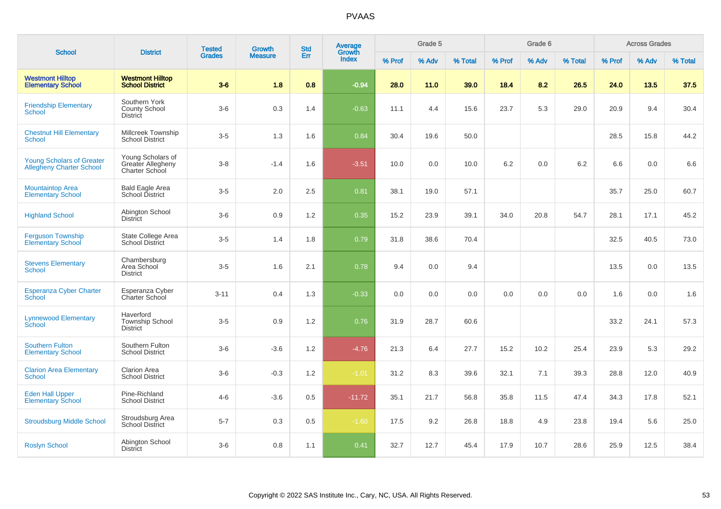| <b>School</b>                                                       | <b>District</b>                                          | <b>Tested</b> | <b>Growth</b>  | <b>Std</b> | Average<br>Growth |        | Grade 5 |         |        | Grade 6 |         |        | <b>Across Grades</b> |         |
|---------------------------------------------------------------------|----------------------------------------------------------|---------------|----------------|------------|-------------------|--------|---------|---------|--------|---------|---------|--------|----------------------|---------|
|                                                                     |                                                          | <b>Grades</b> | <b>Measure</b> | Err        | <b>Index</b>      | % Prof | % Adv   | % Total | % Prof | % Adv   | % Total | % Prof | % Adv                | % Total |
| <b>Westmont Hilltop</b><br><b>Elementary School</b>                 | <b>Westmont Hilltop</b><br><b>School District</b>        | $3-6$         | 1.8            | 0.8        | $-0.94$           | 28.0   | 11.0    | 39.0    | 18.4   | 8.2     | 26.5    | 24.0   | 13.5                 | 37.5    |
| <b>Friendship Elementary</b><br><b>School</b>                       | Southern York<br><b>County School</b><br><b>District</b> | $3-6$         | 0.3            | 1.4        | $-0.63$           | 11.1   | 4.4     | 15.6    | 23.7   | 5.3     | 29.0    | 20.9   | 9.4                  | 30.4    |
| <b>Chestnut Hill Elementary</b><br><b>School</b>                    | Millcreek Township<br><b>School District</b>             | $3-5$         | 1.3            | 1.6        | 0.84              | 30.4   | 19.6    | 50.0    |        |         |         | 28.5   | 15.8                 | 44.2    |
| <b>Young Scholars of Greater</b><br><b>Allegheny Charter School</b> | Young Scholars of<br>Greater Allegheny<br>Charter School | $3 - 8$       | $-1.4$         | 1.6        | $-3.51$           | 10.0   | 0.0     | 10.0    | 6.2    | 0.0     | 6.2     | 6.6    | 0.0                  | 6.6     |
| <b>Mountaintop Area</b><br><b>Elementary School</b>                 | <b>Bald Eagle Area</b><br>School District                | $3-5$         | 2.0            | 2.5        | 0.81              | 38.1   | 19.0    | 57.1    |        |         |         | 35.7   | 25.0                 | 60.7    |
| <b>Highland School</b>                                              | Abington School<br><b>District</b>                       | $3-6$         | 0.9            | 1.2        | 0.35              | 15.2   | 23.9    | 39.1    | 34.0   | 20.8    | 54.7    | 28.1   | 17.1                 | 45.2    |
| <b>Ferguson Township</b><br><b>Elementary School</b>                | State College Area<br><b>School District</b>             | $3-5$         | 1.4            | 1.8        | 0.79              | 31.8   | 38.6    | 70.4    |        |         |         | 32.5   | 40.5                 | 73.0    |
| <b>Stevens Elementary</b><br><b>School</b>                          | Chambersburg<br>Area School<br><b>District</b>           | $3-5$         | 1.6            | 2.1        | 0.78              | 9.4    | 0.0     | 9.4     |        |         |         | 13.5   | 0.0                  | 13.5    |
| <b>Esperanza Cyber Charter</b><br>School                            | Esperanza Cyber<br>Charter School                        | $3 - 11$      | 0.4            | 1.3        | $-0.33$           | 0.0    | 0.0     | 0.0     | 0.0    | 0.0     | 0.0     | 1.6    | 0.0                  | 1.6     |
| <b>Lynnewood Elementary</b><br>School                               | Haverford<br><b>Township School</b><br><b>District</b>   | $3-5$         | 0.9            | 1.2        | 0.76              | 31.9   | 28.7    | 60.6    |        |         |         | 33.2   | 24.1                 | 57.3    |
| <b>Southern Fulton</b><br><b>Elementary School</b>                  | Southern Fulton<br><b>School District</b>                | $3-6$         | $-3.6$         | 1.2        | $-4.76$           | 21.3   | 6.4     | 27.7    | 15.2   | 10.2    | 25.4    | 23.9   | 5.3                  | 29.2    |
| <b>Clarion Area Elementary</b><br>School                            | <b>Clarion Area</b><br><b>School District</b>            | $3-6$         | $-0.3$         | 1.2        | $-1.01$           | 31.2   | 8.3     | 39.6    | 32.1   | 7.1     | 39.3    | 28.8   | 12.0                 | 40.9    |
| <b>Eden Hall Upper</b><br><b>Elementary School</b>                  | Pine-Richland<br><b>School District</b>                  | $4 - 6$       | $-3.6$         | 0.5        | $-11.72$          | 35.1   | 21.7    | 56.8    | 35.8   | 11.5    | 47.4    | 34.3   | 17.8                 | 52.1    |
| <b>Stroudsburg Middle School</b>                                    | Stroudsburg Area<br><b>School District</b>               | $5 - 7$       | 0.3            | 0.5        | $-1.60$           | 17.5   | 9.2     | 26.8    | 18.8   | 4.9     | 23.8    | 19.4   | 5.6                  | 25.0    |
| <b>Roslyn School</b>                                                | Abington School<br><b>District</b>                       | $3-6$         | 0.8            | 1.1        | 0.41              | 32.7   | 12.7    | 45.4    | 17.9   | 10.7    | 28.6    | 25.9   | 12.5                 | 38.4    |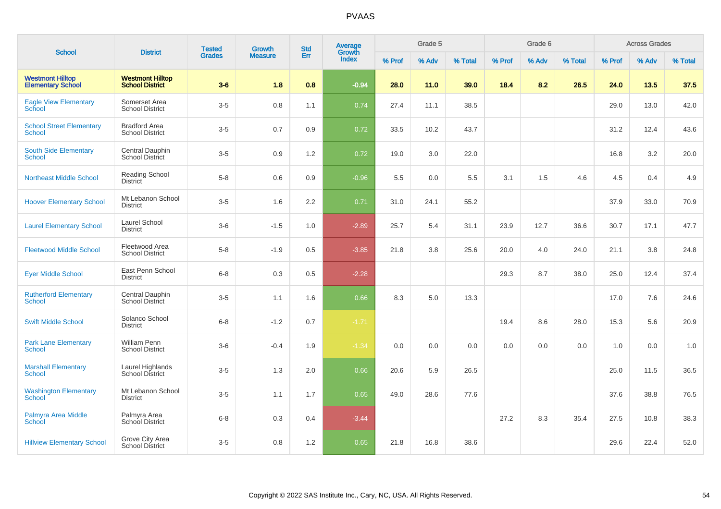| <b>School</b>                                       | <b>District</b>                                   | <b>Tested</b> | <b>Growth</b>  | <b>Std</b> | Average<br>Growth |        | Grade 5 |         |        | Grade 6 |         |        | <b>Across Grades</b> |         |
|-----------------------------------------------------|---------------------------------------------------|---------------|----------------|------------|-------------------|--------|---------|---------|--------|---------|---------|--------|----------------------|---------|
|                                                     |                                                   | <b>Grades</b> | <b>Measure</b> | Err        | <b>Index</b>      | % Prof | % Adv   | % Total | % Prof | % Adv   | % Total | % Prof | % Adv                | % Total |
| <b>Westmont Hilltop</b><br><b>Elementary School</b> | <b>Westmont Hilltop</b><br><b>School District</b> | $3-6$         | 1.8            | 0.8        | $-0.94$           | 28.0   | 11.0    | 39.0    | 18.4   | 8.2     | 26.5    | 24.0   | 13.5                 | 37.5    |
| <b>Eagle View Elementary</b><br>School              | Somerset Area<br><b>School District</b>           | $3-5$         | 0.8            | 1.1        | 0.74              | 27.4   | 11.1    | 38.5    |        |         |         | 29.0   | 13.0                 | 42.0    |
| <b>School Street Elementary</b><br><b>School</b>    | <b>Bradford Area</b><br><b>School District</b>    | $3-5$         | 0.7            | 0.9        | 0.72              | 33.5   | 10.2    | 43.7    |        |         |         | 31.2   | 12.4                 | 43.6    |
| <b>South Side Elementary</b><br><b>School</b>       | Central Dauphin<br><b>School District</b>         | $3-5$         | 0.9            | 1.2        | 0.72              | 19.0   | 3.0     | 22.0    |        |         |         | 16.8   | 3.2                  | 20.0    |
| <b>Northeast Middle School</b>                      | <b>Reading School</b><br><b>District</b>          | $5-8$         | $0.6\,$        | 0.9        | $-0.96$           | 5.5    | 0.0     | 5.5     | 3.1    | 1.5     | 4.6     | 4.5    | 0.4                  | 4.9     |
| <b>Hoover Elementary School</b>                     | Mt Lebanon School<br><b>District</b>              | $3-5$         | 1.6            | 2.2        | 0.71              | 31.0   | 24.1    | 55.2    |        |         |         | 37.9   | 33.0                 | 70.9    |
| <b>Laurel Elementary School</b>                     | Laurel School<br><b>District</b>                  | $3-6$         | $-1.5$         | 1.0        | $-2.89$           | 25.7   | 5.4     | 31.1    | 23.9   | 12.7    | 36.6    | 30.7   | 17.1                 | 47.7    |
| <b>Fleetwood Middle School</b>                      | Fleetwood Area<br><b>School District</b>          | $5 - 8$       | $-1.9$         | 0.5        | $-3.85$           | 21.8   | 3.8     | 25.6    | 20.0   | 4.0     | 24.0    | 21.1   | 3.8                  | 24.8    |
| <b>Eyer Middle School</b>                           | East Penn School<br><b>District</b>               | $6 - 8$       | $0.3\,$        | 0.5        | $-2.28$           |        |         |         | 29.3   | 8.7     | 38.0    | 25.0   | 12.4                 | 37.4    |
| <b>Rutherford Elementary</b><br>School              | Central Dauphin<br>School District                | $3-5$         | 1.1            | 1.6        | 0.66              | 8.3    | 5.0     | 13.3    |        |         |         | 17.0   | 7.6                  | 24.6    |
| <b>Swift Middle School</b>                          | Solanco School<br><b>District</b>                 | $6 - 8$       | $-1.2$         | 0.7        | $-1.71$           |        |         |         | 19.4   | 8.6     | 28.0    | 15.3   | 5.6                  | 20.9    |
| <b>Park Lane Elementary</b><br><b>School</b>        | <b>William Penn</b><br><b>School District</b>     | $3-6$         | $-0.4$         | 1.9        | $-1.34$           | 0.0    | 0.0     | 0.0     | 0.0    | 0.0     | 0.0     | 1.0    | 0.0                  | 1.0     |
| <b>Marshall Elementary</b><br><b>School</b>         | Laurel Highlands<br>School District               | $3-5$         | 1.3            | 2.0        | 0.66              | 20.6   | 5.9     | 26.5    |        |         |         | 25.0   | 11.5                 | 36.5    |
| <b>Washington Elementary</b><br>School              | Mt Lebanon School<br><b>District</b>              | $3-5$         | 1.1            | 1.7        | 0.65              | 49.0   | 28.6    | 77.6    |        |         |         | 37.6   | 38.8                 | 76.5    |
| Palmyra Area Middle<br>School                       | Palmyra Area<br>School District                   | $6 - 8$       | 0.3            | 0.4        | $-3.44$           |        |         |         | 27.2   | 8.3     | 35.4    | 27.5   | 10.8                 | 38.3    |
| <b>Hillview Elementary School</b>                   | Grove City Area<br><b>School District</b>         | $3-5$         | 0.8            | 1.2        | 0.65              | 21.8   | 16.8    | 38.6    |        |         |         | 29.6   | 22.4                 | 52.0    |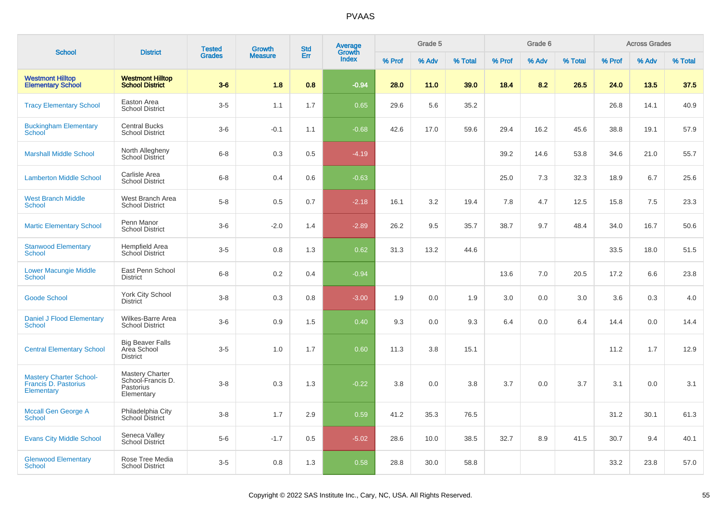|                                                                      |                                                                        | <b>Tested</b> | Growth         | <b>Std</b> | <b>Average</b>  |        | Grade 5 |         |        | Grade 6 |         |        | <b>Across Grades</b> |         |
|----------------------------------------------------------------------|------------------------------------------------------------------------|---------------|----------------|------------|-----------------|--------|---------|---------|--------|---------|---------|--------|----------------------|---------|
| <b>School</b>                                                        | <b>District</b>                                                        | <b>Grades</b> | <b>Measure</b> | Err        | Growth<br>Index | % Prof | % Adv   | % Total | % Prof | % Adv   | % Total | % Prof | % Adv                | % Total |
| <b>Westmont Hilltop</b><br><b>Elementary School</b>                  | <b>Westmont Hilltop</b><br><b>School District</b>                      | $3-6$         | 1.8            | 0.8        | $-0.94$         | 28.0   | 11.0    | 39.0    | 18.4   | 8.2     | 26.5    | 24.0   | 13.5                 | 37.5    |
| <b>Tracy Elementary School</b>                                       | Easton Area<br><b>School District</b>                                  | $3-5$         | 1.1            | 1.7        | 0.65            | 29.6   | 5.6     | 35.2    |        |         |         | 26.8   | 14.1                 | 40.9    |
| <b>Buckingham Elementary</b><br><b>School</b>                        | <b>Central Bucks</b><br><b>School District</b>                         | $3-6$         | $-0.1$         | 1.1        | $-0.68$         | 42.6   | 17.0    | 59.6    | 29.4   | 16.2    | 45.6    | 38.8   | 19.1                 | 57.9    |
| <b>Marshall Middle School</b>                                        | North Allegheny<br>School District                                     | $6 - 8$       | 0.3            | 0.5        | $-4.19$         |        |         |         | 39.2   | 14.6    | 53.8    | 34.6   | 21.0                 | 55.7    |
| <b>Lamberton Middle School</b>                                       | Carlisle Area<br><b>School District</b>                                | $6 - 8$       | 0.4            | 0.6        | $-0.63$         |        |         |         | 25.0   | 7.3     | 32.3    | 18.9   | 6.7                  | 25.6    |
| <b>West Branch Middle</b><br><b>School</b>                           | West Branch Area<br><b>School District</b>                             | $5 - 8$       | 0.5            | 0.7        | $-2.18$         | 16.1   | 3.2     | 19.4    | 7.8    | 4.7     | 12.5    | 15.8   | $7.5\,$              | 23.3    |
| <b>Martic Elementary School</b>                                      | Penn Manor<br><b>School District</b>                                   | $3-6$         | $-2.0$         | 1.4        | $-2.89$         | 26.2   | 9.5     | 35.7    | 38.7   | 9.7     | 48.4    | 34.0   | 16.7                 | 50.6    |
| <b>Stanwood Elementary</b><br><b>School</b>                          | Hempfield Area<br>School District                                      | $3-5$         | 0.8            | 1.3        | 0.62            | 31.3   | 13.2    | 44.6    |        |         |         | 33.5   | 18.0                 | 51.5    |
| <b>Lower Macungie Middle</b><br><b>School</b>                        | East Penn School<br><b>District</b>                                    | $6 - 8$       | 0.2            | 0.4        | $-0.94$         |        |         |         | 13.6   | 7.0     | 20.5    | 17.2   | 6.6                  | 23.8    |
| <b>Goode School</b>                                                  | York City School<br><b>District</b>                                    | $3-8$         | 0.3            | 0.8        | $-3.00$         | 1.9    | 0.0     | 1.9     | 3.0    | 0.0     | 3.0     | 3.6    | 0.3                  | 4.0     |
| <b>Daniel J Flood Elementary</b><br><b>School</b>                    | Wilkes-Barre Area<br><b>School District</b>                            | $3-6$         | 0.9            | 1.5        | 0.40            | 9.3    | 0.0     | 9.3     | 6.4    | 0.0     | 6.4     | 14.4   | 0.0                  | 14.4    |
| <b>Central Elementary School</b>                                     | <b>Big Beaver Falls</b><br>Area School<br><b>District</b>              | $3-5$         | 1.0            | 1.7        | 0.60            | 11.3   | 3.8     | 15.1    |        |         |         | 11.2   | 1.7                  | 12.9    |
| <b>Mastery Charter School-</b><br>Francis D. Pastorius<br>Elementary | <b>Mastery Charter</b><br>School-Francis D.<br>Pastorius<br>Elementary | $3 - 8$       | 0.3            | 1.3        | $-0.22$         | 3.8    | 0.0     | 3.8     | 3.7    | 0.0     | 3.7     | 3.1    | 0.0                  | 3.1     |
| <b>Mccall Gen George A</b><br><b>School</b>                          | Philadelphia City<br>School District                                   | $3 - 8$       | 1.7            | 2.9        | 0.59            | 41.2   | 35.3    | 76.5    |        |         |         | 31.2   | 30.1                 | 61.3    |
| <b>Evans City Middle School</b>                                      | Seneca Valley<br>School District                                       | $5-6$         | $-1.7$         | 0.5        | $-5.02$         | 28.6   | 10.0    | 38.5    | 32.7   | 8.9     | 41.5    | 30.7   | 9.4                  | 40.1    |
| <b>Glenwood Elementary</b><br>School                                 | Rose Tree Media<br><b>School District</b>                              | $3-5$         | 0.8            | 1.3        | 0.58            | 28.8   | 30.0    | 58.8    |        |         |         | 33.2   | 23.8                 | 57.0    |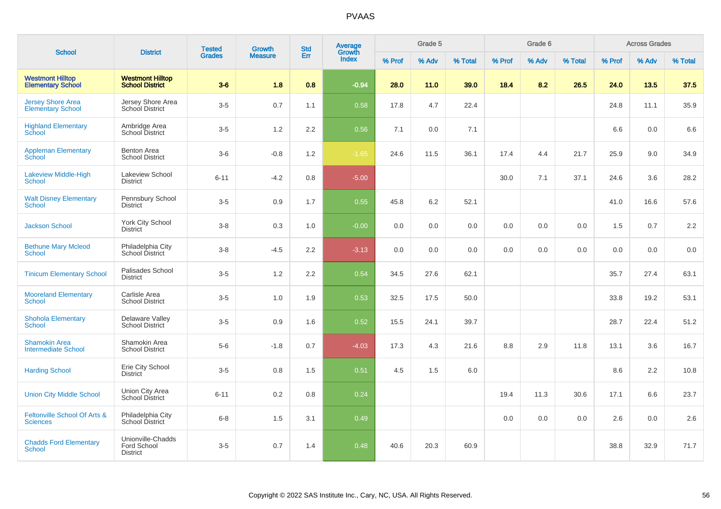| <b>School</b>                                        | <b>District</b>                                     | <b>Tested</b> | Growth         | <b>Std</b> | Average<br>Growth |        | Grade 5 |         |        | Grade 6 |         |        | <b>Across Grades</b> |         |
|------------------------------------------------------|-----------------------------------------------------|---------------|----------------|------------|-------------------|--------|---------|---------|--------|---------|---------|--------|----------------------|---------|
|                                                      |                                                     | <b>Grades</b> | <b>Measure</b> | Err        | <b>Index</b>      | % Prof | % Adv   | % Total | % Prof | % Adv   | % Total | % Prof | % Adv                | % Total |
| <b>Westmont Hilltop</b><br><b>Elementary School</b>  | <b>Westmont Hilltop</b><br><b>School District</b>   | $3-6$         | 1.8            | 0.8        | $-0.94$           | 28.0   | 11.0    | 39.0    | 18.4   | 8.2     | 26.5    | 24.0   | 13.5                 | 37.5    |
| <b>Jersey Shore Area</b><br><b>Elementary School</b> | Jersey Shore Area<br><b>School District</b>         | $3-5$         | 0.7            | 1.1        | 0.58              | 17.8   | 4.7     | 22.4    |        |         |         | 24.8   | 11.1                 | 35.9    |
| <b>Highland Elementary</b><br>School                 | Ambridge Area<br><b>School District</b>             | $3-5$         | 1.2            | 2.2        | 0.56              | 7.1    | 0.0     | 7.1     |        |         |         | 6.6    | 0.0                  | 6.6     |
| <b>Appleman Elementary</b><br>School                 | <b>Benton Area</b><br><b>School District</b>        | $3-6$         | $-0.8$         | 1.2        | $-1.65$           | 24.6   | 11.5    | 36.1    | 17.4   | 4.4     | 21.7    | 25.9   | 9.0                  | 34.9    |
| Lakeview Middle-High<br>School                       | Lakeview School<br><b>District</b>                  | $6 - 11$      | $-4.2$         | 0.8        | $-5.00$           |        |         |         | 30.0   | 7.1     | 37.1    | 24.6   | 3.6                  | 28.2    |
| <b>Walt Disney Elementary</b><br><b>School</b>       | Pennsbury School<br><b>District</b>                 | $3-5$         | 0.9            | 1.7        | 0.55              | 45.8   | 6.2     | 52.1    |        |         |         | 41.0   | 16.6                 | 57.6    |
| <b>Jackson School</b>                                | York City School<br><b>District</b>                 | $3 - 8$       | 0.3            | 1.0        | $-0.00$           | 0.0    | 0.0     | 0.0     | 0.0    | 0.0     | 0.0     | 1.5    | 0.7                  | $2.2\,$ |
| <b>Bethune Mary Mcleod</b><br>School                 | Philadelphia City<br>School District                | $3-8$         | $-4.5$         | 2.2        | $-3.13$           | 0.0    | 0.0     | 0.0     | 0.0    | 0.0     | 0.0     | 0.0    | 0.0                  | $0.0\,$ |
| <b>Tinicum Elementary School</b>                     | Palisades School<br><b>District</b>                 | $3-5$         | 1.2            | 2.2        | 0.54              | 34.5   | 27.6    | 62.1    |        |         |         | 35.7   | 27.4                 | 63.1    |
| <b>Mooreland Elementary</b><br><b>School</b>         | Carlisle Area<br><b>School District</b>             | $3-5$         | 1.0            | 1.9        | 0.53              | 32.5   | 17.5    | 50.0    |        |         |         | 33.8   | 19.2                 | 53.1    |
| <b>Shohola Elementary</b><br><b>School</b>           | Delaware Valley<br><b>School District</b>           | $3-5$         | 0.9            | 1.6        | 0.52              | 15.5   | 24.1    | 39.7    |        |         |         | 28.7   | 22.4                 | 51.2    |
| <b>Shamokin Area</b><br><b>Intermediate School</b>   | Shamokin Area<br><b>School District</b>             | $5-6$         | $-1.8$         | 0.7        | $-4.03$           | 17.3   | 4.3     | 21.6    | 8.8    | 2.9     | 11.8    | 13.1   | 3.6                  | 16.7    |
| <b>Harding School</b>                                | Erie City School<br><b>District</b>                 | $3-5$         | 0.8            | 1.5        | 0.51              | 4.5    | 1.5     | 6.0     |        |         |         | 8.6    | 2.2                  | 10.8    |
| <b>Union City Middle School</b>                      | Union City Area<br>School District                  | $6 - 11$      | 0.2            | 0.8        | 0.24              |        |         |         | 19.4   | 11.3    | 30.6    | 17.1   | 6.6                  | 23.7    |
| Feltonville School Of Arts &<br><b>Sciences</b>      | Philadelphia City<br>School District                | $6-8$         | 1.5            | 3.1        | 0.49              |        |         |         | 0.0    | 0.0     | 0.0     | 2.6    | 0.0                  | 2.6     |
| <b>Chadds Ford Elementary</b><br>School              | Unionville-Chadds<br>Ford School<br><b>District</b> | $3-5$         | 0.7            | 1.4        | 0.48              | 40.6   | 20.3    | 60.9    |        |         |         | 38.8   | 32.9                 | 71.7    |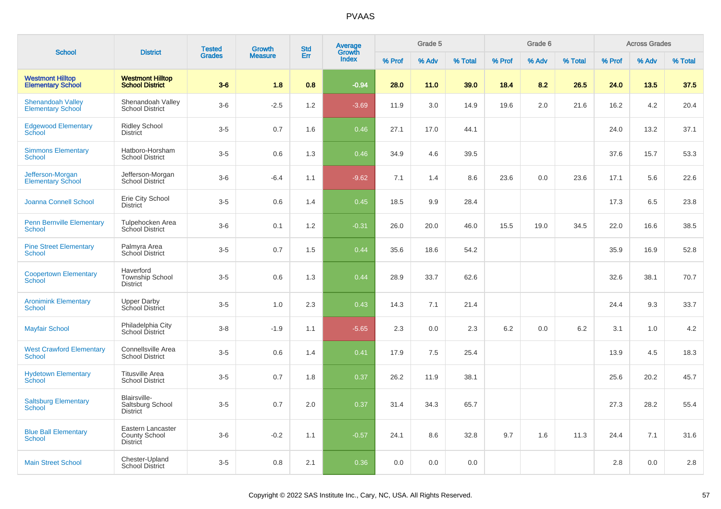| <b>School</b>                                        | <b>District</b>                                              | <b>Tested</b> | Growth         | <b>Std</b> | Average                |        | Grade 5 |         |        | Grade 6 |         |        | <b>Across Grades</b> |         |
|------------------------------------------------------|--------------------------------------------------------------|---------------|----------------|------------|------------------------|--------|---------|---------|--------|---------|---------|--------|----------------------|---------|
|                                                      |                                                              | <b>Grades</b> | <b>Measure</b> | Err        | Growth<br><b>Index</b> | % Prof | % Adv   | % Total | % Prof | % Adv   | % Total | % Prof | % Adv                | % Total |
| <b>Westmont Hilltop</b><br><b>Elementary School</b>  | <b>Westmont Hilltop</b><br><b>School District</b>            | $3-6$         | 1.8            | 0.8        | $-0.94$                | 28.0   | 11.0    | 39.0    | 18.4   | 8.2     | 26.5    | 24.0   | 13.5                 | 37.5    |
| <b>Shenandoah Valley</b><br><b>Elementary School</b> | Shenandoah Valley<br><b>School District</b>                  | $3-6$         | $-2.5$         | 1.2        | $-3.69$                | 11.9   | 3.0     | 14.9    | 19.6   | 2.0     | 21.6    | 16.2   | 4.2                  | 20.4    |
| <b>Edgewood Elementary</b><br>School                 | <b>Ridley School</b><br><b>District</b>                      | $3-5$         | 0.7            | 1.6        | 0.46                   | 27.1   | 17.0    | 44.1    |        |         |         | 24.0   | 13.2                 | 37.1    |
| <b>Simmons Elementary</b><br>School                  | Hatboro-Horsham<br><b>School District</b>                    | $3-5$         | 0.6            | 1.3        | 0.46                   | 34.9   | 4.6     | 39.5    |        |         |         | 37.6   | 15.7                 | 53.3    |
| Jefferson-Morgan<br><b>Elementary School</b>         | Jefferson-Morgan<br>School District                          | $3-6$         | $-6.4$         | 1.1        | $-9.62$                | 7.1    | 1.4     | 8.6     | 23.6   | 0.0     | 23.6    | 17.1   | 5.6                  | 22.6    |
| <b>Joanna Connell School</b>                         | Erie City School<br><b>District</b>                          | $3-5$         | 0.6            | 1.4        | 0.45                   | 18.5   | 9.9     | 28.4    |        |         |         | 17.3   | 6.5                  | 23.8    |
| <b>Penn Bernville Elementary</b><br><b>School</b>    | Tulpehocken Area<br><b>School District</b>                   | $3-6$         | 0.1            | 1.2        | $-0.31$                | 26.0   | 20.0    | 46.0    | 15.5   | 19.0    | 34.5    | 22.0   | 16.6                 | 38.5    |
| <b>Pine Street Elementary</b><br><b>School</b>       | Palmyra Area<br>School District                              | $3-5$         | 0.7            | 1.5        | 0.44                   | 35.6   | 18.6    | 54.2    |        |         |         | 35.9   | 16.9                 | 52.8    |
| <b>Coopertown Elementary</b><br><b>School</b>        | Haverford<br><b>Township School</b><br><b>District</b>       | $3-5$         | 0.6            | 1.3        | 0.44                   | 28.9   | 33.7    | 62.6    |        |         |         | 32.6   | 38.1                 | 70.7    |
| <b>Aronimink Elementary</b><br><b>School</b>         | <b>Upper Darby</b><br>School District                        | $3-5$         | 1.0            | 2.3        | 0.43                   | 14.3   | 7.1     | 21.4    |        |         |         | 24.4   | 9.3                  | 33.7    |
| <b>Mayfair School</b>                                | Philadelphia City<br>School District                         | $3-8$         | $-1.9$         | 1.1        | $-5.65$                | 2.3    | 0.0     | 2.3     | 6.2    | 0.0     | 6.2     | 3.1    | 1.0                  | 4.2     |
| <b>West Crawford Elementary</b><br><b>School</b>     | Connellsville Area<br><b>School District</b>                 | $3-5$         | 0.6            | 1.4        | 0.41                   | 17.9   | 7.5     | 25.4    |        |         |         | 13.9   | 4.5                  | 18.3    |
| <b>Hydetown Elementary</b><br>School                 | <b>Titusville Area</b><br><b>School District</b>             | $3-5$         | 0.7            | 1.8        | 0.37                   | 26.2   | 11.9    | 38.1    |        |         |         | 25.6   | 20.2                 | 45.7    |
| <b>Saltsburg Elementary</b><br><b>School</b>         | Blairsville-<br>Saltsburg School<br><b>District</b>          | $3-5$         | 0.7            | 2.0        | 0.37                   | 31.4   | 34.3    | 65.7    |        |         |         | 27.3   | 28.2                 | 55.4    |
| <b>Blue Ball Elementary</b><br><b>School</b>         | Eastern Lancaster<br><b>County School</b><br><b>District</b> | $3-6$         | $-0.2$         | 1.1        | $-0.57$                | 24.1   | 8.6     | 32.8    | 9.7    | 1.6     | 11.3    | 24.4   | 7.1                  | 31.6    |
| <b>Main Street School</b>                            | Chester-Upland<br><b>School District</b>                     | $3-5$         | 0.8            | 2.1        | 0.36                   | 0.0    | 0.0     | 0.0     |        |         |         | 2.8    | 0.0                  | 2.8     |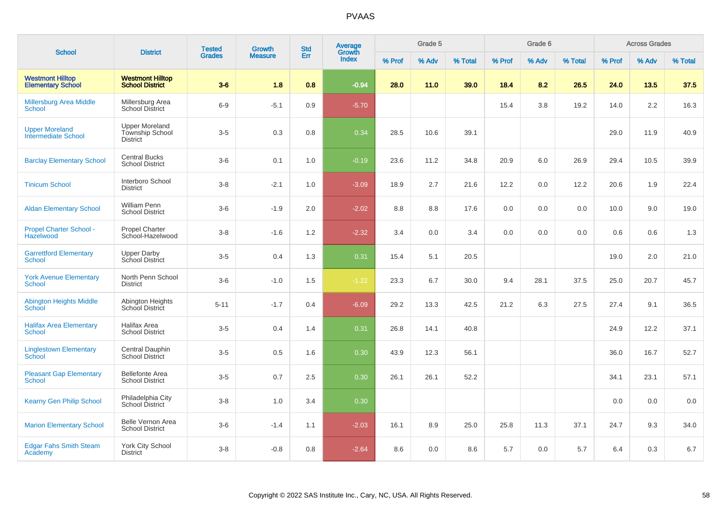| <b>School</b>                                       | <b>District</b>                                                    | <b>Tested</b> | Growth         | <b>Std</b> | <b>Average</b><br>Growth |        | Grade 5 |         |        | Grade 6 |         |        | <b>Across Grades</b> |         |
|-----------------------------------------------------|--------------------------------------------------------------------|---------------|----------------|------------|--------------------------|--------|---------|---------|--------|---------|---------|--------|----------------------|---------|
|                                                     |                                                                    | <b>Grades</b> | <b>Measure</b> | Err        | <b>Index</b>             | % Prof | % Adv   | % Total | % Prof | % Adv   | % Total | % Prof | % Adv                | % Total |
| <b>Westmont Hilltop</b><br><b>Elementary School</b> | <b>Westmont Hilltop</b><br><b>School District</b>                  | $3-6$         | 1.8            | 0.8        | $-0.94$                  | 28.0   | 11.0    | 39.0    | 18.4   | 8.2     | 26.5    | 24.0   | 13.5                 | 37.5    |
| <b>Millersburg Area Middle</b><br><b>School</b>     | Millersburg Area<br><b>School District</b>                         | $6-9$         | $-5.1$         | 0.9        | $-5.70$                  |        |         |         | 15.4   | 3.8     | 19.2    | 14.0   | 2.2                  | 16.3    |
| <b>Upper Moreland</b><br><b>Intermediate School</b> | <b>Upper Moreland</b><br><b>Township School</b><br><b>District</b> | $3-5$         | 0.3            | 0.8        | 0.34                     | 28.5   | 10.6    | 39.1    |        |         |         | 29.0   | 11.9                 | 40.9    |
| <b>Barclay Elementary School</b>                    | <b>Central Bucks</b><br><b>School District</b>                     | $3-6$         | 0.1            | 1.0        | $-0.19$                  | 23.6   | 11.2    | 34.8    | 20.9   | 6.0     | 26.9    | 29.4   | 10.5                 | 39.9    |
| <b>Tinicum School</b>                               | Interboro School<br><b>District</b>                                | $3-8$         | $-2.1$         | 1.0        | $-3.09$                  | 18.9   | 2.7     | 21.6    | 12.2   | 0.0     | 12.2    | 20.6   | 1.9                  | 22.4    |
| <b>Aldan Elementary School</b>                      | <b>William Penn</b><br><b>School District</b>                      | $3-6$         | $-1.9$         | 2.0        | $-2.02$                  | 8.8    | 8.8     | 17.6    | 0.0    | 0.0     | 0.0     | 10.0   | 9.0                  | 19.0    |
| <b>Propel Charter School -</b><br>Hazelwood         | Propel Charter<br>School-Hazelwood                                 | $3 - 8$       | $-1.6$         | 1.2        | $-2.32$                  | 3.4    | 0.0     | 3.4     | 0.0    | 0.0     | 0.0     | 0.6    | 0.6                  | 1.3     |
| <b>Garrettford Elementary</b><br>School             | <b>Upper Darby</b><br>School District                              | $3-5$         | 0.4            | 1.3        | 0.31                     | 15.4   | 5.1     | 20.5    |        |         |         | 19.0   | 2.0                  | 21.0    |
| <b>York Avenue Elementary</b><br><b>School</b>      | North Penn School<br><b>District</b>                               | $3-6$         | $-1.0$         | 1.5        | $-1.22$                  | 23.3   | 6.7     | 30.0    | 9.4    | 28.1    | 37.5    | 25.0   | 20.7                 | 45.7    |
| <b>Abington Heights Middle</b><br>School            | Abington Heights<br>School District                                | $5 - 11$      | $-1.7$         | 0.4        | $-6.09$                  | 29.2   | 13.3    | 42.5    | 21.2   | 6.3     | 27.5    | 27.4   | 9.1                  | 36.5    |
| <b>Halifax Area Elementary</b><br>School            | <b>Halifax Area</b><br><b>School District</b>                      | $3-5$         | 0.4            | 1.4        | 0.31                     | 26.8   | 14.1    | 40.8    |        |         |         | 24.9   | 12.2                 | 37.1    |
| <b>Linglestown Elementary</b><br><b>School</b>      | Central Dauphin<br><b>School District</b>                          | $3-5$         | 0.5            | 1.6        | 0.30                     | 43.9   | 12.3    | 56.1    |        |         |         | 36.0   | 16.7                 | 52.7    |
| <b>Pleasant Gap Elementary</b><br><b>School</b>     | <b>Bellefonte Area</b><br><b>School District</b>                   | $3-5$         | 0.7            | 2.5        | 0.30                     | 26.1   | 26.1    | 52.2    |        |         |         | 34.1   | 23.1                 | 57.1    |
| <b>Kearny Gen Philip School</b>                     | Philadelphia City<br><b>School District</b>                        | $3-8$         | 1.0            | 3.4        | 0.30                     |        |         |         |        |         |         | 0.0    | 0.0                  | 0.0     |
| <b>Marion Elementary School</b>                     | Belle Vernon Area<br><b>School District</b>                        | $3-6$         | $-1.4$         | 1.1        | $-2.03$                  | 16.1   | 8.9     | 25.0    | 25.8   | 11.3    | 37.1    | 24.7   | 9.3                  | 34.0    |
| <b>Edgar Fahs Smith Steam</b><br>Academy            | <b>York City School</b><br><b>District</b>                         | $3-8$         | $-0.8$         | 0.8        | $-2.64$                  | 8.6    | 0.0     | 8.6     | 5.7    | 0.0     | 5.7     | 6.4    | 0.3                  | $6.7\,$ |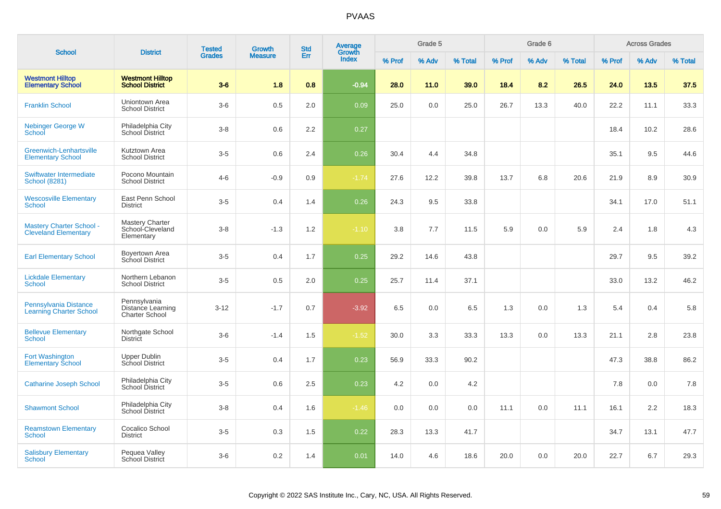|                                                                | <b>District</b>                                            | <b>Tested</b> | <b>Growth</b>  | <b>Std</b> | <b>Average</b><br>Growth |        | Grade 5 |         |        | Grade 6 |         |        | <b>Across Grades</b> |         |
|----------------------------------------------------------------|------------------------------------------------------------|---------------|----------------|------------|--------------------------|--------|---------|---------|--------|---------|---------|--------|----------------------|---------|
| <b>School</b>                                                  |                                                            | <b>Grades</b> | <b>Measure</b> | Err        | <b>Index</b>             | % Prof | % Adv   | % Total | % Prof | % Adv   | % Total | % Prof | % Adv                | % Total |
| <b>Westmont Hilltop</b><br><b>Elementary School</b>            | <b>Westmont Hilltop</b><br><b>School District</b>          | $3-6$         | 1.8            | 0.8        | $-0.94$                  | 28.0   | 11.0    | 39.0    | 18.4   | 8.2     | 26.5    | 24.0   | 13.5                 | 37.5    |
| <b>Franklin School</b>                                         | Uniontown Area<br><b>School District</b>                   | $3-6$         | 0.5            | 2.0        | 0.09                     | 25.0   | 0.0     | 25.0    | 26.7   | 13.3    | 40.0    | 22.2   | 11.1                 | 33.3    |
| <b>Nebinger George W</b><br>School                             | Philadelphia City<br>School District                       | $3 - 8$       | 0.6            | 2.2        | 0.27                     |        |         |         |        |         |         | 18.4   | 10.2                 | 28.6    |
| Greenwich-Lenhartsville<br><b>Elementary School</b>            | Kutztown Area<br><b>School District</b>                    | $3-5$         | 0.6            | 2.4        | 0.26                     | 30.4   | 4.4     | 34.8    |        |         |         | 35.1   | 9.5                  | 44.6    |
| Swiftwater Intermediate<br><b>School (8281)</b>                | Pocono Mountain<br><b>School District</b>                  | $4 - 6$       | $-0.9$         | 0.9        | $-1.74$                  | 27.6   | 12.2    | 39.8    | 13.7   | 6.8     | 20.6    | 21.9   | 8.9                  | 30.9    |
| <b>Wescosville Elementary</b><br>School                        | East Penn School<br><b>District</b>                        | $3-5$         | 0.4            | 1.4        | 0.26                     | 24.3   | 9.5     | 33.8    |        |         |         | 34.1   | 17.0                 | 51.1    |
| <b>Mastery Charter School -</b><br><b>Cleveland Elementary</b> | Mastery Charter<br>School-Cleveland<br>Elementary          | $3-8$         | $-1.3$         | 1.2        | $-1.10$                  | 3.8    | 7.7     | 11.5    | 5.9    | 0.0     | 5.9     | 2.4    | 1.8                  | 4.3     |
| <b>Earl Elementary School</b>                                  | Boyertown Area<br><b>School District</b>                   | $3-5$         | 0.4            | 1.7        | 0.25                     | 29.2   | 14.6    | 43.8    |        |         |         | 29.7   | 9.5                  | 39.2    |
| <b>Lickdale Elementary</b><br>School                           | Northern Lebanon<br><b>School District</b>                 | $3-5$         | 0.5            | 2.0        | 0.25                     | 25.7   | 11.4    | 37.1    |        |         |         | 33.0   | 13.2                 | 46.2    |
| Pennsylvania Distance<br><b>Learning Charter School</b>        | Pennsylvania<br>Distance Learning<br><b>Charter School</b> | $3 - 12$      | $-1.7$         | 0.7        | $-3.92$                  | 6.5    | 0.0     | 6.5     | 1.3    | 0.0     | 1.3     | 5.4    | 0.4                  | 5.8     |
| <b>Bellevue Elementary</b><br><b>School</b>                    | Northgate School<br><b>District</b>                        | $3-6$         | $-1.4$         | 1.5        | $-1.52$                  | 30.0   | 3.3     | 33.3    | 13.3   | 0.0     | 13.3    | 21.1   | 2.8                  | 23.8    |
| Fort Washington<br><b>Elementary School</b>                    | <b>Upper Dublin</b><br>School District                     | $3-5$         | 0.4            | 1.7        | 0.23                     | 56.9   | 33.3    | 90.2    |        |         |         | 47.3   | 38.8                 | 86.2    |
| <b>Catharine Joseph School</b>                                 | Philadelphia City<br>School District                       | $3-5$         | 0.6            | 2.5        | 0.23                     | 4.2    | 0.0     | 4.2     |        |         |         | 7.8    | 0.0                  | 7.8     |
| <b>Shawmont School</b>                                         | Philadelphia City<br>School District                       | $3 - 8$       | 0.4            | 1.6        | $-1.46$                  | 0.0    | 0.0     | 0.0     | 11.1   | 0.0     | 11.1    | 16.1   | 2.2                  | 18.3    |
| <b>Reamstown Elementary</b><br>School                          | Cocalico School<br>District                                | $3-5$         | 0.3            | 1.5        | 0.22                     | 28.3   | 13.3    | 41.7    |        |         |         | 34.7   | 13.1                 | 47.7    |
| <b>Salisbury Elementary</b><br>School                          | Pequea Valley<br><b>School District</b>                    | $3-6$         | 0.2            | 1.4        | 0.01                     | 14.0   | 4.6     | 18.6    | 20.0   | 0.0     | 20.0    | 22.7   | 6.7                  | 29.3    |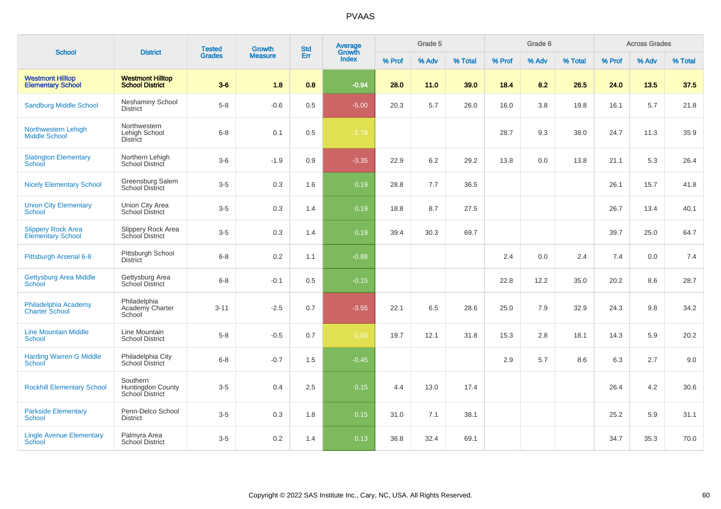| <b>School</b>                                         |                                                   | <b>Tested</b> | Growth         | <b>Std</b> | Average         |        | Grade 5 |         |        | Grade 6 |         |        | <b>Across Grades</b> |         |
|-------------------------------------------------------|---------------------------------------------------|---------------|----------------|------------|-----------------|--------|---------|---------|--------|---------|---------|--------|----------------------|---------|
|                                                       | <b>District</b>                                   | <b>Grades</b> | <b>Measure</b> | Err        | Growth<br>Index | % Prof | % Adv   | % Total | % Prof | % Adv   | % Total | % Prof | % Adv                | % Total |
| <b>Westmont Hilltop</b><br><b>Elementary School</b>   | <b>Westmont Hilltop</b><br><b>School District</b> | $3-6$         | 1.8            | 0.8        | $-0.94$         | 28.0   | 11.0    | 39.0    | 18.4   | 8.2     | 26.5    | 24.0   | 13.5                 | 37.5    |
| <b>Sandburg Middle School</b>                         | <b>Neshaminy School</b><br><b>District</b>        | $5 - 8$       | $-0.6$         | 0.5        | $-5.00$         | 20.3   | 5.7     | 26.0    | 16.0   | 3.8     | 19.8    | 16.1   | 5.7                  | 21.8    |
| Northwestern Lehigh<br><b>Middle School</b>           | Northwestern<br>Lehigh School<br><b>District</b>  | $6 - 8$       | 0.1            | 0.5        | $-1.79$         |        |         |         | 28.7   | 9.3     | 38.0    | 24.7   | 11.3                 | 35.9    |
| <b>Slatington Elementary</b><br>School                | Northern Lehigh<br>School District                | $3-6$         | $-1.9$         | 0.9        | $-3.35$         | 22.9   | 6.2     | 29.2    | 13.8   | 0.0     | 13.8    | 21.1   | 5.3                  | 26.4    |
| <b>Nicely Elementary School</b>                       | Greensburg Salem<br><b>School District</b>        | $3-5$         | 0.3            | 1.6        | 0.19            | 28.8   | 7.7     | 36.5    |        |         |         | 26.1   | 15.7                 | 41.8    |
| <b>Union City Elementary</b><br>School                | Union City Area<br>School District                | $3-5$         | 0.3            | 1.4        | 0.19            | 18.8   | 8.7     | 27.5    |        |         |         | 26.7   | 13.4                 | 40.1    |
| <b>Slippery Rock Area</b><br><b>Elementary School</b> | Slippery Rock Area<br>School District             | $3-5$         | 0.3            | 1.4        | 0.19            | 39.4   | 30.3    | 69.7    |        |         |         | 39.7   | 25.0                 | 64.7    |
| Pittsburgh Arsenal 6-8                                | Pittsburgh School<br><b>District</b>              | $6 - 8$       | 0.2            | 1.1        | $-0.88$         |        |         |         | 2.4    | 0.0     | 2.4     | 7.4    | 0.0                  | 7.4     |
| <b>Gettysburg Area Middle</b><br>School               | Gettysburg Area<br>School District                | $6 - 8$       | $-0.1$         | 0.5        | $-0.15$         |        |         |         | 22.8   | 12.2    | 35.0    | 20.2   | 8.6                  | 28.7    |
| Philadelphia Academy<br><b>Charter School</b>         | Philadelphia<br>Academy Charter<br>School         | $3 - 11$      | $-2.5$         | 0.7        | $-3.55$         | 22.1   | 6.5     | 28.6    | 25.0   | 7.9     | 32.9    | 24.3   | 9.8                  | 34.2    |
| <b>Line Mountain Middle</b><br><b>School</b>          | Line Mountain<br><b>School District</b>           | $5-8$         | $-0.5$         | 0.7        | $-1.56$         | 19.7   | 12.1    | 31.8    | 15.3   | 2.8     | 18.1    | 14.3   | 5.9                  | 20.2    |
| <b>Harding Warren G Middle</b><br><b>School</b>       | Philadelphia City<br>School District              | $6 - 8$       | $-0.7$         | 1.5        | $-0.45$         |        |         |         | 2.9    | 5.7     | 8.6     | 6.3    | 2.7                  | 9.0     |
| <b>Rockhill Elementary School</b>                     | Southern<br>Huntingdon County<br>School District  | $3-5$         | 0.4            | 2.5        | 0.15            | 4.4    | 13.0    | 17.4    |        |         |         | 26.4   | 4.2                  | 30.6    |
| <b>Parkside Elementary</b><br>School                  | Penn-Delco School<br><b>District</b>              | $3-5$         | 0.3            | 1.8        | 0.15            | 31.0   | 7.1     | 38.1    |        |         |         | 25.2   | 5.9                  | 31.1    |
| <b>Lingle Avenue Elementary</b><br><b>School</b>      | Palmyra Area<br><b>School District</b>            | $3-5$         | 0.2            | 1.4        | 0.13            | 36.8   | 32.4    | 69.1    |        |         |         | 34.7   | 35.3                 | 70.0    |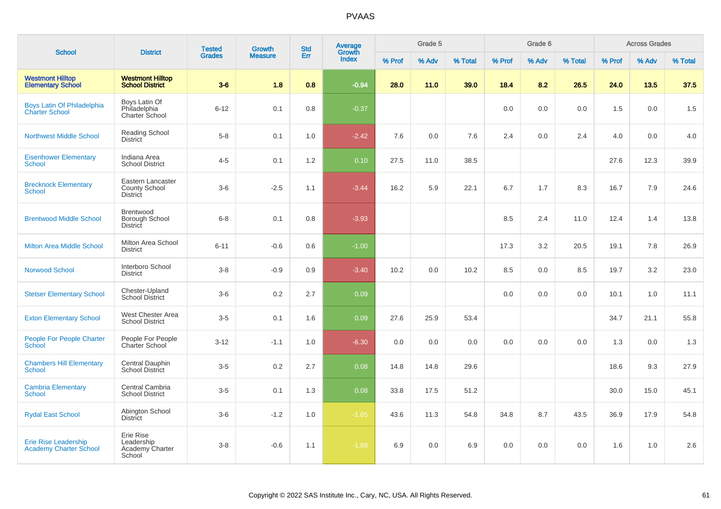| <b>School</b>                                                | <b>District</b>                                              | <b>Tested</b> | Growth         | <b>Std</b> | <b>Average</b><br>Growth |        | Grade 5 |         |        | Grade 6 |         |        | <b>Across Grades</b> |         |
|--------------------------------------------------------------|--------------------------------------------------------------|---------------|----------------|------------|--------------------------|--------|---------|---------|--------|---------|---------|--------|----------------------|---------|
|                                                              |                                                              | <b>Grades</b> | <b>Measure</b> | Err        | <b>Index</b>             | % Prof | % Adv   | % Total | % Prof | % Adv   | % Total | % Prof | % Adv                | % Total |
| <b>Westmont Hilltop</b><br><b>Elementary School</b>          | <b>Westmont Hilltop</b><br><b>School District</b>            | $3-6$         | 1.8            | 0.8        | $-0.94$                  | 28.0   | 11.0    | 39.0    | 18.4   | 8.2     | 26.5    | 24.0   | 13.5                 | 37.5    |
| Boys Latin Of Philadelphia<br><b>Charter School</b>          | Boys Latin Of<br>Philadelphia<br>Charter School              | $6 - 12$      | 0.1            | 0.8        | $-0.37$                  |        |         |         | 0.0    | 0.0     | 0.0     | 1.5    | 0.0                  | 1.5     |
| <b>Northwest Middle School</b>                               | <b>Reading School</b><br><b>District</b>                     | $5-8$         | 0.1            | 1.0        | $-2.42$                  | 7.6    | 0.0     | 7.6     | 2.4    | 0.0     | 2.4     | 4.0    | 0.0                  | 4.0     |
| <b>Eisenhower Elementary</b><br><b>School</b>                | Indiana Area<br><b>School District</b>                       | $4 - 5$       | 0.1            | 1.2        | 0.10                     | 27.5   | 11.0    | 38.5    |        |         |         | 27.6   | 12.3                 | 39.9    |
| <b>Brecknock Elementary</b><br><b>School</b>                 | Eastern Lancaster<br><b>County School</b><br><b>District</b> | $3-6$         | $-2.5$         | 1.1        | $-3.44$                  | 16.2   | 5.9     | 22.1    | 6.7    | 1.7     | 8.3     | 16.7   | 7.9                  | 24.6    |
| <b>Brentwood Middle School</b>                               | Brentwood<br>Borough School<br><b>District</b>               | $6 - 8$       | 0.1            | 0.8        | $-3.93$                  |        |         |         | 8.5    | 2.4     | 11.0    | 12.4   | 1.4                  | 13.8    |
| <b>Milton Area Middle School</b>                             | Milton Area School<br><b>District</b>                        | $6 - 11$      | $-0.6$         | 0.6        | $-1.00$                  |        |         |         | 17.3   | 3.2     | 20.5    | 19.1   | 7.8                  | 26.9    |
| <b>Norwood School</b>                                        | Interboro School<br><b>District</b>                          | $3 - 8$       | $-0.9$         | 0.9        | $-3.40$                  | 10.2   | 0.0     | 10.2    | 8.5    | 0.0     | 8.5     | 19.7   | 3.2                  | 23.0    |
| <b>Stetser Elementary School</b>                             | Chester-Upland<br><b>School District</b>                     | $3-6$         | 0.2            | 2.7        | 0.09                     |        |         |         | 0.0    | 0.0     | 0.0     | 10.1   | 1.0                  | 11.1    |
| <b>Exton Elementary School</b>                               | West Chester Area<br><b>School District</b>                  | $3 - 5$       | 0.1            | 1.6        | 0.09                     | 27.6   | 25.9    | 53.4    |        |         |         | 34.7   | 21.1                 | 55.8    |
| People For People Charter<br><b>School</b>                   | People For People<br>Charter School                          | $3 - 12$      | $-1.1$         | 1.0        | $-6.30$                  | 0.0    | 0.0     | 0.0     | 0.0    | 0.0     | 0.0     | 1.3    | 0.0                  | 1.3     |
| <b>Chambers Hill Elementary</b><br>School                    | Central Dauphin<br>School District                           | $3-5$         | 0.2            | 2.7        | 0.08                     | 14.8   | 14.8    | 29.6    |        |         |         | 18.6   | 9.3                  | 27.9    |
| <b>Cambria Elementary</b><br><b>School</b>                   | Central Cambria<br><b>School District</b>                    | $3-5$         | 0.1            | 1.3        | 0.08                     | 33.8   | 17.5    | 51.2    |        |         |         | 30.0   | 15.0                 | 45.1    |
| <b>Rydal East School</b>                                     | Abington School<br><b>District</b>                           | $3-6$         | $-1.2$         | 1.0        | $-1.65$                  | 43.6   | 11.3    | 54.8    | 34.8   | 8.7     | 43.5    | 36.9   | 17.9                 | 54.8    |
| <b>Erie Rise Leadership</b><br><b>Academy Charter School</b> | Erie Rise<br>Leadership<br>Academy Charter<br>School         | $3-8$         | $-0.6$         | 1.1        | $-1.89$                  | 6.9    | 0.0     | 6.9     | 0.0    | 0.0     | 0.0     | 1.6    | 1.0                  | 2.6     |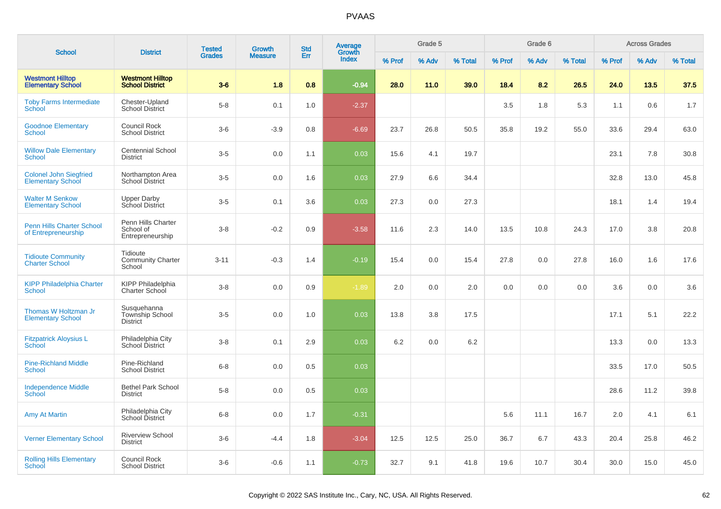| <b>School</b>                                             | <b>District</b>                                     | <b>Tested</b> | Growth         | <b>Std</b> | <b>Average</b>  |        | Grade 5 |         |        | Grade 6 |         |        | <b>Across Grades</b> |         |
|-----------------------------------------------------------|-----------------------------------------------------|---------------|----------------|------------|-----------------|--------|---------|---------|--------|---------|---------|--------|----------------------|---------|
|                                                           |                                                     | <b>Grades</b> | <b>Measure</b> | Err        | Growth<br>Index | % Prof | % Adv   | % Total | % Prof | % Adv   | % Total | % Prof | % Adv                | % Total |
| <b>Westmont Hilltop</b><br><b>Elementary School</b>       | <b>Westmont Hilltop</b><br><b>School District</b>   | $3-6$         | 1.8            | 0.8        | $-0.94$         | 28.0   | 11.0    | 39.0    | 18.4   | 8.2     | 26.5    | 24.0   | 13.5                 | 37.5    |
| <b>Toby Farms Intermediate</b><br>School                  | Chester-Upland<br><b>School District</b>            | $5-8$         | 0.1            | 1.0        | $-2.37$         |        |         |         | 3.5    | 1.8     | 5.3     | 1.1    | 0.6                  | 1.7     |
| <b>Goodnoe Elementary</b><br><b>School</b>                | Council Rock<br><b>School District</b>              | $3-6$         | $-3.9$         | 0.8        | $-6.69$         | 23.7   | 26.8    | 50.5    | 35.8   | 19.2    | 55.0    | 33.6   | 29.4                 | 63.0    |
| <b>Willow Dale Elementary</b><br><b>School</b>            | <b>Centennial School</b><br><b>District</b>         | $3-5$         | 0.0            | 1.1        | 0.03            | 15.6   | 4.1     | 19.7    |        |         |         | 23.1   | 7.8                  | 30.8    |
| <b>Colonel John Siegfried</b><br><b>Elementary School</b> | Northampton Area<br>School District                 | $3-5$         | 0.0            | 1.6        | 0.03            | 27.9   | 6.6     | 34.4    |        |         |         | 32.8   | 13.0                 | 45.8    |
| <b>Walter M Senkow</b><br><b>Elementary School</b>        | <b>Upper Darby</b><br>School District               | $3-5$         | 0.1            | 3.6        | 0.03            | 27.3   | 0.0     | 27.3    |        |         |         | 18.1   | 1.4                  | 19.4    |
| <b>Penn Hills Charter School</b><br>of Entrepreneurship   | Penn Hills Charter<br>School of<br>Entrepreneurship | $3-8$         | $-0.2$         | 0.9        | $-3.58$         | 11.6   | 2.3     | 14.0    | 13.5   | 10.8    | 24.3    | 17.0   | 3.8                  | 20.8    |
| <b>Tidioute Community</b><br><b>Charter School</b>        | Tidioute<br><b>Community Charter</b><br>School      | $3 - 11$      | $-0.3$         | 1.4        | $-0.19$         | 15.4   | 0.0     | 15.4    | 27.8   | 0.0     | 27.8    | 16.0   | 1.6                  | 17.6    |
| <b>KIPP Philadelphia Charter</b><br><b>School</b>         | <b>KIPP Philadelphia</b><br>Charter School          | $3-8$         | 0.0            | 0.9        | $-1.89$         | 2.0    | 0.0     | 2.0     | 0.0    | 0.0     | 0.0     | 3.6    | 0.0                  | 3.6     |
| Thomas W Holtzman Jr<br><b>Elementary School</b>          | Susquehanna<br><b>Township School</b><br>District   | $3-5$         | 0.0            | 1.0        | 0.03            | 13.8   | 3.8     | 17.5    |        |         |         | 17.1   | 5.1                  | 22.2    |
| <b>Fitzpatrick Aloysius L</b><br>School                   | Philadelphia City<br>School District                | $3 - 8$       | 0.1            | 2.9        | 0.03            | 6.2    | 0.0     | 6.2     |        |         |         | 13.3   | 0.0                  | 13.3    |
| <b>Pine-Richland Middle</b><br>School                     | Pine-Richland<br><b>School District</b>             | $6 - 8$       | 0.0            | 0.5        | 0.03            |        |         |         |        |         |         | 33.5   | 17.0                 | 50.5    |
| <b>Independence Middle</b><br><b>School</b>               | <b>Bethel Park School</b><br><b>District</b>        | $5-8$         | 0.0            | 0.5        | 0.03            |        |         |         |        |         |         | 28.6   | 11.2                 | 39.8    |
| Amy At Martin                                             | Philadelphia City<br>School District                | $6 - 8$       | 0.0            | 1.7        | $-0.31$         |        |         |         | 5.6    | 11.1    | 16.7    | 2.0    | 4.1                  | 6.1     |
| <b>Verner Elementary School</b>                           | <b>Riverview School</b><br><b>District</b>          | $3-6$         | $-4.4$         | 1.8        | $-3.04$         | 12.5   | 12.5    | 25.0    | 36.7   | 6.7     | 43.3    | 20.4   | 25.8                 | 46.2    |
| <b>Rolling Hills Elementary</b><br>School                 | <b>Council Rock</b><br><b>School District</b>       | $3-6$         | $-0.6$         | 1.1        | $-0.73$         | 32.7   | 9.1     | 41.8    | 19.6   | 10.7    | 30.4    | 30.0   | 15.0                 | 45.0    |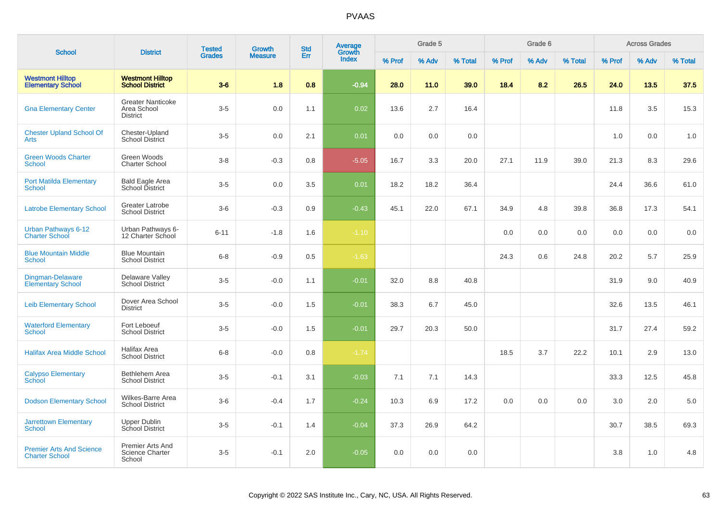| <b>School</b>                                            | <b>District</b>                                            | <b>Tested</b> | Growth         | <b>Std</b> | <b>Average</b><br>Growth |        | Grade 5 |         |        | Grade 6 |         |        | <b>Across Grades</b> |         |
|----------------------------------------------------------|------------------------------------------------------------|---------------|----------------|------------|--------------------------|--------|---------|---------|--------|---------|---------|--------|----------------------|---------|
|                                                          |                                                            | <b>Grades</b> | <b>Measure</b> | Err        | Index                    | % Prof | % Adv   | % Total | % Prof | % Adv   | % Total | % Prof | % Adv                | % Total |
| <b>Westmont Hilltop</b><br><b>Elementary School</b>      | <b>Westmont Hilltop</b><br><b>School District</b>          | $3-6$         | 1.8            | 0.8        | $-0.94$                  | 28.0   | 11.0    | 39.0    | 18.4   | 8.2     | 26.5    | 24.0   | 13.5                 | 37.5    |
| <b>Gna Elementary Center</b>                             | <b>Greater Nanticoke</b><br>Area School<br><b>District</b> | $3-5$         | 0.0            | 1.1        | 0.02                     | 13.6   | 2.7     | 16.4    |        |         |         | 11.8   | $3.5\,$              | 15.3    |
| <b>Chester Upland School Of</b><br>Arts                  | Chester-Upland<br><b>School District</b>                   | $3-5$         | 0.0            | 2.1        | 0.01                     | 0.0    | 0.0     | 0.0     |        |         |         | 1.0    | 0.0                  | 1.0     |
| <b>Green Woods Charter</b><br>School                     | Green Woods<br><b>Charter School</b>                       | $3 - 8$       | $-0.3$         | 0.8        | $-5.05$                  | 16.7   | 3.3     | 20.0    | 27.1   | 11.9    | 39.0    | 21.3   | 8.3                  | 29.6    |
| <b>Port Matilda Elementary</b><br><b>School</b>          | <b>Bald Eagle Area</b><br>School District                  | $3-5$         | 0.0            | 3.5        | 0.01                     | 18.2   | 18.2    | 36.4    |        |         |         | 24.4   | 36.6                 | 61.0    |
| <b>Latrobe Elementary School</b>                         | Greater Latrobe<br><b>School District</b>                  | $3-6$         | $-0.3$         | 0.9        | $-0.43$                  | 45.1   | 22.0    | 67.1    | 34.9   | 4.8     | 39.8    | 36.8   | 17.3                 | 54.1    |
| Urban Pathways 6-12<br><b>Charter School</b>             | Urban Pathways 6-<br>12 Charter School                     | $6 - 11$      | $-1.8$         | 1.6        | $-1.10$                  |        |         |         | 0.0    | 0.0     | 0.0     | 0.0    | 0.0                  | 0.0     |
| <b>Blue Mountain Middle</b><br><b>School</b>             | <b>Blue Mountain</b><br><b>School District</b>             | $6 - 8$       | $-0.9$         | 0.5        | $-1.63$                  |        |         |         | 24.3   | 0.6     | 24.8    | 20.2   | 5.7                  | 25.9    |
| <b>Dingman-Delaware</b><br><b>Elementary School</b>      | Delaware Valley<br><b>School District</b>                  | $3-5$         | $-0.0$         | 1.1        | $-0.01$                  | 32.0   | 8.8     | 40.8    |        |         |         | 31.9   | 9.0                  | 40.9    |
| <b>Leib Elementary School</b>                            | Dover Area School<br><b>District</b>                       | $3-5$         | $-0.0$         | 1.5        | $-0.01$                  | 38.3   | 6.7     | 45.0    |        |         |         | 32.6   | 13.5                 | 46.1    |
| <b>Waterford Elementary</b><br><b>School</b>             | Fort Leboeuf<br><b>School District</b>                     | $3-5$         | $-0.0$         | 1.5        | $-0.01$                  | 29.7   | 20.3    | 50.0    |        |         |         | 31.7   | 27.4                 | 59.2    |
| <b>Halifax Area Middle School</b>                        | Halifax Area<br><b>School District</b>                     | $6 - 8$       | $-0.0$         | 0.8        | $-1.74$                  |        |         |         | 18.5   | 3.7     | 22.2    | 10.1   | 2.9                  | 13.0    |
| <b>Calypso Elementary</b><br><b>School</b>               | Bethlehem Area<br><b>School District</b>                   | $3-5$         | $-0.1$         | 3.1        | $-0.03$                  | 7.1    | 7.1     | 14.3    |        |         |         | 33.3   | 12.5                 | 45.8    |
| <b>Dodson Elementary School</b>                          | Wilkes-Barre Area<br><b>School District</b>                | $3-6$         | $-0.4$         | 1.7        | $-0.24$                  | 10.3   | 6.9     | 17.2    | 0.0    | 0.0     | 0.0     | 3.0    | 2.0                  | 5.0     |
| <b>Jarrettown Elementary</b><br><b>School</b>            | <b>Upper Dublin</b><br><b>School District</b>              | $3-5$         | $-0.1$         | 1.4        | $-0.04$                  | 37.3   | 26.9    | 64.2    |        |         |         | 30.7   | 38.5                 | 69.3    |
| <b>Premier Arts And Science</b><br><b>Charter School</b> | Premier Arts And<br><b>Science Charter</b><br>School       | $3-5$         | $-0.1$         | 2.0        | $-0.05$                  | 0.0    | 0.0     | 0.0     |        |         |         | 3.8    | 1.0                  | 4.8     |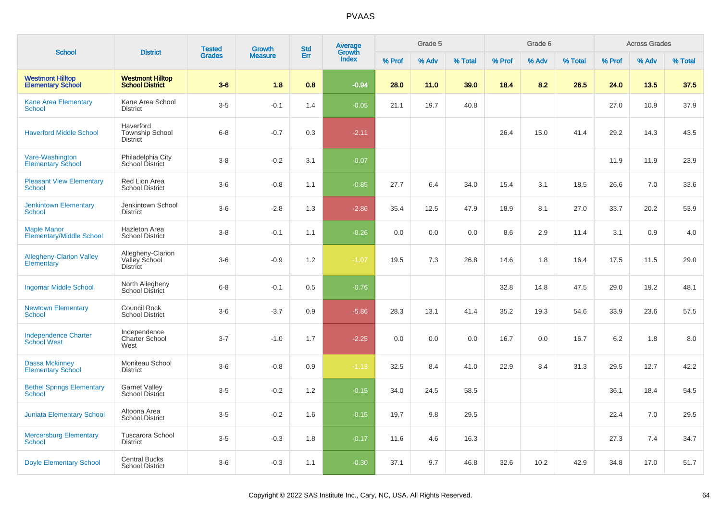|                                                       |                                                        | <b>Tested</b> | <b>Growth</b>  | <b>Std</b> | <b>Average</b>         |        | Grade 5 |         |        | Grade 6 |         |        | <b>Across Grades</b> |         |
|-------------------------------------------------------|--------------------------------------------------------|---------------|----------------|------------|------------------------|--------|---------|---------|--------|---------|---------|--------|----------------------|---------|
| <b>School</b>                                         | <b>District</b>                                        | <b>Grades</b> | <b>Measure</b> | Err        | Growth<br><b>Index</b> | % Prof | % Adv   | % Total | % Prof | % Adv   | % Total | % Prof | % Adv                | % Total |
| <b>Westmont Hilltop</b><br><b>Elementary School</b>   | <b>Westmont Hilltop</b><br><b>School District</b>      | $3-6$         | 1.8            | 0.8        | $-0.94$                | 28.0   | 11.0    | 39.0    | 18.4   | 8.2     | 26.5    | 24.0   | 13.5                 | 37.5    |
| <b>Kane Area Elementary</b><br>School                 | Kane Area School<br><b>District</b>                    | $3-5$         | $-0.1$         | 1.4        | $-0.05$                | 21.1   | 19.7    | 40.8    |        |         |         | 27.0   | 10.9                 | 37.9    |
| <b>Haverford Middle School</b>                        | Haverford<br><b>Township School</b><br><b>District</b> | $6 - 8$       | $-0.7$         | 0.3        | $-2.11$                |        |         |         | 26.4   | 15.0    | 41.4    | 29.2   | 14.3                 | 43.5    |
| Vare-Washington<br><b>Elementary School</b>           | Philadelphia City<br>School District                   | $3 - 8$       | $-0.2$         | 3.1        | $-0.07$                |        |         |         |        |         |         | 11.9   | 11.9                 | 23.9    |
| <b>Pleasant View Elementary</b><br>School             | Red Lion Area<br><b>School District</b>                | $3-6$         | $-0.8$         | 1.1        | $-0.85$                | 27.7   | 6.4     | 34.0    | 15.4   | 3.1     | 18.5    | 26.6   | 7.0                  | 33.6    |
| <b>Jenkintown Elementary</b><br><b>School</b>         | Jenkintown School<br><b>District</b>                   | $3-6$         | $-2.8$         | 1.3        | $-2.86$                | 35.4   | 12.5    | 47.9    | 18.9   | 8.1     | 27.0    | 33.7   | 20.2                 | 53.9    |
| <b>Maple Manor</b><br><b>Elementary/Middle School</b> | <b>Hazleton Area</b><br><b>School District</b>         | $3 - 8$       | $-0.1$         | 1.1        | $-0.26$                | 0.0    | 0.0     | 0.0     | 8.6    | 2.9     | 11.4    | 3.1    | 0.9                  | 4.0     |
| <b>Allegheny-Clarion Valley</b><br>Elementary         | Allegheny-Clarion<br>Valley School<br><b>District</b>  | $3-6$         | $-0.9$         | 1.2        | $-1.07$                | 19.5   | 7.3     | 26.8    | 14.6   | 1.8     | 16.4    | 17.5   | 11.5                 | 29.0    |
| <b>Ingomar Middle School</b>                          | North Allegheny<br>School District                     | $6 - 8$       | $-0.1$         | 0.5        | $-0.76$                |        |         |         | 32.8   | 14.8    | 47.5    | 29.0   | 19.2                 | 48.1    |
| <b>Newtown Elementary</b><br>School                   | Council Rock<br><b>School District</b>                 | $3-6$         | $-3.7$         | 0.9        | $-5.86$                | 28.3   | 13.1    | 41.4    | 35.2   | 19.3    | 54.6    | 33.9   | 23.6                 | 57.5    |
| <b>Independence Charter</b><br><b>School West</b>     | Independence<br><b>Charter School</b><br>West          | $3 - 7$       | $-1.0$         | 1.7        | $-2.25$                | 0.0    | 0.0     | 0.0     | 16.7   | 0.0     | 16.7    | 6.2    | 1.8                  | 8.0     |
| <b>Dassa Mckinney</b><br><b>Elementary School</b>     | Moniteau School<br><b>District</b>                     | $3-6$         | $-0.8$         | 0.9        | $-1.13$                | 32.5   | 8.4     | 41.0    | 22.9   | 8.4     | 31.3    | 29.5   | 12.7                 | 42.2    |
| <b>Bethel Springs Elementary</b><br><b>School</b>     | <b>Garnet Valley</b><br>School District                | $3-5$         | $-0.2$         | 1.2        | $-0.15$                | 34.0   | 24.5    | 58.5    |        |         |         | 36.1   | 18.4                 | 54.5    |
| <b>Juniata Elementary School</b>                      | Altoona Area<br><b>School District</b>                 | $3-5$         | $-0.2$         | 1.6        | $-0.15$                | 19.7   | 9.8     | 29.5    |        |         |         | 22.4   | 7.0                  | 29.5    |
| <b>Mercersburg Elementary</b><br><b>School</b>        | Tuscarora School<br><b>District</b>                    | $3-5$         | $-0.3$         | 1.8        | $-0.17$                | 11.6   | 4.6     | 16.3    |        |         |         | 27.3   | 7.4                  | 34.7    |
| <b>Doyle Elementary School</b>                        | <b>Central Bucks</b><br><b>School District</b>         | $3-6$         | $-0.3$         | 1.1        | $-0.30$                | 37.1   | 9.7     | 46.8    | 32.6   | 10.2    | 42.9    | 34.8   | 17.0                 | 51.7    |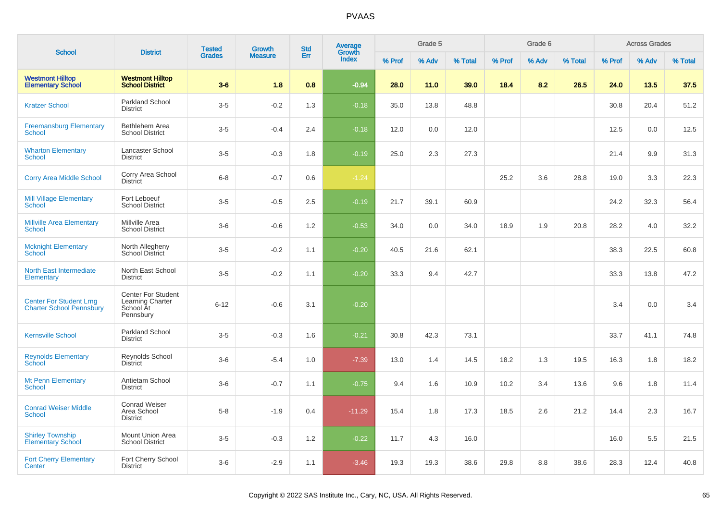| <b>School</b>                                                     | <b>District</b>                                                         | <b>Tested</b> | <b>Growth</b>  | <b>Std</b> | <b>Average</b><br>Growth |        | Grade 5 |         |        | Grade 6 |         |        | <b>Across Grades</b> |         |
|-------------------------------------------------------------------|-------------------------------------------------------------------------|---------------|----------------|------------|--------------------------|--------|---------|---------|--------|---------|---------|--------|----------------------|---------|
|                                                                   |                                                                         | <b>Grades</b> | <b>Measure</b> | Err        | Index                    | % Prof | % Adv   | % Total | % Prof | % Adv   | % Total | % Prof | % Adv                | % Total |
| <b>Westmont Hilltop</b><br><b>Elementary School</b>               | <b>Westmont Hilltop</b><br><b>School District</b>                       | $3-6$         | 1.8            | 0.8        | $-0.94$                  | 28.0   | 11.0    | 39.0    | 18.4   | 8.2     | 26.5    | 24.0   | 13.5                 | 37.5    |
| <b>Kratzer School</b>                                             | <b>Parkland School</b><br><b>District</b>                               | $3 - 5$       | $-0.2$         | 1.3        | $-0.18$                  | 35.0   | 13.8    | 48.8    |        |         |         | 30.8   | 20.4                 | 51.2    |
| <b>Freemansburg Elementary</b><br><b>School</b>                   | Bethlehem Area<br><b>School District</b>                                | $3-5$         | $-0.4$         | 2.4        | $-0.18$                  | 12.0   | 0.0     | 12.0    |        |         |         | 12.5   | 0.0                  | 12.5    |
| <b>Wharton Elementary</b><br>School                               | Lancaster School<br><b>District</b>                                     | $3 - 5$       | $-0.3$         | 1.8        | $-0.19$                  | 25.0   | 2.3     | 27.3    |        |         |         | 21.4   | 9.9                  | 31.3    |
| <b>Corry Area Middle School</b>                                   | Corry Area School<br><b>District</b>                                    | $6-8$         | $-0.7$         | 0.6        | $-1.24$                  |        |         |         | 25.2   | 3.6     | 28.8    | 19.0   | 3.3                  | 22.3    |
| <b>Mill Village Elementary</b><br>School                          | Fort Leboeuf<br><b>School District</b>                                  | $3-5$         | $-0.5$         | 2.5        | $-0.19$                  | 21.7   | 39.1    | 60.9    |        |         |         | 24.2   | 32.3                 | 56.4    |
| <b>Millville Area Elementary</b><br>School                        | Millville Area<br><b>School District</b>                                | $3-6$         | $-0.6$         | 1.2        | $-0.53$                  | 34.0   | 0.0     | 34.0    | 18.9   | 1.9     | 20.8    | 28.2   | 4.0                  | 32.2    |
| <b>Mcknight Elementary</b><br>School                              | North Allegheny<br><b>School District</b>                               | $3-5$         | $-0.2$         | 1.1        | $-0.20$                  | 40.5   | 21.6    | 62.1    |        |         |         | 38.3   | 22.5                 | 60.8    |
| North East Intermediate<br>Elementary                             | North East School<br><b>District</b>                                    | $3-5$         | $-0.2$         | 1.1        | $-0.20$                  | 33.3   | 9.4     | 42.7    |        |         |         | 33.3   | 13.8                 | 47.2    |
| <b>Center For Student Lrng</b><br><b>Charter School Pennsbury</b> | <b>Center For Student</b><br>Learning Charter<br>School At<br>Pennsbury | $6 - 12$      | $-0.6$         | 3.1        | $-0.20$                  |        |         |         |        |         |         | 3.4    | 0.0                  | 3.4     |
| <b>Kernsville School</b>                                          | <b>Parkland School</b><br><b>District</b>                               | $3-5$         | $-0.3$         | 1.6        | $-0.21$                  | 30.8   | 42.3    | 73.1    |        |         |         | 33.7   | 41.1                 | 74.8    |
| <b>Reynolds Elementary</b><br>School                              | Reynolds School<br><b>District</b>                                      | $3-6$         | $-5.4$         | 1.0        | $-7.39$                  | 13.0   | 1.4     | 14.5    | 18.2   | 1.3     | 19.5    | 16.3   | 1.8                  | 18.2    |
| <b>Mt Penn Elementary</b><br>School                               | Antietam School<br><b>District</b>                                      | $3-6$         | $-0.7$         | 1.1        | $-0.75$                  | 9.4    | 1.6     | 10.9    | 10.2   | 3.4     | 13.6    | 9.6    | 1.8                  | 11.4    |
| <b>Conrad Weiser Middle</b><br><b>School</b>                      | <b>Conrad Weiser</b><br>Area School<br><b>District</b>                  | $5 - 8$       | $-1.9$         | 0.4        | $-11.29$                 | 15.4   | 1.8     | 17.3    | 18.5   | 2.6     | 21.2    | 14.4   | 2.3                  | 16.7    |
| <b>Shirley Township</b><br><b>Elementary School</b>               | Mount Union Area<br><b>School District</b>                              | $3-5$         | $-0.3$         | 1.2        | $-0.22$                  | 11.7   | 4.3     | 16.0    |        |         |         | 16.0   | 5.5                  | 21.5    |
| <b>Fort Cherry Elementary</b><br>Center                           | Fort Cherry School<br><b>District</b>                                   | $3-6$         | $-2.9$         | 1.1        | $-3.46$                  | 19.3   | 19.3    | 38.6    | 29.8   | 8.8     | 38.6    | 28.3   | 12.4                 | 40.8    |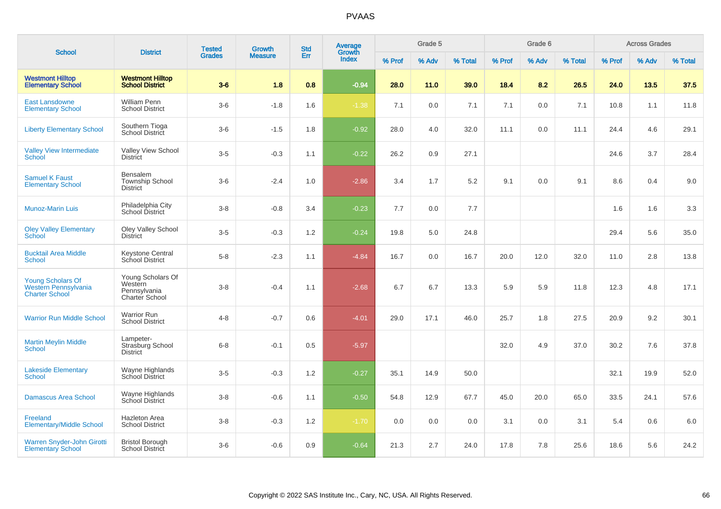| <b>School</b>                                                                    | <b>District</b>                                                | <b>Tested</b> | Growth         | <b>Std</b> | Average<br>Growth |        | Grade 5 |         |        | Grade 6 |         |        | <b>Across Grades</b> |         |
|----------------------------------------------------------------------------------|----------------------------------------------------------------|---------------|----------------|------------|-------------------|--------|---------|---------|--------|---------|---------|--------|----------------------|---------|
|                                                                                  |                                                                | <b>Grades</b> | <b>Measure</b> | Err        | <b>Index</b>      | % Prof | % Adv   | % Total | % Prof | % Adv   | % Total | % Prof | % Adv                | % Total |
| <b>Westmont Hilltop</b><br><b>Elementary School</b>                              | <b>Westmont Hilltop</b><br><b>School District</b>              | $3-6$         | 1.8            | 0.8        | $-0.94$           | 28.0   | 11.0    | 39.0    | 18.4   | 8.2     | 26.5    | 24.0   | 13.5                 | 37.5    |
| <b>East Lansdowne</b><br><b>Elementary School</b>                                | <b>William Penn</b><br><b>School District</b>                  | $3-6$         | $-1.8$         | 1.6        | $-1.38$           | 7.1    | 0.0     | 7.1     | 7.1    | 0.0     | 7.1     | 10.8   | 1.1                  | 11.8    |
| <b>Liberty Elementary School</b>                                                 | Southern Tioga<br>School District                              | $3-6$         | $-1.5$         | 1.8        | $-0.92$           | 28.0   | 4.0     | 32.0    | 11.1   | 0.0     | 11.1    | 24.4   | 4.6                  | 29.1    |
| <b>Valley View Intermediate</b><br>School                                        | <b>Valley View School</b><br><b>District</b>                   | $3-5$         | $-0.3$         | 1.1        | $-0.22$           | 26.2   | 0.9     | 27.1    |        |         |         | 24.6   | 3.7                  | 28.4    |
| <b>Samuel K Faust</b><br><b>Elementary School</b>                                | Bensalem<br><b>Township School</b><br><b>District</b>          | $3-6$         | $-2.4$         | 1.0        | $-2.86$           | 3.4    | 1.7     | 5.2     | 9.1    | 0.0     | 9.1     | 8.6    | 0.4                  | 9.0     |
| <b>Munoz-Marin Luis</b>                                                          | Philadelphia City<br>School District                           | $3-8$         | $-0.8$         | 3.4        | $-0.23$           | 7.7    | 0.0     | 7.7     |        |         |         | 1.6    | 1.6                  | 3.3     |
| <b>Oley Valley Elementary</b><br>School                                          | <b>Oley Valley School</b><br><b>District</b>                   | $3-5$         | $-0.3$         | 1.2        | $-0.24$           | 19.8   | 5.0     | 24.8    |        |         |         | 29.4   | 5.6                  | 35.0    |
| <b>Bucktail Area Middle</b><br>School                                            | <b>Keystone Central</b><br>School District                     | $5-8$         | $-2.3$         | 1.1        | $-4.84$           | 16.7   | 0.0     | 16.7    | 20.0   | 12.0    | 32.0    | 11.0   | 2.8                  | 13.8    |
| <b>Young Scholars Of</b><br><b>Western Pennsylvania</b><br><b>Charter School</b> | Young Scholars Of<br>Western<br>Pennsylvania<br>Charter School | $3-8$         | $-0.4$         | 1.1        | $-2.68$           | 6.7    | 6.7     | 13.3    | 5.9    | 5.9     | 11.8    | 12.3   | 4.8                  | 17.1    |
| <b>Warrior Run Middle School</b>                                                 | <b>Warrior Run</b><br><b>School District</b>                   | $4 - 8$       | $-0.7$         | 0.6        | $-4.01$           | 29.0   | 17.1    | 46.0    | 25.7   | 1.8     | 27.5    | 20.9   | 9.2                  | 30.1    |
| <b>Martin Meylin Middle</b><br><b>School</b>                                     | Lampeter-<br>Strasburg School<br><b>District</b>               | $6 - 8$       | $-0.1$         | 0.5        | $-5.97$           |        |         |         | 32.0   | 4.9     | 37.0    | 30.2   | 7.6                  | 37.8    |
| <b>Lakeside Elementary</b><br><b>School</b>                                      | Wayne Highlands<br>School District                             | $3-5$         | $-0.3$         | 1.2        | $-0.27$           | 35.1   | 14.9    | 50.0    |        |         |         | 32.1   | 19.9                 | 52.0    |
| <b>Damascus Area School</b>                                                      | Wayne Highlands<br>School District                             | $3 - 8$       | $-0.6$         | 1.1        | $-0.50$           | 54.8   | 12.9    | 67.7    | 45.0   | 20.0    | 65.0    | 33.5   | 24.1                 | 57.6    |
| Freeland<br><b>Elementary/Middle School</b>                                      | <b>Hazleton Area</b><br><b>School District</b>                 | $3 - 8$       | $-0.3$         | 1.2        | $-1.70$           | 0.0    | 0.0     | 0.0     | 3.1    | 0.0     | 3.1     | 5.4    | 0.6                  | 6.0     |
| Warren Snyder-John Girotti<br><b>Elementary School</b>                           | <b>Bristol Borough</b><br><b>School District</b>               | $3-6$         | $-0.6$         | 0.9        | $-0.64$           | 21.3   | 2.7     | 24.0    | 17.8   | 7.8     | 25.6    | 18.6   | 5.6                  | 24.2    |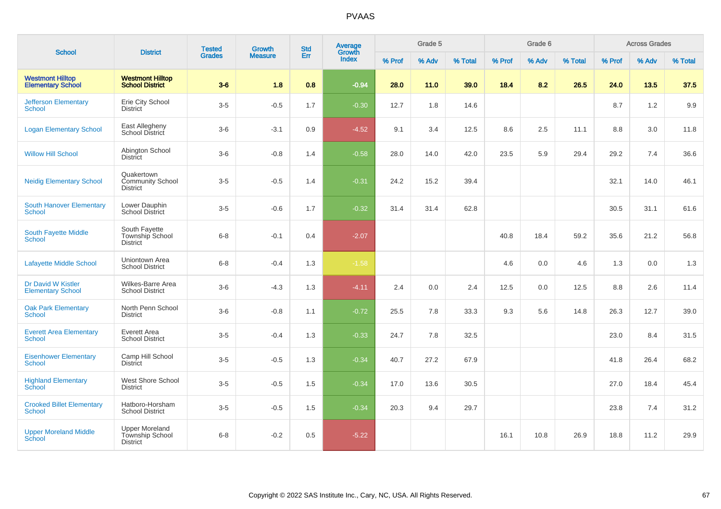| <b>School</b>                                       | <b>District</b>                                             | <b>Tested</b> | <b>Growth</b>  | <b>Std</b> | <b>Average</b><br>Growth |        | Grade 5 |         |        | Grade 6 |         |        | <b>Across Grades</b> |         |
|-----------------------------------------------------|-------------------------------------------------------------|---------------|----------------|------------|--------------------------|--------|---------|---------|--------|---------|---------|--------|----------------------|---------|
|                                                     |                                                             | <b>Grades</b> | <b>Measure</b> | Err        | Index                    | % Prof | % Adv   | % Total | % Prof | % Adv   | % Total | % Prof | % Adv                | % Total |
| <b>Westmont Hilltop</b><br><b>Elementary School</b> | <b>Westmont Hilltop</b><br><b>School District</b>           | $3-6$         | 1.8            | 0.8        | $-0.94$                  | 28.0   | $11.0$  | 39.0    | 18.4   | 8.2     | 26.5    | 24.0   | 13.5                 | 37.5    |
| <b>Jefferson Elementary</b><br><b>School</b>        | Erie City School<br><b>District</b>                         | $3-5$         | $-0.5$         | 1.7        | $-0.30$                  | 12.7   | 1.8     | 14.6    |        |         |         | 8.7    | 1.2                  | 9.9     |
| <b>Logan Elementary School</b>                      | East Allegheny<br>School District                           | $3-6$         | $-3.1$         | 0.9        | $-4.52$                  | 9.1    | 3.4     | 12.5    | 8.6    | 2.5     | 11.1    | 8.8    | 3.0                  | 11.8    |
| <b>Willow Hill School</b>                           | Abington School<br><b>District</b>                          | $3-6$         | $-0.8$         | 1.4        | $-0.58$                  | 28.0   | 14.0    | 42.0    | 23.5   | 5.9     | 29.4    | 29.2   | 7.4                  | 36.6    |
| <b>Neidig Elementary School</b>                     | Quakertown<br><b>Community School</b><br><b>District</b>    | $3-5$         | $-0.5$         | 1.4        | $-0.31$                  | 24.2   | 15.2    | 39.4    |        |         |         | 32.1   | 14.0                 | 46.1    |
| <b>South Hanover Elementary</b><br>School           | Lower Dauphin<br><b>School District</b>                     | $3-5$         | $-0.6$         | 1.7        | $-0.32$                  | 31.4   | 31.4    | 62.8    |        |         |         | 30.5   | 31.1                 | 61.6    |
| <b>South Fayette Middle</b><br>School               | South Fayette<br>Township School<br><b>District</b>         | $6 - 8$       | $-0.1$         | 0.4        | $-2.07$                  |        |         |         | 40.8   | 18.4    | 59.2    | 35.6   | 21.2                 | 56.8    |
| <b>Lafayette Middle School</b>                      | Uniontown Area<br><b>School District</b>                    | $6 - 8$       | $-0.4$         | 1.3        | $-1.58$                  |        |         |         | 4.6    | 0.0     | 4.6     | 1.3    | 0.0                  | 1.3     |
| Dr David W Kistler<br><b>Elementary School</b>      | Wilkes-Barre Area<br><b>School District</b>                 | $3-6$         | $-4.3$         | 1.3        | $-4.11$                  | 2.4    | 0.0     | 2.4     | 12.5   | 0.0     | 12.5    | 8.8    | 2.6                  | 11.4    |
| <b>Oak Park Elementary</b><br>School                | North Penn School<br><b>District</b>                        | $3-6$         | $-0.8$         | 1.1        | $-0.72$                  | 25.5   | 7.8     | 33.3    | 9.3    | 5.6     | 14.8    | 26.3   | 12.7                 | 39.0    |
| <b>Everett Area Elementary</b><br><b>School</b>     | Everett Area<br><b>School District</b>                      | $3-5$         | $-0.4$         | 1.3        | $-0.33$                  | 24.7   | 7.8     | 32.5    |        |         |         | 23.0   | 8.4                  | 31.5    |
| <b>Eisenhower Elementary</b><br>School              | Camp Hill School<br>District                                | $3-5$         | $-0.5$         | 1.3        | $-0.34$                  | 40.7   | 27.2    | 67.9    |        |         |         | 41.8   | 26.4                 | 68.2    |
| <b>Highland Elementary</b><br>School                | West Shore School<br><b>District</b>                        | $3-5$         | $-0.5$         | 1.5        | $-0.34$                  | 17.0   | 13.6    | 30.5    |        |         |         | 27.0   | 18.4                 | 45.4    |
| <b>Crooked Billet Elementary</b><br><b>School</b>   | Hatboro-Horsham<br><b>School District</b>                   | $3-5$         | $-0.5$         | 1.5        | $-0.34$                  | 20.3   | 9.4     | 29.7    |        |         |         | 23.8   | 7.4                  | 31.2    |
| <b>Upper Moreland Middle</b><br>School              | <b>Upper Moreland</b><br>Township School<br><b>District</b> | $6 - 8$       | $-0.2$         | 0.5        | $-5.22$                  |        |         |         | 16.1   | 10.8    | 26.9    | 18.8   | 11.2                 | 29.9    |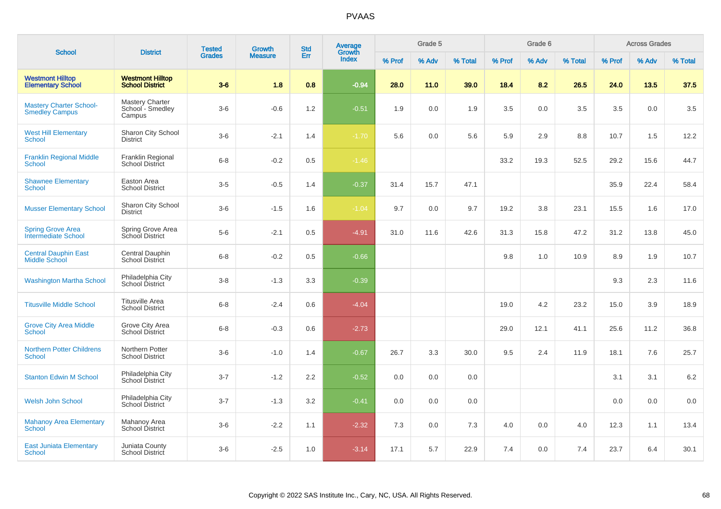| <b>School</b>                                           | <b>District</b>                                      | <b>Tested</b> | <b>Growth</b>  | <b>Std</b> | <b>Average</b><br>Growth |        | Grade 5 |         |        | Grade 6 |         |        | <b>Across Grades</b> |         |
|---------------------------------------------------------|------------------------------------------------------|---------------|----------------|------------|--------------------------|--------|---------|---------|--------|---------|---------|--------|----------------------|---------|
|                                                         |                                                      | <b>Grades</b> | <b>Measure</b> | Err        | Index                    | % Prof | % Adv   | % Total | % Prof | % Adv   | % Total | % Prof | % Adv                | % Total |
| <b>Westmont Hilltop</b><br><b>Elementary School</b>     | <b>Westmont Hilltop</b><br><b>School District</b>    | $3-6$         | 1.8            | 0.8        | $-0.94$                  | 28.0   | 11.0    | 39.0    | 18.4   | 8.2     | 26.5    | 24.0   | 13.5                 | 37.5    |
| <b>Mastery Charter School-</b><br><b>Smedley Campus</b> | <b>Mastery Charter</b><br>School - Smedley<br>Campus | $3-6$         | $-0.6$         | 1.2        | $-0.51$                  | 1.9    | 0.0     | 1.9     | 3.5    | 0.0     | 3.5     | 3.5    | 0.0                  | 3.5     |
| <b>West Hill Elementary</b><br><b>School</b>            | Sharon City School<br><b>District</b>                | $3-6$         | $-2.1$         | 1.4        | $-1.70$                  | 5.6    | 0.0     | 5.6     | 5.9    | 2.9     | 8.8     | 10.7   | 1.5                  | 12.2    |
| <b>Franklin Regional Middle</b><br>School               | Franklin Regional<br>School District                 | $6 - 8$       | $-0.2$         | 0.5        | $-1.46$                  |        |         |         | 33.2   | 19.3    | 52.5    | 29.2   | 15.6                 | 44.7    |
| <b>Shawnee Elementary</b><br><b>School</b>              | Easton Area<br><b>School District</b>                | $3-5$         | $-0.5$         | 1.4        | $-0.37$                  | 31.4   | 15.7    | 47.1    |        |         |         | 35.9   | 22.4                 | 58.4    |
| <b>Musser Elementary School</b>                         | Sharon City School<br><b>District</b>                | $3-6$         | $-1.5$         | 1.6        | $-1.04$                  | 9.7    | 0.0     | 9.7     | 19.2   | 3.8     | 23.1    | 15.5   | 1.6                  | 17.0    |
| <b>Spring Grove Area</b><br>Intermediate School         | Spring Grove Area<br>School District                 | $5-6$         | $-2.1$         | 0.5        | $-4.91$                  | 31.0   | 11.6    | 42.6    | 31.3   | 15.8    | 47.2    | 31.2   | 13.8                 | 45.0    |
| <b>Central Dauphin East</b><br><b>Middle School</b>     | Central Dauphin<br><b>School District</b>            | $6 - 8$       | $-0.2$         | 0.5        | $-0.66$                  |        |         |         | 9.8    | 1.0     | 10.9    | 8.9    | 1.9                  | 10.7    |
| <b>Washington Martha School</b>                         | Philadelphia City<br>School District                 | $3 - 8$       | $-1.3$         | 3.3        | $-0.39$                  |        |         |         |        |         |         | 9.3    | 2.3                  | 11.6    |
| <b>Titusville Middle School</b>                         | <b>Titusville Area</b><br><b>School District</b>     | $6 - 8$       | $-2.4$         | 0.6        | $-4.04$                  |        |         |         | 19.0   | 4.2     | 23.2    | 15.0   | 3.9                  | 18.9    |
| <b>Grove City Area Middle</b><br><b>School</b>          | Grove City Area<br><b>School District</b>            | $6 - 8$       | $-0.3$         | 0.6        | $-2.73$                  |        |         |         | 29.0   | 12.1    | 41.1    | 25.6   | 11.2                 | 36.8    |
| <b>Northern Potter Childrens</b><br><b>School</b>       | Northern Potter<br><b>School District</b>            | $3-6$         | $-1.0$         | 1.4        | $-0.67$                  | 26.7   | 3.3     | 30.0    | 9.5    | 2.4     | 11.9    | 18.1   | 7.6                  | 25.7    |
| <b>Stanton Edwin M School</b>                           | Philadelphia City<br><b>School District</b>          | $3 - 7$       | $-1.2$         | $2.2\,$    | $-0.52$                  | 0.0    | 0.0     | 0.0     |        |         |         | 3.1    | 3.1                  | 6.2     |
| <b>Welsh John School</b>                                | Philadelphia City<br><b>School District</b>          | $3 - 7$       | $-1.3$         | 3.2        | $-0.41$                  | 0.0    | 0.0     | 0.0     |        |         |         | 0.0    | 0.0                  | 0.0     |
| <b>Mahanoy Area Elementary</b><br><b>School</b>         | Mahanoy Area<br><b>School District</b>               | $3-6$         | $-2.2$         | 1.1        | $-2.32$                  | 7.3    | 0.0     | 7.3     | 4.0    | 0.0     | 4.0     | 12.3   | 1.1                  | 13.4    |
| <b>East Juniata Elementary</b><br>School                | Juniata County<br><b>School District</b>             | $3-6$         | $-2.5$         | 1.0        | $-3.14$                  | 17.1   | 5.7     | 22.9    | 7.4    | 0.0     | 7.4     | 23.7   | 6.4                  | 30.1    |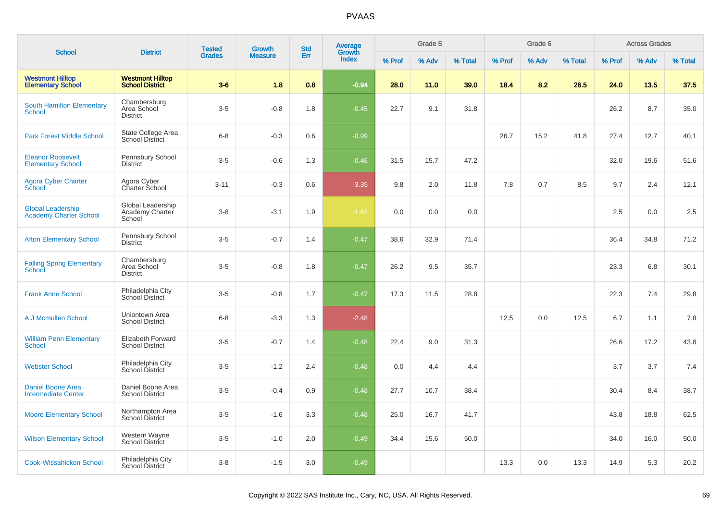|                                                           |                                                   | <b>Tested</b> | Growth         | <b>Std</b> | <b>Average</b><br>Growth |        | Grade 5 |         |        | Grade 6 |         |        | <b>Across Grades</b> |         |
|-----------------------------------------------------------|---------------------------------------------------|---------------|----------------|------------|--------------------------|--------|---------|---------|--------|---------|---------|--------|----------------------|---------|
| <b>School</b>                                             | <b>District</b>                                   | <b>Grades</b> | <b>Measure</b> | Err        | Index                    | % Prof | % Adv   | % Total | % Prof | % Adv   | % Total | % Prof | % Adv                | % Total |
| <b>Westmont Hilltop</b><br><b>Elementary School</b>       | <b>Westmont Hilltop</b><br><b>School District</b> | $3-6$         | 1.8            | 0.8        | $-0.94$                  | 28.0   | 11.0    | 39.0    | 18.4   | 8.2     | 26.5    | 24.0   | 13.5                 | 37.5    |
| <b>South Hamilton Elementary</b><br><b>School</b>         | Chambersburg<br>Area School<br><b>District</b>    | $3-5$         | $-0.8$         | 1.8        | $-0.45$                  | 22.7   | 9.1     | 31.8    |        |         |         | 26.2   | 8.7                  | 35.0    |
| <b>Park Forest Middle School</b>                          | State College Area<br><b>School District</b>      | $6 - 8$       | $-0.3$         | 0.6        | $-0.99$                  |        |         |         | 26.7   | 15.2    | 41.8    | 27.4   | 12.7                 | 40.1    |
| <b>Eleanor Roosevelt</b><br><b>Elementary School</b>      | Pennsbury School<br><b>District</b>               | $3-5$         | $-0.6$         | 1.3        | $-0.46$                  | 31.5   | 15.7    | 47.2    |        |         |         | 32.0   | 19.6                 | 51.6    |
| <b>Agora Cyber Charter</b><br>School                      | Agora Cyber<br>Charter School                     | $3 - 11$      | $-0.3$         | 0.6        | $-3.35$                  | 9.8    | 2.0     | 11.8    | 7.8    | 0.7     | 8.5     | 9.7    | 2.4                  | 12.1    |
| <b>Global Leadership</b><br><b>Academy Charter School</b> | Global Leadership<br>Academy Charter<br>School    | $3-8$         | $-3.1$         | 1.9        | $-1.63$                  | 0.0    | 0.0     | 0.0     |        |         |         | 2.5    | 0.0                  | 2.5     |
| <b>Afton Elementary School</b>                            | Pennsbury School<br><b>District</b>               | $3-5$         | $-0.7$         | 1.4        | $-0.47$                  | 38.6   | 32.9    | 71.4    |        |         |         | 36.4   | 34.8                 | 71.2    |
| <b>Falling Spring Elementary</b><br>School                | Chambersburg<br>Area School<br><b>District</b>    | $3-5$         | $-0.8$         | 1.8        | $-0.47$                  | 26.2   | 9.5     | 35.7    |        |         |         | 23.3   | 6.8                  | 30.1    |
| <b>Frank Anne School</b>                                  | Philadelphia City<br>School District              | $3-5$         | $-0.8$         | 1.7        | $-0.47$                  | 17.3   | 11.5    | 28.8    |        |         |         | 22.3   | 7.4                  | 29.8    |
| A J Mcmullen School                                       | Uniontown Area<br><b>School District</b>          | $6 - 8$       | $-3.3$         | 1.3        | $-2.48$                  |        |         |         | 12.5   | 0.0     | 12.5    | 6.7    | 1.1                  | 7.8     |
| <b>William Penn Elementary</b><br><b>School</b>           | Elizabeth Forward<br><b>School District</b>       | $3-5$         | $-0.7$         | 1.4        | $-0.48$                  | 22.4   | 9.0     | 31.3    |        |         |         | 26.6   | 17.2                 | 43.8    |
| <b>Webster School</b>                                     | Philadelphia City<br>School District              | $3-5$         | $-1.2$         | 2.4        | $-0.48$                  | 0.0    | 4.4     | 4.4     |        |         |         | 3.7    | 3.7                  | 7.4     |
| <b>Daniel Boone Area</b><br><b>Intermediate Center</b>    | Daniel Boone Area<br><b>School District</b>       | $3-5$         | $-0.4$         | 0.9        | $-0.48$                  | 27.7   | 10.7    | 38.4    |        |         |         | 30.4   | 8.4                  | 38.7    |
| <b>Moore Elementary School</b>                            | Northampton Area<br>School District               | $3-5$         | $-1.6$         | 3.3        | $-0.48$                  | 25.0   | 16.7    | 41.7    |        |         |         | 43.8   | 18.8                 | 62.5    |
| <b>Wilson Elementary School</b>                           | Western Wayne<br>School District                  | $3-5$         | $-1.0$         | 2.0        | $-0.49$                  | 34.4   | 15.6    | 50.0    |        |         |         | 34.0   | 16.0                 | 50.0    |
| <b>Cook-Wissahickon School</b>                            | Philadelphia City<br>School District              | $3-8$         | $-1.5$         | 3.0        | $-0.49$                  |        |         |         | 13.3   | 0.0     | 13.3    | 14.9   | 5.3                  | 20.2    |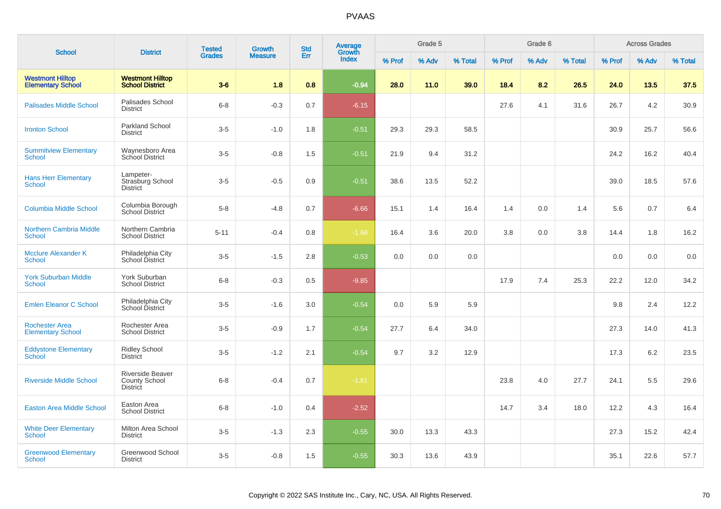| <b>School</b>                                       | <b>District</b>                                             | <b>Tested</b> | Growth         | <b>Std</b> | <b>Average</b><br>Growth |        | Grade 5 |         |        | Grade 6 |         |        | <b>Across Grades</b> |         |
|-----------------------------------------------------|-------------------------------------------------------------|---------------|----------------|------------|--------------------------|--------|---------|---------|--------|---------|---------|--------|----------------------|---------|
|                                                     |                                                             | <b>Grades</b> | <b>Measure</b> | Err        | Index                    | % Prof | % Adv   | % Total | % Prof | % Adv   | % Total | % Prof | % Adv                | % Total |
| <b>Westmont Hilltop</b><br><b>Elementary School</b> | <b>Westmont Hilltop</b><br><b>School District</b>           | $3-6$         | 1.8            | 0.8        | $-0.94$                  | 28.0   | 11.0    | 39.0    | 18.4   | 8.2     | 26.5    | 24.0   | 13.5                 | 37.5    |
| <b>Palisades Middle School</b>                      | Palisades School<br><b>District</b>                         | $6 - 8$       | $-0.3$         | 0.7        | $-6.15$                  |        |         |         | 27.6   | 4.1     | 31.6    | 26.7   | 4.2                  | 30.9    |
| <b>Ironton School</b>                               | Parkland School<br><b>District</b>                          | $3-5$         | $-1.0$         | 1.8        | $-0.51$                  | 29.3   | 29.3    | 58.5    |        |         |         | 30.9   | 25.7                 | 56.6    |
| <b>Summitview Elementary</b><br>School              | Waynesboro Area<br><b>School District</b>                   | $3-5$         | $-0.8$         | 1.5        | $-0.51$                  | 21.9   | 9.4     | 31.2    |        |         |         | 24.2   | 16.2                 | 40.4    |
| <b>Hans Herr Elementary</b><br><b>School</b>        | Lampeter-<br>Strasburg School<br><b>District</b>            | $3-5$         | $-0.5$         | 0.9        | $-0.51$                  | 38.6   | 13.5    | 52.2    |        |         |         | 39.0   | 18.5                 | 57.6    |
| <b>Columbia Middle School</b>                       | Columbia Borough<br><b>School District</b>                  | $5-8$         | $-4.8$         | 0.7        | $-6.66$                  | 15.1   | 1.4     | 16.4    | 1.4    | 0.0     | 1.4     | 5.6    | 0.7                  | 6.4     |
| <b>Northern Cambria Middle</b><br><b>School</b>     | Northern Cambria<br><b>School District</b>                  | $5 - 11$      | $-0.4$         | 0.8        | $-1.66$                  | 16.4   | 3.6     | 20.0    | 3.8    | 0.0     | 3.8     | 14.4   | 1.8                  | 16.2    |
| <b>Mcclure Alexander K</b><br><b>School</b>         | Philadelphia City<br>School District                        | $3-5$         | $-1.5$         | 2.8        | $-0.53$                  | 0.0    | 0.0     | 0.0     |        |         |         | 0.0    | 0.0                  | 0.0     |
| <b>York Suburban Middle</b><br><b>School</b>        | York Suburban<br><b>School District</b>                     | $6 - 8$       | $-0.3$         | 0.5        | $-9.85$                  |        |         |         | 17.9   | 7.4     | 25.3    | 22.2   | 12.0                 | 34.2    |
| <b>Emlen Eleanor C School</b>                       | Philadelphia City<br>School District                        | $3-5$         | $-1.6$         | 3.0        | $-0.54$                  | 0.0    | 5.9     | 5.9     |        |         |         | 9.8    | 2.4                  | 12.2    |
| <b>Rochester Area</b><br><b>Elementary School</b>   | Rochester Area<br><b>School District</b>                    | $3-5$         | $-0.9$         | 1.7        | $-0.54$                  | 27.7   | 6.4     | 34.0    |        |         |         | 27.3   | 14.0                 | 41.3    |
| <b>Eddystone Elementary</b><br><b>School</b>        | <b>Ridley School</b><br><b>District</b>                     | $3-5$         | $-1.2$         | 2.1        | $-0.54$                  | 9.7    | 3.2     | 12.9    |        |         |         | 17.3   | 6.2                  | 23.5    |
| <b>Riverside Middle School</b>                      | Riverside Beaver<br><b>County School</b><br><b>District</b> | $6 - 8$       | $-0.4$         | 0.7        | $-1.61$                  |        |         |         | 23.8   | 4.0     | 27.7    | 24.1   | 5.5                  | 29.6    |
| <b>Easton Area Middle School</b>                    | Easton Area<br><b>School District</b>                       | $6 - 8$       | $-1.0$         | 0.4        | $-2.52$                  |        |         |         | 14.7   | 3.4     | 18.0    | 12.2   | 4.3                  | 16.4    |
| <b>White Deer Elementary</b><br>School              | Milton Area School<br><b>District</b>                       | $3-5$         | $-1.3$         | 2.3        | $-0.55$                  | 30.0   | 13.3    | 43.3    |        |         |         | 27.3   | 15.2                 | 42.4    |
| <b>Greenwood Elementary</b><br><b>School</b>        | Greenwood School<br><b>District</b>                         | $3-5$         | $-0.8$         | 1.5        | $-0.55$                  | 30.3   | 13.6    | 43.9    |        |         |         | 35.1   | 22.6                 | 57.7    |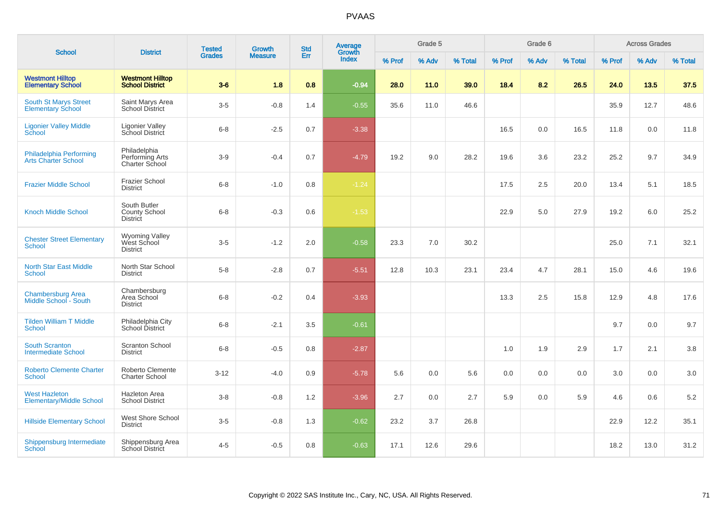| <b>School</b>                                            | <b>District</b>                                         | <b>Tested</b> | Growth         | <b>Std</b> | <b>Average</b><br>Growth |        | Grade 5 |         |        | Grade 6 |         |        | <b>Across Grades</b> |         |
|----------------------------------------------------------|---------------------------------------------------------|---------------|----------------|------------|--------------------------|--------|---------|---------|--------|---------|---------|--------|----------------------|---------|
|                                                          |                                                         | <b>Grades</b> | <b>Measure</b> | Err        | <b>Index</b>             | % Prof | % Adv   | % Total | % Prof | % Adv   | % Total | % Prof | % Adv                | % Total |
| <b>Westmont Hilltop</b><br><b>Elementary School</b>      | <b>Westmont Hilltop</b><br><b>School District</b>       | $3-6$         | 1.8            | 0.8        | $-0.94$                  | 28.0   | 11.0    | 39.0    | 18.4   | 8.2     | 26.5    | 24.0   | 13.5                 | 37.5    |
| <b>South St Marys Street</b><br><b>Elementary School</b> | Saint Marys Area<br>School District                     | $3-5$         | $-0.8$         | 1.4        | $-0.55$                  | 35.6   | 11.0    | 46.6    |        |         |         | 35.9   | 12.7                 | 48.6    |
| <b>Ligonier Valley Middle</b><br>School                  | <b>Ligonier Valley</b><br>School District               | $6 - 8$       | $-2.5$         | 0.7        | $-3.38$                  |        |         |         | 16.5   | 0.0     | 16.5    | 11.8   | 0.0                  | 11.8    |
| Philadelphia Performing<br><b>Arts Charter School</b>    | Philadelphia<br>Performing Arts<br>Charter School       | $3-9$         | $-0.4$         | 0.7        | $-4.79$                  | 19.2   | 9.0     | 28.2    | 19.6   | 3.6     | 23.2    | 25.2   | 9.7                  | 34.9    |
| <b>Frazier Middle School</b>                             | <b>Frazier School</b><br><b>District</b>                | $6 - 8$       | $-1.0$         | 0.8        | $-1.24$                  |        |         |         | 17.5   | 2.5     | 20.0    | 13.4   | 5.1                  | 18.5    |
| <b>Knoch Middle School</b>                               | South Butler<br><b>County School</b><br><b>District</b> | $6 - 8$       | $-0.3$         | 0.6        | $-1.53$                  |        |         |         | 22.9   | 5.0     | 27.9    | 19.2   | 6.0                  | 25.2    |
| <b>Chester Street Elementary</b><br><b>School</b>        | <b>Wyoming Valley</b><br>West School<br><b>District</b> | $3-5$         | $-1.2$         | 2.0        | $-0.58$                  | 23.3   | 7.0     | 30.2    |        |         |         | 25.0   | 7.1                  | 32.1    |
| <b>North Star East Middle</b><br>School                  | North Star School<br><b>District</b>                    | $5 - 8$       | $-2.8$         | 0.7        | $-5.51$                  | 12.8   | 10.3    | 23.1    | 23.4   | 4.7     | 28.1    | 15.0   | 4.6                  | 19.6    |
| <b>Chambersburg Area</b><br>Middle School - South        | Chambersburg<br>Area School<br><b>District</b>          | $6 - 8$       | $-0.2$         | 0.4        | $-3.93$                  |        |         |         | 13.3   | 2.5     | 15.8    | 12.9   | 4.8                  | 17.6    |
| <b>Tilden William T Middle</b><br>School                 | Philadelphia City<br>School District                    | $6 - 8$       | $-2.1$         | 3.5        | $-0.61$                  |        |         |         |        |         |         | 9.7    | 0.0                  | 9.7     |
| <b>South Scranton</b><br><b>Intermediate School</b>      | <b>Scranton School</b><br><b>District</b>               | $6 - 8$       | $-0.5$         | 0.8        | $-2.87$                  |        |         |         | 1.0    | 1.9     | 2.9     | 1.7    | 2.1                  | $3.8\,$ |
| <b>Roberto Clemente Charter</b><br><b>School</b>         | Roberto Clemente<br><b>Charter School</b>               | $3 - 12$      | $-4.0$         | 0.9        | $-5.78$                  | 5.6    | 0.0     | 5.6     | 0.0    | 0.0     | 0.0     | 3.0    | 0.0                  | $3.0\,$ |
| <b>West Hazleton</b><br><b>Elementary/Middle School</b>  | <b>Hazleton Area</b><br><b>School District</b>          | $3 - 8$       | $-0.8$         | 1.2        | $-3.96$                  | 2.7    | 0.0     | 2.7     | 5.9    | 0.0     | 5.9     | 4.6    | 0.6                  | 5.2     |
| <b>Hillside Elementary School</b>                        | West Shore School<br><b>District</b>                    | $3-5$         | $-0.8$         | 1.3        | $-0.62$                  | 23.2   | 3.7     | 26.8    |        |         |         | 22.9   | 12.2                 | 35.1    |
| Shippensburg Intermediate<br>School                      | Shippensburg Area<br>School District                    | $4 - 5$       | $-0.5$         | 0.8        | $-0.63$                  | 17.1   | 12.6    | 29.6    |        |         |         | 18.2   | 13.0                 | 31.2    |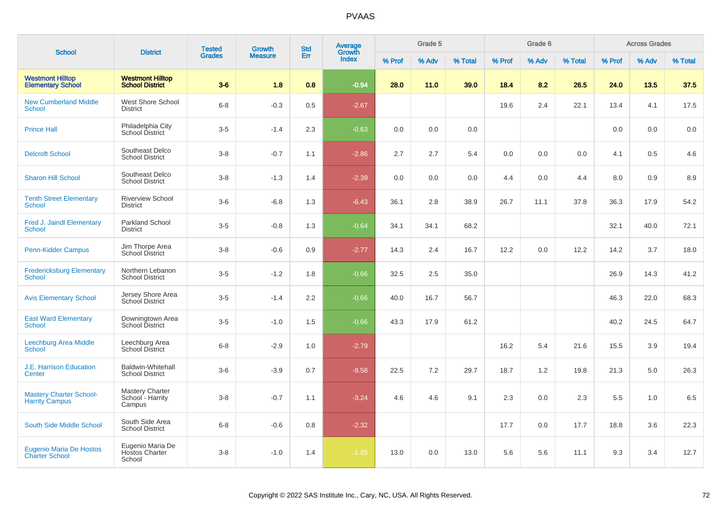| <b>School</b>                                           | <b>District</b>                                      | <b>Tested</b> | Growth         | <b>Std</b> | <b>Average</b><br>Growth |        | Grade 5 |         |        | Grade 6 |         |        | <b>Across Grades</b> |         |
|---------------------------------------------------------|------------------------------------------------------|---------------|----------------|------------|--------------------------|--------|---------|---------|--------|---------|---------|--------|----------------------|---------|
|                                                         |                                                      | <b>Grades</b> | <b>Measure</b> | Err        | Index                    | % Prof | % Adv   | % Total | % Prof | % Adv   | % Total | % Prof | % Adv                | % Total |
| <b>Westmont Hilltop</b><br><b>Elementary School</b>     | <b>Westmont Hilltop</b><br><b>School District</b>    | $3-6$         | 1.8            | 0.8        | $-0.94$                  | 28.0   | 11.0    | 39.0    | 18.4   | 8.2     | 26.5    | 24.0   | 13.5                 | 37.5    |
| <b>New Cumberland Middle</b><br><b>School</b>           | West Shore School<br><b>District</b>                 | $6 - 8$       | $-0.3$         | 0.5        | $-2.67$                  |        |         |         | 19.6   | 2.4     | 22.1    | 13.4   | 4.1                  | 17.5    |
| <b>Prince Hall</b>                                      | Philadelphia City<br>School District                 | $3-5$         | $-1.4$         | 2.3        | $-0.63$                  | 0.0    | 0.0     | 0.0     |        |         |         | 0.0    | 0.0                  | 0.0     |
| <b>Delcroft School</b>                                  | Southeast Delco<br><b>School District</b>            | $3 - 8$       | $-0.7$         | 1.1        | $-2.86$                  | 2.7    | 2.7     | 5.4     | 0.0    | 0.0     | 0.0     | 4.1    | 0.5                  | 4.6     |
| <b>Sharon Hill School</b>                               | Southeast Delco<br><b>School District</b>            | $3 - 8$       | $-1.3$         | 1.4        | $-2.39$                  | 0.0    | 0.0     | 0.0     | 4.4    | 0.0     | 4.4     | 8.0    | 0.9                  | 8.9     |
| <b>Tenth Street Elementary</b><br><b>School</b>         | <b>Riverview School</b><br><b>District</b>           | $3-6$         | $-6.8$         | 1.3        | $-6.43$                  | 36.1   | 2.8     | 38.9    | 26.7   | 11.1    | 37.8    | 36.3   | 17.9                 | 54.2    |
| <b>Fred J. Jaindl Elementary</b><br><b>School</b>       | Parkland School<br><b>District</b>                   | $3-5$         | $-0.8$         | 1.3        | $-0.64$                  | 34.1   | 34.1    | 68.2    |        |         |         | 32.1   | 40.0                 | 72.1    |
| Penn-Kidder Campus                                      | Jim Thorpe Area<br><b>School District</b>            | $3-8$         | $-0.6$         | 0.9        | $-2.77$                  | 14.3   | 2.4     | 16.7    | 12.2   | 0.0     | 12.2    | 14.2   | 3.7                  | 18.0    |
| <b>Fredericksburg Elementary</b><br>School              | Northern Lebanon<br><b>School District</b>           | $3-5$         | $-1.2$         | 1.8        | $-0.66$                  | 32.5   | 2.5     | 35.0    |        |         |         | 26.9   | 14.3                 | 41.2    |
| <b>Avis Elementary School</b>                           | Jersey Shore Area<br>School District                 | $3-5$         | $-1.4$         | 2.2        | $-0.66$                  | 40.0   | 16.7    | 56.7    |        |         |         | 46.3   | 22.0                 | 68.3    |
| <b>East Ward Elementary</b><br>School                   | Downingtown Area<br><b>School District</b>           | $3-5$         | $-1.0$         | 1.5        | $-0.66$                  | 43.3   | 17.9    | 61.2    |        |         |         | 40.2   | 24.5                 | 64.7    |
| <b>Leechburg Area Middle</b><br><b>School</b>           | Leechburg Area<br>School District                    | $6 - 8$       | $-2.9$         | 1.0        | $-2.79$                  |        |         |         | 16.2   | 5.4     | 21.6    | 15.5   | 3.9                  | 19.4    |
| J.E. Harrison Education<br>Center                       | <b>Baldwin-Whitehall</b><br><b>School District</b>   | $3-6$         | $-3.9$         | 0.7        | $-9.58$                  | 22.5   | 7.2     | 29.7    | 18.7   | 1.2     | 19.8    | 21.3   | 5.0                  | 26.3    |
| <b>Mastery Charter School-</b><br><b>Harrity Campus</b> | <b>Mastery Charter</b><br>School - Harrity<br>Campus | $3 - 8$       | $-0.7$         | 1.1        | $-3.24$                  | 4.6    | 4.6     | 9.1     | 2.3    | 0.0     | 2.3     | 5.5    | 1.0                  | 6.5     |
| <b>South Side Middle School</b>                         | South Side Area<br><b>School District</b>            | $6 - 8$       | $-0.6$         | 0.8        | $-2.32$                  |        |         |         | 17.7   | 0.0     | 17.7    | 18.8   | 3.6                  | 22.3    |
| <b>Eugenio Maria De Hostos</b><br><b>Charter School</b> | Eugenio Maria De<br>Hostos Charter<br>School         | $3-8$         | $-1.0$         | 1.4        | $-1.85$                  | 13.0   | 0.0     | 13.0    | 5.6    | 5.6     | 11.1    | 9.3    | 3.4                  | 12.7    |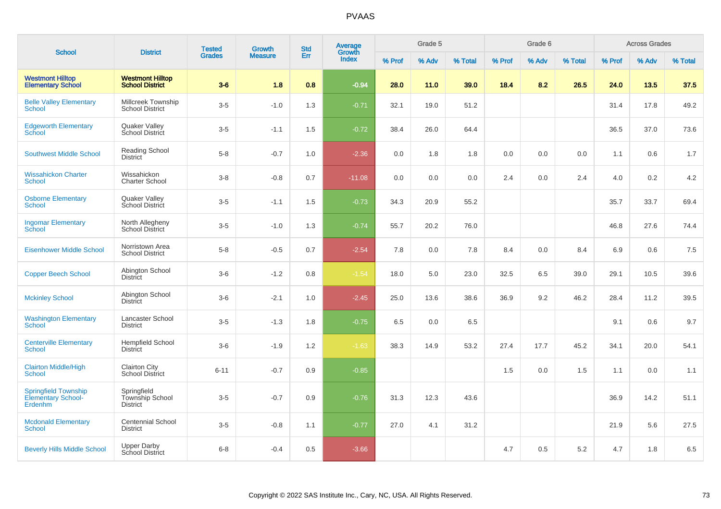| <b>School</b>                                                | <b>District</b>                                   | <b>Tested</b> | <b>Growth</b>  | <b>Std</b> | Average<br>Growth |        | Grade 5 |         |        | Grade 6 |         |        | <b>Across Grades</b> |         |
|--------------------------------------------------------------|---------------------------------------------------|---------------|----------------|------------|-------------------|--------|---------|---------|--------|---------|---------|--------|----------------------|---------|
|                                                              |                                                   | <b>Grades</b> | <b>Measure</b> | Err        | <b>Index</b>      | % Prof | % Adv   | % Total | % Prof | % Adv   | % Total | % Prof | % Adv                | % Total |
| <b>Westmont Hilltop</b><br><b>Elementary School</b>          | <b>Westmont Hilltop</b><br><b>School District</b> | $3-6$         | 1.8            | 0.8        | $-0.94$           | 28.0   | 11.0    | 39.0    | 18.4   | 8.2     | 26.5    | 24.0   | 13.5                 | 37.5    |
| <b>Belle Valley Elementary</b><br><b>School</b>              | Millcreek Township<br><b>School District</b>      | $3-5$         | $-1.0$         | 1.3        | $-0.71$           | 32.1   | 19.0    | 51.2    |        |         |         | 31.4   | 17.8                 | 49.2    |
| <b>Edgeworth Elementary</b><br>School                        | Quaker Valley<br>School District                  | $3-5$         | $-1.1$         | 1.5        | $-0.72$           | 38.4   | 26.0    | 64.4    |        |         |         | 36.5   | 37.0                 | 73.6    |
| <b>Southwest Middle School</b>                               | Reading School<br><b>District</b>                 | $5-8$         | $-0.7$         | 1.0        | $-2.36$           | 0.0    | 1.8     | 1.8     | 0.0    | 0.0     | 0.0     | 1.1    | 0.6                  | 1.7     |
| <b>Wissahickon Charter</b><br><b>School</b>                  | Wissahickon<br><b>Charter School</b>              | $3-8$         | $-0.8$         | 0.7        | $-11.08$          | 0.0    | 0.0     | 0.0     | 2.4    | 0.0     | 2.4     | 4.0    | 0.2                  | 4.2     |
| <b>Osborne Elementary</b><br>School                          | Quaker Valley<br>School District                  | $3-5$         | $-1.1$         | 1.5        | $-0.73$           | 34.3   | 20.9    | 55.2    |        |         |         | 35.7   | 33.7                 | 69.4    |
| <b>Ingomar Elementary</b><br><b>School</b>                   | North Allegheny<br><b>School District</b>         | $3-5$         | $-1.0$         | 1.3        | $-0.74$           | 55.7   | 20.2    | 76.0    |        |         |         | 46.8   | 27.6                 | 74.4    |
| <b>Eisenhower Middle School</b>                              | Norristown Area<br><b>School District</b>         | $5-8$         | $-0.5$         | 0.7        | $-2.54$           | 7.8    | 0.0     | 7.8     | 8.4    | 0.0     | 8.4     | 6.9    | 0.6                  | 7.5     |
| <b>Copper Beech School</b>                                   | Abington School<br>District                       | $3-6$         | $-1.2$         | 0.8        | $-1.54$           | 18.0   | 5.0     | 23.0    | 32.5   | 6.5     | 39.0    | 29.1   | 10.5                 | 39.6    |
| <b>Mckinley School</b>                                       | Abington School<br>District                       | $3-6$         | $-2.1$         | 1.0        | $-2.45$           | 25.0   | 13.6    | 38.6    | 36.9   | 9.2     | 46.2    | 28.4   | 11.2                 | 39.5    |
| <b>Washington Elementary</b><br>School                       | Lancaster School<br><b>District</b>               | $3-5$         | $-1.3$         | 1.8        | $-0.75$           | 6.5    | 0.0     | 6.5     |        |         |         | 9.1    | 0.6                  | 9.7     |
| <b>Centerville Elementary</b><br>School                      | <b>Hempfield School</b><br>District               | $3-6$         | $-1.9$         | 1.2        | $-1.63$           | 38.3   | 14.9    | 53.2    | 27.4   | 17.7    | 45.2    | 34.1   | 20.0                 | 54.1    |
| <b>Clairton Middle/High</b><br><b>School</b>                 | <b>Clairton City</b><br><b>School District</b>    | $6 - 11$      | $-0.7$         | 0.9        | $-0.85$           |        |         |         | 1.5    | 0.0     | 1.5     | 1.1    | 0.0                  | 1.1     |
| <b>Springfield Township</b><br>Elementary School-<br>Erdenhm | Springfield<br>Township School<br><b>District</b> | $3-5$         | $-0.7$         | 0.9        | $-0.76$           | 31.3   | 12.3    | 43.6    |        |         |         | 36.9   | 14.2                 | 51.1    |
| <b>Mcdonald Elementary</b><br><b>School</b>                  | <b>Centennial School</b><br><b>District</b>       | $3-5$         | $-0.8$         | 1.1        | $-0.77$           | 27.0   | 4.1     | 31.2    |        |         |         | 21.9   | 5.6                  | 27.5    |
| <b>Beverly Hills Middle School</b>                           | <b>Upper Darby</b><br><b>School District</b>      | $6-8$         | $-0.4$         | 0.5        | $-3.66$           |        |         |         | 4.7    | 0.5     | 5.2     | 4.7    | 1.8                  | $6.5\,$ |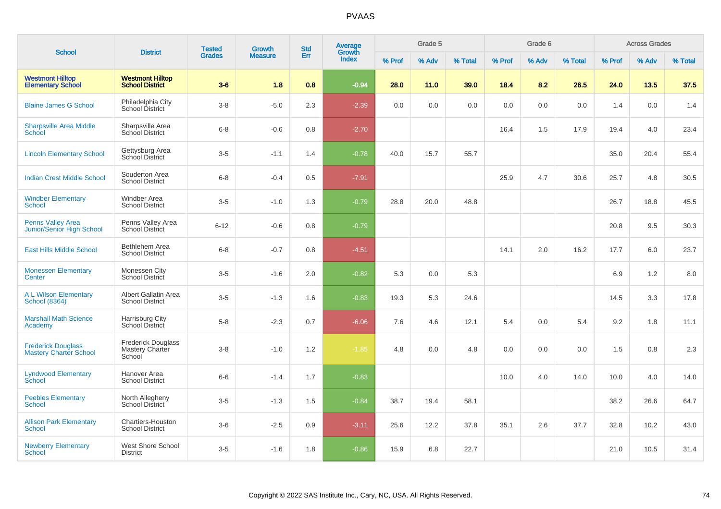| <b>School</b>                                              |                                                        | <b>Tested</b> | Growth         | <b>Std</b> | Average<br>Growth |        | Grade 5 |         |        | Grade 6 |         |        | <b>Across Grades</b> |         |
|------------------------------------------------------------|--------------------------------------------------------|---------------|----------------|------------|-------------------|--------|---------|---------|--------|---------|---------|--------|----------------------|---------|
|                                                            | <b>District</b>                                        | <b>Grades</b> | <b>Measure</b> | Err        | Index             | % Prof | % Adv   | % Total | % Prof | % Adv   | % Total | % Prof | % Adv                | % Total |
| <b>Westmont Hilltop</b><br><b>Elementary School</b>        | <b>Westmont Hilltop</b><br><b>School District</b>      | $3-6$         | 1.8            | 0.8        | $-0.94$           | 28.0   | 11.0    | 39.0    | 18.4   | 8.2     | 26.5    | 24.0   | 13.5                 | 37.5    |
| <b>Blaine James G School</b>                               | Philadelphia City<br>School District                   | $3-8$         | $-5.0$         | 2.3        | $-2.39$           | 0.0    | 0.0     | 0.0     | 0.0    | 0.0     | 0.0     | 1.4    | 0.0                  | 1.4     |
| <b>Sharpsville Area Middle</b><br>School                   | Sharpsville Area<br>School District                    | $6 - 8$       | $-0.6$         | 0.8        | $-2.70$           |        |         |         | 16.4   | 1.5     | 17.9    | 19.4   | 4.0                  | 23.4    |
| <b>Lincoln Elementary School</b>                           | Gettysburg Area<br>School District                     | $3-5$         | $-1.1$         | 1.4        | $-0.78$           | 40.0   | 15.7    | 55.7    |        |         |         | 35.0   | 20.4                 | 55.4    |
| <b>Indian Crest Middle School</b>                          | Souderton Area<br><b>School District</b>               | $6 - 8$       | $-0.4$         | 0.5        | $-7.91$           |        |         |         | 25.9   | 4.7     | 30.6    | 25.7   | 4.8                  | 30.5    |
| <b>Windber Elementary</b><br>School                        | <b>Windber Area</b><br><b>School District</b>          | $3-5$         | $-1.0$         | 1.3        | $-0.79$           | 28.8   | 20.0    | 48.8    |        |         |         | 26.7   | 18.8                 | 45.5    |
| <b>Penns Valley Area</b><br>Junior/Senior High School      | Penns Valley Area<br><b>School District</b>            | $6 - 12$      | $-0.6$         | 0.8        | $-0.79$           |        |         |         |        |         |         | 20.8   | 9.5                  | 30.3    |
| <b>East Hills Middle School</b>                            | Bethlehem Area<br><b>School District</b>               | $6 - 8$       | $-0.7$         | 0.8        | $-4.51$           |        |         |         | 14.1   | 2.0     | 16.2    | 17.7   | 6.0                  | 23.7    |
| <b>Monessen Elementary</b><br>Center                       | Monessen City<br>School District                       | $3-5$         | $-1.6$         | 2.0        | $-0.82$           | 5.3    | 0.0     | 5.3     |        |         |         | 6.9    | 1.2                  | 8.0     |
| <b>A L Wilson Elementary</b><br><b>School (8364)</b>       | Albert Gallatin Area<br><b>School District</b>         | $3-5$         | $-1.3$         | 1.6        | $-0.83$           | 19.3   | 5.3     | 24.6    |        |         |         | 14.5   | 3.3                  | 17.8    |
| <b>Marshall Math Science</b><br>Academy                    | Harrisburg City<br>School District                     | $5-8$         | $-2.3$         | 0.7        | $-6.06$           | 7.6    | 4.6     | 12.1    | 5.4    | 0.0     | 5.4     | 9.2    | 1.8                  | 11.1    |
| <b>Frederick Douglass</b><br><b>Mastery Charter School</b> | <b>Frederick Douglass</b><br>Mastery Charter<br>School | $3 - 8$       | $-1.0$         | 1.2        | $-1.85$           | 4.8    | 0.0     | 4.8     | 0.0    | 0.0     | 0.0     | 1.5    | 0.8                  | 2.3     |
| <b>Lyndwood Elementary</b><br>School                       | Hanover Area<br><b>School District</b>                 | $6-6$         | $-1.4$         | 1.7        | $-0.83$           |        |         |         | 10.0   | 4.0     | 14.0    | 10.0   | 4.0                  | 14.0    |
| <b>Peebles Elementary</b><br><b>School</b>                 | North Allegheny<br>School District                     | $3-5$         | $-1.3$         | 1.5        | $-0.84$           | 38.7   | 19.4    | 58.1    |        |         |         | 38.2   | 26.6                 | 64.7    |
| <b>Allison Park Elementary</b><br><b>School</b>            | Chartiers-Houston<br><b>School District</b>            | $3-6$         | $-2.5$         | 0.9        | $-3.11$           | 25.6   | 12.2    | 37.8    | 35.1   | 2.6     | 37.7    | 32.8   | 10.2                 | 43.0    |
| <b>Newberry Elementary</b><br>School                       | <b>West Shore School</b><br><b>District</b>            | $3-5$         | $-1.6$         | 1.8        | $-0.86$           | 15.9   | 6.8     | 22.7    |        |         |         | 21.0   | 10.5                 | 31.4    |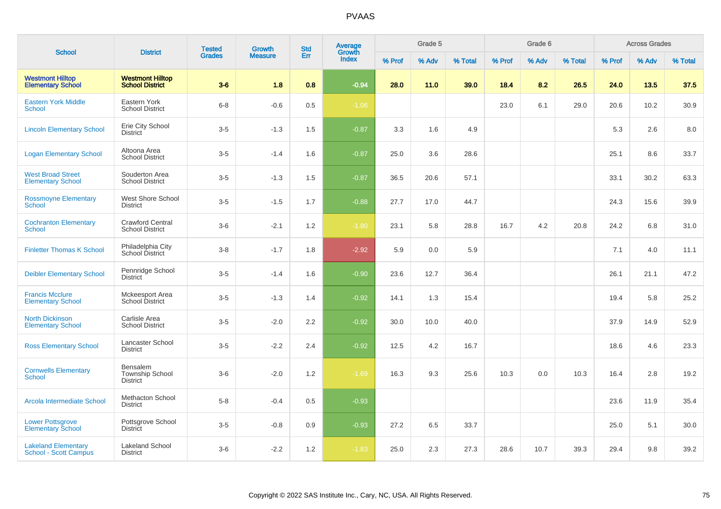| <b>School</b>                                              | <b>District</b>                                   | <b>Tested</b> | Growth         | <b>Std</b> | Average<br>Growth |        | Grade 5 |         |        | Grade 6 |         |        | <b>Across Grades</b> |         |
|------------------------------------------------------------|---------------------------------------------------|---------------|----------------|------------|-------------------|--------|---------|---------|--------|---------|---------|--------|----------------------|---------|
|                                                            |                                                   | <b>Grades</b> | <b>Measure</b> | Err        | <b>Index</b>      | % Prof | % Adv   | % Total | % Prof | % Adv   | % Total | % Prof | % Adv                | % Total |
| <b>Westmont Hilltop</b><br><b>Elementary School</b>        | <b>Westmont Hilltop</b><br><b>School District</b> | $3-6$         | 1.8            | 0.8        | $-0.94$           | 28.0   | 11.0    | 39.0    | 18.4   | 8.2     | 26.5    | 24.0   | 13.5                 | 37.5    |
| <b>Eastern York Middle</b><br>School                       | Eastern York<br><b>School District</b>            | $6-8$         | $-0.6$         | 0.5        | $-1.06$           |        |         |         | 23.0   | 6.1     | 29.0    | 20.6   | 10.2                 | 30.9    |
| <b>Lincoln Elementary School</b>                           | Erie City School<br><b>District</b>               | $3-5$         | $-1.3$         | 1.5        | $-0.87$           | 3.3    | 1.6     | 4.9     |        |         |         | 5.3    | 2.6                  | 8.0     |
| <b>Logan Elementary School</b>                             | Altoona Area<br><b>School District</b>            | $3-5$         | $-1.4$         | 1.6        | $-0.87$           | 25.0   | 3.6     | 28.6    |        |         |         | 25.1   | 8.6                  | 33.7    |
| <b>West Broad Street</b><br><b>Elementary School</b>       | Souderton Area<br><b>School District</b>          | $3-5$         | $-1.3$         | 1.5        | $-0.87$           | 36.5   | 20.6    | 57.1    |        |         |         | 33.1   | 30.2                 | 63.3    |
| <b>Rossmoyne Elementary</b><br><b>School</b>               | West Shore School<br><b>District</b>              | $3-5$         | $-1.5$         | 1.7        | $-0.88$           | 27.7   | 17.0    | 44.7    |        |         |         | 24.3   | 15.6                 | 39.9    |
| <b>Cochranton Elementary</b><br><b>School</b>              | <b>Crawford Central</b><br><b>School District</b> | $3-6$         | $-2.1$         | 1.2        | $-1.80$           | 23.1   | 5.8     | 28.8    | 16.7   | 4.2     | 20.8    | 24.2   | 6.8                  | 31.0    |
| <b>Finletter Thomas K School</b>                           | Philadelphia City<br>School District              | $3-8$         | $-1.7$         | 1.8        | $-2.92$           | 5.9    | 0.0     | 5.9     |        |         |         | 7.1    | 4.0                  | 11.1    |
| <b>Deibler Elementary School</b>                           | Pennridge School<br><b>District</b>               | $3-5$         | $-1.4$         | 1.6        | $-0.90$           | 23.6   | 12.7    | 36.4    |        |         |         | 26.1   | 21.1                 | 47.2    |
| <b>Francis Mcclure</b><br><b>Elementary School</b>         | Mckeesport Area<br><b>School District</b>         | $3-5$         | $-1.3$         | 1.4        | $-0.92$           | 14.1   | 1.3     | 15.4    |        |         |         | 19.4   | 5.8                  | 25.2    |
| <b>North Dickinson</b><br><b>Elementary School</b>         | Carlisle Area<br><b>School District</b>           | $3-5$         | $-2.0$         | 2.2        | $-0.92$           | 30.0   | 10.0    | 40.0    |        |         |         | 37.9   | 14.9                 | 52.9    |
| <b>Ross Elementary School</b>                              | Lancaster School<br><b>District</b>               | $3-5$         | $-2.2$         | 2.4        | $-0.92$           | 12.5   | 4.2     | 16.7    |        |         |         | 18.6   | 4.6                  | 23.3    |
| <b>Cornwells Elementary</b><br><b>School</b>               | Bensalem<br>Township School<br><b>District</b>    | $3-6$         | $-2.0$         | 1.2        | $-1.69$           | 16.3   | 9.3     | 25.6    | 10.3   | 0.0     | 10.3    | 16.4   | 2.8                  | 19.2    |
| Arcola Intermediate School                                 | <b>Methacton School</b><br><b>District</b>        | $5-8$         | $-0.4$         | 0.5        | $-0.93$           |        |         |         |        |         |         | 23.6   | 11.9                 | 35.4    |
| <b>Lower Pottsgrove</b><br><b>Elementary School</b>        | Pottsgrove School<br><b>District</b>              | $3-5$         | $-0.8$         | 0.9        | $-0.93$           | 27.2   | 6.5     | 33.7    |        |         |         | 25.0   | 5.1                  | 30.0    |
| <b>Lakeland Elementary</b><br><b>School - Scott Campus</b> | <b>Lakeland School</b><br><b>District</b>         | $3-6$         | $-2.2$         | 1.2        | $-1.83$           | 25.0   | 2.3     | 27.3    | 28.6   | 10.7    | 39.3    | 29.4   | 9.8                  | 39.2    |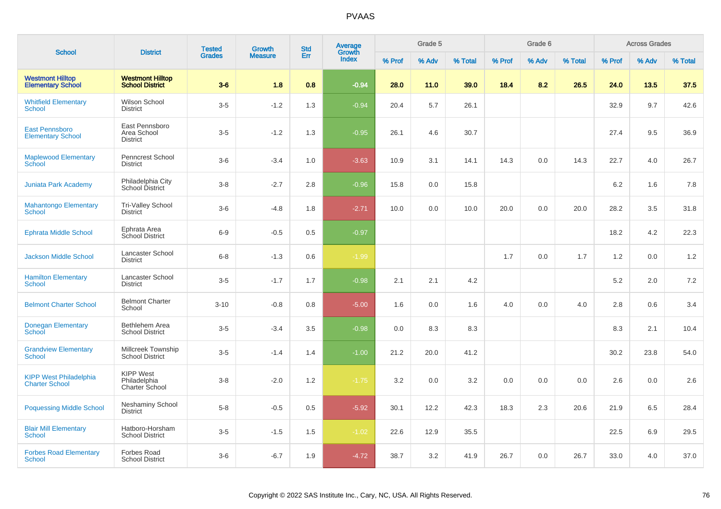|                                                        |                                                    | <b>Tested</b> | Growth         | <b>Std</b> | <b>Average</b><br>Growth |        | Grade 5 |         |        | Grade 6 |         |        | <b>Across Grades</b> |         |
|--------------------------------------------------------|----------------------------------------------------|---------------|----------------|------------|--------------------------|--------|---------|---------|--------|---------|---------|--------|----------------------|---------|
| <b>School</b>                                          | <b>District</b>                                    | <b>Grades</b> | <b>Measure</b> | Err        | <b>Index</b>             | % Prof | % Adv   | % Total | % Prof | % Adv   | % Total | % Prof | % Adv                | % Total |
| <b>Westmont Hilltop</b><br><b>Elementary School</b>    | <b>Westmont Hilltop</b><br><b>School District</b>  | $3-6$         | 1.8            | 0.8        | $-0.94$                  | 28.0   | 11.0    | 39.0    | 18.4   | 8.2     | 26.5    | 24.0   | 13.5                 | 37.5    |
| <b>Whitfield Elementary</b><br>School                  | Wilson School<br><b>District</b>                   | $3-5$         | $-1.2$         | 1.3        | $-0.94$                  | 20.4   | 5.7     | 26.1    |        |         |         | 32.9   | 9.7                  | 42.6    |
| <b>East Pennsboro</b><br><b>Elementary School</b>      | East Pennsboro<br>Area School<br><b>District</b>   | $3-5$         | $-1.2$         | 1.3        | $-0.95$                  | 26.1   | 4.6     | 30.7    |        |         |         | 27.4   | 9.5                  | 36.9    |
| <b>Maplewood Elementary</b><br>School                  | Penncrest School<br><b>District</b>                | $3-6$         | $-3.4$         | 1.0        | $-3.63$                  | 10.9   | 3.1     | 14.1    | 14.3   | 0.0     | 14.3    | 22.7   | 4.0                  | 26.7    |
| <b>Juniata Park Academy</b>                            | Philadelphia City<br>School District               | $3-8$         | $-2.7$         | 2.8        | $-0.96$                  | 15.8   | 0.0     | 15.8    |        |         |         | 6.2    | 1.6                  | 7.8     |
| <b>Mahantongo Elementary</b><br>School                 | <b>Tri-Valley School</b><br>District               | $3-6$         | $-4.8$         | 1.8        | $-2.71$                  | 10.0   | 0.0     | 10.0    | 20.0   | 0.0     | 20.0    | 28.2   | 3.5                  | 31.8    |
| <b>Ephrata Middle School</b>                           | Ephrata Area<br>School District                    | $6-9$         | $-0.5$         | 0.5        | $-0.97$                  |        |         |         |        |         |         | 18.2   | 4.2                  | 22.3    |
| <b>Jackson Middle School</b>                           | Lancaster School<br><b>District</b>                | $6-8$         | $-1.3$         | 0.6        | $-1.99$                  |        |         |         | 1.7    | 0.0     | 1.7     | 1.2    | 0.0                  | 1.2     |
| <b>Hamilton Elementary</b><br>School                   | Lancaster School<br><b>District</b>                | $3-5$         | $-1.7$         | 1.7        | $-0.98$                  | 2.1    | 2.1     | 4.2     |        |         |         | 5.2    | 2.0                  | 7.2     |
| <b>Belmont Charter School</b>                          | <b>Belmont Charter</b><br>School                   | $3 - 10$      | $-0.8$         | 0.8        | $-5.00$                  | 1.6    | 0.0     | 1.6     | 4.0    | 0.0     | 4.0     | 2.8    | 0.6                  | 3.4     |
| <b>Donegan Elementary</b><br>School                    | Bethlehem Area<br><b>School District</b>           | $3-5$         | $-3.4$         | 3.5        | $-0.98$                  | 0.0    | 8.3     | 8.3     |        |         |         | 8.3    | 2.1                  | 10.4    |
| <b>Grandview Elementary</b><br><b>School</b>           | Millcreek Township<br><b>School District</b>       | $3-5$         | $-1.4$         | 1.4        | $-1.00$                  | 21.2   | 20.0    | 41.2    |        |         |         | 30.2   | 23.8                 | 54.0    |
| <b>KIPP West Philadelphia</b><br><b>Charter School</b> | <b>KIPP West</b><br>Philadelphia<br>Charter School | $3-8$         | $-2.0$         | 1.2        | $-1.75$                  | 3.2    | 0.0     | 3.2     | 0.0    | 0.0     | 0.0     | 2.6    | 0.0                  | 2.6     |
| <b>Poquessing Middle School</b>                        | <b>Neshaminy School</b><br>District                | $5-8$         | $-0.5$         | 0.5        | $-5.92$                  | 30.1   | 12.2    | 42.3    | 18.3   | 2.3     | 20.6    | 21.9   | 6.5                  | 28.4    |
| <b>Blair Mill Elementary</b><br>School                 | Hatboro-Horsham<br><b>School District</b>          | $3-5$         | $-1.5$         | 1.5        | $-1.02$                  | 22.6   | 12.9    | 35.5    |        |         |         | 22.5   | 6.9                  | 29.5    |
| <b>Forbes Road Elementary</b><br><b>School</b>         | <b>Forbes Road</b><br><b>School District</b>       | $3-6$         | $-6.7$         | 1.9        | $-4.72$                  | 38.7   | 3.2     | 41.9    | 26.7   | 0.0     | 26.7    | 33.0   | 4.0                  | 37.0    |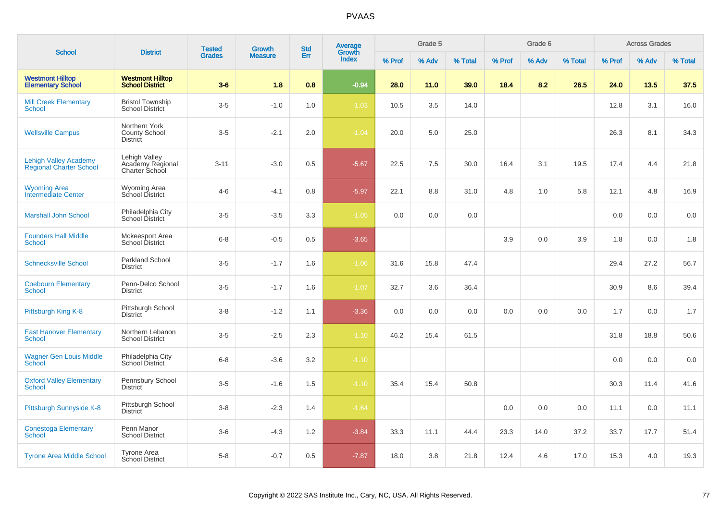| <b>School</b>                                                  | <b>District</b>                                     | <b>Tested</b> | <b>Growth</b>  | <b>Std</b> | <b>Average</b><br>Growth |        | Grade 5 |         |        | Grade 6 |         |        | <b>Across Grades</b> |         |
|----------------------------------------------------------------|-----------------------------------------------------|---------------|----------------|------------|--------------------------|--------|---------|---------|--------|---------|---------|--------|----------------------|---------|
|                                                                |                                                     | <b>Grades</b> | <b>Measure</b> | Err        | <b>Index</b>             | % Prof | % Adv   | % Total | % Prof | % Adv   | % Total | % Prof | % Adv                | % Total |
| <b>Westmont Hilltop</b><br><b>Elementary School</b>            | <b>Westmont Hilltop</b><br><b>School District</b>   | $3-6$         | 1.8            | 0.8        | $-0.94$                  | 28.0   | 11.0    | 39.0    | 18.4   | 8.2     | 26.5    | 24.0   | 13.5                 | 37.5    |
| <b>Mill Creek Elementary</b><br><b>School</b>                  | <b>Bristol Township</b><br><b>School District</b>   | $3-5$         | $-1.0$         | 1.0        | $-1.03$                  | 10.5   | 3.5     | 14.0    |        |         |         | 12.8   | 3.1                  | 16.0    |
| <b>Wellsville Campus</b>                                       | Northern York<br>County School<br><b>District</b>   | $3-5$         | $-2.1$         | 2.0        | $-1.04$                  | 20.0   | 5.0     | 25.0    |        |         |         | 26.3   | 8.1                  | 34.3    |
| <b>Lehigh Valley Academy</b><br><b>Regional Charter School</b> | Lehigh Valley<br>Academy Regional<br>Charter School | $3 - 11$      | $-3.0$         | 0.5        | $-5.67$                  | 22.5   | 7.5     | 30.0    | 16.4   | 3.1     | 19.5    | 17.4   | 4.4                  | 21.8    |
| <b>Wyoming Area</b><br>Intermediate Center                     | <b>Wyoming Area</b><br>School District              | $4 - 6$       | $-4.1$         | 0.8        | $-5.97$                  | 22.1   | 8.8     | 31.0    | 4.8    | 1.0     | 5.8     | 12.1   | 4.8                  | 16.9    |
| <b>Marshall John School</b>                                    | Philadelphia City<br>School District                | $3-5$         | $-3.5$         | 3.3        | $-1.05$                  | 0.0    | 0.0     | 0.0     |        |         |         | 0.0    | 0.0                  | 0.0     |
| <b>Founders Hall Middle</b><br>School                          | Mckeesport Area<br><b>School District</b>           | $6 - 8$       | $-0.5$         | 0.5        | $-3.65$                  |        |         |         | 3.9    | 0.0     | 3.9     | 1.8    | 0.0                  | 1.8     |
| <b>Schnecksville School</b>                                    | <b>Parkland School</b><br><b>District</b>           | $3-5$         | $-1.7$         | 1.6        | $-1.06$                  | 31.6   | 15.8    | 47.4    |        |         |         | 29.4   | 27.2                 | 56.7    |
| <b>Coebourn Elementary</b><br>School                           | Penn-Delco School<br><b>District</b>                | $3-5$         | $-1.7$         | 1.6        | $-1.07$                  | 32.7   | 3.6     | 36.4    |        |         |         | 30.9   | 8.6                  | 39.4    |
| Pittsburgh King K-8                                            | Pittsburgh School<br>District                       | $3 - 8$       | $-1.2$         | 1.1        | $-3.36$                  | 0.0    | 0.0     | 0.0     | 0.0    | 0.0     | 0.0     | 1.7    | 0.0                  | 1.7     |
| <b>East Hanover Elementary</b><br>School                       | Northern Lebanon<br><b>School District</b>          | $3-5$         | $-2.5$         | 2.3        | $-1.10$                  | 46.2   | 15.4    | 61.5    |        |         |         | 31.8   | 18.8                 | 50.6    |
| <b>Wagner Gen Louis Middle</b><br><b>School</b>                | Philadelphia City<br>School District                | $6 - 8$       | $-3.6$         | 3.2        | $-1.10$                  |        |         |         |        |         |         | 0.0    | 0.0                  | 0.0     |
| <b>Oxford Valley Elementary</b><br>School                      | Pennsbury School<br>District                        | $3-5$         | $-1.6$         | 1.5        | $-1.10$                  | 35.4   | 15.4    | 50.8    |        |         |         | 30.3   | 11.4                 | 41.6    |
| Pittsburgh Sunnyside K-8                                       | Pittsburgh School<br><b>District</b>                | $3 - 8$       | $-2.3$         | 1.4        | $-1.64$                  |        |         |         | 0.0    | 0.0     | 0.0     | 11.1   | 0.0                  | 11.1    |
| <b>Conestoga Elementary</b><br>School                          | Penn Manor<br><b>School District</b>                | $3-6$         | $-4.3$         | 1.2        | $-3.84$                  | 33.3   | 11.1    | 44.4    | 23.3   | 14.0    | 37.2    | 33.7   | 17.7                 | 51.4    |
| <b>Tyrone Area Middle School</b>                               | <b>Tyrone Area</b><br>School District               | $5-8$         | $-0.7$         | 0.5        | $-7.87$                  | 18.0   | 3.8     | 21.8    | 12.4   | 4.6     | 17.0    | 15.3   | 4.0                  | 19.3    |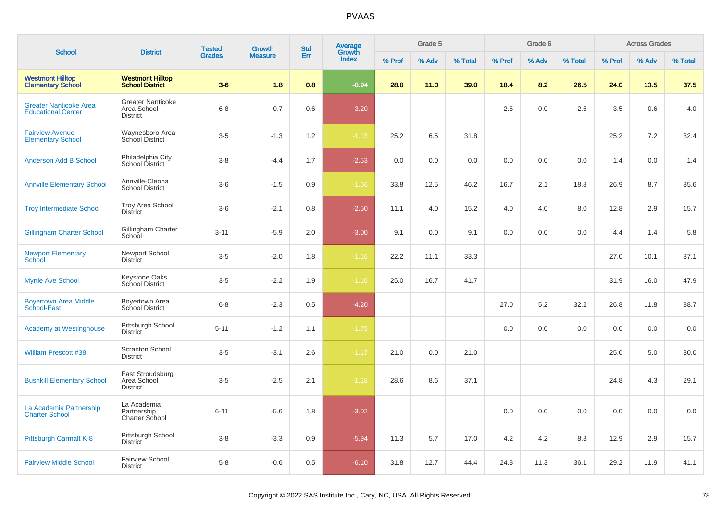| <b>School</b>                                              | <b>District</b>                                            | <b>Tested</b> | Growth         | <b>Std</b> | Average<br>Growth |        | Grade 5 |         |        | Grade 6 |         |        | <b>Across Grades</b> |         |
|------------------------------------------------------------|------------------------------------------------------------|---------------|----------------|------------|-------------------|--------|---------|---------|--------|---------|---------|--------|----------------------|---------|
|                                                            |                                                            | <b>Grades</b> | <b>Measure</b> | Err        | Index             | % Prof | % Adv   | % Total | % Prof | % Adv   | % Total | % Prof | % Adv                | % Total |
| <b>Westmont Hilltop</b><br><b>Elementary School</b>        | <b>Westmont Hilltop</b><br><b>School District</b>          | $3-6$         | 1.8            | 0.8        | $-0.94$           | 28.0   | 11.0    | 39.0    | 18.4   | 8.2     | 26.5    | 24.0   | 13.5                 | 37.5    |
| <b>Greater Nanticoke Area</b><br><b>Educational Center</b> | <b>Greater Nanticoke</b><br>Area School<br><b>District</b> | $6-8$         | $-0.7$         | 0.6        | $-3.20$           |        |         |         | 2.6    | 0.0     | 2.6     | 3.5    | 0.6                  | 4.0     |
| <b>Fairview Avenue</b><br><b>Elementary School</b>         | Waynesboro Area<br>School District                         | $3-5$         | $-1.3$         | 1.2        | $-1.13$           | 25.2   | 6.5     | 31.8    |        |         |         | 25.2   | 7.2                  | 32.4    |
| <b>Anderson Add B School</b>                               | Philadelphia City<br>School District                       | $3-8$         | $-4.4$         | 1.7        | $-2.53$           | 0.0    | 0.0     | 0.0     | 0.0    | 0.0     | 0.0     | 1.4    | 0.0                  | 1.4     |
| <b>Annville Elementary School</b>                          | Annville-Cleona<br><b>School District</b>                  | $3-6$         | $-1.5$         | 0.9        | $-1.66$           | 33.8   | 12.5    | 46.2    | 16.7   | 2.1     | 18.8    | 26.9   | 8.7                  | 35.6    |
| <b>Troy Intermediate School</b>                            | <b>Troy Area School</b><br><b>District</b>                 | $3-6$         | $-2.1$         | 0.8        | $-2.50$           | 11.1   | 4.0     | 15.2    | 4.0    | 4.0     | 8.0     | 12.8   | 2.9                  | 15.7    |
| <b>Gillingham Charter School</b>                           | Gillingham Charter<br>School                               | $3 - 11$      | $-5.9$         | 2.0        | $-3.00$           | 9.1    | 0.0     | 9.1     | 0.0    | 0.0     | 0.0     | 4.4    | 1.4                  | 5.8     |
| <b>Newport Elementary</b><br>School                        | Newport School<br><b>District</b>                          | $3-5$         | $-2.0$         | 1.8        | $-1.16$           | 22.2   | 11.1    | 33.3    |        |         |         | 27.0   | 10.1                 | 37.1    |
| <b>Myrtle Ave School</b>                                   | Keystone Oaks<br>School District                           | $3-5$         | $-2.2$         | 1.9        | $-1.16$           | 25.0   | 16.7    | 41.7    |        |         |         | 31.9   | 16.0                 | 47.9    |
| <b>Boyertown Area Middle</b><br>School-East                | Boyertown Area<br>School District                          | $6-8$         | $-2.3$         | 0.5        | $-4.20$           |        |         |         | 27.0   | 5.2     | 32.2    | 26.8   | 11.8                 | 38.7    |
| <b>Academy at Westinghouse</b>                             | Pittsburgh School<br><b>District</b>                       | $5 - 11$      | $-1.2$         | 1.1        | $-1.75$           |        |         |         | 0.0    | 0.0     | 0.0     | 0.0    | 0.0                  | 0.0     |
| <b>William Prescott #38</b>                                | Scranton School<br><b>District</b>                         | $3-5$         | $-3.1$         | 2.6        | $-1.17$           | 21.0   | 0.0     | 21.0    |        |         |         | 25.0   | 5.0                  | 30.0    |
| <b>Bushkill Elementary School</b>                          | East Stroudsburg<br>Area School<br><b>District</b>         | $3-5$         | $-2.5$         | 2.1        | $-1.18$           | 28.6   | 8.6     | 37.1    |        |         |         | 24.8   | 4.3                  | 29.1    |
| La Academia Partnership<br><b>Charter School</b>           | La Academia<br>Partnership<br>Charter School               | $6 - 11$      | $-5.6$         | 1.8        | $-3.02$           |        |         |         | 0.0    | 0.0     | 0.0     | 0.0    | 0.0                  | $0.0\,$ |
| Pittsburgh Carmalt K-8                                     | Pittsburgh School<br><b>District</b>                       | $3-8$         | $-3.3$         | 0.9        | $-5.94$           | 11.3   | 5.7     | 17.0    | 4.2    | 4.2     | 8.3     | 12.9   | 2.9                  | 15.7    |
| <b>Fairview Middle School</b>                              | <b>Fairview School</b><br><b>District</b>                  | $5-8$         | $-0.6$         | 0.5        | $-6.10$           | 31.8   | 12.7    | 44.4    | 24.8   | 11.3    | 36.1    | 29.2   | 11.9                 | 41.1    |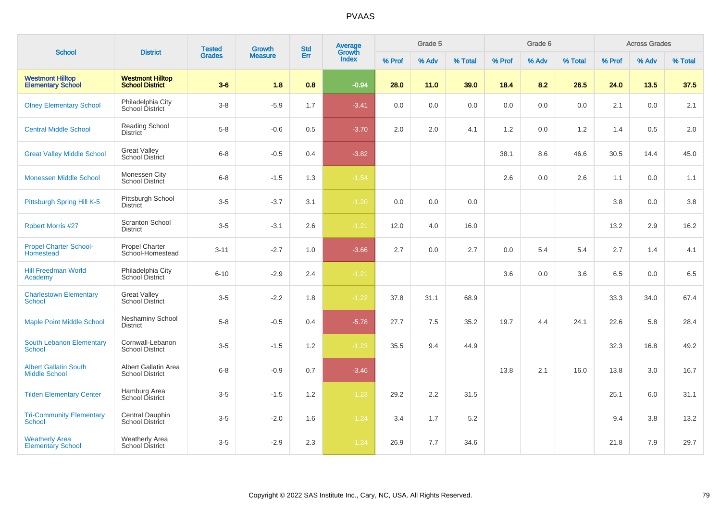| <b>School</b>                                        | <b>District</b>                                   | <b>Tested</b> | <b>Growth</b>  | <b>Std</b> | Average<br>Growth |        | Grade 5 |         |        | Grade 6 |         |        | <b>Across Grades</b> |         |
|------------------------------------------------------|---------------------------------------------------|---------------|----------------|------------|-------------------|--------|---------|---------|--------|---------|---------|--------|----------------------|---------|
|                                                      |                                                   | <b>Grades</b> | <b>Measure</b> | Err        | Index             | % Prof | % Adv   | % Total | % Prof | % Adv   | % Total | % Prof | % Adv                | % Total |
| <b>Westmont Hilltop</b><br><b>Elementary School</b>  | <b>Westmont Hilltop</b><br><b>School District</b> | $3-6$         | 1.8            | 0.8        | $-0.94$           | 28.0   | 11.0    | 39.0    | 18.4   | 8.2     | 26.5    | 24.0   | 13.5                 | 37.5    |
| <b>Olney Elementary School</b>                       | Philadelphia City<br>School District              | $3-8$         | $-5.9$         | 1.7        | $-3.41$           | 0.0    | 0.0     | 0.0     | 0.0    | 0.0     | 0.0     | 2.1    | 0.0                  | 2.1     |
| <b>Central Middle School</b>                         | <b>Reading School</b><br><b>District</b>          | $5-8$         | $-0.6$         | 0.5        | $-3.70$           | 2.0    | 2.0     | 4.1     | 1.2    | 0.0     | 1.2     | 1.4    | 0.5                  | 2.0     |
| <b>Great Valley Middle School</b>                    | <b>Great Valley</b><br><b>School District</b>     | $6 - 8$       | $-0.5$         | 0.4        | $-3.82$           |        |         |         | 38.1   | 8.6     | 46.6    | 30.5   | 14.4                 | 45.0    |
| <b>Monessen Middle School</b>                        | Monessen City<br>School District                  | $6 - 8$       | $-1.5$         | 1.3        | $-1.54$           |        |         |         | 2.6    | 0.0     | 2.6     | 1.1    | 0.0                  | 1.1     |
| Pittsburgh Spring Hill K-5                           | Pittsburgh School<br><b>District</b>              | $3-5$         | $-3.7$         | 3.1        | $-1.20$           | 0.0    | 0.0     | 0.0     |        |         |         | 3.8    | 0.0                  | 3.8     |
| <b>Robert Morris #27</b>                             | <b>Scranton School</b><br><b>District</b>         | $3-5$         | $-3.1$         | 2.6        | $-1.21$           | 12.0   | 4.0     | 16.0    |        |         |         | 13.2   | 2.9                  | 16.2    |
| <b>Propel Charter School-</b><br>Homestead           | <b>Propel Charter</b><br>School-Homestead         | $3 - 11$      | $-2.7$         | 1.0        | $-3.66$           | 2.7    | 0.0     | 2.7     | 0.0    | 5.4     | 5.4     | 2.7    | 1.4                  | 4.1     |
| <b>Hill Freedman World</b><br>Academy                | Philadelphia City<br>School District              | $6 - 10$      | $-2.9$         | 2.4        | $-1.21$           |        |         |         | 3.6    | 0.0     | 3.6     | 6.5    | 0.0                  | 6.5     |
| <b>Charlestown Elementary</b><br><b>School</b>       | <b>Great Valley</b><br>School District            | $3 - 5$       | $-2.2$         | 1.8        | $-1.22$           | 37.8   | 31.1    | 68.9    |        |         |         | 33.3   | 34.0                 | 67.4    |
| <b>Maple Point Middle School</b>                     | <b>Neshaminy School</b><br><b>District</b>        | $5 - 8$       | $-0.5$         | 0.4        | $-5.78$           | 27.7   | 7.5     | 35.2    | 19.7   | 4.4     | 24.1    | 22.6   | 5.8                  | 28.4    |
| <b>South Lebanon Elementary</b><br>School            | Cornwall-Lebanon<br><b>School District</b>        | $3-5$         | $-1.5$         | 1.2        | $-1.23$           | 35.5   | 9.4     | 44.9    |        |         |         | 32.3   | 16.8                 | 49.2    |
| <b>Albert Gallatin South</b><br><b>Middle School</b> | Albert Gallatin Area<br><b>School District</b>    | $6 - 8$       | $-0.9$         | 0.7        | $-3.46$           |        |         |         | 13.8   | 2.1     | 16.0    | 13.8   | 3.0                  | 16.7    |
| <b>Tilden Elementary Center</b>                      | Hamburg Area<br>School District                   | $3-5$         | $-1.5$         | 1.2        | $-1.23$           | 29.2   | 2.2     | 31.5    |        |         |         | 25.1   | 6.0                  | 31.1    |
| <b>Tri-Community Elementary</b><br><b>School</b>     | Central Dauphin<br>School District                | $3-5$         | $-2.0$         | 1.6        | $-1.24$           | 3.4    | 1.7     | 5.2     |        |         |         | 9.4    | 3.8                  | 13.2    |
| <b>Weatherly Area</b><br><b>Elementary School</b>    | <b>Weatherly Area</b><br><b>School District</b>   | $3 - 5$       | $-2.9$         | 2.3        | $-1.24$           | 26.9   | 7.7     | 34.6    |        |         |         | 21.8   | 7.9                  | 29.7    |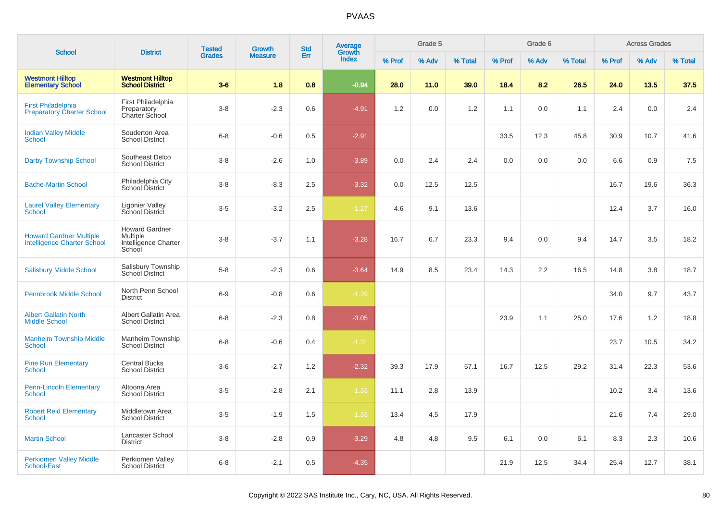| <b>School</b>                                                        | <b>District</b>                                                     | <b>Tested</b> | Growth         | <b>Std</b> | <b>Average</b>  |        | Grade 5 |         |        | Grade 6 |         |        | <b>Across Grades</b> |         |
|----------------------------------------------------------------------|---------------------------------------------------------------------|---------------|----------------|------------|-----------------|--------|---------|---------|--------|---------|---------|--------|----------------------|---------|
|                                                                      |                                                                     | <b>Grades</b> | <b>Measure</b> | Err        | Growth<br>Index | % Prof | % Adv   | % Total | % Prof | % Adv   | % Total | % Prof | % Adv                | % Total |
| <b>Westmont Hilltop</b><br><b>Elementary School</b>                  | <b>Westmont Hilltop</b><br><b>School District</b>                   | $3-6$         | 1.8            | 0.8        | $-0.94$         | 28.0   | 11.0    | 39.0    | 18.4   | 8.2     | 26.5    | 24.0   | 13.5                 | 37.5    |
| <b>First Philadelphia</b><br><b>Preparatory Charter School</b>       | First Philadelphia<br>Preparatory<br>Charter School                 | $3-8$         | $-2.3$         | 0.6        | $-4.91$         | 1.2    | 0.0     | 1.2     | 1.1    | 0.0     | 1.1     | 2.4    | 0.0                  | 2.4     |
| <b>Indian Valley Middle</b><br>School                                | Souderton Area<br><b>School District</b>                            | $6-8$         | $-0.6$         | 0.5        | $-2.91$         |        |         |         | 33.5   | 12.3    | 45.8    | 30.9   | 10.7                 | 41.6    |
| <b>Darby Township School</b>                                         | Southeast Delco<br><b>School District</b>                           | $3 - 8$       | $-2.6$         | 1.0        | $-3.89$         | 0.0    | 2.4     | 2.4     | 0.0    | 0.0     | 0.0     | 6.6    | 0.9                  | 7.5     |
| <b>Bache-Martin School</b>                                           | Philadelphia City<br>School District                                | $3 - 8$       | $-8.3$         | 2.5        | $-3.32$         | 0.0    | 12.5    | 12.5    |        |         |         | 16.7   | 19.6                 | 36.3    |
| <b>Laurel Valley Elementary</b><br>School                            | <b>Ligonier Valley</b><br>School District                           | $3-5$         | $-3.2$         | 2.5        | $-1.27$         | 4.6    | 9.1     | 13.6    |        |         |         | 12.4   | 3.7                  | 16.0    |
| <b>Howard Gardner Multiple</b><br><b>Intelligence Charter School</b> | <b>Howard Gardner</b><br>Multiple<br>Intelligence Charter<br>School | $3-8$         | $-3.7$         | 1.1        | $-3.28$         | 16.7   | 6.7     | 23.3    | 9.4    | 0.0     | 9.4     | 14.7   | 3.5                  | 18.2    |
| <b>Salisbury Middle School</b>                                       | Salisbury Township<br>School District                               | $5-8$         | $-2.3$         | 0.6        | $-3.64$         | 14.9   | 8.5     | 23.4    | 14.3   | 2.2     | 16.5    | 14.8   | 3.8                  | 18.7    |
| <b>Pennbrook Middle School</b>                                       | North Penn School<br><b>District</b>                                | $6-9$         | $-0.8$         | 0.6        | $-1.29$         |        |         |         |        |         |         | 34.0   | 9.7                  | 43.7    |
| <b>Albert Gallatin North</b><br><b>Middle School</b>                 | Albert Gallatin Area<br><b>School District</b>                      | $6 - 8$       | $-2.3$         | 0.8        | $-3.05$         |        |         |         | 23.9   | 1.1     | 25.0    | 17.6   | 1.2                  | 18.8    |
| <b>Manheim Township Middle</b><br>School                             | Manheim Township<br><b>School District</b>                          | $6-8$         | $-0.6$         | 0.4        | $-1.31$         |        |         |         |        |         |         | 23.7   | 10.5                 | 34.2    |
| <b>Pine Run Elementary</b><br>School                                 | <b>Central Bucks</b><br><b>School District</b>                      | $3-6$         | $-2.7$         | 1.2        | $-2.32$         | 39.3   | 17.9    | 57.1    | 16.7   | 12.5    | 29.2    | 31.4   | 22.3                 | 53.6    |
| <b>Penn-Lincoln Elementary</b><br><b>School</b>                      | Altoona Area<br><b>School District</b>                              | $3-5$         | $-2.8$         | 2.1        | $-1.33$         | 11.1   | 2.8     | 13.9    |        |         |         | 10.2   | 3.4                  | 13.6    |
| <b>Robert Reid Elementary</b><br><b>School</b>                       | Middletown Area<br><b>School District</b>                           | $3-5$         | $-1.9$         | 1.5        | $-1.33$         | 13.4   | 4.5     | 17.9    |        |         |         | 21.6   | 7.4                  | 29.0    |
| <b>Martin School</b>                                                 | Lancaster School<br><b>District</b>                                 | $3 - 8$       | $-2.8$         | 0.9        | $-3.29$         | 4.8    | 4.8     | 9.5     | 6.1    | 0.0     | 6.1     | 8.3    | 2.3                  | 10.6    |
| <b>Perkiomen Valley Middle</b><br><b>School-East</b>                 | Perkiomen Valley<br><b>School District</b>                          | $6 - 8$       | $-2.1$         | 0.5        | $-4.35$         |        |         |         | 21.9   | 12.5    | 34.4    | 25.4   | 12.7                 | 38.1    |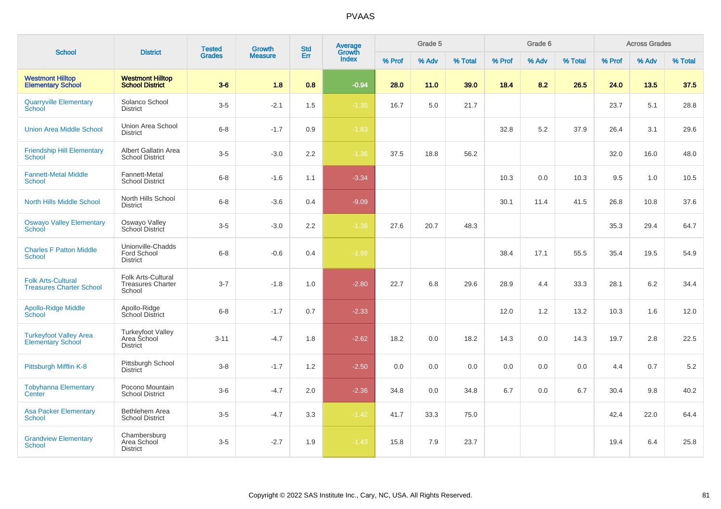| <b>School</b>                                                |                                                            | <b>Tested</b> | Growth         | <b>Std</b> | Average<br>Growth |        | Grade 5 |         |        | Grade 6 |         |        | <b>Across Grades</b> |         |
|--------------------------------------------------------------|------------------------------------------------------------|---------------|----------------|------------|-------------------|--------|---------|---------|--------|---------|---------|--------|----------------------|---------|
|                                                              | <b>District</b>                                            | <b>Grades</b> | <b>Measure</b> | Err        | Index             | % Prof | % Adv   | % Total | % Prof | % Adv   | % Total | % Prof | % Adv                | % Total |
| <b>Westmont Hilltop</b><br><b>Elementary School</b>          | <b>Westmont Hilltop</b><br><b>School District</b>          | $3-6$         | 1.8            | 0.8        | $-0.94$           | 28.0   | 11.0    | 39.0    | 18.4   | 8.2     | 26.5    | 24.0   | 13.5                 | 37.5    |
| <b>Quarryville Elementary</b><br>School                      | Solanco School<br>District                                 | $3-5$         | $-2.1$         | 1.5        | $-1.35$           | 16.7   | 5.0     | 21.7    |        |         |         | 23.7   | 5.1                  | 28.8    |
| <b>Union Area Middle School</b>                              | Union Area School<br><b>District</b>                       | $6 - 8$       | $-1.7$         | 0.9        | $-1.83$           |        |         |         | 32.8   | 5.2     | 37.9    | 26.4   | 3.1                  | 29.6    |
| <b>Friendship Hill Elementary</b><br><b>School</b>           | Albert Gallatin Area<br><b>School District</b>             | $3-5$         | $-3.0$         | 2.2        | $-1.36$           | 37.5   | 18.8    | 56.2    |        |         |         | 32.0   | 16.0                 | 48.0    |
| <b>Fannett-Metal Middle</b><br><b>School</b>                 | Fannett-Metal<br><b>School District</b>                    | $6 - 8$       | $-1.6$         | 1.1        | $-3.34$           |        |         |         | 10.3   | 0.0     | 10.3    | 9.5    | 1.0                  | 10.5    |
| <b>North Hills Middle School</b>                             | North Hills School<br><b>District</b>                      | $6 - 8$       | $-3.6$         | 0.4        | $-9.09$           |        |         |         | 30.1   | 11.4    | 41.5    | 26.8   | 10.8                 | 37.6    |
| <b>Oswayo Valley Elementary</b><br>School                    | Oswayo Valley<br>School District                           | $3-5$         | $-3.0$         | 2.2        | $-1.38$           | 27.6   | 20.7    | 48.3    |        |         |         | 35.3   | 29.4                 | 64.7    |
| <b>Charles F Patton Middle</b><br><b>School</b>              | Unionville-Chadds<br>Ford School<br><b>District</b>        | $6 - 8$       | $-0.6$         | 0.4        | $-1.99$           |        |         |         | 38.4   | 17.1    | 55.5    | 35.4   | 19.5                 | 54.9    |
| <b>Folk Arts-Cultural</b><br><b>Treasures Charter School</b> | Folk Arts-Cultural<br><b>Treasures Charter</b><br>School   | $3 - 7$       | $-1.8$         | 1.0        | $-2.80$           | 22.7   | 6.8     | 29.6    | 28.9   | 4.4     | 33.3    | 28.1   | 6.2                  | 34.4    |
| <b>Apollo-Ridge Middle</b><br>School                         | Apollo-Ridge<br>School District                            | $6 - 8$       | $-1.7$         | 0.7        | $-2.33$           |        |         |         | 12.0   | 1.2     | 13.2    | 10.3   | 1.6                  | 12.0    |
| <b>Turkeyfoot Valley Area</b><br><b>Elementary School</b>    | <b>Turkeyfoot Valley</b><br>Area School<br><b>District</b> | $3 - 11$      | $-4.7$         | 1.8        | $-2.62$           | 18.2   | 0.0     | 18.2    | 14.3   | 0.0     | 14.3    | 19.7   | 2.8                  | 22.5    |
| Pittsburgh Mifflin K-8                                       | Pittsburgh School<br><b>District</b>                       | $3 - 8$       | $-1.7$         | 1.2        | $-2.50$           | 0.0    | 0.0     | 0.0     | 0.0    | 0.0     | 0.0     | 4.4    | 0.7                  | 5.2     |
| <b>Tobyhanna Elementary</b><br>Center                        | Pocono Mountain<br><b>School District</b>                  | $3-6$         | $-4.7$         | 2.0        | $-2.36$           | 34.8   | 0.0     | 34.8    | 6.7    | 0.0     | 6.7     | 30.4   | 9.8                  | 40.2    |
| <b>Asa Packer Elementary</b><br><b>School</b>                | Bethlehem Area<br><b>School District</b>                   | $3-5$         | $-4.7$         | 3.3        | $-1.42$           | 41.7   | 33.3    | 75.0    |        |         |         | 42.4   | 22.0                 | 64.4    |
| <b>Grandview Elementary</b><br><b>School</b>                 | Chambersburg<br>Area School<br><b>District</b>             | $3-5$         | $-2.7$         | 1.9        | $-1.43$           | 15.8   | 7.9     | 23.7    |        |         |         | 19.4   | 6.4                  | 25.8    |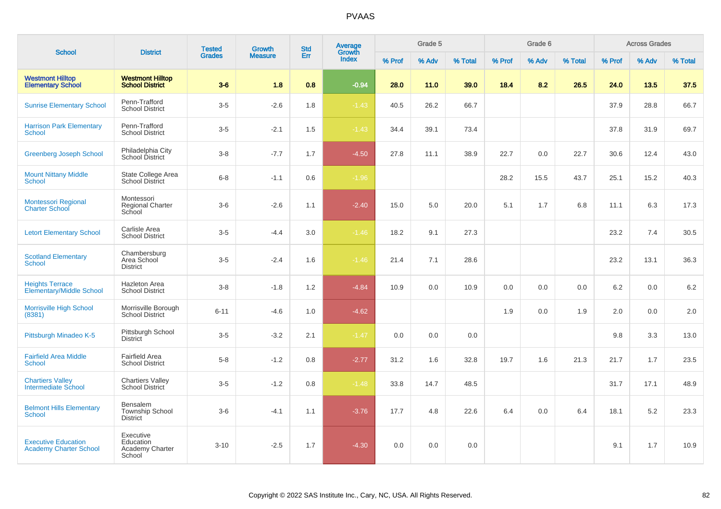|                                                             |                                                       | <b>Tested</b> | Growth         | <b>Std</b> | <b>Average</b>  |        | Grade 5 |         |        | Grade 6 |         |        | <b>Across Grades</b> |         |
|-------------------------------------------------------------|-------------------------------------------------------|---------------|----------------|------------|-----------------|--------|---------|---------|--------|---------|---------|--------|----------------------|---------|
| <b>School</b>                                               | <b>District</b>                                       | <b>Grades</b> | <b>Measure</b> | Err        | Growth<br>Index | % Prof | % Adv   | % Total | % Prof | % Adv   | % Total | % Prof | % Adv                | % Total |
| <b>Westmont Hilltop</b><br><b>Elementary School</b>         | <b>Westmont Hilltop</b><br><b>School District</b>     | $3-6$         | 1.8            | 0.8        | $-0.94$         | 28.0   | 11.0    | 39.0    | 18.4   | 8.2     | 26.5    | 24.0   | 13.5                 | 37.5    |
| <b>Sunrise Elementary School</b>                            | Penn-Trafford<br><b>School District</b>               | $3-5$         | $-2.6$         | 1.8        | $-1.43$         | 40.5   | 26.2    | 66.7    |        |         |         | 37.9   | 28.8                 | 66.7    |
| <b>Harrison Park Elementary</b><br><b>School</b>            | Penn-Trafford<br><b>School District</b>               | $3-5$         | $-2.1$         | 1.5        | $-1.43$         | 34.4   | 39.1    | 73.4    |        |         |         | 37.8   | 31.9                 | 69.7    |
| <b>Greenberg Joseph School</b>                              | Philadelphia City<br>School District                  | $3-8$         | $-7.7$         | 1.7        | $-4.50$         | 27.8   | 11.1    | 38.9    | 22.7   | 0.0     | 22.7    | 30.6   | 12.4                 | 43.0    |
| <b>Mount Nittany Middle</b><br><b>School</b>                | State College Area<br><b>School District</b>          | $6-8$         | $-1.1$         | 0.6        | $-1.96$         |        |         |         | 28.2   | 15.5    | 43.7    | 25.1   | 15.2                 | 40.3    |
| <b>Montessori Regional</b><br><b>Charter School</b>         | Montessori<br><b>Regional Charter</b><br>School       | $3-6$         | $-2.6$         | 1.1        | $-2.40$         | 15.0   | 5.0     | 20.0    | 5.1    | 1.7     | 6.8     | 11.1   | 6.3                  | 17.3    |
| <b>Letort Elementary School</b>                             | Carlisle Area<br><b>School District</b>               | $3-5$         | $-4.4$         | 3.0        | $-1.46$         | 18.2   | 9.1     | 27.3    |        |         |         | 23.2   | 7.4                  | 30.5    |
| <b>Scotland Elementary</b><br><b>School</b>                 | Chambersburg<br>Area School<br><b>District</b>        | $3-5$         | $-2.4$         | 1.6        | $-1.46$         | 21.4   | 7.1     | 28.6    |        |         |         | 23.2   | 13.1                 | 36.3    |
| <b>Heights Terrace</b><br><b>Elementary/Middle School</b>   | <b>Hazleton Area</b><br><b>School District</b>        | $3-8$         | $-1.8$         | 1.2        | $-4.84$         | 10.9   | 0.0     | 10.9    | 0.0    | 0.0     | 0.0     | 6.2    | 0.0                  | 6.2     |
| <b>Morrisville High School</b><br>(8381)                    | Morrisville Borough<br><b>School District</b>         | $6 - 11$      | $-4.6$         | 1.0        | $-4.62$         |        |         |         | 1.9    | 0.0     | 1.9     | 2.0    | 0.0                  | 2.0     |
| Pittsburgh Minadeo K-5                                      | Pittsburgh School<br><b>District</b>                  | $3-5$         | $-3.2$         | 2.1        | $-1.47$         | 0.0    | 0.0     | 0.0     |        |         |         | 9.8    | 3.3                  | 13.0    |
| <b>Fairfield Area Middle</b><br><b>School</b>               | Fairfield Area<br><b>School District</b>              | $5-8$         | $-1.2$         | 0.8        | $-2.77$         | 31.2   | 1.6     | 32.8    | 19.7   | 1.6     | 21.3    | 21.7   | 1.7                  | 23.5    |
| <b>Chartiers Valley</b><br>Intermediate School              | <b>Chartiers Valley</b><br><b>School District</b>     | $3-5$         | $-1.2$         | 0.8        | $-1.48$         | 33.8   | 14.7    | 48.5    |        |         |         | 31.7   | 17.1                 | 48.9    |
| <b>Belmont Hills Elementary</b><br><b>School</b>            | Bensalem<br><b>Township School</b><br><b>District</b> | $3-6$         | $-4.1$         | 1.1        | $-3.76$         | 17.7   | 4.8     | 22.6    | 6.4    | 0.0     | 6.4     | 18.1   | 5.2                  | 23.3    |
| <b>Executive Education</b><br><b>Academy Charter School</b> | Executive<br>Education<br>Academy Charter<br>School   | $3 - 10$      | $-2.5$         | 1.7        | $-4.30$         | 0.0    | 0.0     | 0.0     |        |         |         | 9.1    | 1.7                  | 10.9    |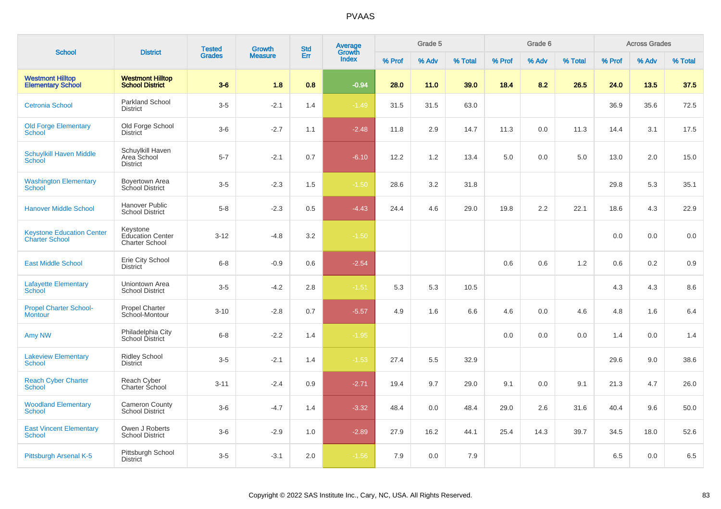| <b>School</b>                                             | <b>District</b>                                       | <b>Tested</b> | <b>Growth</b>  | <b>Std</b> | <b>Average</b><br>Growth |        | Grade 5 |         |        | Grade 6 |         |        | <b>Across Grades</b> |         |
|-----------------------------------------------------------|-------------------------------------------------------|---------------|----------------|------------|--------------------------|--------|---------|---------|--------|---------|---------|--------|----------------------|---------|
|                                                           |                                                       | <b>Grades</b> | <b>Measure</b> | Err        | <b>Index</b>             | % Prof | % Adv   | % Total | % Prof | % Adv   | % Total | % Prof | % Adv                | % Total |
| <b>Westmont Hilltop</b><br><b>Elementary School</b>       | <b>Westmont Hilltop</b><br><b>School District</b>     | $3-6$         | 1.8            | 0.8        | $-0.94$                  | 28.0   | 11.0    | 39.0    | 18.4   | 8.2     | 26.5    | 24.0   | 13.5                 | 37.5    |
| <b>Cetronia School</b>                                    | <b>Parkland School</b><br><b>District</b>             | $3-5$         | $-2.1$         | 1.4        | $-1.49$                  | 31.5   | 31.5    | 63.0    |        |         |         | 36.9   | 35.6                 | 72.5    |
| <b>Old Forge Elementary</b><br><b>School</b>              | Old Forge School<br><b>District</b>                   | $3-6$         | $-2.7$         | 1.1        | $-2.48$                  | 11.8   | 2.9     | 14.7    | 11.3   | 0.0     | 11.3    | 14.4   | 3.1                  | 17.5    |
| <b>Schuylkill Haven Middle</b><br>School                  | Schuylkill Haven<br>Area School<br><b>District</b>    | $5 - 7$       | $-2.1$         | 0.7        | $-6.10$                  | 12.2   | 1.2     | 13.4    | 5.0    | 0.0     | 5.0     | 13.0   | 2.0                  | 15.0    |
| <b>Washington Elementary</b><br><b>School</b>             | Boyertown Area<br>School District                     | $3-5$         | $-2.3$         | 1.5        | $-1.50$                  | 28.6   | 3.2     | 31.8    |        |         |         | 29.8   | 5.3                  | 35.1    |
| <b>Hanover Middle School</b>                              | Hanover Public<br><b>School District</b>              | $5-8$         | $-2.3$         | 0.5        | $-4.43$                  | 24.4   | 4.6     | 29.0    | 19.8   | 2.2     | 22.1    | 18.6   | 4.3                  | 22.9    |
| <b>Keystone Education Center</b><br><b>Charter School</b> | Keystone<br><b>Education Center</b><br>Charter School | $3-12$        | $-4.8$         | 3.2        | $-1.50$                  |        |         |         |        |         |         | 0.0    | 0.0                  | 0.0     |
| <b>East Middle School</b>                                 | Erie City School<br><b>District</b>                   | $6 - 8$       | $-0.9$         | 0.6        | $-2.54$                  |        |         |         | 0.6    | 0.6     | 1.2     | 0.6    | 0.2                  | 0.9     |
| <b>Lafayette Elementary</b><br>School                     | Uniontown Area<br><b>School District</b>              | $3-5$         | $-4.2$         | 2.8        | $-1.51$                  | 5.3    | 5.3     | 10.5    |        |         |         | 4.3    | 4.3                  | 8.6     |
| <b>Propel Charter School-</b><br><b>Montour</b>           | <b>Propel Charter</b><br>School-Montour               | $3 - 10$      | $-2.8$         | 0.7        | $-5.57$                  | 4.9    | 1.6     | 6.6     | 4.6    | 0.0     | 4.6     | 4.8    | 1.6                  | 6.4     |
| Amy NW                                                    | Philadelphia City<br>School District                  | $6 - 8$       | $-2.2$         | 1.4        | $-1.95$                  |        |         |         | 0.0    | 0.0     | 0.0     | 1.4    | 0.0                  | 1.4     |
| <b>Lakeview Elementary</b><br><b>School</b>               | <b>Ridley School</b><br>District                      | $3-5$         | $-2.1$         | 1.4        | $-1.53$                  | 27.4   | 5.5     | 32.9    |        |         |         | 29.6   | 9.0                  | 38.6    |
| <b>Reach Cyber Charter</b><br><b>School</b>               | Reach Cyber<br>Charter School                         | $3 - 11$      | $-2.4$         | 0.9        | $-2.71$                  | 19.4   | 9.7     | 29.0    | 9.1    | 0.0     | 9.1     | 21.3   | 4.7                  | 26.0    |
| <b>Woodland Elementary</b><br><b>School</b>               | Cameron County<br><b>School District</b>              | $3-6$         | $-4.7$         | 1.4        | $-3.32$                  | 48.4   | 0.0     | 48.4    | 29.0   | 2.6     | 31.6    | 40.4   | 9.6                  | 50.0    |
| <b>East Vincent Elementary</b><br><b>School</b>           | Owen J Roberts<br><b>School District</b>              | $3-6$         | $-2.9$         | 1.0        | $-2.89$                  | 27.9   | 16.2    | 44.1    | 25.4   | 14.3    | 39.7    | 34.5   | 18.0                 | 52.6    |
| Pittsburgh Arsenal K-5                                    | Pittsburgh School<br><b>District</b>                  | $3-5$         | $-3.1$         | 2.0        | $-1.56$                  | 7.9    | 0.0     | 7.9     |        |         |         | 6.5    | 0.0                  | 6.5     |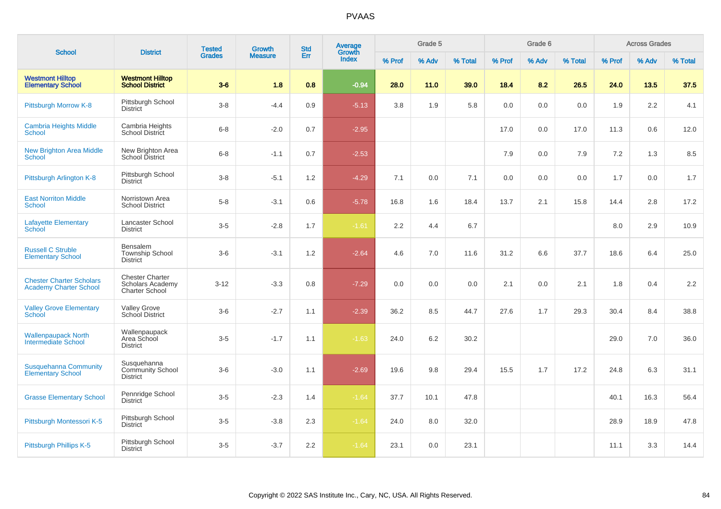| <b>School</b>                                                    | <b>District</b>                                                            | <b>Tested</b> | Growth         | <b>Std</b> | Average<br>Growth |        | Grade 5 |         |        | Grade 6 |         |        | <b>Across Grades</b> |         |
|------------------------------------------------------------------|----------------------------------------------------------------------------|---------------|----------------|------------|-------------------|--------|---------|---------|--------|---------|---------|--------|----------------------|---------|
|                                                                  |                                                                            | <b>Grades</b> | <b>Measure</b> | Err        | <b>Index</b>      | % Prof | % Adv   | % Total | % Prof | % Adv   | % Total | % Prof | % Adv                | % Total |
| <b>Westmont Hilltop</b><br><b>Elementary School</b>              | <b>Westmont Hilltop</b><br><b>School District</b>                          | $3-6$         | 1.8            | 0.8        | $-0.94$           | 28.0   | 11.0    | 39.0    | 18.4   | 8.2     | 26.5    | 24.0   | 13.5                 | 37.5    |
| Pittsburgh Morrow K-8                                            | Pittsburgh School<br><b>District</b>                                       | $3-8$         | $-4.4$         | 0.9        | $-5.13$           | 3.8    | 1.9     | 5.8     | 0.0    | 0.0     | 0.0     | 1.9    | 2.2                  | 4.1     |
| <b>Cambria Heights Middle</b><br>School                          | Cambria Heights<br><b>School District</b>                                  | $6 - 8$       | $-2.0$         | 0.7        | $-2.95$           |        |         |         | 17.0   | 0.0     | 17.0    | 11.3   | 0.6                  | 12.0    |
| <b>New Brighton Area Middle</b><br><b>School</b>                 | New Brighton Area<br>School District                                       | $6 - 8$       | $-1.1$         | 0.7        | $-2.53$           |        |         |         | 7.9    | 0.0     | 7.9     | 7.2    | 1.3                  | 8.5     |
| Pittsburgh Arlington K-8                                         | Pittsburgh School<br><b>District</b>                                       | $3 - 8$       | $-5.1$         | 1.2        | $-4.29$           | 7.1    | 0.0     | 7.1     | 0.0    | 0.0     | 0.0     | 1.7    | 0.0                  | 1.7     |
| <b>East Norriton Middle</b><br>School                            | Norristown Area<br><b>School District</b>                                  | $5-8$         | $-3.1$         | 0.6        | $-5.78$           | 16.8   | 1.6     | 18.4    | 13.7   | 2.1     | 15.8    | 14.4   | 2.8                  | 17.2    |
| <b>Lafayette Elementary</b><br>School                            | Lancaster School<br><b>District</b>                                        | $3-5$         | $-2.8$         | 1.7        | $-1.61$           | 2.2    | 4.4     | 6.7     |        |         |         | 8.0    | 2.9                  | 10.9    |
| <b>Russell C Struble</b><br><b>Elementary School</b>             | <b>Bensalem</b><br><b>Township School</b><br><b>District</b>               | $3-6$         | $-3.1$         | 1.2        | $-2.64$           | 4.6    | 7.0     | 11.6    | 31.2   | 6.6     | 37.7    | 18.6   | 6.4                  | 25.0    |
| <b>Chester Charter Scholars</b><br><b>Academy Charter School</b> | <b>Chester Charter</b><br><b>Scholars Academy</b><br><b>Charter School</b> | $3 - 12$      | $-3.3$         | 0.8        | $-7.29$           | 0.0    | 0.0     | 0.0     | 2.1    | 0.0     | 2.1     | 1.8    | 0.4                  | 2.2     |
| <b>Valley Grove Elementary</b><br><b>School</b>                  | <b>Valley Grove</b><br>School District                                     | $3-6$         | $-2.7$         | 1.1        | $-2.39$           | 36.2   | 8.5     | 44.7    | 27.6   | 1.7     | 29.3    | 30.4   | 8.4                  | 38.8    |
| <b>Wallenpaupack North</b><br>Intermediate School                | Wallenpaupack<br>Area School<br><b>District</b>                            | $3-5$         | $-1.7$         | 1.1        | $-1.63$           | 24.0   | 6.2     | 30.2    |        |         |         | 29.0   | 7.0                  | 36.0    |
| <b>Susquehanna Community</b><br><b>Elementary School</b>         | Susquehanna<br><b>Community School</b><br><b>District</b>                  | $3-6$         | $-3.0$         | 1.1        | $-2.69$           | 19.6   | 9.8     | 29.4    | 15.5   | 1.7     | 17.2    | 24.8   | 6.3                  | 31.1    |
| <b>Grasse Elementary School</b>                                  | Pennridge School<br><b>District</b>                                        | $3-5$         | $-2.3$         | 1.4        | $-1.64$           | 37.7   | 10.1    | 47.8    |        |         |         | 40.1   | 16.3                 | 56.4    |
| Pittsburgh Montessori K-5                                        | Pittsburgh School<br><b>District</b>                                       | $3-5$         | $-3.8$         | 2.3        | $-1.64$           | 24.0   | 8.0     | 32.0    |        |         |         | 28.9   | 18.9                 | 47.8    |
| Pittsburgh Phillips K-5                                          | Pittsburgh School<br><b>District</b>                                       | $3-5$         | $-3.7$         | 2.2        | $-1.64$           | 23.1   | 0.0     | 23.1    |        |         |         | 11.1   | 3.3                  | 14.4    |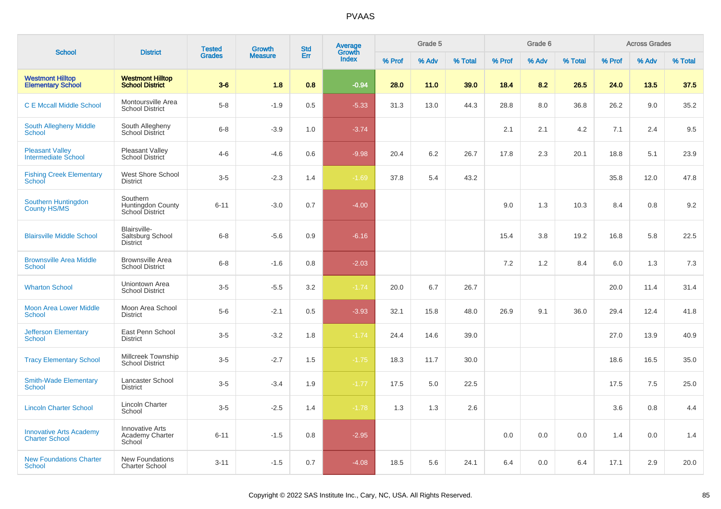|                                                         |                                                     | <b>Tested</b> | Growth         | <b>Std</b> | Average<br>Growth |        | Grade 5 |         |        | Grade 6 |         |        | <b>Across Grades</b> |         |
|---------------------------------------------------------|-----------------------------------------------------|---------------|----------------|------------|-------------------|--------|---------|---------|--------|---------|---------|--------|----------------------|---------|
| <b>School</b>                                           | <b>District</b>                                     | <b>Grades</b> | <b>Measure</b> | Err        | Index             | % Prof | % Adv   | % Total | % Prof | % Adv   | % Total | % Prof | % Adv                | % Total |
| <b>Westmont Hilltop</b><br><b>Elementary School</b>     | <b>Westmont Hilltop</b><br><b>School District</b>   | $3-6$         | 1.8            | 0.8        | $-0.94$           | 28.0   | 11.0    | 39.0    | 18.4   | 8.2     | 26.5    | 24.0   | 13.5                 | 37.5    |
| <b>C E Mccall Middle School</b>                         | Montoursville Area<br><b>School District</b>        | $5-8$         | $-1.9$         | 0.5        | $-5.33$           | 31.3   | 13.0    | 44.3    | 28.8   | 8.0     | 36.8    | 26.2   | 9.0                  | 35.2    |
| South Allegheny Middle<br>School                        | South Allegheny<br>School District                  | $6 - 8$       | $-3.9$         | 1.0        | $-3.74$           |        |         |         | 2.1    | 2.1     | 4.2     | 7.1    | 2.4                  | 9.5     |
| <b>Pleasant Valley</b><br><b>Intermediate School</b>    | <b>Pleasant Valley</b><br>School District           | $4-6$         | $-4.6$         | 0.6        | $-9.98$           | 20.4   | 6.2     | 26.7    | 17.8   | 2.3     | 20.1    | 18.8   | 5.1                  | 23.9    |
| <b>Fishing Creek Elementary</b><br>School               | <b>West Shore School</b><br><b>District</b>         | $3-5$         | $-2.3$         | 1.4        | $-1.69$           | 37.8   | 5.4     | 43.2    |        |         |         | 35.8   | 12.0                 | 47.8    |
| Southern Huntingdon<br><b>County HS/MS</b>              | Southern<br>Huntingdon County<br>School District    | $6 - 11$      | $-3.0$         | 0.7        | $-4.00$           |        |         |         | 9.0    | 1.3     | 10.3    | 8.4    | 0.8                  | 9.2     |
| <b>Blairsville Middle School</b>                        | Blairsville-<br>Saltsburg School<br>District        | $6 - 8$       | $-5.6$         | 0.9        | $-6.16$           |        |         |         | 15.4   | 3.8     | 19.2    | 16.8   | 5.8                  | 22.5    |
| <b>Brownsville Area Middle</b><br>School                | <b>Brownsville Area</b><br><b>School District</b>   | $6 - 8$       | $-1.6$         | 0.8        | $-2.03$           |        |         |         | 7.2    | 1.2     | 8.4     | 6.0    | 1.3                  | 7.3     |
| <b>Wharton School</b>                                   | Uniontown Area<br><b>School District</b>            | $3-5$         | $-5.5$         | 3.2        | $-1.74$           | 20.0   | 6.7     | 26.7    |        |         |         | 20.0   | 11.4                 | 31.4    |
| <b>Moon Area Lower Middle</b><br><b>School</b>          | Moon Area School<br><b>District</b>                 | $5-6$         | $-2.1$         | 0.5        | $-3.93$           | 32.1   | 15.8    | 48.0    | 26.9   | 9.1     | 36.0    | 29.4   | 12.4                 | 41.8    |
| <b>Jefferson Elementary</b><br><b>School</b>            | East Penn School<br><b>District</b>                 | $3-5$         | $-3.2$         | 1.8        | $-1.74$           | 24.4   | 14.6    | 39.0    |        |         |         | 27.0   | 13.9                 | 40.9    |
| <b>Tracy Elementary School</b>                          | Millcreek Township<br><b>School District</b>        | $3-5$         | $-2.7$         | 1.5        | $-1.75$           | 18.3   | 11.7    | 30.0    |        |         |         | 18.6   | 16.5                 | 35.0    |
| <b>Smith-Wade Elementary</b><br>School                  | Lancaster School<br><b>District</b>                 | $3-5$         | $-3.4$         | 1.9        | $-1.77$           | 17.5   | 5.0     | 22.5    |        |         |         | 17.5   | 7.5                  | 25.0    |
| <b>Lincoln Charter School</b>                           | <b>Lincoln Charter</b><br>School                    | $3-5$         | $-2.5$         | 1.4        | $-1.78$           | 1.3    | 1.3     | 2.6     |        |         |         | 3.6    | 0.8                  | 4.4     |
| <b>Innovative Arts Academy</b><br><b>Charter School</b> | <b>Innovative Arts</b><br>Academy Charter<br>School | $6 - 11$      | $-1.5$         | 0.8        | $-2.95$           |        |         |         | 0.0    | 0.0     | 0.0     | 1.4    | 0.0                  | 1.4     |
| <b>New Foundations Charter</b><br>School                | <b>New Foundations</b><br><b>Charter School</b>     | $3 - 11$      | $-1.5$         | 0.7        | $-4.08$           | 18.5   | 5.6     | 24.1    | 6.4    | 0.0     | 6.4     | 17.1   | 2.9                  | 20.0    |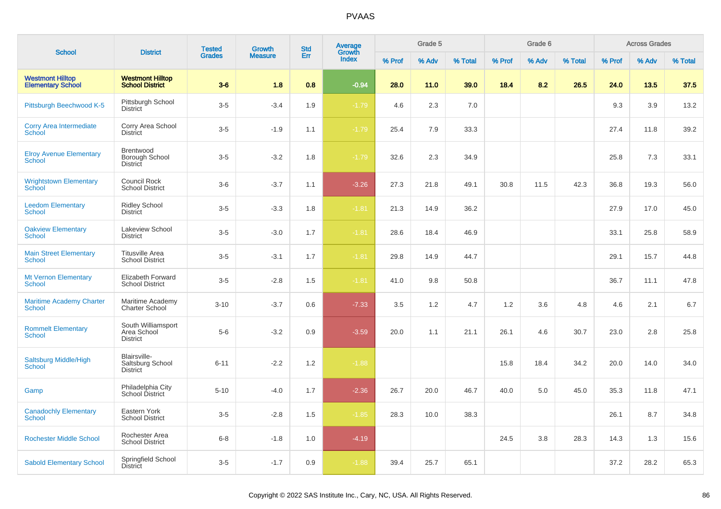| <b>School</b>                                       | <b>District</b>                                      | <b>Tested</b> | Growth         | <b>Std</b> | Average<br>Growth |        | Grade 5 |         |        | Grade 6 |         |        | <b>Across Grades</b> |         |
|-----------------------------------------------------|------------------------------------------------------|---------------|----------------|------------|-------------------|--------|---------|---------|--------|---------|---------|--------|----------------------|---------|
|                                                     |                                                      | <b>Grades</b> | <b>Measure</b> | Err        | <b>Index</b>      | % Prof | % Adv   | % Total | % Prof | % Adv   | % Total | % Prof | % Adv                | % Total |
| <b>Westmont Hilltop</b><br><b>Elementary School</b> | <b>Westmont Hilltop</b><br><b>School District</b>    | $3-6$         | 1.8            | 0.8        | $-0.94$           | 28.0   | 11.0    | 39.0    | 18.4   | 8.2     | 26.5    | 24.0   | 13.5                 | 37.5    |
| Pittsburgh Beechwood K-5                            | Pittsburgh School<br><b>District</b>                 | $3-5$         | $-3.4$         | 1.9        | $-1.79$           | 4.6    | 2.3     | 7.0     |        |         |         | 9.3    | 3.9                  | 13.2    |
| <b>Corry Area Intermediate</b><br><b>School</b>     | Corry Area School<br><b>District</b>                 | $3-5$         | $-1.9$         | 1.1        | $-1.79$           | 25.4   | 7.9     | 33.3    |        |         |         | 27.4   | 11.8                 | 39.2    |
| <b>Elroy Avenue Elementary</b><br><b>School</b>     | Brentwood<br>Borough School<br>District              | $3-5$         | $-3.2$         | 1.8        | $-1.79$           | 32.6   | 2.3     | 34.9    |        |         |         | 25.8   | 7.3                  | 33.1    |
| <b>Wrightstown Elementary</b><br><b>School</b>      | <b>Council Rock</b><br><b>School District</b>        | $3-6$         | $-3.7$         | 1.1        | $-3.26$           | 27.3   | 21.8    | 49.1    | 30.8   | 11.5    | 42.3    | 36.8   | 19.3                 | 56.0    |
| <b>Leedom Elementary</b><br><b>School</b>           | <b>Ridley School</b><br><b>District</b>              | $3-5$         | $-3.3$         | 1.8        | $-1.81$           | 21.3   | 14.9    | 36.2    |        |         |         | 27.9   | 17.0                 | 45.0    |
| <b>Oakview Elementary</b><br><b>School</b>          | Lakeview School<br><b>District</b>                   | $3-5$         | $-3.0$         | 1.7        | $-1.81$           | 28.6   | 18.4    | 46.9    |        |         |         | 33.1   | 25.8                 | 58.9    |
| <b>Main Street Elementary</b><br><b>School</b>      | <b>Titusville Area</b><br><b>School District</b>     | $3-5$         | $-3.1$         | 1.7        | $-1.81$           | 29.8   | 14.9    | 44.7    |        |         |         | 29.1   | 15.7                 | 44.8    |
| <b>Mt Vernon Elementary</b><br><b>School</b>        | Elizabeth Forward<br><b>School District</b>          | $3-5$         | $-2.8$         | 1.5        | $-1.81$           | 41.0   | 9.8     | 50.8    |        |         |         | 36.7   | 11.1                 | 47.8    |
| <b>Maritime Academy Charter</b><br>School           | Maritime Academy<br><b>Charter School</b>            | $3 - 10$      | $-3.7$         | 0.6        | $-7.33$           | 3.5    | 1.2     | 4.7     | 1.2    | 3.6     | 4.8     | 4.6    | 2.1                  | 6.7     |
| <b>Rommelt Elementary</b><br><b>School</b>          | South Williamsport<br>Area School<br><b>District</b> | $5-6$         | $-3.2$         | 0.9        | $-3.59$           | 20.0   | 1.1     | 21.1    | 26.1   | 4.6     | 30.7    | 23.0   | 2.8                  | 25.8    |
| <b>Saltsburg Middle/High</b><br>School              | Blairsville-<br>Saltsburg School<br><b>District</b>  | $6 - 11$      | $-2.2$         | 1.2        | $-1.88$           |        |         |         | 15.8   | 18.4    | 34.2    | 20.0   | 14.0                 | 34.0    |
| Gamp                                                | Philadelphia City<br>School District                 | $5 - 10$      | $-4.0$         | 1.7        | $-2.36$           | 26.7   | 20.0    | 46.7    | 40.0   | 5.0     | 45.0    | 35.3   | 11.8                 | 47.1    |
| <b>Canadochly Elementary</b><br><b>School</b>       | Eastern York<br><b>School District</b>               | $3-5$         | $-2.8$         | 1.5        | $-1.85$           | 28.3   | 10.0    | 38.3    |        |         |         | 26.1   | 8.7                  | 34.8    |
| <b>Rochester Middle School</b>                      | Rochester Area<br><b>School District</b>             | $6-8$         | $-1.8$         | 1.0        | $-4.19$           |        |         |         | 24.5   | 3.8     | 28.3    | 14.3   | 1.3                  | 15.6    |
| <b>Sabold Elementary School</b>                     | Springfield School<br><b>District</b>                | $3-5$         | $-1.7$         | 0.9        | $-1.88$           | 39.4   | 25.7    | 65.1    |        |         |         | 37.2   | 28.2                 | 65.3    |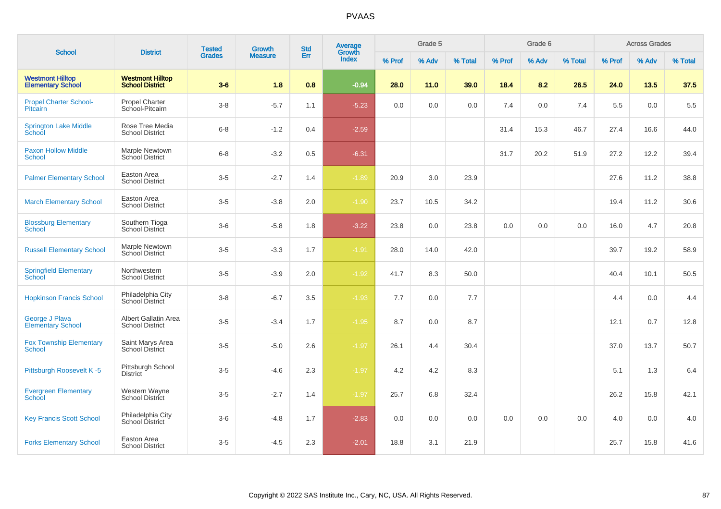|                                                     |                                                   | <b>Tested</b> | <b>Growth</b>  | <b>Std</b> | Average<br>Growth |        | Grade 5 |         |        | Grade 6 |         |        | <b>Across Grades</b> |         |
|-----------------------------------------------------|---------------------------------------------------|---------------|----------------|------------|-------------------|--------|---------|---------|--------|---------|---------|--------|----------------------|---------|
| <b>School</b>                                       | <b>District</b>                                   | <b>Grades</b> | <b>Measure</b> | Err        | Index             | % Prof | % Adv   | % Total | % Prof | % Adv   | % Total | % Prof | % Adv                | % Total |
| <b>Westmont Hilltop</b><br><b>Elementary School</b> | <b>Westmont Hilltop</b><br><b>School District</b> | $3-6$         | 1.8            | 0.8        | $-0.94$           | 28.0   | 11.0    | 39.0    | 18.4   | 8.2     | 26.5    | 24.0   | 13.5                 | 37.5    |
| <b>Propel Charter School-</b><br><b>Pitcairn</b>    | Propel Charter<br>School-Pitcairn                 | $3 - 8$       | $-5.7$         | 1.1        | $-5.23$           | 0.0    | 0.0     | 0.0     | 7.4    | 0.0     | 7.4     | 5.5    | 0.0                  | 5.5     |
| <b>Springton Lake Middle</b><br>School              | Rose Tree Media<br><b>School District</b>         | $6 - 8$       | $-1.2$         | 0.4        | $-2.59$           |        |         |         | 31.4   | 15.3    | 46.7    | 27.4   | 16.6                 | 44.0    |
| <b>Paxon Hollow Middle</b><br><b>School</b>         | Marple Newtown<br>School District                 | $6 - 8$       | $-3.2$         | 0.5        | $-6.31$           |        |         |         | 31.7   | 20.2    | 51.9    | 27.2   | 12.2                 | 39.4    |
| <b>Palmer Elementary School</b>                     | Easton Area<br><b>School District</b>             | $3-5$         | $-2.7$         | 1.4        | $-1.89$           | 20.9   | 3.0     | 23.9    |        |         |         | 27.6   | 11.2                 | 38.8    |
| <b>March Elementary School</b>                      | Easton Area<br><b>School District</b>             | $3-5$         | $-3.8$         | 2.0        | $-1.90$           | 23.7   | 10.5    | 34.2    |        |         |         | 19.4   | 11.2                 | 30.6    |
| <b>Blossburg Elementary</b><br>School               | Southern Tioga<br><b>School District</b>          | $3-6$         | $-5.8$         | 1.8        | $-3.22$           | 23.8   | 0.0     | 23.8    | 0.0    | 0.0     | 0.0     | 16.0   | 4.7                  | 20.8    |
| <b>Russell Elementary School</b>                    | Marple Newtown<br>School District                 | $3-5$         | $-3.3$         | 1.7        | $-1.91$           | 28.0   | 14.0    | 42.0    |        |         |         | 39.7   | 19.2                 | 58.9    |
| <b>Springfield Elementary</b><br>School             | Northwestern<br><b>School District</b>            | $3-5$         | $-3.9$         | 2.0        | $-1.92$           | 41.7   | 8.3     | 50.0    |        |         |         | 40.4   | 10.1                 | 50.5    |
| <b>Hopkinson Francis School</b>                     | Philadelphia City<br>School District              | $3-8$         | $-6.7$         | 3.5        | $-1.93$           | 7.7    | 0.0     | 7.7     |        |         |         | 4.4    | 0.0                  | 4.4     |
| George J Plava<br><b>Elementary School</b>          | Albert Gallatin Area<br><b>School District</b>    | $3-5$         | $-3.4$         | 1.7        | $-1.95$           | 8.7    | 0.0     | 8.7     |        |         |         | 12.1   | 0.7                  | 12.8    |
| <b>Fox Township Elementary</b><br>School            | Saint Marys Area<br><b>School District</b>        | $3-5$         | $-5.0$         | 2.6        | $-1.97$           | 26.1   | 4.4     | 30.4    |        |         |         | 37.0   | 13.7                 | 50.7    |
| Pittsburgh Roosevelt K-5                            | Pittsburgh School<br>District                     | $3-5$         | $-4.6$         | 2.3        | $-1.97$           | 4.2    | 4.2     | 8.3     |        |         |         | 5.1    | 1.3                  | 6.4     |
| <b>Evergreen Elementary</b><br>School               | Western Wayne<br>School District                  | $3-5$         | $-2.7$         | 1.4        | $-1.97$           | 25.7   | 6.8     | 32.4    |        |         |         | 26.2   | 15.8                 | 42.1    |
| <b>Key Francis Scott School</b>                     | Philadelphia City<br>School District              | $3-6$         | $-4.8$         | 1.7        | $-2.83$           | 0.0    | 0.0     | 0.0     | 0.0    | 0.0     | 0.0     | 4.0    | 0.0                  | 4.0     |
| <b>Forks Elementary School</b>                      | Easton Area<br><b>School District</b>             | $3-5$         | $-4.5$         | 2.3        | $-2.01$           | 18.8   | 3.1     | 21.9    |        |         |         | 25.7   | 15.8                 | 41.6    |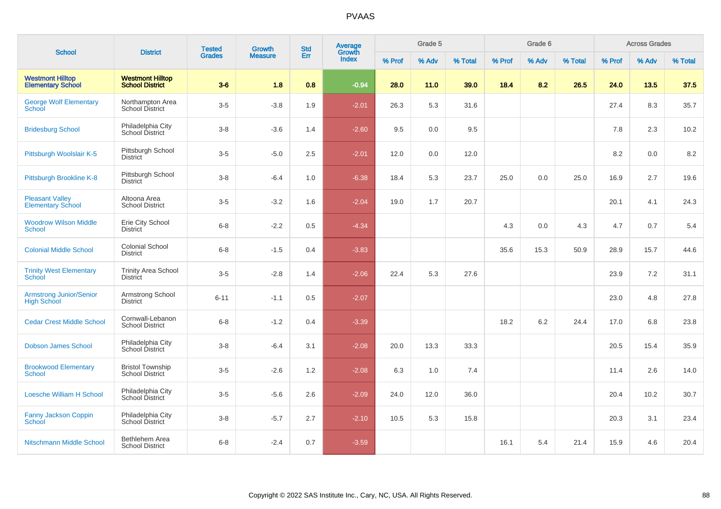| <b>School</b>                                       | <b>District</b>                                   | <b>Tested</b> | <b>Growth</b>  | <b>Std</b> | Average<br>Growth |        | Grade 5 |         |        | Grade 6 |         |        | <b>Across Grades</b> |         |
|-----------------------------------------------------|---------------------------------------------------|---------------|----------------|------------|-------------------|--------|---------|---------|--------|---------|---------|--------|----------------------|---------|
|                                                     |                                                   | <b>Grades</b> | <b>Measure</b> | Err        | <b>Index</b>      | % Prof | % Adv   | % Total | % Prof | % Adv   | % Total | % Prof | % Adv                | % Total |
| <b>Westmont Hilltop</b><br><b>Elementary School</b> | <b>Westmont Hilltop</b><br><b>School District</b> | $3-6$         | 1.8            | 0.8        | $-0.94$           | 28.0   | 11.0    | 39.0    | 18.4   | 8.2     | 26.5    | 24.0   | 13.5                 | 37.5    |
| <b>George Wolf Elementary</b><br>School             | Northampton Area<br><b>School District</b>        | $3-5$         | $-3.8$         | 1.9        | $-2.01$           | 26.3   | 5.3     | 31.6    |        |         |         | 27.4   | 8.3                  | 35.7    |
| <b>Bridesburg School</b>                            | Philadelphia City<br>School District              | $3-8$         | $-3.6$         | 1.4        | $-2.60$           | 9.5    | 0.0     | 9.5     |        |         |         | 7.8    | 2.3                  | 10.2    |
| Pittsburgh Woolslair K-5                            | Pittsburgh School<br><b>District</b>              | $3-5$         | $-5.0$         | 2.5        | $-2.01$           | 12.0   | 0.0     | 12.0    |        |         |         | 8.2    | 0.0                  | 8.2     |
| Pittsburgh Brookline K-8                            | Pittsburgh School<br><b>District</b>              | $3 - 8$       | $-6.4$         | 1.0        | $-6.38$           | 18.4   | 5.3     | 23.7    | 25.0   | 0.0     | 25.0    | 16.9   | 2.7                  | 19.6    |
| <b>Pleasant Valley</b><br><b>Elementary School</b>  | Altoona Area<br><b>School District</b>            | $3-5$         | $-3.2$         | 1.6        | $-2.04$           | 19.0   | 1.7     | 20.7    |        |         |         | 20.1   | 4.1                  | 24.3    |
| <b>Woodrow Wilson Middle</b><br><b>School</b>       | Erie City School<br><b>District</b>               | $6 - 8$       | $-2.2$         | 0.5        | $-4.34$           |        |         |         | 4.3    | 0.0     | 4.3     | 4.7    | 0.7                  | 5.4     |
| <b>Colonial Middle School</b>                       | <b>Colonial School</b><br><b>District</b>         | $6 - 8$       | $-1.5$         | 0.4        | $-3.83$           |        |         |         | 35.6   | 15.3    | 50.9    | 28.9   | 15.7                 | 44.6    |
| <b>Trinity West Elementary</b><br><b>School</b>     | <b>Trinity Area School</b><br><b>District</b>     | $3-5$         | $-2.8$         | 1.4        | $-2.06$           | 22.4   | 5.3     | 27.6    |        |         |         | 23.9   | 7.2                  | 31.1    |
| Armstrong Junior/Senior<br><b>High School</b>       | Armstrong School<br><b>District</b>               | $6 - 11$      | $-1.1$         | 0.5        | $-2.07$           |        |         |         |        |         |         | 23.0   | 4.8                  | 27.8    |
| <b>Cedar Crest Middle School</b>                    | Cornwall-Lebanon<br><b>School District</b>        | $6 - 8$       | $-1.2$         | 0.4        | $-3.39$           |        |         |         | 18.2   | 6.2     | 24.4    | 17.0   | 6.8                  | 23.8    |
| <b>Dobson James School</b>                          | Philadelphia City<br>School District              | $3-8$         | $-6.4$         | 3.1        | $-2.08$           | 20.0   | 13.3    | 33.3    |        |         |         | 20.5   | 15.4                 | 35.9    |
| <b>Brookwood Elementary</b><br><b>School</b>        | <b>Bristol Township</b><br><b>School District</b> | $3-5$         | $-2.6$         | 1.2        | $-2.08$           | 6.3    | 1.0     | 7.4     |        |         |         | 11.4   | 2.6                  | 14.0    |
| <b>Loesche William H School</b>                     | Philadelphia City<br>School District              | $3-5$         | $-5.6$         | 2.6        | $-2.09$           | 24.0   | 12.0    | 36.0    |        |         |         | 20.4   | 10.2                 | 30.7    |
| <b>Fanny Jackson Coppin</b><br>School               | Philadelphia City<br>School District              | $3 - 8$       | $-5.7$         | 2.7        | $-2.10$           | 10.5   | 5.3     | 15.8    |        |         |         | 20.3   | 3.1                  | 23.4    |
| Nitschmann Middle School                            | Bethlehem Area<br><b>School District</b>          | $6 - 8$       | $-2.4$         | 0.7        | $-3.59$           |        |         |         | 16.1   | 5.4     | 21.4    | 15.9   | 4.6                  | 20.4    |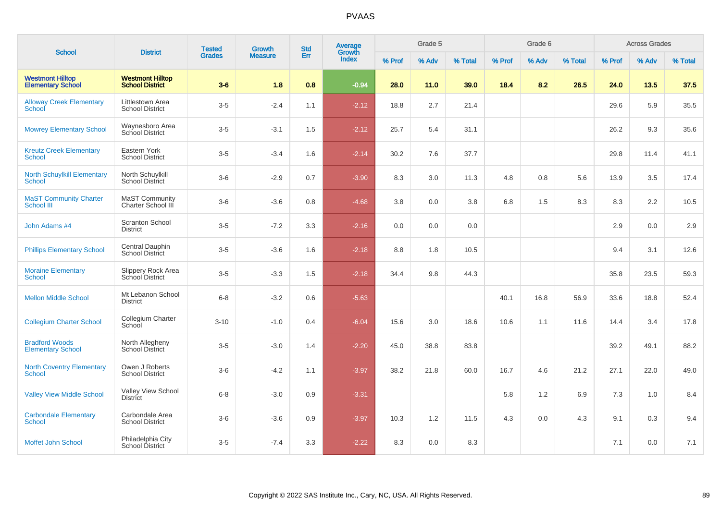| <b>School</b>                                       | <b>District</b>                                   | <b>Tested</b> | <b>Growth</b>  | <b>Std</b> | Average<br>Growth |        | Grade 5 |         |        | Grade 6 |         |        | <b>Across Grades</b> |         |
|-----------------------------------------------------|---------------------------------------------------|---------------|----------------|------------|-------------------|--------|---------|---------|--------|---------|---------|--------|----------------------|---------|
|                                                     |                                                   | <b>Grades</b> | <b>Measure</b> | Err        | Index             | % Prof | % Adv   | % Total | % Prof | % Adv   | % Total | % Prof | % Adv                | % Total |
| <b>Westmont Hilltop</b><br><b>Elementary School</b> | <b>Westmont Hilltop</b><br><b>School District</b> | $3-6$         | 1.8            | 0.8        | $-0.94$           | 28.0   | 11.0    | 39.0    | 18.4   | 8.2     | 26.5    | 24.0   | 13.5                 | 37.5    |
| <b>Alloway Creek Elementary</b><br>School           | Littlestown Area<br><b>School District</b>        | $3-5$         | $-2.4$         | 1.1        | $-2.12$           | 18.8   | 2.7     | 21.4    |        |         |         | 29.6   | 5.9                  | 35.5    |
| <b>Mowrey Elementary School</b>                     | Waynesboro Area<br>School District                | $3-5$         | $-3.1$         | 1.5        | $-2.12$           | 25.7   | 5.4     | 31.1    |        |         |         | 26.2   | 9.3                  | 35.6    |
| <b>Kreutz Creek Elementary</b><br>School            | Eastern York<br><b>School District</b>            | $3-5$         | $-3.4$         | 1.6        | $-2.14$           | 30.2   | 7.6     | 37.7    |        |         |         | 29.8   | 11.4                 | 41.1    |
| <b>North Schuylkill Elementary</b><br>School        | North Schuylkill<br><b>School District</b>        | $3-6$         | $-2.9$         | 0.7        | $-3.90$           | 8.3    | 3.0     | 11.3    | 4.8    | 0.8     | 5.6     | 13.9   | 3.5                  | 17.4    |
| <b>MaST Community Charter</b><br>School III         | <b>MaST Community</b><br>Charter School III       | $3-6$         | $-3.6$         | 0.8        | $-4.68$           | 3.8    | 0.0     | 3.8     | 6.8    | 1.5     | 8.3     | 8.3    | 2.2                  | 10.5    |
| John Adams #4                                       | <b>Scranton School</b><br><b>District</b>         | $3-5$         | $-7.2$         | 3.3        | $-2.16$           | 0.0    | 0.0     | 0.0     |        |         |         | 2.9    | 0.0                  | 2.9     |
| <b>Phillips Elementary School</b>                   | Central Dauphin<br><b>School District</b>         | $3-5$         | $-3.6$         | 1.6        | $-2.18$           | 8.8    | 1.8     | 10.5    |        |         |         | 9.4    | 3.1                  | 12.6    |
| <b>Moraine Elementary</b><br><b>School</b>          | Slippery Rock Area<br>School District             | $3-5$         | $-3.3$         | 1.5        | $-2.18$           | 34.4   | 9.8     | 44.3    |        |         |         | 35.8   | 23.5                 | 59.3    |
| <b>Mellon Middle School</b>                         | Mt Lebanon School<br><b>District</b>              | $6 - 8$       | $-3.2$         | 0.6        | $-5.63$           |        |         |         | 40.1   | 16.8    | 56.9    | 33.6   | 18.8                 | 52.4    |
| <b>Collegium Charter School</b>                     | Collegium Charter<br>School                       | $3 - 10$      | $-1.0$         | 0.4        | $-6.04$           | 15.6   | 3.0     | 18.6    | 10.6   | 1.1     | 11.6    | 14.4   | 3.4                  | 17.8    |
| <b>Bradford Woods</b><br><b>Elementary School</b>   | North Allegheny<br><b>School District</b>         | $3-5$         | $-3.0$         | 1.4        | $-2.20$           | 45.0   | 38.8    | 83.8    |        |         |         | 39.2   | 49.1                 | 88.2    |
| <b>North Coventry Elementary</b><br><b>School</b>   | Owen J Roberts<br><b>School District</b>          | $3-6$         | $-4.2$         | 1.1        | $-3.97$           | 38.2   | 21.8    | 60.0    | 16.7   | 4.6     | 21.2    | 27.1   | 22.0                 | 49.0    |
| <b>Valley View Middle School</b>                    | Valley View School<br><b>District</b>             | $6 - 8$       | $-3.0$         | 0.9        | $-3.31$           |        |         |         | 5.8    | 1.2     | 6.9     | 7.3    | 1.0                  | 8.4     |
| <b>Carbondale Elementary</b><br>School              | Carbondale Area<br><b>School District</b>         | $3-6$         | $-3.6$         | 0.9        | $-3.97$           | 10.3   | 1.2     | 11.5    | 4.3    | 0.0     | 4.3     | 9.1    | 0.3                  | 9.4     |
| Moffet John School                                  | Philadelphia City<br><b>School District</b>       | $3-5$         | $-7.4$         | 3.3        | $-2.22$           | 8.3    | 0.0     | 8.3     |        |         |         | 7.1    | 0.0                  | 7.1     |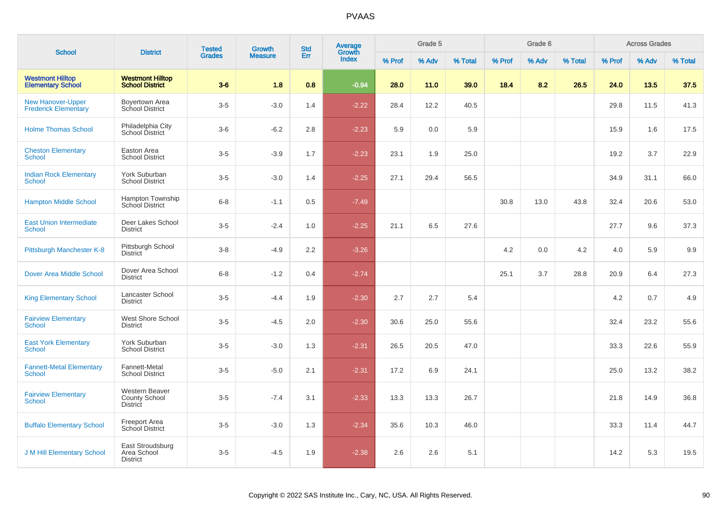|                                                         |                                                           | <b>Tested</b> | Growth         | <b>Std</b> | <b>Average</b><br>Growth |        | Grade 5 |         |        | Grade 6 |         |        | <b>Across Grades</b> |         |
|---------------------------------------------------------|-----------------------------------------------------------|---------------|----------------|------------|--------------------------|--------|---------|---------|--------|---------|---------|--------|----------------------|---------|
| <b>School</b>                                           | <b>District</b>                                           | <b>Grades</b> | <b>Measure</b> | Err        | <b>Index</b>             | % Prof | % Adv   | % Total | % Prof | % Adv   | % Total | % Prof | % Adv                | % Total |
| <b>Westmont Hilltop</b><br><b>Elementary School</b>     | <b>Westmont Hilltop</b><br><b>School District</b>         | $3-6$         | 1.8            | 0.8        | $-0.94$                  | 28.0   | 11.0    | 39.0    | 18.4   | 8.2     | 26.5    | 24.0   | 13.5                 | 37.5    |
| <b>New Hanover-Upper</b><br><b>Frederick Elementary</b> | <b>Boyertown Area</b><br>School District                  | $3-5$         | $-3.0$         | 1.4        | $-2.22$                  | 28.4   | 12.2    | 40.5    |        |         |         | 29.8   | 11.5                 | 41.3    |
| <b>Holme Thomas School</b>                              | Philadelphia City<br>School District                      | $3-6$         | $-6.2$         | 2.8        | $-2.23$                  | 5.9    | 0.0     | 5.9     |        |         |         | 15.9   | 1.6                  | 17.5    |
| <b>Cheston Elementary</b><br>School                     | Easton Area<br><b>School District</b>                     | $3-5$         | $-3.9$         | 1.7        | $-2.23$                  | 23.1   | 1.9     | 25.0    |        |         |         | 19.2   | 3.7                  | 22.9    |
| <b>Indian Rock Elementary</b><br>School                 | York Suburban<br><b>School District</b>                   | $3-5$         | $-3.0$         | 1.4        | $-2.25$                  | 27.1   | 29.4    | 56.5    |        |         |         | 34.9   | 31.1                 | 66.0    |
| <b>Hampton Middle School</b>                            | Hampton Township<br>School District                       | $6-8$         | $-1.1$         | 0.5        | $-7.49$                  |        |         |         | 30.8   | 13.0    | 43.8    | 32.4   | 20.6                 | 53.0    |
| <b>East Union Intermediate</b><br><b>School</b>         | Deer Lakes School<br><b>District</b>                      | $3-5$         | $-2.4$         | 1.0        | $-2.25$                  | 21.1   | 6.5     | 27.6    |        |         |         | 27.7   | 9.6                  | 37.3    |
| Pittsburgh Manchester K-8                               | Pittsburgh School<br><b>District</b>                      | $3-8$         | $-4.9$         | 2.2        | $-3.26$                  |        |         |         | 4.2    | 0.0     | 4.2     | 4.0    | 5.9                  | 9.9     |
| <b>Dover Area Middle School</b>                         | Dover Area School<br><b>District</b>                      | $6-8$         | $-1.2$         | 0.4        | $-2.74$                  |        |         |         | 25.1   | 3.7     | 28.8    | 20.9   | 6.4                  | 27.3    |
| <b>King Elementary School</b>                           | Lancaster School<br><b>District</b>                       | $3-5$         | $-4.4$         | 1.9        | $-2.30$                  | 2.7    | 2.7     | 5.4     |        |         |         | 4.2    | 0.7                  | 4.9     |
| <b>Fairview Elementary</b><br>School                    | West Shore School<br><b>District</b>                      | $3-5$         | $-4.5$         | 2.0        | $-2.30$                  | 30.6   | 25.0    | 55.6    |        |         |         | 32.4   | 23.2                 | 55.6    |
| <b>East York Elementary</b><br>School                   | York Suburban<br><b>School District</b>                   | $3 - 5$       | $-3.0$         | 1.3        | $-2.31$                  | 26.5   | 20.5    | 47.0    |        |         |         | 33.3   | 22.6                 | 55.9    |
| <b>Fannett-Metal Elementary</b><br><b>School</b>        | Fannett-Metal<br><b>School District</b>                   | $3 - 5$       | $-5.0$         | 2.1        | $-2.31$                  | 17.2   | 6.9     | 24.1    |        |         |         | 25.0   | 13.2                 | 38.2    |
| <b>Fairview Elementary</b><br><b>School</b>             | <b>Western Beaver</b><br><b>County School</b><br>District | $3-5$         | $-7.4$         | 3.1        | $-2.33$                  | 13.3   | 13.3    | 26.7    |        |         |         | 21.8   | 14.9                 | 36.8    |
| <b>Buffalo Elementary School</b>                        | <b>Freeport Area</b><br>School District                   | $3 - 5$       | $-3.0$         | 1.3        | $-2.34$                  | 35.6   | 10.3    | 46.0    |        |         |         | 33.3   | 11.4                 | 44.7    |
| <b>J M Hill Elementary School</b>                       | East Stroudsburg<br>Area School<br><b>District</b>        | $3-5$         | $-4.5$         | 1.9        | $-2.38$                  | 2.6    | 2.6     | 5.1     |        |         |         | 14.2   | 5.3                  | 19.5    |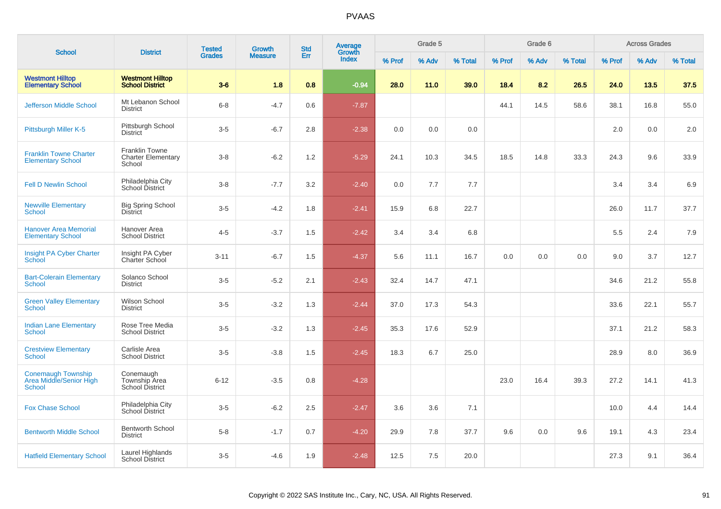|                                                                       | <b>District</b>                                              | <b>Tested</b> | <b>Growth</b>  | <b>Std</b> | Average<br>Growth |        | Grade 5 |         |        | Grade 6 |         |        | <b>Across Grades</b> |         |
|-----------------------------------------------------------------------|--------------------------------------------------------------|---------------|----------------|------------|-------------------|--------|---------|---------|--------|---------|---------|--------|----------------------|---------|
| <b>School</b>                                                         |                                                              | <b>Grades</b> | <b>Measure</b> | Err        | <b>Index</b>      | % Prof | % Adv   | % Total | % Prof | % Adv   | % Total | % Prof | % Adv                | % Total |
| <b>Westmont Hilltop</b><br><b>Elementary School</b>                   | <b>Westmont Hilltop</b><br><b>School District</b>            | $3-6$         | 1.8            | 0.8        | $-0.94$           | 28.0   | 11.0    | 39.0    | 18.4   | 8.2     | 26.5    | 24.0   | 13.5                 | 37.5    |
| <b>Jefferson Middle School</b>                                        | Mt Lebanon School<br><b>District</b>                         | $6 - 8$       | $-4.7$         | 0.6        | $-7.87$           |        |         |         | 44.1   | 14.5    | 58.6    | 38.1   | 16.8                 | 55.0    |
| Pittsburgh Miller K-5                                                 | Pittsburgh School<br><b>District</b>                         | $3-5$         | $-6.7$         | 2.8        | $-2.38$           | 0.0    | 0.0     | 0.0     |        |         |         | 2.0    | 0.0                  | 2.0     |
| <b>Franklin Towne Charter</b><br><b>Elementary School</b>             | <b>Franklin Towne</b><br><b>Charter Elementary</b><br>School | $3-8$         | $-6.2$         | 1.2        | $-5.29$           | 24.1   | 10.3    | 34.5    | 18.5   | 14.8    | 33.3    | 24.3   | 9.6                  | 33.9    |
| <b>Fell D Newlin School</b>                                           | Philadelphia City<br>School District                         | $3-8$         | $-7.7$         | 3.2        | $-2.40$           | 0.0    | 7.7     | 7.7     |        |         |         | 3.4    | 3.4                  | 6.9     |
| <b>Newville Elementary</b><br><b>School</b>                           | <b>Big Spring School</b><br><b>District</b>                  | $3-5$         | $-4.2$         | 1.8        | $-2.41$           | 15.9   | 6.8     | 22.7    |        |         |         | 26.0   | 11.7                 | 37.7    |
| <b>Hanover Area Memorial</b><br><b>Elementary School</b>              | Hanover Area<br><b>School District</b>                       | $4 - 5$       | $-3.7$         | 1.5        | $-2.42$           | 3.4    | 3.4     | 6.8     |        |         |         | 5.5    | 2.4                  | 7.9     |
| Insight PA Cyber Charter<br>School                                    | Insight PA Cyber<br>Charter School                           | $3 - 11$      | $-6.7$         | 1.5        | $-4.37$           | 5.6    | 11.1    | 16.7    | 0.0    | 0.0     | 0.0     | 9.0    | 3.7                  | 12.7    |
| <b>Bart-Colerain Elementary</b><br>School                             | Solanco School<br><b>District</b>                            | $3-5$         | $-5.2$         | 2.1        | $-2.43$           | 32.4   | 14.7    | 47.1    |        |         |         | 34.6   | 21.2                 | 55.8    |
| <b>Green Valley Elementary</b><br><b>School</b>                       | Wilson School<br><b>District</b>                             | $3-5$         | $-3.2$         | 1.3        | $-2.44$           | 37.0   | 17.3    | 54.3    |        |         |         | 33.6   | 22.1                 | 55.7    |
| <b>Indian Lane Elementary</b><br><b>School</b>                        | Rose Tree Media<br><b>School District</b>                    | $3-5$         | $-3.2$         | 1.3        | $-2.45$           | 35.3   | 17.6    | 52.9    |        |         |         | 37.1   | 21.2                 | 58.3    |
| <b>Crestview Elementary</b><br><b>School</b>                          | Carlisle Area<br><b>School District</b>                      | $3-5$         | $-3.8$         | 1.5        | $-2.45$           | 18.3   | 6.7     | 25.0    |        |         |         | 28.9   | 8.0                  | 36.9    |
| <b>Conemaugh Township</b><br>Area Middle/Senior High<br><b>School</b> | Conemaugh<br>Township Area<br>School District                | $6 - 12$      | $-3.5$         | 0.8        | $-4.28$           |        |         |         | 23.0   | 16.4    | 39.3    | 27.2   | 14.1                 | 41.3    |
| <b>Fox Chase School</b>                                               | Philadelphia City<br><b>School District</b>                  | $3-5$         | $-6.2$         | 2.5        | $-2.47$           | 3.6    | 3.6     | 7.1     |        |         |         | 10.0   | 4.4                  | 14.4    |
| <b>Bentworth Middle School</b>                                        | <b>Bentworth School</b><br><b>District</b>                   | $5-8$         | $-1.7$         | 0.7        | $-4.20$           | 29.9   | 7.8     | 37.7    | 9.6    | 0.0     | 9.6     | 19.1   | 4.3                  | 23.4    |
| <b>Hatfield Elementary School</b>                                     | Laurel Highlands<br>School District                          | $3-5$         | $-4.6$         | 1.9        | $-2.48$           | 12.5   | 7.5     | 20.0    |        |         |         | 27.3   | 9.1                  | 36.4    |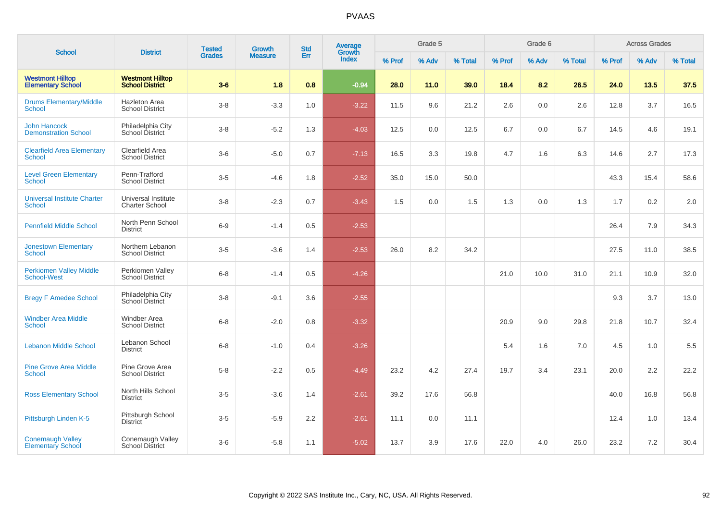| <b>School</b>                                        | <b>District</b>                                   | <b>Tested</b> | <b>Growth</b>  | <b>Std</b> | Average<br>Growth |        | Grade 5 |         |        | Grade 6 |         |        | <b>Across Grades</b> |         |
|------------------------------------------------------|---------------------------------------------------|---------------|----------------|------------|-------------------|--------|---------|---------|--------|---------|---------|--------|----------------------|---------|
|                                                      |                                                   | <b>Grades</b> | <b>Measure</b> | Err        | Index             | % Prof | % Adv   | % Total | % Prof | % Adv   | % Total | % Prof | % Adv                | % Total |
| <b>Westmont Hilltop</b><br><b>Elementary School</b>  | <b>Westmont Hilltop</b><br><b>School District</b> | $3-6$         | 1.8            | 0.8        | $-0.94$           | 28.0   | 11.0    | 39.0    | 18.4   | 8.2     | 26.5    | 24.0   | 13.5                 | 37.5    |
| <b>Drums Elementary/Middle</b><br>School             | <b>Hazleton Area</b><br><b>School District</b>    | $3 - 8$       | $-3.3$         | 1.0        | $-3.22$           | 11.5   | 9.6     | 21.2    | 2.6    | 0.0     | 2.6     | 12.8   | 3.7                  | 16.5    |
| <b>John Hancock</b><br><b>Demonstration School</b>   | Philadelphia City<br>School District              | $3-8$         | $-5.2$         | 1.3        | $-4.03$           | 12.5   | 0.0     | 12.5    | 6.7    | 0.0     | 6.7     | 14.5   | 4.6                  | 19.1    |
| <b>Clearfield Area Elementary</b><br><b>School</b>   | Clearfield Area<br><b>School District</b>         | $3-6$         | $-5.0$         | 0.7        | $-7.13$           | 16.5   | 3.3     | 19.8    | 4.7    | 1.6     | 6.3     | 14.6   | 2.7                  | 17.3    |
| <b>Level Green Elementary</b><br>School              | Penn-Trafford<br><b>School District</b>           | $3-5$         | $-4.6$         | 1.8        | $-2.52$           | 35.0   | 15.0    | 50.0    |        |         |         | 43.3   | 15.4                 | 58.6    |
| <b>Universal Institute Charter</b><br>School         | Universal Institute<br><b>Charter School</b>      | $3-8$         | $-2.3$         | 0.7        | $-3.43$           | 1.5    | 0.0     | 1.5     | 1.3    | 0.0     | 1.3     | 1.7    | $0.2\,$              | 2.0     |
| <b>Pennfield Middle School</b>                       | North Penn School<br><b>District</b>              | $6-9$         | $-1.4$         | 0.5        | $-2.53$           |        |         |         |        |         |         | 26.4   | 7.9                  | 34.3    |
| <b>Jonestown Elementary</b><br>School                | Northern Lebanon<br><b>School District</b>        | $3-5$         | $-3.6$         | 1.4        | $-2.53$           | 26.0   | 8.2     | 34.2    |        |         |         | 27.5   | 11.0                 | 38.5    |
| <b>Perkiomen Valley Middle</b><br><b>School-West</b> | Perkiomen Valley<br><b>School District</b>        | $6 - 8$       | $-1.4$         | 0.5        | $-4.26$           |        |         |         | 21.0   | 10.0    | 31.0    | 21.1   | 10.9                 | 32.0    |
| <b>Bregy F Amedee School</b>                         | Philadelphia City<br>School District              | $3 - 8$       | $-9.1$         | 3.6        | $-2.55$           |        |         |         |        |         |         | 9.3    | 3.7                  | 13.0    |
| <b>Windber Area Middle</b><br><b>School</b>          | <b>Windber Area</b><br><b>School District</b>     | $6 - 8$       | $-2.0$         | 0.8        | $-3.32$           |        |         |         | 20.9   | 9.0     | 29.8    | 21.8   | 10.7                 | 32.4    |
| <b>Lebanon Middle School</b>                         | Lebanon School<br>District                        | $6 - 8$       | $-1.0$         | 0.4        | $-3.26$           |        |         |         | 5.4    | 1.6     | 7.0     | 4.5    | 1.0                  | 5.5     |
| <b>Pine Grove Area Middle</b><br><b>School</b>       | Pine Grove Area<br><b>School District</b>         | $5-8$         | $-2.2$         | 0.5        | $-4.49$           | 23.2   | 4.2     | 27.4    | 19.7   | 3.4     | 23.1    | 20.0   | 2.2                  | 22.2    |
| <b>Ross Elementary School</b>                        | North Hills School<br><b>District</b>             | $3-5$         | $-3.6$         | 1.4        | $-2.61$           | 39.2   | 17.6    | 56.8    |        |         |         | 40.0   | 16.8                 | 56.8    |
| Pittsburgh Linden K-5                                | Pittsburgh School<br><b>District</b>              | $3-5$         | $-5.9$         | 2.2        | $-2.61$           | 11.1   | 0.0     | 11.1    |        |         |         | 12.4   | 1.0                  | 13.4    |
| <b>Conemaugh Valley</b><br><b>Elementary School</b>  | Conemaugh Valley<br><b>School District</b>        | $3-6$         | $-5.8$         | 1.1        | $-5.02$           | 13.7   | 3.9     | 17.6    | 22.0   | 4.0     | 26.0    | 23.2   | $7.2\,$              | 30.4    |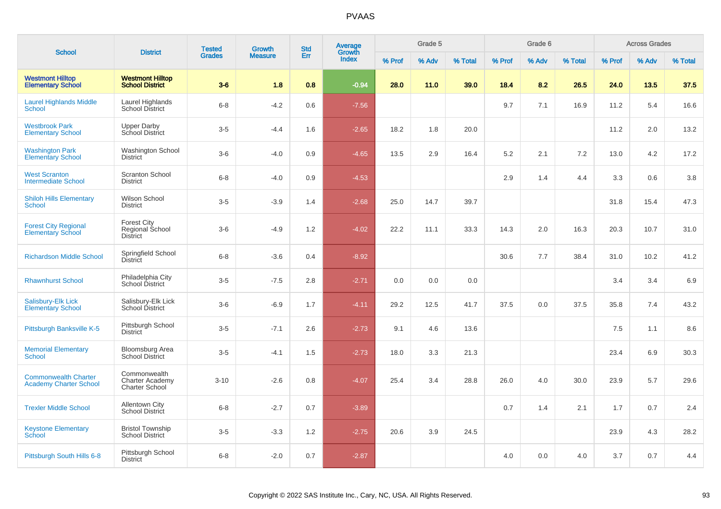| <b>School</b>                                                | <b>District</b>                                                 | <b>Tested</b> | <b>Growth</b>  | <b>Std</b> | <b>Average</b><br>Growth |        | Grade 5 |         |        | Grade 6 |         |        | <b>Across Grades</b> |         |
|--------------------------------------------------------------|-----------------------------------------------------------------|---------------|----------------|------------|--------------------------|--------|---------|---------|--------|---------|---------|--------|----------------------|---------|
|                                                              |                                                                 | <b>Grades</b> | <b>Measure</b> | Err        | Index                    | % Prof | % Adv   | % Total | % Prof | % Adv   | % Total | % Prof | % Adv                | % Total |
| <b>Westmont Hilltop</b><br><b>Elementary School</b>          | <b>Westmont Hilltop</b><br><b>School District</b>               | $3-6$         | 1.8            | 0.8        | $-0.94$                  | 28.0   | 11.0    | 39.0    | 18.4   | 8.2     | 26.5    | 24.0   | 13.5                 | 37.5    |
| <b>Laurel Highlands Middle</b><br><b>School</b>              | Laurel Highlands<br><b>School District</b>                      | $6 - 8$       | $-4.2$         | 0.6        | $-7.56$                  |        |         |         | 9.7    | 7.1     | 16.9    | 11.2   | 5.4                  | 16.6    |
| <b>Westbrook Park</b><br><b>Elementary School</b>            | <b>Upper Darby</b><br>School District                           | $3-5$         | $-4.4$         | 1.6        | $-2.65$                  | 18.2   | 1.8     | 20.0    |        |         |         | 11.2   | 2.0                  | 13.2    |
| <b>Washington Park</b><br><b>Elementary School</b>           | <b>Washington School</b><br><b>District</b>                     | $3-6$         | $-4.0$         | 0.9        | $-4.65$                  | 13.5   | 2.9     | 16.4    | 5.2    | 2.1     | 7.2     | 13.0   | 4.2                  | 17.2    |
| <b>West Scranton</b><br><b>Intermediate School</b>           | <b>Scranton School</b><br><b>District</b>                       | $6 - 8$       | $-4.0$         | 0.9        | $-4.53$                  |        |         |         | 2.9    | 1.4     | 4.4     | 3.3    | 0.6                  | 3.8     |
| <b>Shiloh Hills Elementary</b><br><b>School</b>              | Wilson School<br><b>District</b>                                | $3-5$         | $-3.9$         | 1.4        | $-2.68$                  | 25.0   | 14.7    | 39.7    |        |         |         | 31.8   | 15.4                 | 47.3    |
| <b>Forest City Regional</b><br>Elementary School             | Forest City<br>Regional School<br><b>District</b>               | $3-6$         | $-4.9$         | 1.2        | $-4.02$                  | 22.2   | 11.1    | 33.3    | 14.3   | 2.0     | 16.3    | 20.3   | 10.7                 | 31.0    |
| <b>Richardson Middle School</b>                              | Springfield School<br><b>District</b>                           | $6 - 8$       | $-3.6$         | 0.4        | $-8.92$                  |        |         |         | 30.6   | 7.7     | 38.4    | 31.0   | 10.2                 | 41.2    |
| <b>Rhawnhurst School</b>                                     | Philadelphia City<br>School District                            | $3-5$         | $-7.5$         | 2.8        | $-2.71$                  | 0.0    | 0.0     | 0.0     |        |         |         | 3.4    | 3.4                  | 6.9     |
| <b>Salisbury-Elk Lick</b><br><b>Elementary School</b>        | Salisbury-Elk Lick<br>School District                           | $3-6$         | $-6.9$         | 1.7        | $-4.11$                  | 29.2   | 12.5    | 41.7    | 37.5   | 0.0     | 37.5    | 35.8   | 7.4                  | 43.2    |
| Pittsburgh Banksville K-5                                    | Pittsburgh School<br><b>District</b>                            | $3-5$         | $-7.1$         | 2.6        | $-2.73$                  | 9.1    | 4.6     | 13.6    |        |         |         | 7.5    | 1.1                  | 8.6     |
| <b>Memorial Elementary</b><br><b>School</b>                  | <b>Bloomsburg Area</b><br><b>School District</b>                | $3-5$         | $-4.1$         | 1.5        | $-2.73$                  | 18.0   | 3.3     | 21.3    |        |         |         | 23.4   | 6.9                  | 30.3    |
| <b>Commonwealth Charter</b><br><b>Academy Charter School</b> | Commonwealth<br><b>Charter Academy</b><br><b>Charter School</b> | $3 - 10$      | $-2.6$         | 0.8        | $-4.07$                  | 25.4   | 3.4     | 28.8    | 26.0   | 4.0     | 30.0    | 23.9   | 5.7                  | 29.6    |
| <b>Trexler Middle School</b>                                 | <b>Allentown City</b><br>School District                        | $6 - 8$       | $-2.7$         | 0.7        | $-3.89$                  |        |         |         | 0.7    | 1.4     | 2.1     | 1.7    | 0.7                  | 2.4     |
| <b>Keystone Elementary</b><br>School                         | <b>Bristol Township</b><br><b>School District</b>               | $3-5$         | $-3.3$         | 1.2        | $-2.75$                  | 20.6   | 3.9     | 24.5    |        |         |         | 23.9   | 4.3                  | 28.2    |
| Pittsburgh South Hills 6-8                                   | Pittsburgh School<br><b>District</b>                            | $6 - 8$       | $-2.0$         | 0.7        | $-2.87$                  |        |         |         | 4.0    | 0.0     | 4.0     | 3.7    | 0.7                  | 4.4     |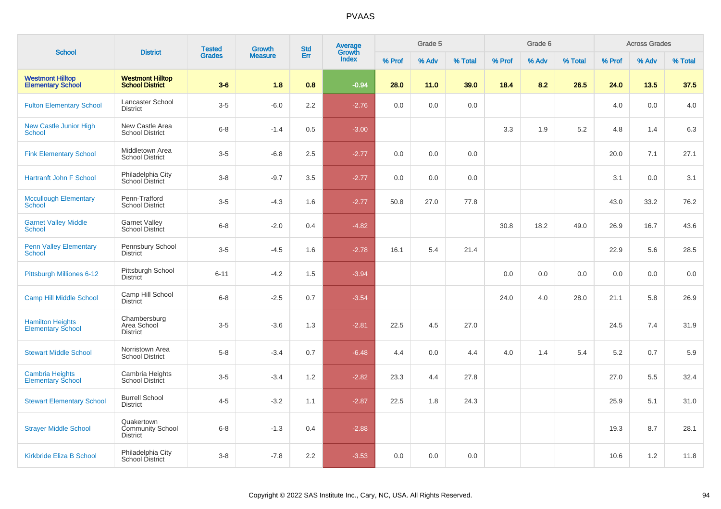|                                                     |                                                   | <b>Tested</b> | <b>Growth</b>  | <b>Std</b> | <b>Average</b><br>Growth |        | Grade 5 |         |        | Grade 6 |         |        | <b>Across Grades</b> |         |
|-----------------------------------------------------|---------------------------------------------------|---------------|----------------|------------|--------------------------|--------|---------|---------|--------|---------|---------|--------|----------------------|---------|
| <b>School</b>                                       | <b>District</b>                                   | <b>Grades</b> | <b>Measure</b> | Err        | Index                    | % Prof | % Adv   | % Total | % Prof | % Adv   | % Total | % Prof | % Adv                | % Total |
| <b>Westmont Hilltop</b><br><b>Elementary School</b> | <b>Westmont Hilltop</b><br><b>School District</b> | $3-6$         | 1.8            | 0.8        | $-0.94$                  | 28.0   | 11.0    | 39.0    | 18.4   | 8.2     | 26.5    | 24.0   | 13.5                 | 37.5    |
| <b>Fulton Elementary School</b>                     | Lancaster School<br><b>District</b>               | $3-5$         | $-6.0$         | 2.2        | $-2.76$                  | 0.0    | 0.0     | 0.0     |        |         |         | 4.0    | 0.0                  | 4.0     |
| New Castle Junior High<br><b>School</b>             | New Castle Area<br><b>School District</b>         | $6 - 8$       | $-1.4$         | 0.5        | $-3.00$                  |        |         |         | 3.3    | 1.9     | 5.2     | 4.8    | 1.4                  | 6.3     |
| <b>Fink Elementary School</b>                       | Middletown Area<br><b>School District</b>         | $3-5$         | $-6.8$         | 2.5        | $-2.77$                  | 0.0    | 0.0     | 0.0     |        |         |         | 20.0   | 7.1                  | 27.1    |
| Hartranft John F School                             | Philadelphia City<br>School District              | $3-8$         | $-9.7$         | 3.5        | $-2.77$                  | 0.0    | 0.0     | 0.0     |        |         |         | 3.1    | 0.0                  | 3.1     |
| <b>Mccullough Elementary</b><br><b>School</b>       | Penn-Trafford<br><b>School District</b>           | $3-5$         | $-4.3$         | 1.6        | $-2.77$                  | 50.8   | 27.0    | 77.8    |        |         |         | 43.0   | 33.2                 | 76.2    |
| <b>Garnet Valley Middle</b><br><b>School</b>        | <b>Garnet Valley</b><br>School District           | $6 - 8$       | $-2.0$         | 0.4        | $-4.82$                  |        |         |         | 30.8   | 18.2    | 49.0    | 26.9   | 16.7                 | 43.6    |
| <b>Penn Valley Elementary</b><br><b>School</b>      | Pennsbury School<br><b>District</b>               | $3-5$         | $-4.5$         | 1.6        | $-2.78$                  | 16.1   | 5.4     | 21.4    |        |         |         | 22.9   | 5.6                  | 28.5    |
| Pittsburgh Milliones 6-12                           | Pittsburgh School<br><b>District</b>              | $6 - 11$      | $-4.2$         | 1.5        | $-3.94$                  |        |         |         | 0.0    | 0.0     | 0.0     | 0.0    | 0.0                  | 0.0     |
| <b>Camp Hill Middle School</b>                      | Camp Hill School<br><b>District</b>               | $6 - 8$       | $-2.5$         | 0.7        | $-3.54$                  |        |         |         | 24.0   | 4.0     | 28.0    | 21.1   | 5.8                  | 26.9    |
| <b>Hamilton Heights</b><br><b>Elementary School</b> | Chambersburg<br>Area School<br><b>District</b>    | $3-5$         | $-3.6$         | 1.3        | $-2.81$                  | 22.5   | 4.5     | 27.0    |        |         |         | 24.5   | 7.4                  | 31.9    |
| <b>Stewart Middle School</b>                        | Norristown Area<br><b>School District</b>         | $5-8$         | $-3.4$         | 0.7        | $-6.48$                  | 4.4    | 0.0     | 4.4     | 4.0    | 1.4     | 5.4     | 5.2    | 0.7                  | 5.9     |
| <b>Cambria Heights</b><br><b>Elementary School</b>  | Cambria Heights<br>School District                | $3-5$         | $-3.4$         | 1.2        | $-2.82$                  | 23.3   | 4.4     | 27.8    |        |         |         | 27.0   | 5.5                  | 32.4    |
| <b>Stewart Elementary School</b>                    | <b>Burrell School</b><br><b>District</b>          | $4 - 5$       | $-3.2$         | 1.1        | $-2.87$                  | 22.5   | 1.8     | 24.3    |        |         |         | 25.9   | 5.1                  | 31.0    |
| <b>Strayer Middle School</b>                        | Quakertown<br>Community School<br><b>District</b> | $6 - 8$       | $-1.3$         | 0.4        | $-2.88$                  |        |         |         |        |         |         | 19.3   | 8.7                  | 28.1    |
| Kirkbride Eliza B School                            | Philadelphia City<br>School District              | $3-8$         | $-7.8$         | 2.2        | $-3.53$                  | 0.0    | 0.0     | 0.0     |        |         |         | 10.6   | 1.2                  | 11.8    |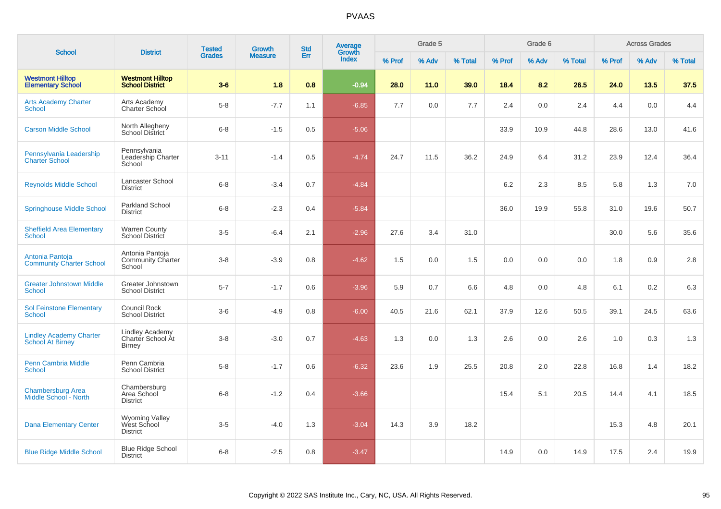|                                                           |                                                         | <b>Tested</b> | <b>Growth</b>  | <b>Std</b> | Average<br>Growth |        | Grade 5 |         |        | Grade 6 |         |        | <b>Across Grades</b> |         |
|-----------------------------------------------------------|---------------------------------------------------------|---------------|----------------|------------|-------------------|--------|---------|---------|--------|---------|---------|--------|----------------------|---------|
| <b>School</b>                                             | <b>District</b>                                         | <b>Grades</b> | <b>Measure</b> | Err        | <b>Index</b>      | % Prof | % Adv   | % Total | % Prof | % Adv   | % Total | % Prof | % Adv                | % Total |
| <b>Westmont Hilltop</b><br><b>Elementary School</b>       | <b>Westmont Hilltop</b><br><b>School District</b>       | $3-6$         | 1.8            | 0.8        | $-0.94$           | 28.0   | 11.0    | 39.0    | 18.4   | 8.2     | 26.5    | 24.0   | 13.5                 | 37.5    |
| <b>Arts Academy Charter</b><br>School                     | Arts Academy<br>Charter School                          | $5-8$         | $-7.7$         | 1.1        | $-6.85$           | 7.7    | 0.0     | 7.7     | 2.4    | 0.0     | 2.4     | 4.4    | 0.0                  | 4.4     |
| <b>Carson Middle School</b>                               | North Allegheny<br>School District                      | $6 - 8$       | $-1.5$         | 0.5        | $-5.06$           |        |         |         | 33.9   | 10.9    | 44.8    | 28.6   | 13.0                 | 41.6    |
| Pennsylvania Leadership<br><b>Charter School</b>          | Pennsylvania<br>Leadership Charter<br>School            | $3 - 11$      | $-1.4$         | 0.5        | $-4.74$           | 24.7   | 11.5    | 36.2    | 24.9   | 6.4     | 31.2    | 23.9   | 12.4                 | 36.4    |
| <b>Reynolds Middle School</b>                             | Lancaster School<br><b>District</b>                     | $6 - 8$       | $-3.4$         | 0.7        | $-4.84$           |        |         |         | 6.2    | 2.3     | 8.5     | 5.8    | 1.3                  | 7.0     |
| <b>Springhouse Middle School</b>                          | Parkland School<br><b>District</b>                      | $6 - 8$       | $-2.3$         | 0.4        | $-5.84$           |        |         |         | 36.0   | 19.9    | 55.8    | 31.0   | 19.6                 | 50.7    |
| <b>Sheffield Area Elementary</b><br><b>School</b>         | <b>Warren County</b><br>School District                 | $3-5$         | $-6.4$         | 2.1        | $-2.96$           | 27.6   | 3.4     | 31.0    |        |         |         | 30.0   | 5.6                  | 35.6    |
| Antonia Pantoja<br><b>Community Charter School</b>        | Antonia Pantoja<br>Community Charter<br>School          | $3-8$         | $-3.9$         | 0.8        | $-4.62$           | 1.5    | 0.0     | 1.5     | 0.0    | 0.0     | 0.0     | 1.8    | 0.9                  | 2.8     |
| <b>Greater Johnstown Middle</b><br><b>School</b>          | Greater Johnstown<br><b>School District</b>             | $5 - 7$       | $-1.7$         | 0.6        | $-3.96$           | 5.9    | 0.7     | 6.6     | 4.8    | 0.0     | 4.8     | 6.1    | 0.2                  | 6.3     |
| <b>Sol Feinstone Elementary</b><br><b>School</b>          | Council Rock<br><b>School District</b>                  | $3-6$         | $-4.9$         | 0.8        | $-6.00$           | 40.5   | 21.6    | 62.1    | 37.9   | 12.6    | 50.5    | 39.1   | 24.5                 | 63.6    |
| <b>Lindley Academy Charter</b><br><b>School At Birney</b> | Lindley Academy<br>Charter School At<br><b>Birney</b>   | $3 - 8$       | $-3.0$         | 0.7        | $-4.63$           | 1.3    | 0.0     | 1.3     | 2.6    | 0.0     | 2.6     | 1.0    | 0.3                  | 1.3     |
| <b>Penn Cambria Middle</b><br>School                      | Penn Cambria<br><b>School District</b>                  | $5-8$         | $-1.7$         | 0.6        | $-6.32$           | 23.6   | 1.9     | 25.5    | 20.8   | 2.0     | 22.8    | 16.8   | 1.4                  | 18.2    |
| <b>Chambersburg Area</b><br>Middle School - North         | Chambersburg<br>Area School<br><b>District</b>          | $6 - 8$       | $-1.2$         | 0.4        | $-3.66$           |        |         |         | 15.4   | 5.1     | 20.5    | 14.4   | 4.1                  | 18.5    |
| <b>Dana Elementary Center</b>                             | <b>Wyoming Valley</b><br>West School<br><b>District</b> | $3-5$         | $-4.0$         | 1.3        | $-3.04$           | 14.3   | 3.9     | 18.2    |        |         |         | 15.3   | 4.8                  | 20.1    |
| <b>Blue Ridge Middle School</b>                           | <b>Blue Ridge School</b><br><b>District</b>             | $6 - 8$       | $-2.5$         | 0.8        | $-3.47$           |        |         |         | 14.9   | 0.0     | 14.9    | 17.5   | 2.4                  | 19.9    |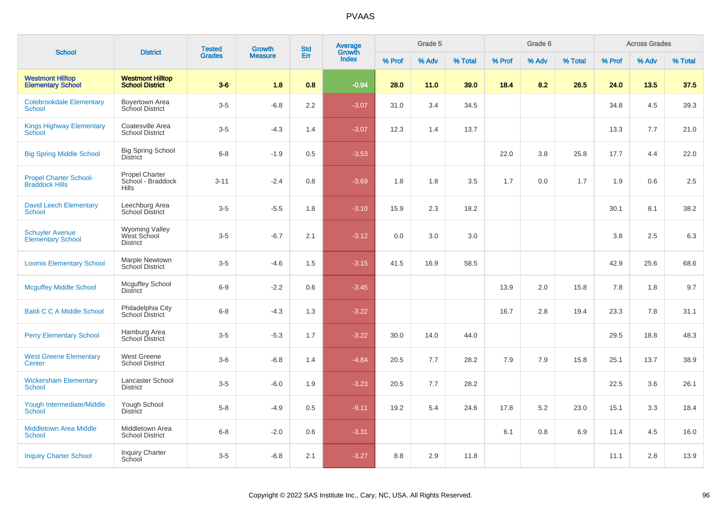| <b>School</b>                                          | <b>District</b>                                            | <b>Tested</b> | <b>Growth</b>  | <b>Std</b> | <b>Average</b><br>Growth |        | Grade 5 |         |        | Grade 6 |         |        | <b>Across Grades</b> |         |
|--------------------------------------------------------|------------------------------------------------------------|---------------|----------------|------------|--------------------------|--------|---------|---------|--------|---------|---------|--------|----------------------|---------|
|                                                        |                                                            | <b>Grades</b> | <b>Measure</b> | Err        | <b>Index</b>             | % Prof | % Adv   | % Total | % Prof | % Adv   | % Total | % Prof | % Adv                | % Total |
| <b>Westmont Hilltop</b><br><b>Elementary School</b>    | <b>Westmont Hilltop</b><br><b>School District</b>          | $3-6$         | 1.8            | 0.8        | $-0.94$                  | 28.0   | 11.0    | 39.0    | 18.4   | 8.2     | 26.5    | 24.0   | 13.5                 | 37.5    |
| <b>Colebrookdale Elementary</b><br><b>School</b>       | Boyertown Area<br>School District                          | $3-5$         | $-6.8$         | 2.2        | $-3.07$                  | 31.0   | 3.4     | 34.5    |        |         |         | 34.8   | 4.5                  | 39.3    |
| <b>Kings Highway Elementary</b><br>School              | Coatesville Area<br><b>School District</b>                 | $3-5$         | $-4.3$         | 1.4        | $-3.07$                  | 12.3   | 1.4     | 13.7    |        |         |         | 13.3   | 7.7                  | 21.0    |
| <b>Big Spring Middle School</b>                        | <b>Big Spring School</b><br><b>District</b>                | $6 - 8$       | $-1.9$         | 0.5        | $-3.53$                  |        |         |         | 22.0   | 3.8     | 25.8    | 17.7   | 4.4                  | 22.0    |
| <b>Propel Charter School-</b><br><b>Braddock Hills</b> | <b>Propel Charter</b><br>School - Braddock<br><b>Hills</b> | $3 - 11$      | $-2.4$         | 0.8        | $-3.69$                  | 1.8    | 1.8     | 3.5     | 1.7    | 0.0     | 1.7     | 1.9    | 0.6                  | 2.5     |
| <b>David Leech Elementary</b><br><b>School</b>         | Leechburg Area<br>School District                          | $3-5$         | $-5.5$         | 1.8        | $-3.10$                  | 15.9   | 2.3     | 18.2    |        |         |         | 30.1   | 8.1                  | 38.2    |
| <b>Schuyler Avenue</b><br><b>Elementary School</b>     | <b>Wyoming Valley</b><br>West School<br><b>District</b>    | $3-5$         | $-6.7$         | 2.1        | $-3.12$                  | 0.0    | 3.0     | 3.0     |        |         |         | 3.8    | 2.5                  | 6.3     |
| <b>Loomis Elementary School</b>                        | Marple Newtown<br>School District                          | $3-5$         | $-4.6$         | 1.5        | $-3.15$                  | 41.5   | 16.9    | 58.5    |        |         |         | 42.9   | 25.6                 | 68.6    |
| <b>Mcguffey Middle School</b>                          | <b>Mcguffey School</b><br><b>District</b>                  | $6-9$         | $-2.2$         | 0.6        | $-3.45$                  |        |         |         | 13.9   | 2.0     | 15.8    | 7.8    | 1.8                  | 9.7     |
| <b>Baldi C C A Middle School</b>                       | Philadelphia City<br>School District                       | $6 - 8$       | $-4.3$         | 1.3        | $-3.22$                  |        |         |         | 16.7   | 2.8     | 19.4    | 23.3   | 7.8                  | 31.1    |
| <b>Perry Elementary School</b>                         | Hamburg Area<br>School District                            | $3-5$         | $-5.3$         | 1.7        | $-3.22$                  | 30.0   | 14.0    | 44.0    |        |         |         | 29.5   | 18.8                 | 48.3    |
| <b>West Greene Elementary</b><br>Center                | West Greene<br><b>School District</b>                      | $3-6$         | $-6.8$         | 1.4        | $-4.84$                  | 20.5   | 7.7     | 28.2    | 7.9    | 7.9     | 15.8    | 25.1   | 13.7                 | 38.9    |
| <b>Wickersham Elementary</b><br><b>School</b>          | Lancaster School<br><b>District</b>                        | $3-5$         | $-6.0$         | 1.9        | $-3.23$                  | 20.5   | 7.7     | 28.2    |        |         |         | 22.5   | 3.6                  | 26.1    |
| Yough Intermediate/Middle<br>School                    | Yough School<br><b>District</b>                            | $5-8$         | $-4.9$         | 0.5        | $-9.11$                  | 19.2   | 5.4     | 24.6    | 17.8   | 5.2     | 23.0    | 15.1   | 3.3                  | 18.4    |
| <b>Middletown Area Middle</b><br><b>School</b>         | Middletown Area<br><b>School District</b>                  | $6 - 8$       | $-2.0$         | 0.6        | $-3.31$                  |        |         |         | 6.1    | 0.8     | 6.9     | 11.4   | 4.5                  | 16.0    |
| <b>Inquiry Charter School</b>                          | <b>Inquiry Charter</b><br>School                           | $3-5$         | $-6.8$         | 2.1        | $-3.27$                  | 8.8    | 2.9     | 11.8    |        |         |         | 11.1   | 2.8                  | 13.9    |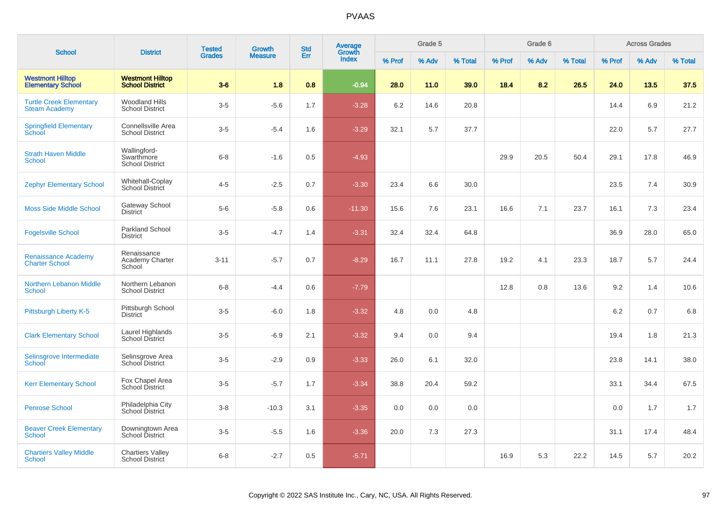| <b>School</b>                                          | <b>District</b>                                      | <b>Tested</b> | <b>Growth</b>  | <b>Std</b> | <b>Average</b><br>Growth |        | Grade 5 |         |        | Grade 6 |         |        | <b>Across Grades</b> |         |
|--------------------------------------------------------|------------------------------------------------------|---------------|----------------|------------|--------------------------|--------|---------|---------|--------|---------|---------|--------|----------------------|---------|
|                                                        |                                                      | <b>Grades</b> | <b>Measure</b> | Err        | <b>Index</b>             | % Prof | % Adv   | % Total | % Prof | % Adv   | % Total | % Prof | % Adv                | % Total |
| <b>Westmont Hilltop</b><br><b>Elementary School</b>    | <b>Westmont Hilltop</b><br><b>School District</b>    | $3-6$         | 1.8            | 0.8        | $-0.94$                  | 28.0   | 11.0    | 39.0    | 18.4   | 8.2     | 26.5    | 24.0   | 13.5                 | 37.5    |
| <b>Turtle Creek Elementary</b><br><b>Steam Academy</b> | <b>Woodland Hills</b><br><b>School District</b>      | $3-5$         | $-5.6$         | 1.7        | $-3.28$                  | 6.2    | 14.6    | 20.8    |        |         |         | 14.4   | 6.9                  | 21.2    |
| <b>Springfield Elementary</b><br>School                | Connellsville Area<br><b>School District</b>         | $3-5$         | $-5.4$         | 1.6        | $-3.29$                  | 32.1   | 5.7     | 37.7    |        |         |         | 22.0   | 5.7                  | 27.7    |
| <b>Strath Haven Middle</b><br>School                   | Wallingford-<br>Swarthmore<br><b>School District</b> | $6 - 8$       | $-1.6$         | 0.5        | $-4.93$                  |        |         |         | 29.9   | 20.5    | 50.4    | 29.1   | 17.8                 | 46.9    |
| <b>Zephyr Elementary School</b>                        | Whitehall-Coplay<br>School District                  | $4 - 5$       | $-2.5$         | 0.7        | $-3.30$                  | 23.4   | 6.6     | 30.0    |        |         |         | 23.5   | 7.4                  | 30.9    |
| <b>Moss Side Middle School</b>                         | <b>Gateway School</b><br><b>District</b>             | $5-6$         | $-5.8$         | 0.6        | $-11.30$                 | 15.6   | 7.6     | 23.1    | 16.6   | 7.1     | 23.7    | 16.1   | 7.3                  | 23.4    |
| <b>Fogelsville School</b>                              | <b>Parkland School</b><br><b>District</b>            | $3-5$         | $-4.7$         | 1.4        | $-3.31$                  | 32.4   | 32.4    | 64.8    |        |         |         | 36.9   | 28.0                 | 65.0    |
| <b>Renaissance Academy</b><br><b>Charter School</b>    | Renaissance<br>Academy Charter<br>School             | $3 - 11$      | $-5.7$         | 0.7        | $-8.29$                  | 16.7   | 11.1    | 27.8    | 19.2   | 4.1     | 23.3    | 18.7   | 5.7                  | 24.4    |
| Northern Lebanon Middle<br><b>School</b>               | Northern Lebanon<br><b>School District</b>           | $6 - 8$       | $-4.4$         | 0.6        | $-7.79$                  |        |         |         | 12.8   | 0.8     | 13.6    | 9.2    | 1.4                  | 10.6    |
| Pittsburgh Liberty K-5                                 | Pittsburgh School<br><b>District</b>                 | $3-5$         | $-6.0$         | 1.8        | $-3.32$                  | 4.8    | 0.0     | 4.8     |        |         |         | 6.2    | 0.7                  | 6.8     |
| <b>Clark Elementary School</b>                         | Laurel Highlands<br>School District                  | $3-5$         | $-6.9$         | 2.1        | $-3.32$                  | 9.4    | 0.0     | 9.4     |        |         |         | 19.4   | 1.8                  | 21.3    |
| Selinsgrove Intermediate<br>School                     | Selinsgrove Area<br>School District                  | $3-5$         | $-2.9$         | 0.9        | $-3.33$                  | 26.0   | 6.1     | 32.0    |        |         |         | 23.8   | 14.1                 | 38.0    |
| <b>Kerr Elementary School</b>                          | Fox Chapel Area<br>School District                   | $3-5$         | $-5.7$         | 1.7        | $-3.34$                  | 38.8   | 20.4    | 59.2    |        |         |         | 33.1   | 34.4                 | 67.5    |
| <b>Penrose School</b>                                  | Philadelphia City<br>School District                 | $3 - 8$       | $-10.3$        | 3.1        | $-3.35$                  | 0.0    | 0.0     | 0.0     |        |         |         | 0.0    | 1.7                  | 1.7     |
| <b>Beaver Creek Elementary</b><br><b>School</b>        | Downingtown Area<br>School District                  | $3-5$         | $-5.5$         | 1.6        | $-3.36$                  | 20.0   | 7.3     | 27.3    |        |         |         | 31.1   | 17.4                 | 48.4    |
| <b>Chartiers Valley Middle</b><br><b>School</b>        | <b>Chartiers Valley</b><br><b>School District</b>    | $6 - 8$       | $-2.7$         | 0.5        | $-5.71$                  |        |         |         | 16.9   | 5.3     | 22.2    | 14.5   | 5.7                  | 20.2    |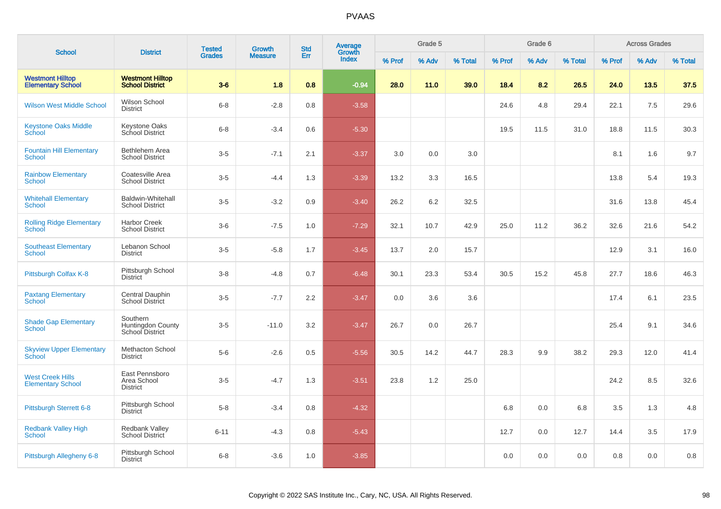| <b>School</b>                                       | <b>District</b>                                    | <b>Tested</b> | <b>Growth</b>  | <b>Std</b> | <b>Average</b><br>Growth |        | Grade 5 |         |        | Grade 6 |         |        | <b>Across Grades</b> |         |
|-----------------------------------------------------|----------------------------------------------------|---------------|----------------|------------|--------------------------|--------|---------|---------|--------|---------|---------|--------|----------------------|---------|
|                                                     |                                                    | <b>Grades</b> | <b>Measure</b> | Err        | Index                    | % Prof | % Adv   | % Total | % Prof | % Adv   | % Total | % Prof | % Adv                | % Total |
| <b>Westmont Hilltop</b><br><b>Elementary School</b> | <b>Westmont Hilltop</b><br><b>School District</b>  | $3-6$         | 1.8            | 0.8        | $-0.94$                  | 28.0   | 11.0    | 39.0    | 18.4   | 8.2     | 26.5    | 24.0   | 13.5                 | 37.5    |
| <b>Wilson West Middle School</b>                    | Wilson School<br><b>District</b>                   | $6 - 8$       | $-2.8$         | 0.8        | $-3.58$                  |        |         |         | 24.6   | 4.8     | 29.4    | 22.1   | 7.5                  | 29.6    |
| <b>Keystone Oaks Middle</b><br>School               | <b>Keystone Oaks</b><br>School District            | $6 - 8$       | $-3.4$         | 0.6        | $-5.30$                  |        |         |         | 19.5   | 11.5    | 31.0    | 18.8   | 11.5                 | 30.3    |
| <b>Fountain Hill Elementary</b><br>School           | Bethlehem Area<br><b>School District</b>           | $3-5$         | $-7.1$         | 2.1        | $-3.37$                  | 3.0    | 0.0     | 3.0     |        |         |         | 8.1    | 1.6                  | 9.7     |
| <b>Rainbow Elementary</b><br>School                 | Coatesville Area<br>School District                | $3-5$         | $-4.4$         | 1.3        | $-3.39$                  | 13.2   | 3.3     | 16.5    |        |         |         | 13.8   | 5.4                  | 19.3    |
| <b>Whitehall Elementary</b><br>School               | <b>Baldwin-Whitehall</b><br><b>School District</b> | $3-5$         | $-3.2$         | 0.9        | $-3.40$                  | 26.2   | 6.2     | 32.5    |        |         |         | 31.6   | 13.8                 | 45.4    |
| <b>Rolling Ridge Elementary</b><br>School           | Harbor Creek<br><b>School District</b>             | $3-6$         | $-7.5$         | 1.0        | $-7.29$                  | 32.1   | 10.7    | 42.9    | 25.0   | 11.2    | 36.2    | 32.6   | 21.6                 | 54.2    |
| <b>Southeast Elementary</b><br><b>School</b>        | Lebanon School<br><b>District</b>                  | $3-5$         | $-5.8$         | 1.7        | $-3.45$                  | 13.7   | 2.0     | 15.7    |        |         |         | 12.9   | 3.1                  | 16.0    |
| Pittsburgh Colfax K-8                               | Pittsburgh School<br>District                      | $3 - 8$       | $-4.8$         | 0.7        | $-6.48$                  | 30.1   | 23.3    | 53.4    | 30.5   | 15.2    | 45.8    | 27.7   | 18.6                 | 46.3    |
| <b>Paxtang Elementary</b><br><b>School</b>          | Central Dauphin<br><b>School District</b>          | $3-5$         | $-7.7$         | 2.2        | $-3.47$                  | 0.0    | 3.6     | 3.6     |        |         |         | 17.4   | 6.1                  | 23.5    |
| <b>Shade Gap Elementary</b><br><b>School</b>        | Southern<br>Huntingdon County<br>School District   | $3-5$         | $-11.0$        | 3.2        | $-3.47$                  | 26.7   | $0.0\,$ | 26.7    |        |         |         | 25.4   | 9.1                  | 34.6    |
| <b>Skyview Upper Elementary</b><br>School           | <b>Methacton School</b><br><b>District</b>         | $5-6$         | $-2.6$         | 0.5        | $-5.56$                  | 30.5   | 14.2    | 44.7    | 28.3   | 9.9     | 38.2    | 29.3   | 12.0                 | 41.4    |
| <b>West Creek Hills</b><br><b>Elementary School</b> | East Pennsboro<br>Area School<br><b>District</b>   | $3-5$         | $-4.7$         | 1.3        | $-3.51$                  | 23.8   | 1.2     | 25.0    |        |         |         | 24.2   | 8.5                  | 32.6    |
| Pittsburgh Sterrett 6-8                             | Pittsburgh School<br><b>District</b>               | $5-8$         | $-3.4$         | 0.8        | $-4.32$                  |        |         |         | 6.8    | 0.0     | 6.8     | 3.5    | 1.3                  | 4.8     |
| <b>Redbank Valley High</b><br><b>School</b>         | Redbank Valley<br>School District                  | $6 - 11$      | $-4.3$         | 0.8        | $-5.43$                  |        |         |         | 12.7   | 0.0     | 12.7    | 14.4   | 3.5                  | 17.9    |
| Pittsburgh Allegheny 6-8                            | Pittsburgh School<br>District                      | $6 - 8$       | $-3.6$         | 1.0        | $-3.85$                  |        |         |         | 0.0    | 0.0     | 0.0     | 0.8    | 0.0                  | 0.8     |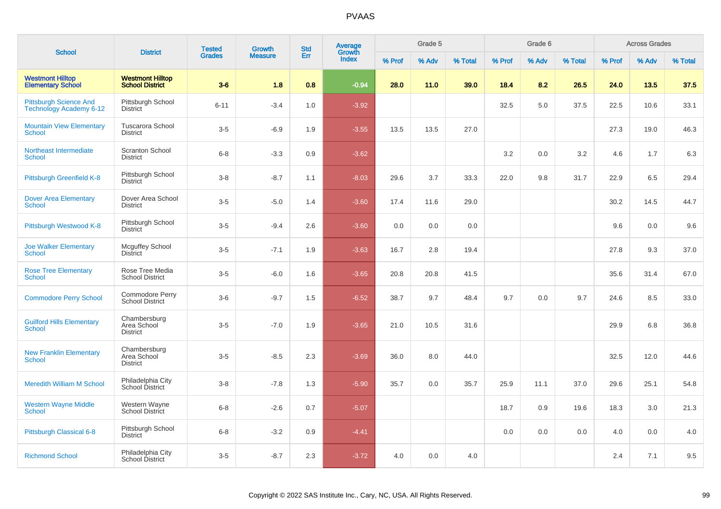|                                                                 | <b>District</b>                                   | <b>Tested</b> | <b>Growth</b>  | <b>Std</b> | <b>Average</b><br>Growth |        | Grade 5 |         |        | Grade 6 |         |        | <b>Across Grades</b> |         |
|-----------------------------------------------------------------|---------------------------------------------------|---------------|----------------|------------|--------------------------|--------|---------|---------|--------|---------|---------|--------|----------------------|---------|
| <b>School</b>                                                   |                                                   | <b>Grades</b> | <b>Measure</b> | Err        | Index                    | % Prof | % Adv   | % Total | % Prof | % Adv   | % Total | % Prof | % Adv                | % Total |
| <b>Westmont Hilltop</b><br><b>Elementary School</b>             | <b>Westmont Hilltop</b><br><b>School District</b> | $3-6$         | 1.8            | 0.8        | $-0.94$                  | 28.0   | 11.0    | 39.0    | 18.4   | 8.2     | 26.5    | 24.0   | 13.5                 | 37.5    |
| <b>Pittsburgh Science And</b><br><b>Technology Academy 6-12</b> | Pittsburgh School<br><b>District</b>              | $6 - 11$      | $-3.4$         | 1.0        | $-3.92$                  |        |         |         | 32.5   | 5.0     | 37.5    | 22.5   | 10.6                 | 33.1    |
| <b>Mountain View Elementary</b><br><b>School</b>                | Tuscarora School<br><b>District</b>               | $3-5$         | $-6.9$         | 1.9        | $-3.55$                  | 13.5   | 13.5    | 27.0    |        |         |         | 27.3   | 19.0                 | 46.3    |
| Northeast Intermediate<br>School                                | <b>Scranton School</b><br><b>District</b>         | $6 - 8$       | $-3.3$         | 0.9        | $-3.62$                  |        |         |         | 3.2    | 0.0     | 3.2     | 4.6    | 1.7                  | 6.3     |
| Pittsburgh Greenfield K-8                                       | Pittsburgh School<br><b>District</b>              | $3-8$         | $-8.7$         | 1.1        | $-8.03$                  | 29.6   | 3.7     | 33.3    | 22.0   | 9.8     | 31.7    | 22.9   | 6.5                  | 29.4    |
| <b>Dover Area Elementary</b><br><b>School</b>                   | Dover Area School<br><b>District</b>              | $3-5$         | $-5.0$         | 1.4        | $-3.60$                  | 17.4   | 11.6    | 29.0    |        |         |         | 30.2   | 14.5                 | 44.7    |
| Pittsburgh Westwood K-8                                         | Pittsburgh School<br><b>District</b>              | $3-5$         | $-9.4$         | 2.6        | $-3.60$                  | 0.0    | 0.0     | 0.0     |        |         |         | 9.6    | 0.0                  | 9.6     |
| <b>Joe Walker Elementary</b><br><b>School</b>                   | <b>Mcguffey School</b><br><b>District</b>         | $3-5$         | $-7.1$         | 1.9        | $-3.63$                  | 16.7   | 2.8     | 19.4    |        |         |         | 27.8   | 9.3                  | 37.0    |
| <b>Rose Tree Elementary</b><br><b>School</b>                    | Rose Tree Media<br><b>School District</b>         | $3-5$         | $-6.0$         | 1.6        | $-3.65$                  | 20.8   | 20.8    | 41.5    |        |         |         | 35.6   | 31.4                 | 67.0    |
| <b>Commodore Perry School</b>                                   | Commodore Perry<br><b>School District</b>         | $3-6$         | $-9.7$         | 1.5        | $-6.52$                  | 38.7   | 9.7     | 48.4    | 9.7    | 0.0     | 9.7     | 24.6   | 8.5                  | 33.0    |
| <b>Guilford Hills Elementary</b><br>School                      | Chambersburg<br>Area School<br><b>District</b>    | $3-5$         | $-7.0$         | 1.9        | $-3.65$                  | 21.0   | 10.5    | 31.6    |        |         |         | 29.9   | 6.8                  | 36.8    |
| <b>New Franklin Elementary</b><br>School                        | Chambersburg<br>Area School<br><b>District</b>    | $3-5$         | $-8.5$         | 2.3        | $-3.69$                  | 36.0   | 8.0     | 44.0    |        |         |         | 32.5   | 12.0                 | 44.6    |
| <b>Meredith William M School</b>                                | Philadelphia City<br>School District              | $3 - 8$       | $-7.8$         | 1.3        | $-5.90$                  | 35.7   | 0.0     | 35.7    | 25.9   | 11.1    | 37.0    | 29.6   | 25.1                 | 54.8    |
| <b>Western Wayne Middle</b><br>School                           | Western Wayne<br>School District                  | $6 - 8$       | $-2.6$         | 0.7        | $-5.07$                  |        |         |         | 18.7   | 0.9     | 19.6    | 18.3   | 3.0                  | 21.3    |
| Pittsburgh Classical 6-8                                        | Pittsburgh School<br><b>District</b>              | $6 - 8$       | $-3.2$         | 0.9        | $-4.41$                  |        |         |         | 0.0    | 0.0     | 0.0     | 4.0    | 0.0                  | 4.0     |
| <b>Richmond School</b>                                          | Philadelphia City<br><b>School District</b>       | $3-5$         | $-8.7$         | 2.3        | $-3.72$                  | 4.0    | 0.0     | 4.0     |        |         |         | 2.4    | 7.1                  | 9.5     |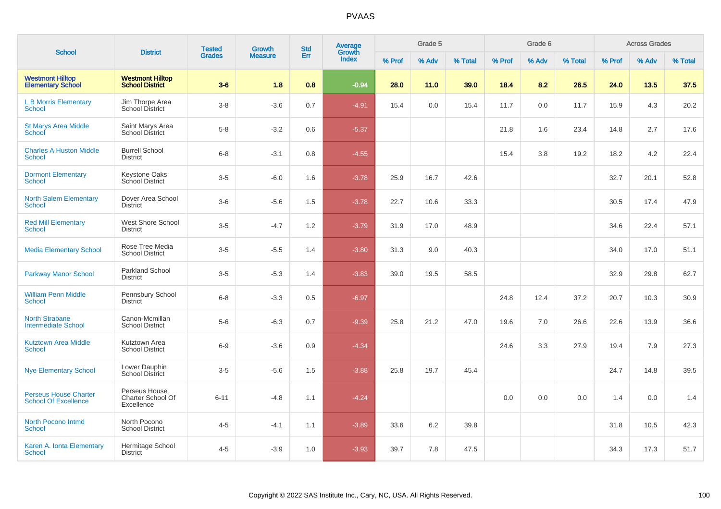| <b>School</b>                                               | <b>District</b>                                   | <b>Tested</b> | Growth         | <b>Std</b> | <b>Average</b><br>Growth |        | Grade 5 |         |        | Grade 6 |         |        | <b>Across Grades</b> |         |
|-------------------------------------------------------------|---------------------------------------------------|---------------|----------------|------------|--------------------------|--------|---------|---------|--------|---------|---------|--------|----------------------|---------|
|                                                             |                                                   | <b>Grades</b> | <b>Measure</b> | Err        | Index                    | % Prof | % Adv   | % Total | % Prof | % Adv   | % Total | % Prof | % Adv                | % Total |
| <b>Westmont Hilltop</b><br><b>Elementary School</b>         | <b>Westmont Hilltop</b><br><b>School District</b> | $3-6$         | 1.8            | 0.8        | $-0.94$                  | 28.0   | 11.0    | 39.0    | 18.4   | 8.2     | 26.5    | 24.0   | 13.5                 | 37.5    |
| <b>L B Morris Elementary</b><br>School                      | Jim Thorpe Area<br><b>School District</b>         | $3 - 8$       | $-3.6$         | 0.7        | $-4.91$                  | 15.4   | 0.0     | 15.4    | 11.7   | 0.0     | 11.7    | 15.9   | 4.3                  | 20.2    |
| <b>St Marys Area Middle</b><br>School                       | Saint Marys Area<br><b>School District</b>        | $5-8$         | $-3.2$         | 0.6        | $-5.37$                  |        |         |         | 21.8   | 1.6     | 23.4    | 14.8   | 2.7                  | 17.6    |
| <b>Charles A Huston Middle</b><br>School                    | <b>Burrell School</b><br><b>District</b>          | $6 - 8$       | $-3.1$         | 0.8        | $-4.55$                  |        |         |         | 15.4   | 3.8     | 19.2    | 18.2   | 4.2                  | 22.4    |
| <b>Dormont Elementary</b><br><b>School</b>                  | Keystone Oaks<br>School District                  | $3-5$         | $-6.0$         | 1.6        | $-3.78$                  | 25.9   | 16.7    | 42.6    |        |         |         | 32.7   | 20.1                 | 52.8    |
| <b>North Salem Elementary</b><br><b>School</b>              | Dover Area School<br><b>District</b>              | $3-6$         | $-5.6$         | 1.5        | $-3.78$                  | 22.7   | 10.6    | 33.3    |        |         |         | 30.5   | 17.4                 | 47.9    |
| <b>Red Mill Elementary</b><br>School                        | <b>West Shore School</b><br><b>District</b>       | $3-5$         | $-4.7$         | 1.2        | $-3.79$                  | 31.9   | 17.0    | 48.9    |        |         |         | 34.6   | 22.4                 | 57.1    |
| <b>Media Elementary School</b>                              | Rose Tree Media<br><b>School District</b>         | $3-5$         | $-5.5$         | 1.4        | $-3.80$                  | 31.3   | 9.0     | 40.3    |        |         |         | 34.0   | 17.0                 | 51.1    |
| Parkway Manor School                                        | Parkland School<br>District                       | $3-5$         | $-5.3$         | 1.4        | $-3.83$                  | 39.0   | 19.5    | 58.5    |        |         |         | 32.9   | 29.8                 | 62.7    |
| <b>William Penn Middle</b><br>School                        | Pennsbury School<br>District                      | $6 - 8$       | $-3.3$         | 0.5        | $-6.97$                  |        |         |         | 24.8   | 12.4    | 37.2    | 20.7   | 10.3                 | 30.9    |
| <b>North Strabane</b><br><b>Intermediate School</b>         | Canon-Mcmillan<br><b>School District</b>          | $5-6$         | $-6.3$         | 0.7        | $-9.39$                  | 25.8   | 21.2    | 47.0    | 19.6   | 7.0     | 26.6    | 22.6   | 13.9                 | 36.6    |
| <b>Kutztown Area Middle</b><br>School                       | Kutztown Area<br><b>School District</b>           | $6-9$         | $-3.6$         | 0.9        | $-4.34$                  |        |         |         | 24.6   | 3.3     | 27.9    | 19.4   | 7.9                  | 27.3    |
| <b>Nye Elementary School</b>                                | Lower Dauphin<br><b>School District</b>           | $3-5$         | $-5.6$         | 1.5        | $-3.88$                  | 25.8   | 19.7    | 45.4    |        |         |         | 24.7   | 14.8                 | 39.5    |
| <b>Perseus House Charter</b><br><b>School Of Excellence</b> | Perseus House<br>Charter School Of<br>Excellence  | $6 - 11$      | $-4.8$         | 1.1        | $-4.24$                  |        |         |         | 0.0    | 0.0     | 0.0     | 1.4    | 0.0                  | 1.4     |
| <b>North Pocono Intmd</b><br><b>School</b>                  | North Pocono<br><b>School District</b>            | $4 - 5$       | $-4.1$         | 1.1        | $-3.89$                  | 33.6   | 6.2     | 39.8    |        |         |         | 31.8   | 10.5                 | 42.3    |
| Karen A. Ionta Elementary<br>School                         | Hermitage School<br><b>District</b>               | $4 - 5$       | $-3.9$         | 1.0        | $-3.93$                  | 39.7   | 7.8     | 47.5    |        |         |         | 34.3   | 17.3                 | 51.7    |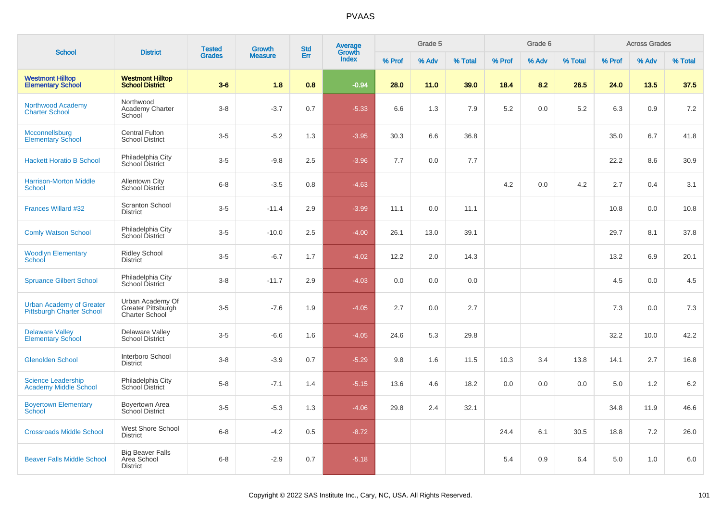| <b>School</b>                                                       | <b>District</b>                                                 | <b>Tested</b> | Growth         | <b>Std</b> | <b>Average</b><br>Growth |        | Grade 5 |         |        | Grade 6 |         |        | <b>Across Grades</b> |         |
|---------------------------------------------------------------------|-----------------------------------------------------------------|---------------|----------------|------------|--------------------------|--------|---------|---------|--------|---------|---------|--------|----------------------|---------|
|                                                                     |                                                                 | <b>Grades</b> | <b>Measure</b> | Err        | Index                    | % Prof | % Adv   | % Total | % Prof | % Adv   | % Total | % Prof | % Adv                | % Total |
| <b>Westmont Hilltop</b><br><b>Elementary School</b>                 | <b>Westmont Hilltop</b><br><b>School District</b>               | $3-6$         | 1.8            | 0.8        | $-0.94$                  | 28.0   | 11.0    | 39.0    | 18.4   | 8.2     | 26.5    | 24.0   | 13.5                 | 37.5    |
| Northwood Academy<br><b>Charter School</b>                          | Northwood<br>Academy Charter<br>School                          | $3-8$         | $-3.7$         | 0.7        | $-5.33$                  | 6.6    | 1.3     | 7.9     | 5.2    | 0.0     | 5.2     | 6.3    | 0.9                  | 7.2     |
| Mcconnellsburg<br><b>Elementary School</b>                          | <b>Central Fulton</b><br><b>School District</b>                 | $3-5$         | $-5.2$         | 1.3        | $-3.95$                  | 30.3   | 6.6     | 36.8    |        |         |         | 35.0   | 6.7                  | 41.8    |
| <b>Hackett Horatio B School</b>                                     | Philadelphia City<br>School District                            | $3-5$         | $-9.8$         | 2.5        | $-3.96$                  | 7.7    | 0.0     | 7.7     |        |         |         | 22.2   | 8.6                  | 30.9    |
| <b>Harrison-Morton Middle</b><br>School                             | Allentown City<br><b>School District</b>                        | $6 - 8$       | $-3.5$         | $0.8\,$    | $-4.63$                  |        |         |         | 4.2    | 0.0     | 4.2     | 2.7    | 0.4                  | 3.1     |
| Frances Willard #32                                                 | <b>Scranton School</b><br><b>District</b>                       | $3-5$         | $-11.4$        | 2.9        | $-3.99$                  | 11.1   | 0.0     | 11.1    |        |         |         | 10.8   | 0.0                  | 10.8    |
| <b>Comly Watson School</b>                                          | Philadelphia City<br>School District                            | $3-5$         | $-10.0$        | 2.5        | $-4.00$                  | 26.1   | 13.0    | 39.1    |        |         |         | 29.7   | 8.1                  | 37.8    |
| <b>Woodlyn Elementary</b><br>School                                 | <b>Ridley School</b><br><b>District</b>                         | $3-5$         | $-6.7$         | 1.7        | $-4.02$                  | 12.2   | 2.0     | 14.3    |        |         |         | 13.2   | 6.9                  | 20.1    |
| <b>Spruance Gilbert School</b>                                      | Philadelphia City<br>School District                            | $3 - 8$       | $-11.7$        | 2.9        | $-4.03$                  | 0.0    | 0.0     | 0.0     |        |         |         | 4.5    | 0.0                  | 4.5     |
| <b>Urban Academy of Greater</b><br><b>Pittsburgh Charter School</b> | Urban Academy Of<br>Greater Pittsburgh<br><b>Charter School</b> | $3-5$         | $-7.6$         | 1.9        | $-4.05$                  | 2.7    | 0.0     | 2.7     |        |         |         | 7.3    | 0.0                  | 7.3     |
| <b>Delaware Valley</b><br><b>Elementary School</b>                  | Delaware Valley<br><b>School District</b>                       | $3-5$         | $-6.6$         | 1.6        | $-4.05$                  | 24.6   | 5.3     | 29.8    |        |         |         | 32.2   | 10.0                 | 42.2    |
| <b>Glenolden School</b>                                             | Interboro School<br><b>District</b>                             | $3 - 8$       | $-3.9$         | 0.7        | $-5.29$                  | 9.8    | 1.6     | 11.5    | 10.3   | 3.4     | 13.8    | 14.1   | 2.7                  | 16.8    |
| <b>Science Leadership</b><br><b>Academy Middle School</b>           | Philadelphia City<br>School District                            | $5-8$         | $-7.1$         | 1.4        | $-5.15$                  | 13.6   | 4.6     | 18.2    | 0.0    | 0.0     | 0.0     | 5.0    | 1.2                  | 6.2     |
| <b>Boyertown Elementary</b><br>School                               | Boyertown Area<br>School District                               | $3-5$         | $-5.3$         | 1.3        | $-4.06$                  | 29.8   | 2.4     | 32.1    |        |         |         | 34.8   | 11.9                 | 46.6    |
| <b>Crossroads Middle School</b>                                     | West Shore School<br><b>District</b>                            | $6 - 8$       | $-4.2$         | 0.5        | $-8.72$                  |        |         |         | 24.4   | 6.1     | 30.5    | 18.8   | 7.2                  | 26.0    |
| <b>Beaver Falls Middle School</b>                                   | <b>Big Beaver Falls</b><br>Area School<br><b>District</b>       | $6 - 8$       | $-2.9$         | 0.7        | $-5.18$                  |        |         |         | 5.4    | 0.9     | 6.4     | 5.0    | 1.0                  | 6.0     |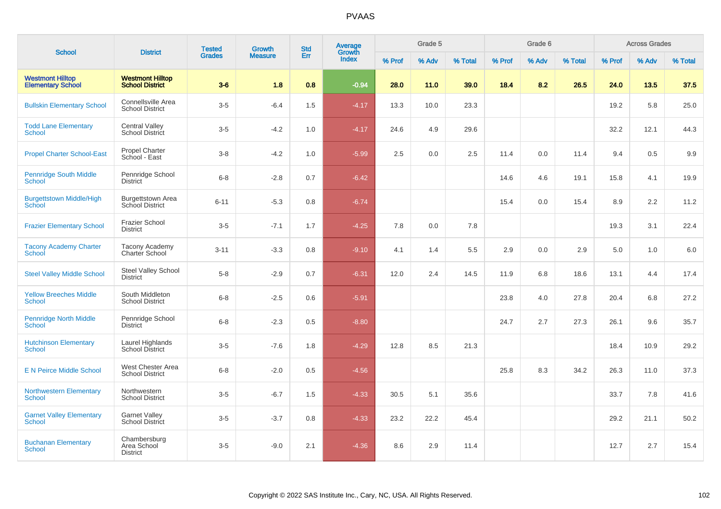| <b>School</b>                                       | <b>District</b>                                    | <b>Tested</b> | <b>Growth</b>  | <b>Std</b> | Average<br>Growth |        | Grade 5 |         |        | Grade 6 |         |        | <b>Across Grades</b> |         |
|-----------------------------------------------------|----------------------------------------------------|---------------|----------------|------------|-------------------|--------|---------|---------|--------|---------|---------|--------|----------------------|---------|
|                                                     |                                                    | <b>Grades</b> | <b>Measure</b> | Err        | <b>Index</b>      | % Prof | % Adv   | % Total | % Prof | % Adv   | % Total | % Prof | % Adv                | % Total |
| <b>Westmont Hilltop</b><br><b>Elementary School</b> | <b>Westmont Hilltop</b><br><b>School District</b>  | $3-6$         | 1.8            | 0.8        | $-0.94$           | 28.0   | 11.0    | 39.0    | 18.4   | 8.2     | 26.5    | 24.0   | 13.5                 | 37.5    |
| <b>Bullskin Elementary School</b>                   | Connellsville Area<br><b>School District</b>       | $3-5$         | $-6.4$         | 1.5        | $-4.17$           | 13.3   | 10.0    | 23.3    |        |         |         | 19.2   | 5.8                  | 25.0    |
| <b>Todd Lane Elementary</b><br><b>School</b>        | <b>Central Valley</b><br>School District           | $3-5$         | $-4.2$         | 1.0        | $-4.17$           | 24.6   | 4.9     | 29.6    |        |         |         | 32.2   | 12.1                 | 44.3    |
| <b>Propel Charter School-East</b>                   | Propel Charter<br>School - East                    | $3-8$         | $-4.2$         | 1.0        | $-5.99$           | 2.5    | 0.0     | 2.5     | 11.4   | 0.0     | 11.4    | 9.4    | 0.5                  | 9.9     |
| <b>Pennridge South Middle</b><br><b>School</b>      | Pennridge School<br><b>District</b>                | $6-8$         | $-2.8$         | 0.7        | $-6.42$           |        |         |         | 14.6   | 4.6     | 19.1    | 15.8   | 4.1                  | 19.9    |
| <b>Burgettstown Middle/High</b><br>School           | <b>Burgettstown Area</b><br><b>School District</b> | $6 - 11$      | $-5.3$         | 0.8        | $-6.74$           |        |         |         | 15.4   | 0.0     | 15.4    | 8.9    | 2.2                  | 11.2    |
| <b>Frazier Elementary School</b>                    | <b>Frazier School</b><br><b>District</b>           | $3-5$         | $-7.1$         | 1.7        | $-4.25$           | 7.8    | 0.0     | 7.8     |        |         |         | 19.3   | 3.1                  | 22.4    |
| <b>Tacony Academy Charter</b><br>School             | <b>Tacony Academy</b><br>Charter School            | $3 - 11$      | $-3.3$         | 0.8        | $-9.10$           | 4.1    | 1.4     | 5.5     | 2.9    | 0.0     | 2.9     | 5.0    | 1.0                  | $6.0\,$ |
| <b>Steel Valley Middle School</b>                   | Steel Valley School<br><b>District</b>             | $5-8$         | $-2.9$         | 0.7        | $-6.31$           | 12.0   | 2.4     | 14.5    | 11.9   | 6.8     | 18.6    | 13.1   | 4.4                  | 17.4    |
| <b>Yellow Breeches Middle</b><br>School             | South Middleton<br><b>School District</b>          | $6-8$         | $-2.5$         | 0.6        | $-5.91$           |        |         |         | 23.8   | 4.0     | 27.8    | 20.4   | 6.8                  | 27.2    |
| <b>Pennridge North Middle</b><br><b>School</b>      | Pennridge School<br><b>District</b>                | $6-8$         | $-2.3$         | 0.5        | $-8.80$           |        |         |         | 24.7   | 2.7     | 27.3    | 26.1   | 9.6                  | 35.7    |
| <b>Hutchinson Elementary</b><br>School              | Laurel Highlands<br>School District                | $3-5$         | $-7.6$         | 1.8        | $-4.29$           | 12.8   | 8.5     | 21.3    |        |         |         | 18.4   | 10.9                 | 29.2    |
| <b>E N Peirce Middle School</b>                     | West Chester Area<br><b>School District</b>        | $6-8$         | $-2.0$         | 0.5        | $-4.56$           |        |         |         | 25.8   | 8.3     | 34.2    | 26.3   | 11.0                 | 37.3    |
| <b>Northwestern Elementary</b><br><b>School</b>     | Northwestern<br><b>School District</b>             | $3-5$         | $-6.7$         | 1.5        | $-4.33$           | 30.5   | 5.1     | 35.6    |        |         |         | 33.7   | 7.8                  | 41.6    |
| <b>Garnet Valley Elementary</b><br><b>School</b>    | <b>Garnet Valley</b><br><b>School District</b>     | $3-5$         | $-3.7$         | 0.8        | $-4.33$           | 23.2   | 22.2    | 45.4    |        |         |         | 29.2   | 21.1                 | 50.2    |
| <b>Buchanan Elementary</b><br>School                | Chambersburg<br>Area School<br><b>District</b>     | $3-5$         | $-9.0$         | 2.1        | $-4.36$           | 8.6    | 2.9     | 11.4    |        |         |         | 12.7   | 2.7                  | 15.4    |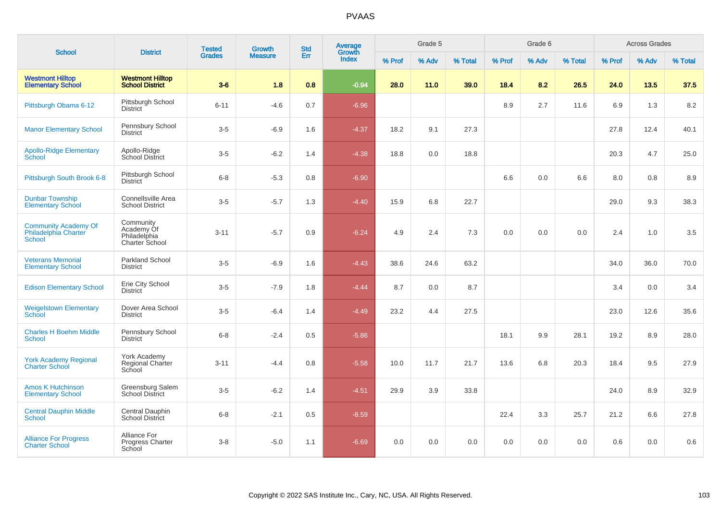| <b>School</b>                                                        |                                                                  | <b>Tested</b> | Growth         | <b>Std</b> | Average<br>Growth |        | Grade 5 |         |        | Grade 6 |         |        | <b>Across Grades</b> |         |
|----------------------------------------------------------------------|------------------------------------------------------------------|---------------|----------------|------------|-------------------|--------|---------|---------|--------|---------|---------|--------|----------------------|---------|
|                                                                      | <b>District</b>                                                  | <b>Grades</b> | <b>Measure</b> | Err        | <b>Index</b>      | % Prof | % Adv   | % Total | % Prof | % Adv   | % Total | % Prof | % Adv                | % Total |
| <b>Westmont Hilltop</b><br><b>Elementary School</b>                  | <b>Westmont Hilltop</b><br><b>School District</b>                | $3-6$         | 1.8            | 0.8        | $-0.94$           | 28.0   | 11.0    | 39.0    | 18.4   | 8.2     | 26.5    | 24.0   | 13.5                 | 37.5    |
| Pittsburgh Obama 6-12                                                | Pittsburgh School<br><b>District</b>                             | $6 - 11$      | $-4.6$         | 0.7        | $-6.96$           |        |         |         | 8.9    | 2.7     | 11.6    | 6.9    | 1.3                  | 8.2     |
| <b>Manor Elementary School</b>                                       | Pennsbury School<br><b>District</b>                              | $3-5$         | $-6.9$         | 1.6        | $-4.37$           | 18.2   | 9.1     | 27.3    |        |         |         | 27.8   | 12.4                 | 40.1    |
| <b>Apollo-Ridge Elementary</b><br>School                             | Apollo-Ridge<br>School District                                  | $3-5$         | $-6.2$         | 1.4        | $-4.38$           | 18.8   | 0.0     | 18.8    |        |         |         | 20.3   | 4.7                  | 25.0    |
| Pittsburgh South Brook 6-8                                           | Pittsburgh School<br><b>District</b>                             | $6 - 8$       | $-5.3$         | 0.8        | $-6.90$           |        |         |         | 6.6    | 0.0     | 6.6     | 8.0    | 0.8                  | 8.9     |
| <b>Dunbar Township</b><br><b>Elementary School</b>                   | Connellsville Area<br><b>School District</b>                     | $3-5$         | $-5.7$         | 1.3        | $-4.40$           | 15.9   | 6.8     | 22.7    |        |         |         | 29.0   | 9.3                  | 38.3    |
| <b>Community Academy Of</b><br><b>Philadelphia Charter</b><br>School | Community<br>Academy Of<br>Philadelphia<br><b>Charter School</b> | $3 - 11$      | $-5.7$         | 0.9        | $-6.24$           | 4.9    | 2.4     | 7.3     | 0.0    | 0.0     | 0.0     | 2.4    | 1.0                  | 3.5     |
| <b>Veterans Memorial</b><br><b>Elementary School</b>                 | <b>Parkland School</b><br><b>District</b>                        | $3-5$         | $-6.9$         | 1.6        | $-4.43$           | 38.6   | 24.6    | 63.2    |        |         |         | 34.0   | 36.0                 | 70.0    |
| <b>Edison Elementary School</b>                                      | Erie City School<br><b>District</b>                              | $3-5$         | $-7.9$         | 1.8        | $-4.44$           | 8.7    | 0.0     | 8.7     |        |         |         | 3.4    | 0.0                  | 3.4     |
| <b>Weigelstown Elementary</b><br><b>School</b>                       | Dover Area School<br><b>District</b>                             | $3 - 5$       | $-6.4$         | 1.4        | $-4.49$           | 23.2   | 4.4     | 27.5    |        |         |         | 23.0   | 12.6                 | 35.6    |
| <b>Charles H Boehm Middle</b><br><b>School</b>                       | Pennsbury School<br><b>District</b>                              | $6 - 8$       | $-2.4$         | 0.5        | $-5.86$           |        |         |         | 18.1   | 9.9     | 28.1    | 19.2   | 8.9                  | 28.0    |
| <b>York Academy Regional</b><br><b>Charter School</b>                | York Academy<br><b>Regional Charter</b><br>School                | $3 - 11$      | $-4.4$         | 0.8        | $-5.58$           | 10.0   | 11.7    | 21.7    | 13.6   | 6.8     | 20.3    | 18.4   | 9.5                  | 27.9    |
| <b>Amos K Hutchinson</b><br><b>Elementary School</b>                 | Greensburg Salem<br>School District                              | $3-5$         | $-6.2$         | 1.4        | $-4.51$           | 29.9   | 3.9     | 33.8    |        |         |         | 24.0   | 8.9                  | 32.9    |
| <b>Central Dauphin Middle</b><br><b>School</b>                       | Central Dauphin<br><b>School District</b>                        | $6 - 8$       | $-2.1$         | 0.5        | $-8.59$           |        |         |         | 22.4   | 3.3     | 25.7    | 21.2   | 6.6                  | 27.8    |
| <b>Alliance For Progress</b><br><b>Charter School</b>                | Alliance For<br>Progress Charter<br>School                       | $3 - 8$       | $-5.0$         | 1.1        | $-6.69$           | 0.0    | 0.0     | 0.0     | 0.0    | 0.0     | 0.0     | 0.6    | 0.0                  | 0.6     |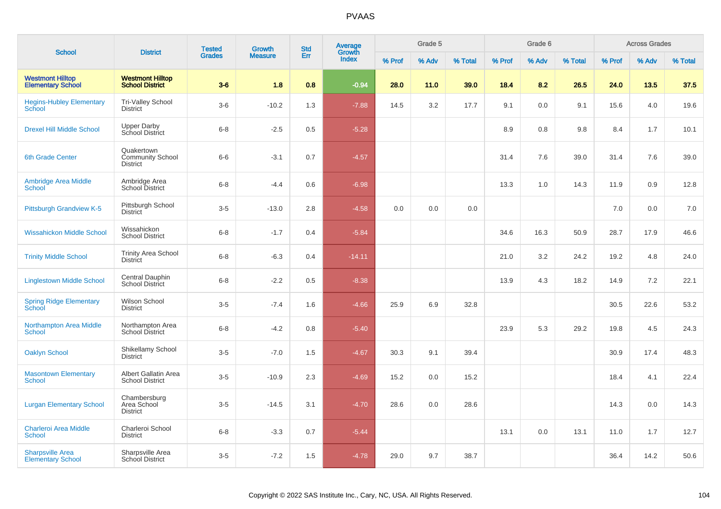| <b>School</b>                                       | <b>District</b>                                          | <b>Tested</b> | <b>Growth</b>  | <b>Std</b> | Average<br>Growth |        | Grade 5 |         |        | Grade 6 |         |        | <b>Across Grades</b> |         |
|-----------------------------------------------------|----------------------------------------------------------|---------------|----------------|------------|-------------------|--------|---------|---------|--------|---------|---------|--------|----------------------|---------|
|                                                     |                                                          | <b>Grades</b> | <b>Measure</b> | Err        | Index             | % Prof | % Adv   | % Total | % Prof | % Adv   | % Total | % Prof | % Adv                | % Total |
| <b>Westmont Hilltop</b><br><b>Elementary School</b> | <b>Westmont Hilltop</b><br><b>School District</b>        | $3-6$         | 1.8            | 0.8        | $-0.94$           | 28.0   | 11.0    | 39.0    | 18.4   | 8.2     | 26.5    | 24.0   | 13.5                 | 37.5    |
| <b>Hegins-Hubley Elementary</b><br>School           | <b>Tri-Valley School</b><br><b>District</b>              | $3-6$         | $-10.2$        | 1.3        | $-7.88$           | 14.5   | 3.2     | 17.7    | 9.1    | 0.0     | 9.1     | 15.6   | 4.0                  | 19.6    |
| <b>Drexel Hill Middle School</b>                    | <b>Upper Darby</b><br>School District                    | $6 - 8$       | $-2.5$         | 0.5        | $-5.28$           |        |         |         | 8.9    | 0.8     | 9.8     | 8.4    | 1.7                  | 10.1    |
| 6th Grade Center                                    | Quakertown<br><b>Community School</b><br><b>District</b> | $6-6$         | $-3.1$         | 0.7        | $-4.57$           |        |         |         | 31.4   | 7.6     | 39.0    | 31.4   | 7.6                  | 39.0    |
| <b>Ambridge Area Middle</b><br>School               | Ambridge Area<br><b>School District</b>                  | $6 - 8$       | $-4.4$         | 0.6        | $-6.98$           |        |         |         | 13.3   | 1.0     | 14.3    | 11.9   | 0.9                  | 12.8    |
| <b>Pittsburgh Grandview K-5</b>                     | Pittsburgh School<br><b>District</b>                     | $3-5$         | $-13.0$        | 2.8        | $-4.58$           | 0.0    | 0.0     | 0.0     |        |         |         | 7.0    | 0.0                  | 7.0     |
| <b>Wissahickon Middle School</b>                    | Wissahickon<br><b>School District</b>                    | $6 - 8$       | $-1.7$         | 0.4        | $-5.84$           |        |         |         | 34.6   | 16.3    | 50.9    | 28.7   | 17.9                 | 46.6    |
| <b>Trinity Middle School</b>                        | <b>Trinity Area School</b><br><b>District</b>            | $6 - 8$       | $-6.3$         | 0.4        | $-14.11$          |        |         |         | 21.0   | 3.2     | 24.2    | 19.2   | 4.8                  | 24.0    |
| <b>Linglestown Middle School</b>                    | Central Dauphin<br><b>School District</b>                | $6 - 8$       | $-2.2$         | 0.5        | $-8.38$           |        |         |         | 13.9   | 4.3     | 18.2    | 14.9   | 7.2                  | 22.1    |
| <b>Spring Ridge Elementary</b><br>School            | Wilson School<br><b>District</b>                         | $3 - 5$       | $-7.4$         | 1.6        | $-4.66$           | 25.9   | 6.9     | 32.8    |        |         |         | 30.5   | 22.6                 | 53.2    |
| <b>Northampton Area Middle</b><br><b>School</b>     | Northampton Area<br>School District                      | $6 - 8$       | $-4.2$         | 0.8        | $-5.40$           |        |         |         | 23.9   | 5.3     | 29.2    | 19.8   | 4.5                  | 24.3    |
| <b>Oaklyn School</b>                                | Shikellamy School<br>District                            | $3-5$         | $-7.0$         | 1.5        | $-4.67$           | 30.3   | 9.1     | 39.4    |        |         |         | 30.9   | 17.4                 | 48.3    |
| <b>Masontown Elementary</b><br><b>School</b>        | Albert Gallatin Area<br><b>School District</b>           | $3-5$         | $-10.9$        | 2.3        | $-4.69$           | 15.2   | 0.0     | 15.2    |        |         |         | 18.4   | 4.1                  | 22.4    |
| <b>Lurgan Elementary School</b>                     | Chambersburg<br>Area School<br><b>District</b>           | $3-5$         | $-14.5$        | 3.1        | $-4.70$           | 28.6   | 0.0     | 28.6    |        |         |         | 14.3   | 0.0                  | 14.3    |
| <b>Charleroi Area Middle</b><br><b>School</b>       | Charleroi School<br><b>District</b>                      | $6 - 8$       | $-3.3$         | 0.7        | $-5.44$           |        |         |         | 13.1   | 0.0     | 13.1    | 11.0   | 1.7                  | 12.7    |
| <b>Sharpsville Area</b><br><b>Elementary School</b> | Sharpsville Area<br>School District                      | $3-5$         | $-7.2$         | 1.5        | $-4.78$           | 29.0   | 9.7     | 38.7    |        |         |         | 36.4   | 14.2                 | 50.6    |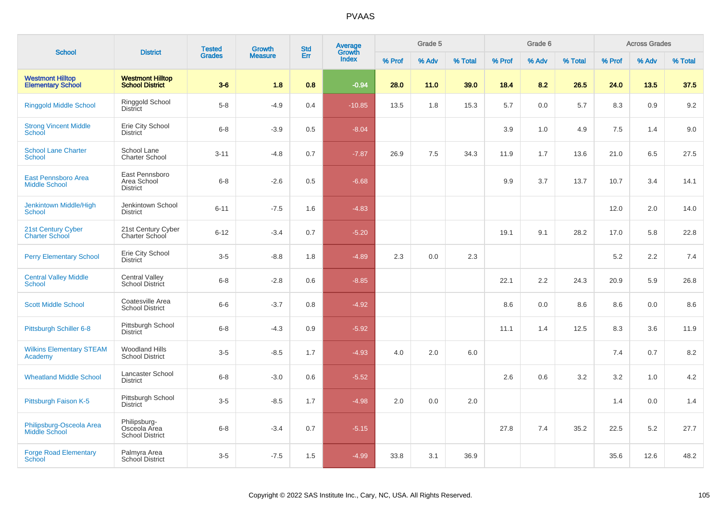|                                                     |                                                        | <b>Tested</b> | Growth         | <b>Std</b> | <b>Average</b><br>Growth |        | Grade 5 |         |        | Grade 6 |         |        | <b>Across Grades</b> |         |
|-----------------------------------------------------|--------------------------------------------------------|---------------|----------------|------------|--------------------------|--------|---------|---------|--------|---------|---------|--------|----------------------|---------|
| <b>School</b>                                       | <b>District</b>                                        | <b>Grades</b> | <b>Measure</b> | Err        | Index                    | % Prof | % Adv   | % Total | % Prof | % Adv   | % Total | % Prof | % Adv                | % Total |
| <b>Westmont Hilltop</b><br><b>Elementary School</b> | <b>Westmont Hilltop</b><br><b>School District</b>      | $3-6$         | 1.8            | 0.8        | $-0.94$                  | 28.0   | 11.0    | 39.0    | 18.4   | 8.2     | 26.5    | 24.0   | 13.5                 | 37.5    |
| <b>Ringgold Middle School</b>                       | Ringgold School<br><b>District</b>                     | $5 - 8$       | $-4.9$         | 0.4        | $-10.85$                 | 13.5   | 1.8     | 15.3    | 5.7    | 0.0     | $5.7\,$ | 8.3    | 0.9                  | 9.2     |
| <b>Strong Vincent Middle</b><br>School              | Erie City School<br><b>District</b>                    | $6 - 8$       | $-3.9$         | 0.5        | $-8.04$                  |        |         |         | 3.9    | 1.0     | 4.9     | 7.5    | 1.4                  | 9.0     |
| <b>School Lane Charter</b><br><b>School</b>         | School Lane<br><b>Charter School</b>                   | $3 - 11$      | $-4.8$         | 0.7        | $-7.87$                  | 26.9   | 7.5     | 34.3    | 11.9   | 1.7     | 13.6    | 21.0   | 6.5                  | 27.5    |
| <b>East Pennsboro Area</b><br><b>Middle School</b>  | East Pennsboro<br>Area School<br><b>District</b>       | $6 - 8$       | $-2.6$         | 0.5        | $-6.68$                  |        |         |         | 9.9    | 3.7     | 13.7    | 10.7   | 3.4                  | 14.1    |
| Jenkintown Middle/High<br><b>School</b>             | Jenkintown School<br><b>District</b>                   | $6 - 11$      | $-7.5$         | 1.6        | $-4.83$                  |        |         |         |        |         |         | 12.0   | 2.0                  | 14.0    |
| 21st Century Cyber<br><b>Charter School</b>         | 21st Century Cyber<br>Charter School                   | $6 - 12$      | $-3.4$         | 0.7        | $-5.20$                  |        |         |         | 19.1   | 9.1     | 28.2    | 17.0   | 5.8                  | 22.8    |
| <b>Perry Elementary School</b>                      | Erie City School<br><b>District</b>                    | $3-5$         | $-8.8$         | 1.8        | $-4.89$                  | 2.3    | 0.0     | 2.3     |        |         |         | 5.2    | 2.2                  | 7.4     |
| <b>Central Valley Middle</b><br>School              | <b>Central Valley</b><br>School District               | $6 - 8$       | $-2.8$         | 0.6        | $-8.85$                  |        |         |         | 22.1   | 2.2     | 24.3    | 20.9   | 5.9                  | 26.8    |
| <b>Scott Middle School</b>                          | Coatesville Area<br><b>School District</b>             | $6-6$         | $-3.7$         | 0.8        | $-4.92$                  |        |         |         | 8.6    | 0.0     | 8.6     | 8.6    | 0.0                  | 8.6     |
| Pittsburgh Schiller 6-8                             | Pittsburgh School<br><b>District</b>                   | $6 - 8$       | $-4.3$         | 0.9        | $-5.92$                  |        |         |         | 11.1   | 1.4     | 12.5    | 8.3    | 3.6                  | 11.9    |
| <b>Wilkins Elementary STEAM</b><br>Academy          | <b>Woodland Hills</b><br><b>School District</b>        | $3-5$         | $-8.5$         | 1.7        | $-4.93$                  | 4.0    | 2.0     | 6.0     |        |         |         | 7.4    | 0.7                  | 8.2     |
| <b>Wheatland Middle School</b>                      | Lancaster School<br><b>District</b>                    | $6 - 8$       | $-3.0$         | 0.6        | $-5.52$                  |        |         |         | 2.6    | 0.6     | 3.2     | 3.2    | 1.0                  | 4.2     |
| Pittsburgh Faison K-5                               | Pittsburgh School<br><b>District</b>                   | $3-5$         | $-8.5$         | 1.7        | $-4.98$                  | 2.0    | 0.0     | 2.0     |        |         |         | 1.4    | 0.0                  | 1.4     |
| Philipsburg-Osceola Area<br>Middle School           | Philipsburg-<br>Osceola Area<br><b>School District</b> | $6 - 8$       | $-3.4$         | 0.7        | $-5.15$                  |        |         |         | 27.8   | 7.4     | 35.2    | 22.5   | 5.2                  | 27.7    |
| <b>Forge Road Elementary</b><br>School              | Palmyra Area<br>School District                        | $3-5$         | $-7.5$         | 1.5        | $-4.99$                  | 33.8   | 3.1     | 36.9    |        |         |         | 35.6   | 12.6                 | 48.2    |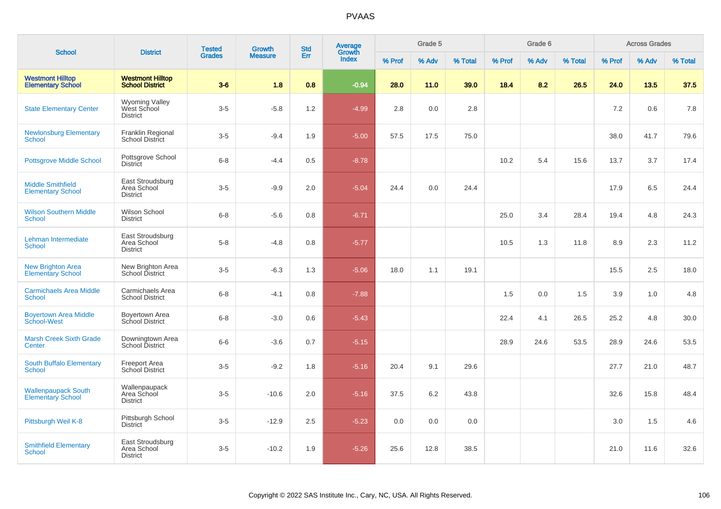| <b>School</b>                                          | <b>District</b>                                         | <b>Tested</b> | Growth         | <b>Std</b> | <b>Average</b><br>Growth |        | Grade 5 |         |        | Grade 6 |         |        | <b>Across Grades</b> |         |
|--------------------------------------------------------|---------------------------------------------------------|---------------|----------------|------------|--------------------------|--------|---------|---------|--------|---------|---------|--------|----------------------|---------|
|                                                        |                                                         | <b>Grades</b> | <b>Measure</b> | Err        | Index                    | % Prof | % Adv   | % Total | % Prof | % Adv   | % Total | % Prof | % Adv                | % Total |
| <b>Westmont Hilltop</b><br><b>Elementary School</b>    | <b>Westmont Hilltop</b><br><b>School District</b>       | $3-6$         | 1.8            | 0.8        | $-0.94$                  | 28.0   | 11.0    | 39.0    | 18.4   | 8.2     | 26.5    | 24.0   | 13.5                 | 37.5    |
| <b>State Elementary Center</b>                         | <b>Wyoming Valley</b><br>West School<br><b>District</b> | $3-5$         | $-5.8$         | 1.2        | $-4.99$                  | 2.8    | 0.0     | 2.8     |        |         |         | 7.2    | 0.6                  | 7.8     |
| <b>Newlonsburg Elementary</b><br>School                | Franklin Regional<br>School District                    | $3-5$         | $-9.4$         | 1.9        | $-5.00$                  | 57.5   | 17.5    | 75.0    |        |         |         | 38.0   | 41.7                 | 79.6    |
| <b>Pottsgrove Middle School</b>                        | Pottsgrove School<br><b>District</b>                    | $6 - 8$       | $-4.4$         | 0.5        | $-8.78$                  |        |         |         | 10.2   | 5.4     | 15.6    | 13.7   | 3.7                  | 17.4    |
| <b>Middle Smithfield</b><br><b>Elementary School</b>   | East Stroudsburg<br>Area School<br><b>District</b>      | $3-5$         | $-9.9$         | 2.0        | $-5.04$                  | 24.4   | 0.0     | 24.4    |        |         |         | 17.9   | 6.5                  | 24.4    |
| <b>Wilson Southern Middle</b><br><b>School</b>         | Wilson School<br><b>District</b>                        | $6 - 8$       | $-5.6$         | 0.8        | $-6.71$                  |        |         |         | 25.0   | 3.4     | 28.4    | 19.4   | 4.8                  | 24.3    |
| Lehman Intermediate<br><b>School</b>                   | East Stroudsburg<br>Area School<br><b>District</b>      | $5 - 8$       | $-4.8$         | 0.8        | $-5.77$                  |        |         |         | 10.5   | 1.3     | 11.8    | 8.9    | 2.3                  | 11.2    |
| <b>New Brighton Area</b><br><b>Elementary School</b>   | New Brighton Area<br>School District                    | $3-5$         | $-6.3$         | 1.3        | $-5.06$                  | 18.0   | 1.1     | 19.1    |        |         |         | 15.5   | 2.5                  | 18.0    |
| <b>Carmichaels Area Middle</b><br>School               | Carmichaels Area<br><b>School District</b>              | $6 - 8$       | $-4.1$         | 0.8        | $-7.88$                  |        |         |         | 1.5    | 0.0     | 1.5     | 3.9    | 1.0                  | 4.8     |
| <b>Boyertown Area Middle</b><br>School-West            | Boyertown Area<br>School District                       | $6 - 8$       | $-3.0$         | 0.6        | $-5.43$                  |        |         |         | 22.4   | 4.1     | 26.5    | 25.2   | 4.8                  | 30.0    |
| <b>Marsh Creek Sixth Grade</b><br>Center               | Downingtown Area<br>School District                     | $6-6$         | $-3.6$         | 0.7        | $-5.15$                  |        |         |         | 28.9   | 24.6    | 53.5    | 28.9   | 24.6                 | 53.5    |
| South Buffalo Elementary<br><b>School</b>              | <b>Freeport Area</b><br>School District                 | $3-5$         | $-9.2$         | 1.8        | $-5.16$                  | 20.4   | 9.1     | 29.6    |        |         |         | 27.7   | 21.0                 | 48.7    |
| <b>Wallenpaupack South</b><br><b>Elementary School</b> | Wallenpaupack<br>Area School<br><b>District</b>         | $3-5$         | $-10.6$        | 2.0        | $-5.16$                  | 37.5   | 6.2     | 43.8    |        |         |         | 32.6   | 15.8                 | 48.4    |
| Pittsburgh Weil K-8                                    | Pittsburgh School<br><b>District</b>                    | $3-5$         | $-12.9$        | 2.5        | $-5.23$                  | 0.0    | 0.0     | 0.0     |        |         |         | 3.0    | 1.5                  | 4.6     |
| <b>Smithfield Elementary</b><br>School                 | East Stroudsburg<br>Area School<br><b>District</b>      | $3-5$         | $-10.2$        | 1.9        | $-5.26$                  | 25.6   | 12.8    | 38.5    |        |         |         | 21.0   | 11.6                 | 32.6    |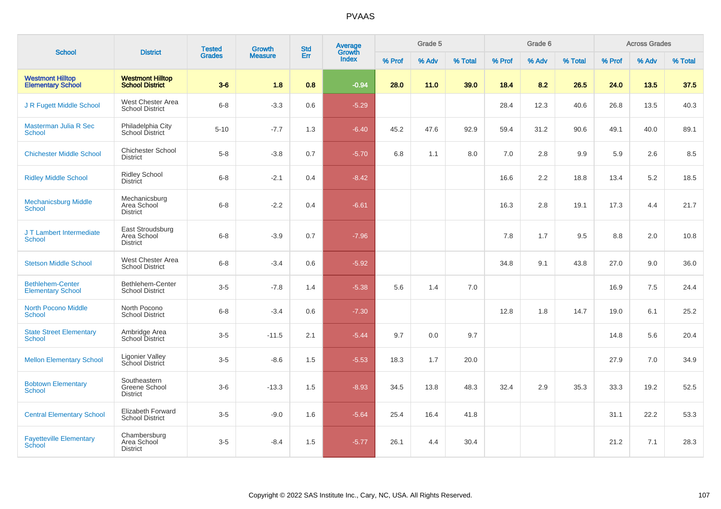| <b>School</b>                                       |                                                    | <b>Tested</b> | Growth         | <b>Std</b> | Average<br>Growth |        | Grade 5 |         |        | Grade 6 |         |        | <b>Across Grades</b> |         |
|-----------------------------------------------------|----------------------------------------------------|---------------|----------------|------------|-------------------|--------|---------|---------|--------|---------|---------|--------|----------------------|---------|
|                                                     | <b>District</b>                                    | <b>Grades</b> | <b>Measure</b> | Err        | <b>Index</b>      | % Prof | % Adv   | % Total | % Prof | % Adv   | % Total | % Prof | % Adv                | % Total |
| <b>Westmont Hilltop</b><br><b>Elementary School</b> | <b>Westmont Hilltop</b><br><b>School District</b>  | $3-6$         | 1.8            | 0.8        | $-0.94$           | 28.0   | 11.0    | 39.0    | 18.4   | 8.2     | 26.5    | 24.0   | 13.5                 | 37.5    |
| J R Fugett Middle School                            | West Chester Area<br><b>School District</b>        | $6-8$         | $-3.3$         | 0.6        | $-5.29$           |        |         |         | 28.4   | 12.3    | 40.6    | 26.8   | 13.5                 | 40.3    |
| Masterman Julia R Sec<br><b>School</b>              | Philadelphia City<br>School District               | $5 - 10$      | $-7.7$         | 1.3        | $-6.40$           | 45.2   | 47.6    | 92.9    | 59.4   | 31.2    | 90.6    | 49.1   | 40.0                 | 89.1    |
| <b>Chichester Middle School</b>                     | <b>Chichester School</b><br><b>District</b>        | $5 - 8$       | $-3.8$         | 0.7        | $-5.70$           | 6.8    | 1.1     | 8.0     | 7.0    | 2.8     | 9.9     | 5.9    | 2.6                  | 8.5     |
| <b>Ridley Middle School</b>                         | <b>Ridley School</b><br><b>District</b>            | $6 - 8$       | $-2.1$         | 0.4        | $-8.42$           |        |         |         | 16.6   | 2.2     | 18.8    | 13.4   | 5.2                  | 18.5    |
| <b>Mechanicsburg Middle</b><br><b>School</b>        | Mechanicsburg<br>Area School<br><b>District</b>    | $6 - 8$       | $-2.2$         | 0.4        | $-6.61$           |        |         |         | 16.3   | 2.8     | 19.1    | 17.3   | 4.4                  | 21.7    |
| J T Lambert Intermediate<br>School                  | East Stroudsburg<br>Area School<br><b>District</b> | $6 - 8$       | $-3.9$         | 0.7        | $-7.96$           |        |         |         | 7.8    | 1.7     | 9.5     | 8.8    | 2.0                  | 10.8    |
| <b>Stetson Middle School</b>                        | West Chester Area<br><b>School District</b>        | $6 - 8$       | $-3.4$         | 0.6        | $-5.92$           |        |         |         | 34.8   | 9.1     | 43.8    | 27.0   | 9.0                  | 36.0    |
| <b>Bethlehem-Center</b><br><b>Elementary School</b> | Bethlehem-Center<br><b>School District</b>         | $3-5$         | $-7.8$         | 1.4        | $-5.38$           | 5.6    | 1.4     | 7.0     |        |         |         | 16.9   | 7.5                  | 24.4    |
| <b>North Pocono Middle</b><br><b>School</b>         | North Pocono<br><b>School District</b>             | $6 - 8$       | $-3.4$         | 0.6        | $-7.30$           |        |         |         | 12.8   | 1.8     | 14.7    | 19.0   | 6.1                  | 25.2    |
| <b>State Street Elementary</b><br><b>School</b>     | Ambridge Area<br><b>School District</b>            | $3-5$         | $-11.5$        | 2.1        | $-5.44$           | 9.7    | 0.0     | 9.7     |        |         |         | 14.8   | 5.6                  | 20.4    |
| <b>Mellon Elementary School</b>                     | Ligonier Valley<br>School District                 | $3-5$         | $-8.6$         | 1.5        | $-5.53$           | 18.3   | 1.7     | 20.0    |        |         |         | 27.9   | 7.0                  | 34.9    |
| <b>Bobtown Elementary</b><br><b>School</b>          | Southeastern<br>Greene School<br><b>District</b>   | $3-6$         | $-13.3$        | 1.5        | $-8.93$           | 34.5   | 13.8    | 48.3    | 32.4   | 2.9     | 35.3    | 33.3   | 19.2                 | 52.5    |
| <b>Central Elementary School</b>                    | <b>Elizabeth Forward</b><br><b>School District</b> | $3-5$         | $-9.0$         | 1.6        | $-5.64$           | 25.4   | 16.4    | 41.8    |        |         |         | 31.1   | 22.2                 | 53.3    |
| <b>Fayetteville Elementary</b><br>School            | Chambersburg<br>Area School<br><b>District</b>     | $3-5$         | $-8.4$         | 1.5        | $-5.77$           | 26.1   | 4.4     | 30.4    |        |         |         | 21.2   | 7.1                  | 28.3    |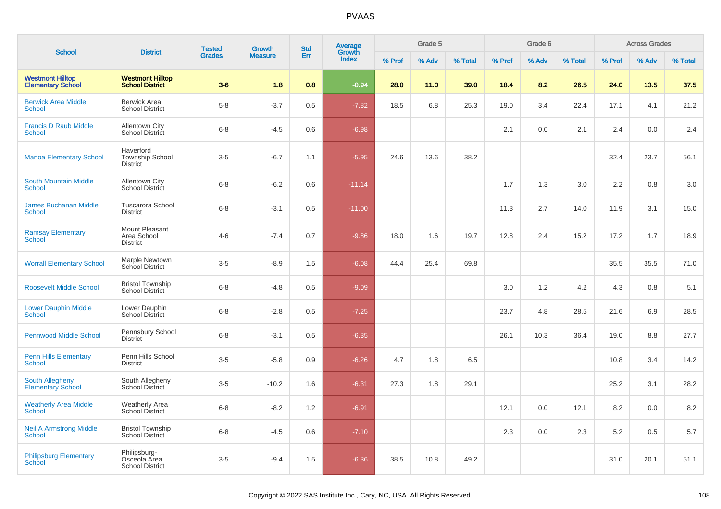|                                                     |                                                        | <b>Tested</b> | Growth         | <b>Std</b> | Average<br>Growth |        | Grade 5 |         |        | Grade 6 |         |        | <b>Across Grades</b> |         |
|-----------------------------------------------------|--------------------------------------------------------|---------------|----------------|------------|-------------------|--------|---------|---------|--------|---------|---------|--------|----------------------|---------|
| <b>School</b>                                       | <b>District</b>                                        | <b>Grades</b> | <b>Measure</b> | Err        | Index             | % Prof | % Adv   | % Total | % Prof | % Adv   | % Total | % Prof | % Adv                | % Total |
| <b>Westmont Hilltop</b><br><b>Elementary School</b> | <b>Westmont Hilltop</b><br><b>School District</b>      | $3-6$         | 1.8            | 0.8        | $-0.94$           | 28.0   | 11.0    | 39.0    | 18.4   | 8.2     | 26.5    | 24.0   | 13.5                 | 37.5    |
| <b>Berwick Area Middle</b><br><b>School</b>         | <b>Berwick Area</b><br><b>School District</b>          | $5-8$         | $-3.7$         | 0.5        | $-7.82$           | 18.5   | 6.8     | 25.3    | 19.0   | 3.4     | 22.4    | 17.1   | 4.1                  | 21.2    |
| <b>Francis D Raub Middle</b><br><b>School</b>       | Allentown City<br>School District                      | $6 - 8$       | $-4.5$         | 0.6        | $-6.98$           |        |         |         | 2.1    | 0.0     | 2.1     | 2.4    | 0.0                  | 2.4     |
| <b>Manoa Elementary School</b>                      | Haverford<br><b>Township School</b><br>District        | $3-5$         | $-6.7$         | 1.1        | $-5.95$           | 24.6   | 13.6    | 38.2    |        |         |         | 32.4   | 23.7                 | 56.1    |
| <b>South Mountain Middle</b><br>School              | Allentown City<br>School District                      | $6 - 8$       | $-6.2$         | 0.6        | $-11.14$          |        |         |         | 1.7    | 1.3     | 3.0     | 2.2    | 0.8                  | 3.0     |
| <b>James Buchanan Middle</b><br>School              | <b>Tuscarora School</b><br><b>District</b>             | $6 - 8$       | $-3.1$         | 0.5        | $-11.00$          |        |         |         | 11.3   | 2.7     | 14.0    | 11.9   | 3.1                  | 15.0    |
| <b>Ramsay Elementary</b><br>School                  | Mount Pleasant<br>Area School<br><b>District</b>       | $4-6$         | $-7.4$         | 0.7        | $-9.86$           | 18.0   | 1.6     | 19.7    | 12.8   | 2.4     | 15.2    | 17.2   | 1.7                  | 18.9    |
| <b>Worrall Elementary School</b>                    | Marple Newtown<br>School District                      | $3-5$         | $-8.9$         | 1.5        | $-6.08$           | 44.4   | 25.4    | 69.8    |        |         |         | 35.5   | 35.5                 | 71.0    |
| <b>Roosevelt Middle School</b>                      | <b>Bristol Township</b><br><b>School District</b>      | $6 - 8$       | $-4.8$         | 0.5        | $-9.09$           |        |         |         | 3.0    | 1.2     | 4.2     | 4.3    | 0.8                  | 5.1     |
| <b>Lower Dauphin Middle</b><br>School               | Lower Dauphin<br>School District                       | $6 - 8$       | $-2.8$         | 0.5        | $-7.25$           |        |         |         | 23.7   | 4.8     | 28.5    | 21.6   | 6.9                  | 28.5    |
| <b>Pennwood Middle School</b>                       | Pennsbury School<br><b>District</b>                    | $6 - 8$       | $-3.1$         | 0.5        | $-6.35$           |        |         |         | 26.1   | 10.3    | 36.4    | 19.0   | 8.8                  | 27.7    |
| <b>Penn Hills Elementary</b><br>School              | Penn Hills School<br><b>District</b>                   | $3-5$         | $-5.8$         | 0.9        | $-6.26$           | 4.7    | 1.8     | 6.5     |        |         |         | 10.8   | 3.4                  | 14.2    |
| <b>South Allegheny</b><br><b>Elementary School</b>  | South Allegheny<br><b>School District</b>              | $3-5$         | $-10.2$        | 1.6        | $-6.31$           | 27.3   | 1.8     | 29.1    |        |         |         | 25.2   | 3.1                  | 28.2    |
| <b>Weatherly Area Middle</b><br>School              | Weatherly Area<br><b>School District</b>               | $6 - 8$       | $-8.2$         | 1.2        | $-6.91$           |        |         |         | 12.1   | 0.0     | 12.1    | 8.2    | 0.0                  | 8.2     |
| <b>Neil A Armstrong Middle</b><br>School            | <b>Bristol Township</b><br><b>School District</b>      | $6 - 8$       | $-4.5$         | 0.6        | $-7.10$           |        |         |         | 2.3    | 0.0     | 2.3     | 5.2    | 0.5                  | 5.7     |
| <b>Philipsburg Elementary</b><br>School             | Philipsburg-<br>Osceola Area<br><b>School District</b> | $3-5$         | $-9.4$         | 1.5        | $-6.36$           | 38.5   | 10.8    | 49.2    |        |         |         | 31.0   | 20.1                 | 51.1    |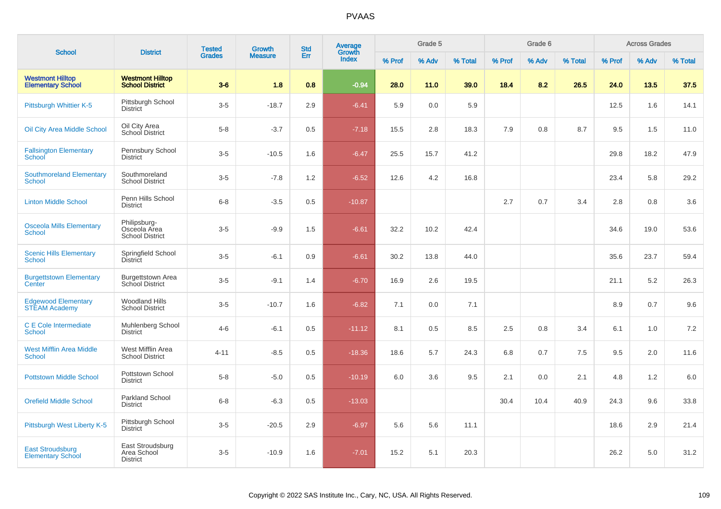|                                                     | <b>District</b>                                        | <b>Tested</b> | <b>Growth</b>  | <b>Std</b><br>Err | <b>Average</b><br>Growth<br><b>Index</b> | Grade 5 |       |         |        | Grade 6 |         | <b>Across Grades</b> |       |         |  |
|-----------------------------------------------------|--------------------------------------------------------|---------------|----------------|-------------------|------------------------------------------|---------|-------|---------|--------|---------|---------|----------------------|-------|---------|--|
| <b>School</b>                                       |                                                        | <b>Grades</b> | <b>Measure</b> |                   |                                          | % Prof  | % Adv | % Total | % Prof | % Adv   | % Total | % Prof               | % Adv | % Total |  |
| <b>Westmont Hilltop</b><br><b>Elementary School</b> | <b>Westmont Hilltop</b><br><b>School District</b>      | $3-6$         | 1.8            | 0.8               | $-0.94$                                  | 28.0    | 11.0  | 39.0    | 18.4   | 8.2     | 26.5    | 24.0                 | 13.5  | 37.5    |  |
| Pittsburgh Whittier K-5                             | Pittsburgh School<br><b>District</b>                   | $3-5$         | $-18.7$        | 2.9               | $-6.41$                                  | 5.9     | 0.0   | 5.9     |        |         |         | 12.5                 | 1.6   | 14.1    |  |
| Oil City Area Middle School                         | Oil City Area<br>School District                       | $5-8$         | $-3.7$         | 0.5               | $-7.18$                                  | 15.5    | 2.8   | 18.3    | 7.9    | 0.8     | 8.7     | 9.5                  | 1.5   | 11.0    |  |
| <b>Fallsington Elementary</b><br>School             | Pennsbury School<br><b>District</b>                    | $3-5$         | $-10.5$        | 1.6               | $-6.47$                                  | 25.5    | 15.7  | 41.2    |        |         |         | 29.8                 | 18.2  | 47.9    |  |
| <b>Southmoreland Elementary</b><br>School           | Southmoreland<br><b>School District</b>                | $3-5$         | $-7.8$         | 1.2               | $-6.52$                                  | 12.6    | 4.2   | 16.8    |        |         |         | 23.4                 | 5.8   | 29.2    |  |
| <b>Linton Middle School</b>                         | Penn Hills School<br><b>District</b>                   | $6 - 8$       | $-3.5$         | 0.5               | $-10.87$                                 |         |       |         | 2.7    | 0.7     | 3.4     | 2.8                  | 0.8   | 3.6     |  |
| <b>Osceola Mills Elementary</b><br><b>School</b>    | Philipsburg-<br>Osceola Area<br><b>School District</b> | $3-5$         | $-9.9$         | 1.5               | $-6.61$                                  | 32.2    | 10.2  | 42.4    |        |         |         | 34.6                 | 19.0  | 53.6    |  |
| <b>Scenic Hills Elementary</b><br><b>School</b>     | Springfield School<br><b>District</b>                  | $3-5$         | $-6.1$         | 0.9               | $-6.61$                                  | 30.2    | 13.8  | 44.0    |        |         |         | 35.6                 | 23.7  | 59.4    |  |
| <b>Burgettstown Elementary</b><br>Center            | <b>Burgettstown Area</b><br>School District            | $3-5$         | $-9.1$         | 1.4               | $-6.70$                                  | 16.9    | 2.6   | 19.5    |        |         |         | 21.1                 | 5.2   | 26.3    |  |
| <b>Edgewood Elementary</b><br><b>STEAM Academy</b>  | <b>Woodland Hills</b><br><b>School District</b>        | $3-5$         | $-10.7$        | 1.6               | $-6.82$                                  | 7.1     | 0.0   | 7.1     |        |         |         | 8.9                  | 0.7   | 9.6     |  |
| C E Cole Intermediate<br><b>School</b>              | Muhlenberg School<br><b>District</b>                   | $4 - 6$       | $-6.1$         | 0.5               | $-11.12$                                 | 8.1     | 0.5   | 8.5     | 2.5    | 0.8     | 3.4     | 6.1                  | 1.0   | 7.2     |  |
| <b>West Mifflin Area Middle</b><br><b>School</b>    | West Mifflin Area<br><b>School District</b>            | $4 - 11$      | $-8.5$         | 0.5               | $-18.36$                                 | 18.6    | 5.7   | 24.3    | 6.8    | 0.7     | 7.5     | 9.5                  | 2.0   | 11.6    |  |
| <b>Pottstown Middle School</b>                      | Pottstown School<br><b>District</b>                    | $5-8$         | $-5.0$         | 0.5               | $-10.19$                                 | 6.0     | 3.6   | 9.5     | 2.1    | 0.0     | 2.1     | 4.8                  | 1.2   | $6.0\,$ |  |
| <b>Orefield Middle School</b>                       | Parkland School<br><b>District</b>                     | $6 - 8$       | $-6.3$         | 0.5               | $-13.03$                                 |         |       |         | 30.4   | 10.4    | 40.9    | 24.3                 | 9.6   | 33.8    |  |
| Pittsburgh West Liberty K-5                         | Pittsburgh School<br><b>District</b>                   | $3-5$         | $-20.5$        | 2.9               | $-6.97$                                  | 5.6     | 5.6   | 11.1    |        |         |         | 18.6                 | 2.9   | 21.4    |  |
| <b>East Stroudsburg</b><br><b>Elementary School</b> | East Stroudsburg<br>Area School<br><b>District</b>     | $3-5$         | $-10.9$        | 1.6               | $-7.01$                                  | 15.2    | 5.1   | 20.3    |        |         |         | 26.2                 | 5.0   | 31.2    |  |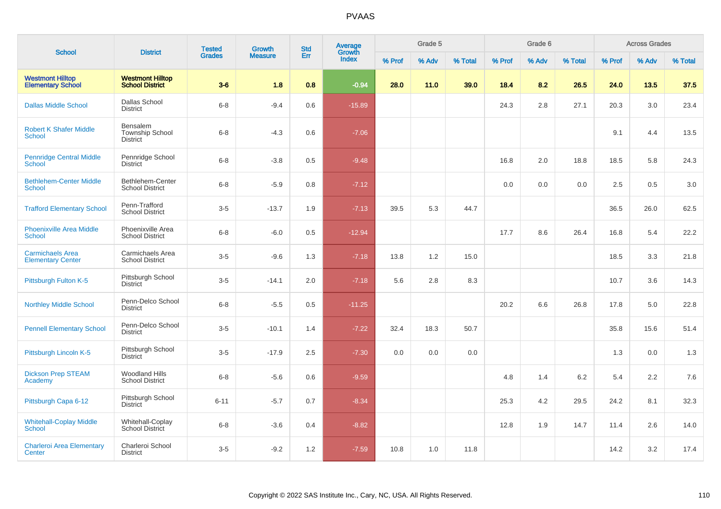| <b>School</b>                                       | <b>District</b>                                       | <b>Tested</b> | Growth         | <b>Std</b> | Average<br>Growth |        | Grade 5 |         |        | Grade 6 |         | <b>Across Grades</b> |       |         |  |
|-----------------------------------------------------|-------------------------------------------------------|---------------|----------------|------------|-------------------|--------|---------|---------|--------|---------|---------|----------------------|-------|---------|--|
|                                                     |                                                       | <b>Grades</b> | <b>Measure</b> | Err        | <b>Index</b>      | % Prof | % Adv   | % Total | % Prof | % Adv   | % Total | % Prof               | % Adv | % Total |  |
| <b>Westmont Hilltop</b><br><b>Elementary School</b> | <b>Westmont Hilltop</b><br><b>School District</b>     | $3-6$         | 1.8            | 0.8        | $-0.94$           | 28.0   | 11.0    | 39.0    | 18.4   | 8.2     | 26.5    | 24.0                 | 13.5  | 37.5    |  |
| <b>Dallas Middle School</b>                         | Dallas School<br><b>District</b>                      | $6 - 8$       | $-9.4$         | 0.6        | $-15.89$          |        |         |         | 24.3   | 2.8     | 27.1    | 20.3                 | 3.0   | 23.4    |  |
| <b>Robert K Shafer Middle</b><br><b>School</b>      | Bensalem<br><b>Township School</b><br><b>District</b> | $6 - 8$       | $-4.3$         | 0.6        | $-7.06$           |        |         |         |        |         |         | 9.1                  | 4.4   | 13.5    |  |
| <b>Pennridge Central Middle</b><br><b>School</b>    | Pennridge School<br><b>District</b>                   | $6 - 8$       | $-3.8$         | 0.5        | $-9.48$           |        |         |         | 16.8   | 2.0     | 18.8    | 18.5                 | 5.8   | 24.3    |  |
| <b>Bethlehem-Center Middle</b><br>School            | Bethlehem-Center<br><b>School District</b>            | $6 - 8$       | $-5.9$         | 0.8        | $-7.12$           |        |         |         | 0.0    | 0.0     | 0.0     | 2.5                  | 0.5   | 3.0     |  |
| <b>Trafford Elementary School</b>                   | Penn-Trafford<br><b>School District</b>               | $3-5$         | $-13.7$        | 1.9        | $-7.13$           | 39.5   | 5.3     | 44.7    |        |         |         | 36.5                 | 26.0  | 62.5    |  |
| <b>Phoenixville Area Middle</b><br>School           | Phoenixville Area<br><b>School District</b>           | $6 - 8$       | $-6.0$         | 0.5        | $-12.94$          |        |         |         | 17.7   | 8.6     | 26.4    | 16.8                 | 5.4   | 22.2    |  |
| <b>Carmichaels Area</b><br><b>Elementary Center</b> | Carmichaels Area<br><b>School District</b>            | $3-5$         | $-9.6$         | 1.3        | $-7.18$           | 13.8   | 1.2     | 15.0    |        |         |         | 18.5                 | 3.3   | 21.8    |  |
| Pittsburgh Fulton K-5                               | Pittsburgh School<br><b>District</b>                  | $3-5$         | $-14.1$        | 2.0        | $-7.18$           | 5.6    | 2.8     | 8.3     |        |         |         | 10.7                 | 3.6   | 14.3    |  |
| <b>Northley Middle School</b>                       | Penn-Delco School<br><b>District</b>                  | $6 - 8$       | $-5.5$         | 0.5        | $-11.25$          |        |         |         | 20.2   | 6.6     | 26.8    | 17.8                 | 5.0   | 22.8    |  |
| <b>Pennell Elementary School</b>                    | Penn-Delco School<br><b>District</b>                  | $3-5$         | $-10.1$        | 1.4        | $-7.22$           | 32.4   | 18.3    | 50.7    |        |         |         | 35.8                 | 15.6  | 51.4    |  |
| Pittsburgh Lincoln K-5                              | Pittsburgh School<br><b>District</b>                  | $3-5$         | $-17.9$        | 2.5        | $-7.30$           | 0.0    | 0.0     | 0.0     |        |         |         | 1.3                  | 0.0   | 1.3     |  |
| <b>Dickson Prep STEAM</b><br>Academy                | <b>Woodland Hills</b><br><b>School District</b>       | $6 - 8$       | $-5.6$         | 0.6        | $-9.59$           |        |         |         | 4.8    | 1.4     | $6.2\,$ | 5.4                  | 2.2   | 7.6     |  |
| Pittsburgh Capa 6-12                                | Pittsburgh School<br><b>District</b>                  | $6 - 11$      | $-5.7$         | 0.7        | $-8.34$           |        |         |         | 25.3   | 4.2     | 29.5    | 24.2                 | 8.1   | 32.3    |  |
| <b>Whitehall-Coplay Middle</b><br><b>School</b>     | Whitehall-Coplay<br>School District                   | $6 - 8$       | $-3.6$         | 0.4        | $-8.82$           |        |         |         | 12.8   | 1.9     | 14.7    | 11.4                 | 2.6   | 14.0    |  |
| <b>Charleroi Area Elementary</b><br>Center          | Charleroi School<br><b>District</b>                   | $3-5$         | $-9.2$         | 1.2        | $-7.59$           | 10.8   | 1.0     | 11.8    |        |         |         | 14.2                 | 3.2   | 17.4    |  |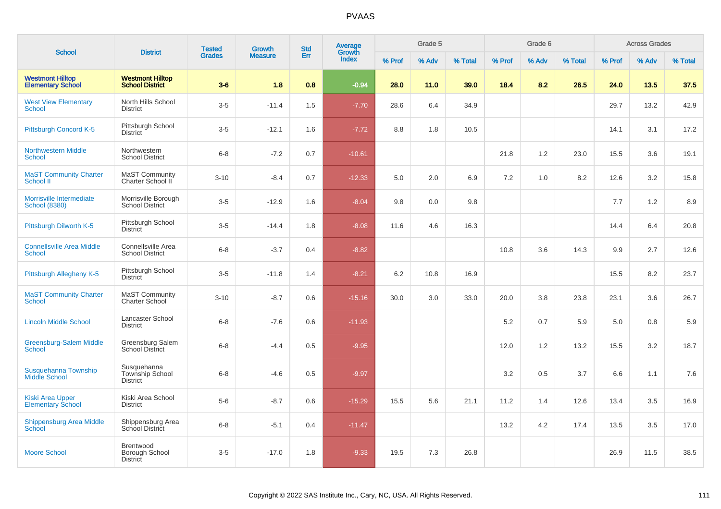|                                                     | <b>District</b>                                          | <b>Tested</b> | <b>Growth</b>  | <b>Std</b> | <b>Average</b><br>Growth |        | Grade 5 |         |         | Grade 6 |         | <b>Across Grades</b> |       |         |  |
|-----------------------------------------------------|----------------------------------------------------------|---------------|----------------|------------|--------------------------|--------|---------|---------|---------|---------|---------|----------------------|-------|---------|--|
| <b>School</b>                                       |                                                          | <b>Grades</b> | <b>Measure</b> | <b>Err</b> | <b>Index</b>             | % Prof | % Adv   | % Total | % Prof  | % Adv   | % Total | % Prof               | % Adv | % Total |  |
| <b>Westmont Hilltop</b><br><b>Elementary School</b> | <b>Westmont Hilltop</b><br><b>School District</b>        | $3-6$         | 1.8            | 0.8        | $-0.94$                  | 28.0   | 11.0    | 39.0    | 18.4    | 8.2     | 26.5    | 24.0                 | 13.5  | 37.5    |  |
| <b>West View Elementary</b><br><b>School</b>        | North Hills School<br><b>District</b>                    | $3-5$         | $-11.4$        | 1.5        | $-7.70$                  | 28.6   | 6.4     | 34.9    |         |         |         | 29.7                 | 13.2  | 42.9    |  |
| Pittsburgh Concord K-5                              | Pittsburgh School<br><b>District</b>                     | $3-5$         | $-12.1$        | 1.6        | $-7.72$                  | 8.8    | 1.8     | 10.5    |         |         |         | 14.1                 | 3.1   | 17.2    |  |
| <b>Northwestern Middle</b><br><b>School</b>         | Northwestern<br><b>School District</b>                   | $6 - 8$       | $-7.2$         | 0.7        | $-10.61$                 |        |         |         | 21.8    | 1.2     | 23.0    | 15.5                 | 3.6   | 19.1    |  |
| <b>MaST Community Charter</b><br><b>School II</b>   | MaST Community<br>Charter School II                      | $3 - 10$      | $-8.4$         | 0.7        | $-12.33$                 | 5.0    | 2.0     | 6.9     | $7.2\,$ | 1.0     | 8.2     | 12.6                 | 3.2   | 15.8    |  |
| Morrisville Intermediate<br><b>School (8380)</b>    | Morrisville Borough<br><b>School District</b>            | $3-5$         | $-12.9$        | 1.6        | $-8.04$                  | 9.8    | 0.0     | 9.8     |         |         |         | 7.7                  | 1.2   | 8.9     |  |
| Pittsburgh Dilworth K-5                             | Pittsburgh School<br><b>District</b>                     | $3-5$         | $-14.4$        | 1.8        | $-8.08$                  | 11.6   | 4.6     | 16.3    |         |         |         | 14.4                 | 6.4   | 20.8    |  |
| <b>Connellsville Area Middle</b><br><b>School</b>   | Connellsville Area<br><b>School District</b>             | $6 - 8$       | $-3.7$         | 0.4        | $-8.82$                  |        |         |         | 10.8    | 3.6     | 14.3    | 9.9                  | 2.7   | 12.6    |  |
| Pittsburgh Allegheny K-5                            | Pittsburgh School<br><b>District</b>                     | $3-5$         | $-11.8$        | 1.4        | $-8.21$                  | 6.2    | 10.8    | 16.9    |         |         |         | 15.5                 | 8.2   | 23.7    |  |
| <b>MaST Community Charter</b><br><b>School</b>      | <b>MaST Community</b><br><b>Charter School</b>           | $3 - 10$      | $-8.7$         | 0.6        | $-15.16$                 | 30.0   | 3.0     | 33.0    | 20.0    | 3.8     | 23.8    | 23.1                 | 3.6   | 26.7    |  |
| <b>Lincoln Middle School</b>                        | Lancaster School<br><b>District</b>                      | $6 - 8$       | $-7.6$         | 0.6        | $-11.93$                 |        |         |         | 5.2     | 0.7     | 5.9     | 5.0                  | 0.8   | $5.9\,$ |  |
| <b>Greensburg-Salem Middle</b><br>School            | Greensburg Salem<br><b>School District</b>               | $6 - 8$       | $-4.4$         | 0.5        | $-9.95$                  |        |         |         | 12.0    | 1.2     | 13.2    | 15.5                 | 3.2   | 18.7    |  |
| Susquehanna Township<br><b>Middle School</b>        | Susquehanna<br><b>Township School</b><br><b>District</b> | $6 - 8$       | $-4.6$         | 0.5        | $-9.97$                  |        |         |         | 3.2     | 0.5     | 3.7     | 6.6                  | 1.1   | 7.6     |  |
| <b>Kiski Area Upper</b><br><b>Elementary School</b> | Kiski Area School<br><b>District</b>                     | $5-6$         | $-8.7$         | 0.6        | $-15.29$                 | 15.5   | 5.6     | 21.1    | 11.2    | 1.4     | 12.6    | 13.4                 | 3.5   | 16.9    |  |
| <b>Shippensburg Area Middle</b><br>School           | Shippensburg Area<br><b>School District</b>              | $6 - 8$       | $-5.1$         | 0.4        | $-11.47$                 |        |         |         | 13.2    | 4.2     | 17.4    | 13.5                 | 3.5   | 17.0    |  |
| <b>Moore School</b>                                 | Brentwood<br>Borough School<br><b>District</b>           | $3-5$         | $-17.0$        | 1.8        | $-9.33$                  | 19.5   | 7.3     | 26.8    |         |         |         | 26.9                 | 11.5  | 38.5    |  |